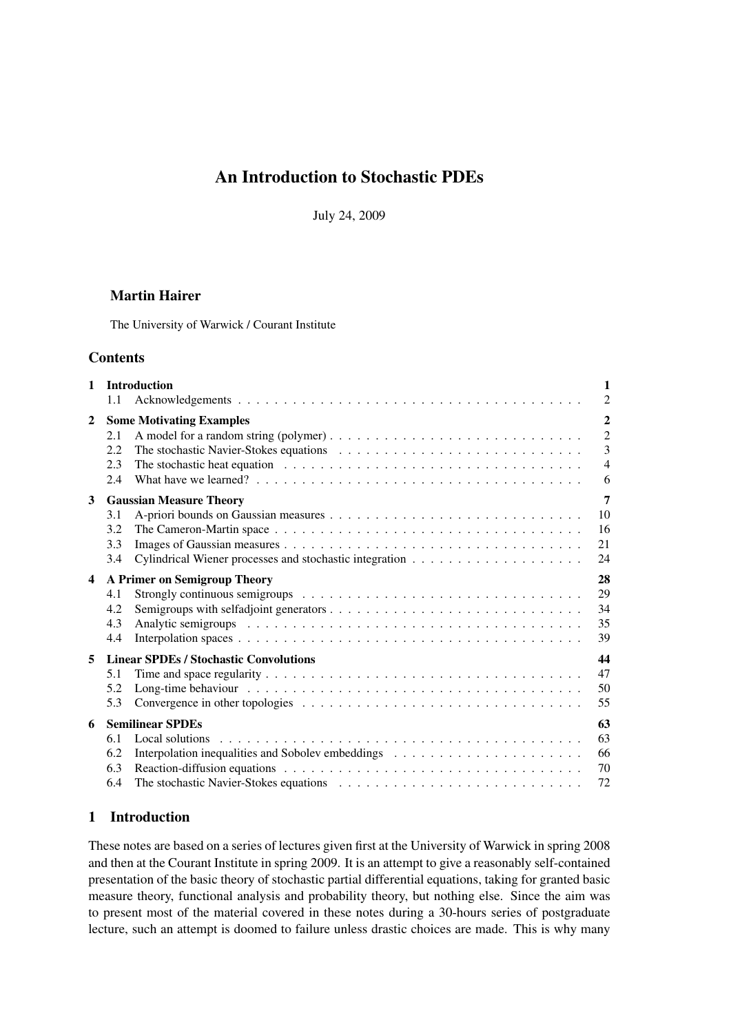# An Introduction to Stochastic PDEs

July 24, 2009

# Martin Hairer

The University of Warwick / Courant Institute

# **Contents**

| <b>Introduction</b><br>$\mathbf{1}$ |                                                     | 1                                    |  |
|-------------------------------------|-----------------------------------------------------|--------------------------------------|--|
|                                     | 1.1                                                 | $\overline{2}$                       |  |
| $\mathbf{2}$                        | <b>Some Motivating Examples</b>                     |                                      |  |
|                                     | 2.1                                                 | $\overline{2}$                       |  |
|                                     | 2.2                                                 | 3                                    |  |
|                                     | 2.3<br>2.4                                          | $\overline{4}$<br>6                  |  |
| 3                                   |                                                     | 7                                    |  |
|                                     | 3.1                                                 | <b>Gaussian Measure Theory</b><br>10 |  |
|                                     | 3.2                                                 | 16                                   |  |
|                                     | 3.3                                                 | 21                                   |  |
|                                     | 3.4                                                 | 24                                   |  |
| $\overline{\mathbf{4}}$             | 28<br>A Primer on Semigroup Theory                  |                                      |  |
|                                     | 4.1                                                 | 29                                   |  |
|                                     | 4.2                                                 | 34                                   |  |
|                                     | 4.3                                                 | 35                                   |  |
|                                     | 4.4                                                 | 39                                   |  |
| 5                                   | 44<br><b>Linear SPDEs / Stochastic Convolutions</b> |                                      |  |
|                                     | 5.1                                                 | 47                                   |  |
|                                     | 5.2                                                 | 50                                   |  |
|                                     | 5.3                                                 | 55                                   |  |
| 6                                   | <b>Semilinear SPDEs</b><br>63                       |                                      |  |
|                                     | 6.1                                                 | 63<br>Local solutions                |  |
|                                     | 6.2                                                 | 66                                   |  |
|                                     | 6.3                                                 | 70                                   |  |
|                                     | 6.4                                                 | 72                                   |  |

# 1 Introduction

These notes are based on a series of lectures given first at the University of Warwick in spring 2008 and then at the Courant Institute in spring 2009. It is an attempt to give a reasonably self-contained presentation of the basic theory of stochastic partial differential equations, taking for granted basic measure theory, functional analysis and probability theory, but nothing else. Since the aim was to present most of the material covered in these notes during a 30-hours series of postgraduate lecture, such an attempt is doomed to failure unless drastic choices are made. This is why many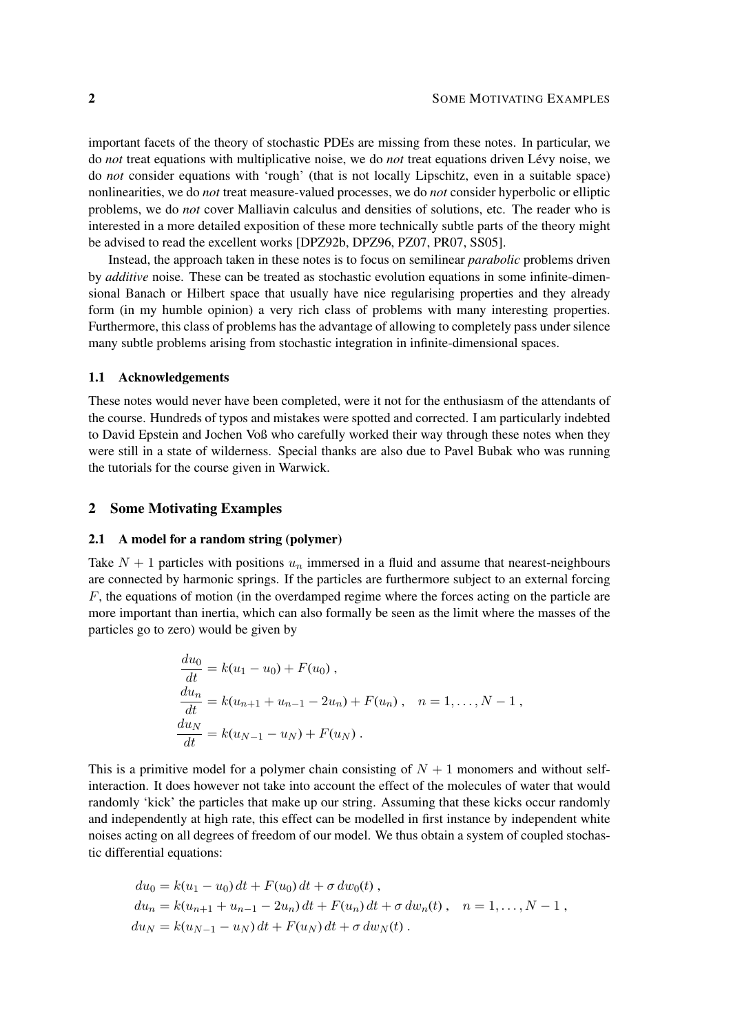important facets of the theory of stochastic PDEs are missing from these notes. In particular, we do *not* treat equations with multiplicative noise, we do *not* treat equations driven Lévy noise, we do *not* consider equations with 'rough' (that is not locally Lipschitz, even in a suitable space) nonlinearities, we do *not* treat measure-valued processes, we do *not* consider hyperbolic or elliptic problems, we do *not* cover Malliavin calculus and densities of solutions, etc. The reader who is interested in a more detailed exposition of these more technically subtle parts of the theory might be advised to read the excellent works [DPZ92b, DPZ96, PZ07, PR07, SS05].

Instead, the approach taken in these notes is to focus on semilinear *parabolic* problems driven by *additive* noise. These can be treated as stochastic evolution equations in some infinite-dimensional Banach or Hilbert space that usually have nice regularising properties and they already form (in my humble opinion) a very rich class of problems with many interesting properties. Furthermore, this class of problems has the advantage of allowing to completely pass under silence many subtle problems arising from stochastic integration in infinite-dimensional spaces.

# 1.1 Acknowledgements

These notes would never have been completed, were it not for the enthusiasm of the attendants of the course. Hundreds of typos and mistakes were spotted and corrected. I am particularly indebted to David Epstein and Jochen Voß who carefully worked their way through these notes when they were still in a state of wilderness. Special thanks are also due to Pavel Bubak who was running the tutorials for the course given in Warwick.

# 2 Some Motivating Examples

### 2.1 A model for a random string (polymer)

Take  $N + 1$  particles with positions  $u_n$  immersed in a fluid and assume that nearest-neighbours are connected by harmonic springs. If the particles are furthermore subject to an external forcing  $F$ , the equations of motion (in the overdamped regime where the forces acting on the particle are more important than inertia, which can also formally be seen as the limit where the masses of the particles go to zero) would be given by

$$
\frac{du_0}{dt} = k(u_1 - u_0) + F(u_0),
$$
  
\n
$$
\frac{du_n}{dt} = k(u_{n+1} + u_{n-1} - 2u_n) + F(u_n), \quad n = 1, ..., N - 1,
$$
  
\n
$$
\frac{du_N}{dt} = k(u_{N-1} - u_N) + F(u_N).
$$

This is a primitive model for a polymer chain consisting of  $N + 1$  monomers and without selfinteraction. It does however not take into account the effect of the molecules of water that would randomly 'kick' the particles that make up our string. Assuming that these kicks occur randomly and independently at high rate, this effect can be modelled in first instance by independent white noises acting on all degrees of freedom of our model. We thus obtain a system of coupled stochastic differential equations:

$$
du_0 = k(u_1 - u_0) dt + F(u_0) dt + \sigma dw_0(t),
$$
  
\n
$$
du_n = k(u_{n+1} + u_{n-1} - 2u_n) dt + F(u_n) dt + \sigma dw_n(t), \quad n = 1, ..., N - 1,
$$
  
\n
$$
du_N = k(u_{N-1} - u_N) dt + F(u_N) dt + \sigma dw_N(t).
$$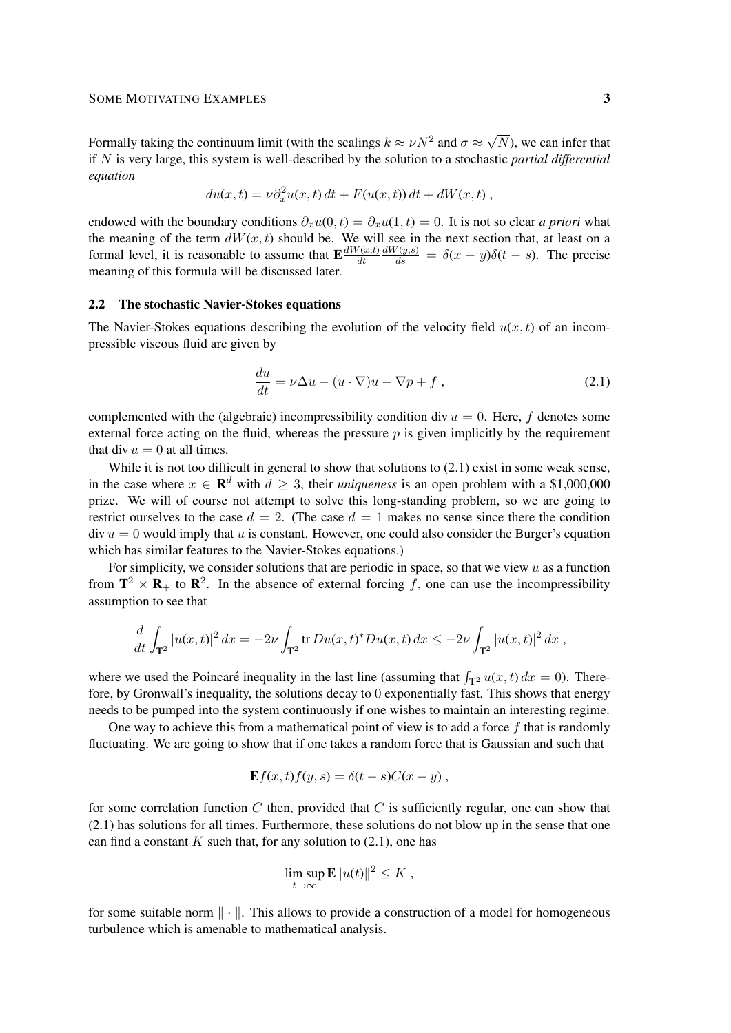Formally taking the continuum limit (with the scalings  $k \approx \nu N^2$  and  $\sigma \approx$ √ N), we can infer that if N is very large, this system is well-described by the solution to a stochastic *partial differential equation*

$$
du(x,t) = \nu \partial_x^2 u(x,t) dt + F(u(x,t)) dt + dW(x,t),
$$

endowed with the boundary conditions  $\partial_x u(0, t) = \partial_x u(1, t) = 0$ . It is not so clear *a priori* what the meaning of the term  $dW(x, t)$  should be. We will see in the next section that, at least on a formal level, it is reasonable to assume that  $\mathbf{E} \frac{dW(x,t)}{dt}$ dt  $\frac{dW(y,s)}{ds} = \delta(x-y)\delta(t-s)$ . The precise meaning of this formula will be discussed later.

### 2.2 The stochastic Navier-Stokes equations

The Navier-Stokes equations describing the evolution of the velocity field  $u(x, t)$  of an incompressible viscous fluid are given by

$$
\frac{du}{dt} = \nu \Delta u - (u \cdot \nabla)u - \nabla p + f,
$$
\n(2.1)

complemented with the (algebraic) incompressibility condition div  $u = 0$ . Here, f denotes some external force acting on the fluid, whereas the pressure  $p$  is given implicitly by the requirement that div  $u = 0$  at all times.

While it is not too difficult in general to show that solutions to  $(2.1)$  exist in some weak sense, in the case where  $x \in \mathbb{R}^d$  with  $d \geq 3$ , their *uniqueness* is an open problem with a \$1,000,000 prize. We will of course not attempt to solve this long-standing problem, so we are going to restrict ourselves to the case  $d = 2$ . (The case  $d = 1$  makes no sense since there the condition  $div u = 0$  would imply that u is constant. However, one could also consider the Burger's equation which has similar features to the Navier-Stokes equations.)

For simplicity, we consider solutions that are periodic in space, so that we view  $u$  as a function from  $\mathbf{T}^2 \times \mathbf{R}_+$  to  $\mathbf{R}^2$ . In the absence of external forcing f, one can use the incompressibility assumption to see that

$$
\frac{d}{dt} \int_{\mathbf{T}^2} |u(x,t)|^2 dx = -2\nu \int_{\mathbf{T}^2} tr \, Du(x,t)^* Du(x,t) dx \leq -2\nu \int_{\mathbf{T}^2} |u(x,t)|^2 dx ,
$$

where we used the Poincaré inequality in the last line (assuming that  $\int_{\mathbf{T}^2} u(x, t) dx = 0$ ). Therefore, by Gronwall's inequality, the solutions decay to 0 exponentially fast. This shows that energy needs to be pumped into the system continuously if one wishes to maintain an interesting regime.

One way to achieve this from a mathematical point of view is to add a force  $f$  that is randomly fluctuating. We are going to show that if one takes a random force that is Gaussian and such that

$$
\mathbf{E}f(x,t)f(y,s) = \delta(t-s)C(x-y) ,
$$

for some correlation function C then, provided that C is sufficiently regular, one can show that (2.1) has solutions for all times. Furthermore, these solutions do not blow up in the sense that one can find a constant  $K$  such that, for any solution to  $(2.1)$ , one has

$$
\limsup_{t\to\infty} \mathbf{E} ||u(t)||^2 \leq K,
$$

for some suitable norm  $\|\cdot\|$ . This allows to provide a construction of a model for homogeneous turbulence which is amenable to mathematical analysis.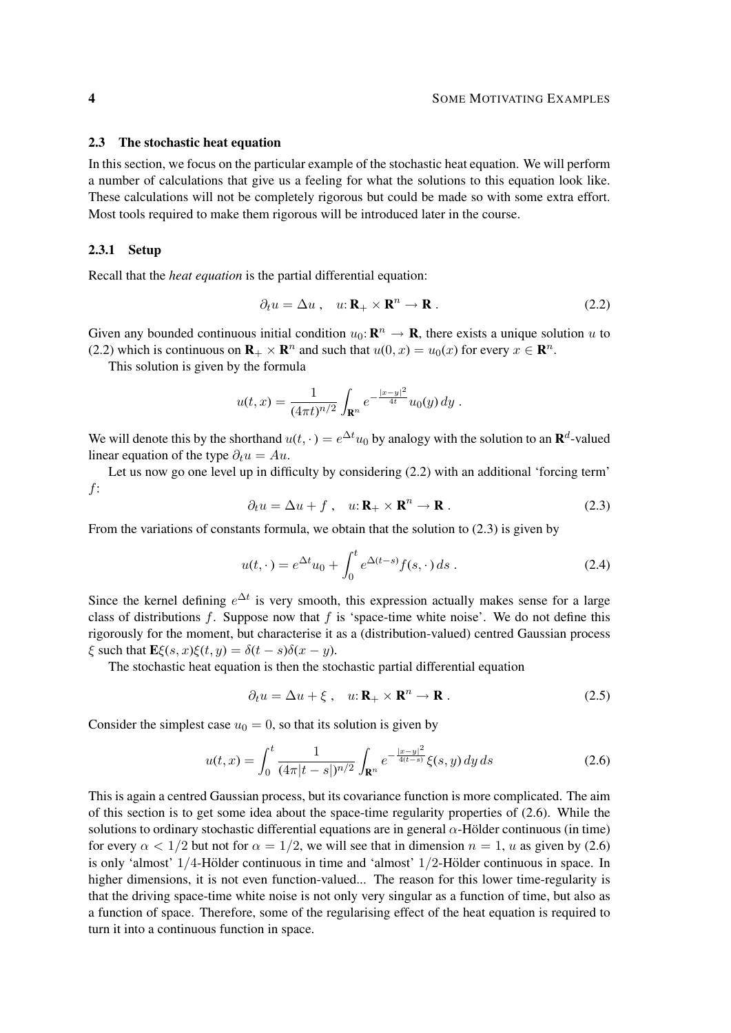### 2.3 The stochastic heat equation

In this section, we focus on the particular example of the stochastic heat equation. We will perform a number of calculations that give us a feeling for what the solutions to this equation look like. These calculations will not be completely rigorous but could be made so with some extra effort. Most tools required to make them rigorous will be introduced later in the course.

# 2.3.1 Setup

Recall that the *heat equation* is the partial differential equation:

$$
\partial_t u = \Delta u \,, \quad u: \mathbf{R}_+ \times \mathbf{R}^n \to \mathbf{R} \,. \tag{2.2}
$$

Given any bounded continuous initial condition  $u_0: \mathbf{R}^n \to \mathbf{R}$ , there exists a unique solution u to (2.2) which is continuous on  $\mathbf{R}_{+} \times \mathbf{R}^{n}$  and such that  $u(0, x) = u_0(x)$  for every  $x \in \mathbf{R}^{n}$ .

This solution is given by the formula

$$
u(t,x) = \frac{1}{(4\pi t)^{n/2}} \int_{\mathbf{R}^n} e^{-\frac{|x-y|^2}{4t}} u_0(y) \, dy \; .
$$

We will denote this by the shorthand  $u(t, \cdot) = e^{\Delta t} u_0$  by analogy with the solution to an  $\mathbf{R}^d$ -valued linear equation of the type  $\partial_t u = Au$ .

Let us now go one level up in difficulty by considering (2.2) with an additional 'forcing term' f:

$$
\partial_t u = \Delta u + f, \quad u: \mathbf{R}_+ \times \mathbf{R}^n \to \mathbf{R} \,. \tag{2.3}
$$

From the variations of constants formula, we obtain that the solution to (2.3) is given by

$$
u(t,\cdot) = e^{\Delta t}u_0 + \int_0^t e^{\Delta(t-s)}f(s,\cdot)ds.
$$
 (2.4)

Since the kernel defining  $e^{\Delta t}$  is very smooth, this expression actually makes sense for a large class of distributions  $f$ . Suppose now that  $f$  is 'space-time white noise'. We do not define this rigorously for the moment, but characterise it as a (distribution-valued) centred Gaussian process  $\xi$  such that  $\mathbf{E}\xi(s, x)\xi(t, y) = \delta(t - s)\delta(x - y)$ .

The stochastic heat equation is then the stochastic partial differential equation

$$
\partial_t u = \Delta u + \xi \,, \quad u: \mathbf{R}_+ \times \mathbf{R}^n \to \mathbf{R} \,. \tag{2.5}
$$

Consider the simplest case  $u_0 = 0$ , so that its solution is given by

$$
u(t,x) = \int_0^t \frac{1}{(4\pi|t-s|)^{n/2}} \int_{\mathbf{R}^n} e^{-\frac{|x-y|^2}{4(t-s)}} \xi(s,y) \, dy \, ds \tag{2.6}
$$

This is again a centred Gaussian process, but its covariance function is more complicated. The aim of this section is to get some idea about the space-time regularity properties of (2.6). While the solutions to ordinary stochastic differential equations are in general  $\alpha$ -Hölder continuous (in time) for every  $\alpha < 1/2$  but not for  $\alpha = 1/2$ , we will see that in dimension  $n = 1$ , u as given by (2.6) is only 'almost'  $1/4$ -Hölder continuous in time and 'almost'  $1/2$ -Hölder continuous in space. In higher dimensions, it is not even function-valued... The reason for this lower time-regularity is that the driving space-time white noise is not only very singular as a function of time, but also as a function of space. Therefore, some of the regularising effect of the heat equation is required to turn it into a continuous function in space.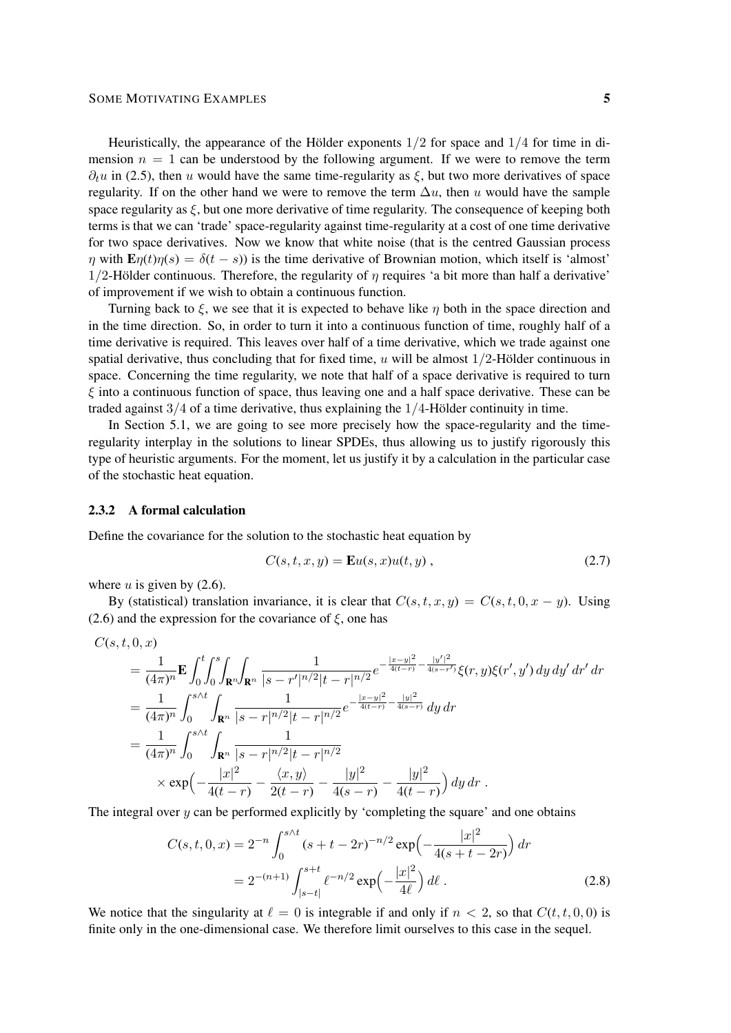Heuristically, the appearance of the Hölder exponents  $1/2$  for space and  $1/4$  for time in dimension  $n = 1$  can be understood by the following argument. If we were to remove the term  $\partial_t u$  in (2.5), then u would have the same time-regularity as  $\xi$ , but two more derivatives of space regularity. If on the other hand we were to remove the term  $\Delta u$ , then u would have the sample space regularity as  $\xi$ , but one more derivative of time regularity. The consequence of keeping both terms is that we can 'trade' space-regularity against time-regularity at a cost of one time derivative for two space derivatives. Now we know that white noise (that is the centred Gaussian process  $\eta$  with  $\mathbf{E}\eta(t)\eta(s) = \delta(t-s)$  is the time derivative of Brownian motion, which itself is 'almost'  $1/2$ -Hölder continuous. Therefore, the regularity of  $\eta$  requires 'a bit more than half a derivative' of improvement if we wish to obtain a continuous function.

Turning back to  $\xi$ , we see that it is expected to behave like  $\eta$  both in the space direction and in the time direction. So, in order to turn it into a continuous function of time, roughly half of a time derivative is required. This leaves over half of a time derivative, which we trade against one spatial derivative, thus concluding that for fixed time, u will be almost  $1/2$ -Hölder continuous in space. Concerning the time regularity, we note that half of a space derivative is required to turn  $\xi$  into a continuous function of space, thus leaving one and a half space derivative. These can be traded against  $3/4$  of a time derivative, thus explaining the  $1/4$ -Hölder continuity in time.

In Section 5.1, we are going to see more precisely how the space-regularity and the timeregularity interplay in the solutions to linear SPDEs, thus allowing us to justify rigorously this type of heuristic arguments. For the moment, let us justify it by a calculation in the particular case of the stochastic heat equation.

# 2.3.2 A formal calculation

Define the covariance for the solution to the stochastic heat equation by

$$
C(s,t,x,y) = \mathbf{E}u(s,x)u(t,y), \qquad (2.7)
$$

where  $u$  is given by  $(2.6)$ .

By (statistical) translation invariance, it is clear that  $C(s, t, x, y) = C(s, t, 0, x - y)$ . Using (2.6) and the expression for the covariance of  $\xi$ , one has

$$
C(s, t, 0, x)
$$
  
\n
$$
= \frac{1}{(4\pi)^n} \mathbf{E} \int_0^t \int_0^s \int_{\mathbf{R}^n} \int_{\mathbf{R}^n} \frac{1}{|s - r'|^{n/2} |t - r|^{n/2}} e^{-\frac{|x - y|^2}{4(t - r)} - \frac{|y'|^2}{4(s - r')}} \xi(r, y) \xi(r', y') \, dy \, dy' \, dr' \, dr
$$
  
\n
$$
= \frac{1}{(4\pi)^n} \int_0^{s \wedge t} \int_{\mathbf{R}^n} \frac{1}{|s - r|^{n/2} |t - r|^{n/2}} e^{-\frac{|x - y|^2}{4(t - r)} - \frac{|y|^2}{4(s - r)}} \, dy \, dr
$$
  
\n
$$
= \frac{1}{(4\pi)^n} \int_0^{s \wedge t} \int_{\mathbf{R}^n} \frac{1}{|s - r|^{n/2} |t - r|^{n/2}} \times \exp\left(-\frac{|x|^2}{4(t - r)} - \frac{\langle x, y \rangle}{2(t - r)} - \frac{|y|^2}{4(s - r)} - \frac{|y|^2}{4(t - r)}\right) \, dy \, dr.
$$

The integral over  $y$  can be performed explicitly by 'completing the square' and one obtains

$$
C(s,t,0,x) = 2^{-n} \int_0^{s/t} (s+t-2r)^{-n/2} \exp\left(-\frac{|x|^2}{4(s+t-2r)}\right) dr
$$
  
=  $2^{-(n+1)} \int_{|s-t|}^{s+t} \ell^{-n/2} \exp\left(-\frac{|x|^2}{4\ell}\right) d\ell$ . (2.8)

We notice that the singularity at  $\ell = 0$  is integrable if and only if  $n < 2$ , so that  $C(t, t, 0, 0)$  is finite only in the one-dimensional case. We therefore limit ourselves to this case in the sequel.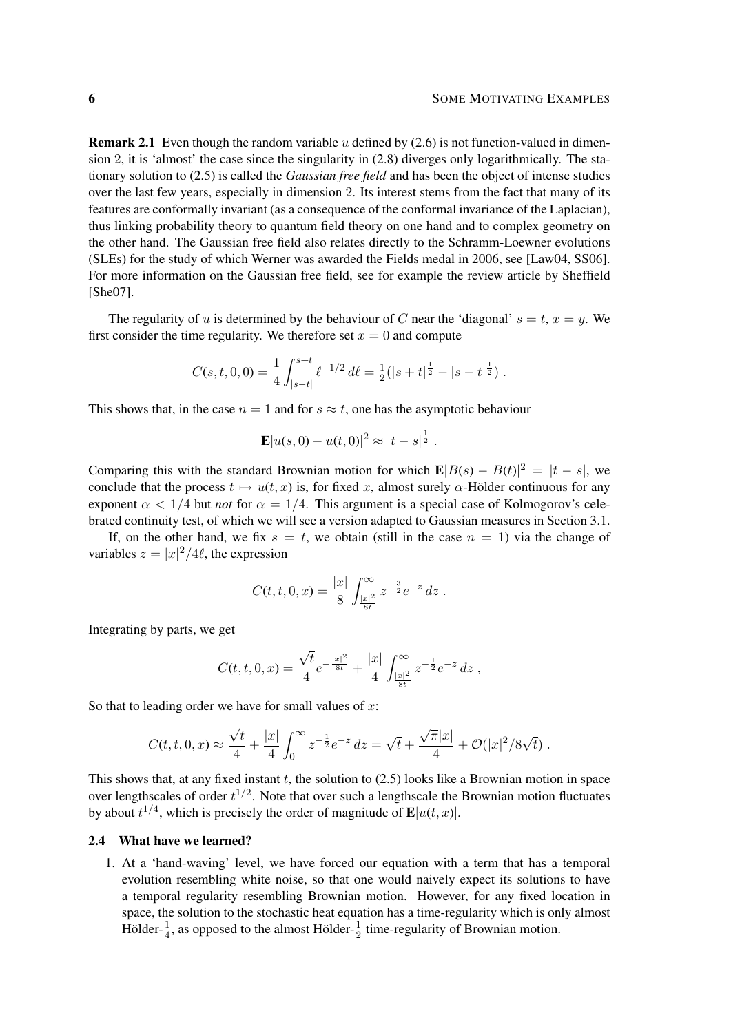**Remark 2.1** Even though the random variable u defined by (2.6) is not function-valued in dimension 2, it is 'almost' the case since the singularity in (2.8) diverges only logarithmically. The stationary solution to (2.5) is called the *Gaussian free field* and has been the object of intense studies over the last few years, especially in dimension 2. Its interest stems from the fact that many of its features are conformally invariant (as a consequence of the conformal invariance of the Laplacian), thus linking probability theory to quantum field theory on one hand and to complex geometry on the other hand. The Gaussian free field also relates directly to the Schramm-Loewner evolutions (SLEs) for the study of which Werner was awarded the Fields medal in 2006, see [Law04, SS06]. For more information on the Gaussian free field, see for example the review article by Sheffield [She07].

The regularity of u is determined by the behaviour of C near the 'diagonal'  $s = t$ ,  $x = y$ . We first consider the time regularity. We therefore set  $x = 0$  and compute

$$
C(s,t,0,0) = \frac{1}{4} \int_{|s-t|}^{s+t} \ell^{-1/2} d\ell = \frac{1}{2} (|s+t|^{\frac{1}{2}} - |s-t|^{\frac{1}{2}}).
$$

This shows that, in the case  $n = 1$  and for  $s \approx t$ , one has the asymptotic behaviour

$$
\mathbf{E}|u(s,0)-u(t,0)|^2 \approx |t-s|^{\frac{1}{2}}.
$$

Comparing this with the standard Brownian motion for which  $\mathbf{E}|B(s) - B(t)|^2 = |t - s|$ , we conclude that the process  $t \mapsto u(t, x)$  is, for fixed x, almost surely  $\alpha$ -Hölder continuous for any exponent  $\alpha < 1/4$  but *not* for  $\alpha = 1/4$ . This argument is a special case of Kolmogorov's celebrated continuity test, of which we will see a version adapted to Gaussian measures in Section 3.1.

If, on the other hand, we fix  $s = t$ , we obtain (still in the case  $n = 1$ ) via the change of variables  $z = |x|^2/4\ell$ , the expression

$$
C(t,t,0,x) = \frac{|x|}{8} \int_{\frac{|x|^2}{8t}}^{\infty} z^{-\frac{3}{2}} e^{-z} dz.
$$

Integrating by parts, we get

$$
C(t,t,0,x) = \frac{\sqrt{t}}{4}e^{-\frac{|x|^2}{8t}} + \frac{|x|}{4}\int_{\frac{|x|^2}{8t}}^{\infty} z^{-\frac{1}{2}}e^{-z} dz ,
$$

So that to leading order we have for small values of  $x$ :

$$
C(t,t,0,x) \approx \frac{\sqrt{t}}{4} + \frac{|x|}{4} \int_0^\infty z^{-\frac{1}{2}} e^{-z} dz = \sqrt{t} + \frac{\sqrt{\pi}|x|}{4} + \mathcal{O}(|x|^2/8\sqrt{t}).
$$

This shows that, at any fixed instant  $t$ , the solution to  $(2.5)$  looks like a Brownian motion in space over lengthscales of order  $t^{1/2}$ . Note that over such a lengthscale the Brownian motion fluctuates by about  $t^{1/4}$ , which is precisely the order of magnitude of  $\mathbf{E}|u(t,x)|$ .

# 2.4 What have we learned?

1. At a 'hand-waving' level, we have forced our equation with a term that has a temporal evolution resembling white noise, so that one would naively expect its solutions to have a temporal regularity resembling Brownian motion. However, for any fixed location in space, the solution to the stochastic heat equation has a time-regularity which is only almost Hölder- $\frac{1}{4}$  $\frac{1}{4}$ , as opposed to the almost Hölder- $\frac{1}{2}$  $\frac{1}{2}$  time-regularity of Brownian motion.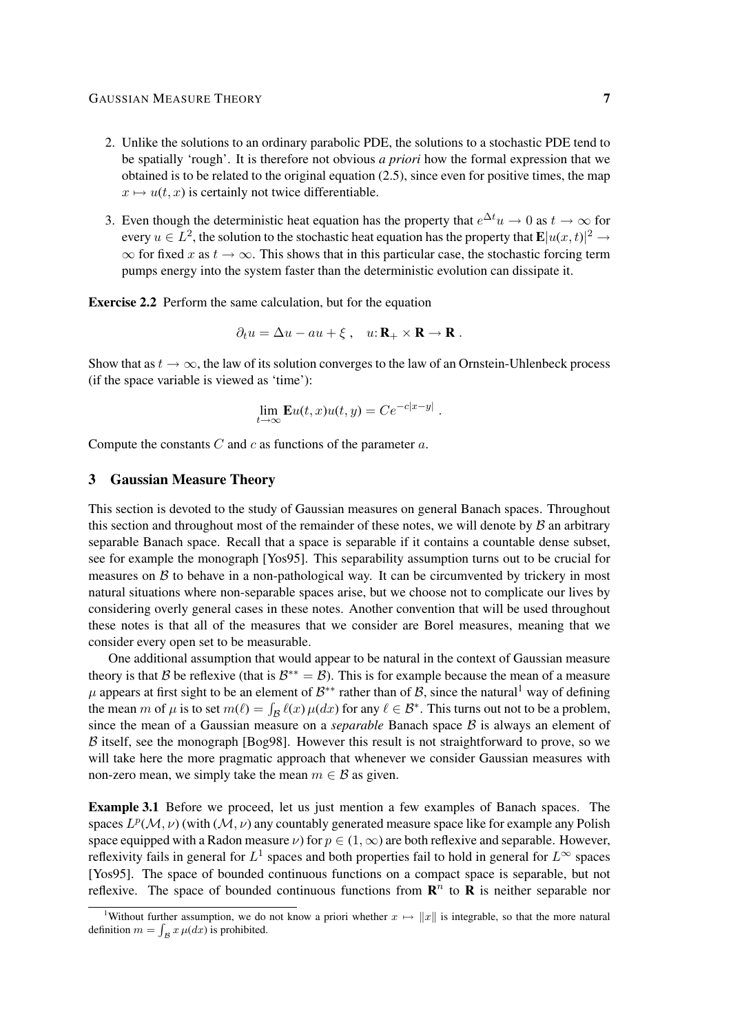- 2. Unlike the solutions to an ordinary parabolic PDE, the solutions to a stochastic PDE tend to be spatially 'rough'. It is therefore not obvious *a priori* how the formal expression that we obtained is to be related to the original equation  $(2.5)$ , since even for positive times, the map  $x \mapsto u(t, x)$  is certainly not twice differentiable.
- 3. Even though the deterministic heat equation has the property that  $e^{\Delta t}u \to 0$  as  $t \to \infty$  for every  $u \in L^2$ , the solution to the stochastic heat equation has the property that  $\mathbf{E}|u(x,t)|^2 \to$  $\infty$  for fixed x as  $t \to \infty$ . This shows that in this particular case, the stochastic forcing term pumps energy into the system faster than the deterministic evolution can dissipate it.

Exercise 2.2 Perform the same calculation, but for the equation

$$
\partial_t u = \Delta u - au + \xi \ , \quad u: \mathbf{R}_+ \times \mathbf{R} \to \mathbf{R} \ .
$$

Show that as  $t \to \infty$ , the law of its solution converges to the law of an Ornstein-Uhlenbeck process (if the space variable is viewed as 'time'):

$$
\lim_{t \to \infty} \mathbf{E} u(t, x) u(t, y) = C e^{-c|x-y|}.
$$

Compute the constants  $C$  and  $c$  as functions of the parameter  $a$ .

# 3 Gaussian Measure Theory

This section is devoted to the study of Gaussian measures on general Banach spaces. Throughout this section and throughout most of the remainder of these notes, we will denote by  $\beta$  an arbitrary separable Banach space. Recall that a space is separable if it contains a countable dense subset, see for example the monograph [Yos95]. This separability assumption turns out to be crucial for measures on  $\beta$  to behave in a non-pathological way. It can be circumvented by trickery in most natural situations where non-separable spaces arise, but we choose not to complicate our lives by considering overly general cases in these notes. Another convention that will be used throughout these notes is that all of the measures that we consider are Borel measures, meaning that we consider every open set to be measurable.

One additional assumption that would appear to be natural in the context of Gaussian measure theory is that B be reflexive (that is  $B^{**} = B$ ). This is for example because the mean of a measure  $\mu$  appears at first sight to be an element of  $\mathcal{B}^{**}$  rather than of  $\mathcal{B}$ , since the natural<sup>1</sup> way of defining the mean m of  $\mu$  is to set  $m(\ell) = \int_{\mathcal{B}} \ell(x) \mu(dx)$  for any  $\ell \in \mathcal{B}^*$ . This turns out not to be a problem, since the mean of a Gaussian measure on a *separable* Banach space  $\beta$  is always an element of  $\beta$  itself, see the monograph [Bog98]. However this result is not straightforward to prove, so we will take here the more pragmatic approach that whenever we consider Gaussian measures with non-zero mean, we simply take the mean  $m \in \mathcal{B}$  as given.

Example 3.1 Before we proceed, let us just mention a few examples of Banach spaces. The spaces  $L^p(\mathcal{M}, \nu)$  (with  $(\mathcal{M}, \nu)$  any countably generated measure space like for example any Polish space equipped with a Radon measure  $\nu$ ) for  $p \in (1, \infty)$  are both reflexive and separable. However, reflexivity fails in general for  $L^1$  spaces and both properties fail to hold in general for  $L^{\infty}$  spaces [Yos95]. The space of bounded continuous functions on a compact space is separable, but not reflexive. The space of bounded continuous functions from  $\mathbb{R}^n$  to  $\mathbb{R}$  is neither separable nor

<sup>&</sup>lt;sup>1</sup>Without further assumption, we do not know a priori whether  $x \mapsto ||x||$  is integrable, so that the more natural definition  $m = \int_{\mathcal{B}} x \mu(dx)$  is prohibited.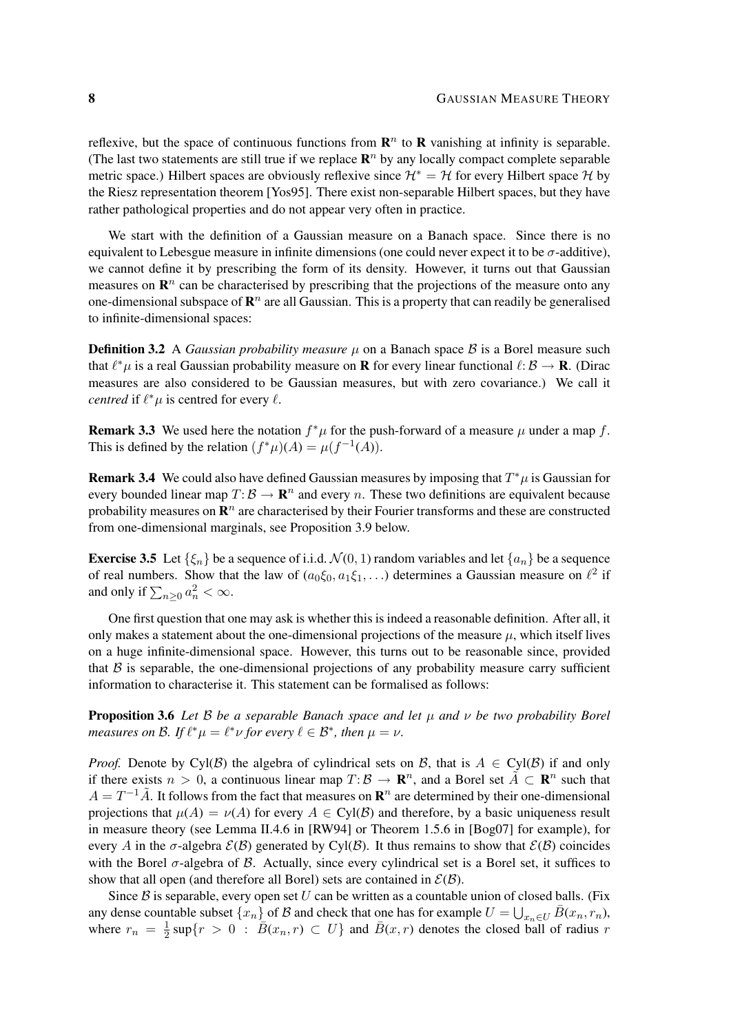reflexive, but the space of continuous functions from  $\mathbb{R}^n$  to  $\mathbb{R}$  vanishing at infinity is separable. (The last two statements are still true if we replace  $\mathbb{R}^n$  by any locally compact complete separable metric space.) Hilbert spaces are obviously reflexive since  $\mathcal{H}^* = \mathcal{H}$  for every Hilbert space  $\mathcal{H}$  by the Riesz representation theorem [Yos95]. There exist non-separable Hilbert spaces, but they have rather pathological properties and do not appear very often in practice.

We start with the definition of a Gaussian measure on a Banach space. Since there is no equivalent to Lebesgue measure in infinite dimensions (one could never expect it to be  $\sigma$ -additive), we cannot define it by prescribing the form of its density. However, it turns out that Gaussian measures on  $\mathbb{R}^n$  can be characterised by prescribing that the projections of the measure onto any one-dimensional subspace of  $\mathbb{R}^n$  are all Gaussian. This is a property that can readily be generalised to infinite-dimensional spaces:

**Definition 3.2** A *Gaussian probability measure*  $\mu$  on a Banach space  $\beta$  is a Borel measure such that  $\ell^* \mu$  is a real Gaussian probability measure on **R** for every linear functional  $\ell: \mathcal{B} \to \mathbf{R}$ . (Dirac measures are also considered to be Gaussian measures, but with zero covariance.) We call it *centred* if  $\ell^* \mu$  is centred for every  $\ell$ .

**Remark 3.3** We used here the notation  $f^*\mu$  for the push-forward of a measure  $\mu$  under a map f. This is defined by the relation  $(f^*\mu)(A) = \mu(f^{-1}(A)).$ 

**Remark 3.4** We could also have defined Gaussian measures by imposing that  $T^*\mu$  is Gaussian for every bounded linear map  $T: \mathcal{B} \to \mathbf{R}^n$  and every n. These two definitions are equivalent because probability measures on  $\mathbb{R}^n$  are characterised by their Fourier transforms and these are constructed from one-dimensional marginals, see Proposition 3.9 below.

**Exercise 3.5** Let  $\{\xi_n\}$  be a sequence of i.i.d.  $\mathcal{N}(0, 1)$  random variables and let  $\{a_n\}$  be a sequence of real numbers. Show that the law of  $(a_0\xi_0, a_1\xi_1, \ldots)$  determines a Gaussian measure on  $\ell^2$  if and only if  $\sum_{n\geq 0} a_n^2 < \infty$ .

One first question that one may ask is whether this is indeed a reasonable definition. After all, it only makes a statement about the one-dimensional projections of the measure  $\mu$ , which itself lives on a huge infinite-dimensional space. However, this turns out to be reasonable since, provided that  $\beta$  is separable, the one-dimensional projections of any probability measure carry sufficient information to characterise it. This statement can be formalised as follows:

Proposition 3.6 *Let* B *be a separable Banach space and let* µ *and* ν *be two probability Borel measures on B.* If  $\ell^* \mu = \ell^* \nu$  for every  $\ell \in \mathcal{B}^*$ , then  $\mu = \nu$ .

*Proof.* Denote by Cyl(B) the algebra of cylindrical sets on B, that is  $A \in Cyl(B)$  if and only if there exists  $n > 0$ , a continuous linear map  $T: \mathcal{B} \to \mathbb{R}^n$ , and a Borel set  $\tilde{A} \subset \mathbb{R}^n$  such that  $A = T^{-1}\tilde{A}$ . It follows from the fact that measures on  $\mathbb{R}^n$  are determined by their one-dimensional projections that  $\mu(A) = \nu(A)$  for every  $A \in \text{Cyl}(\mathcal{B})$  and therefore, by a basic uniqueness result in measure theory (see Lemma II.4.6 in [RW94] or Theorem 1.5.6 in [Bog07] for example), for every A in the  $\sigma$ -algebra  $\mathcal{E}(\mathcal{B})$  generated by Cyl( $\mathcal{B}$ ). It thus remains to show that  $\mathcal{E}(\mathcal{B})$  coincides with the Borel  $\sigma$ -algebra of  $\beta$ . Actually, since every cylindrical set is a Borel set, it suffices to show that all open (and therefore all Borel) sets are contained in  $\mathcal{E}(\mathcal{B})$ .

Since  $\beta$  is separable, every open set U can be written as a countable union of closed balls. (Fix any dense countable subset  $\{x_n\}$  of  $\mathcal B$  and check that one has for example  $U = \bigcup_{x_n \in U} \overline{B}(x_n, r_n)$ , where  $r_n = \frac{1}{2}$  $\frac{1}{2}$  sup $\{r > 0 : \overline{B}(x_n, r) \subset U\}$  and  $\overline{B}(x, r)$  denotes the closed ball of radius r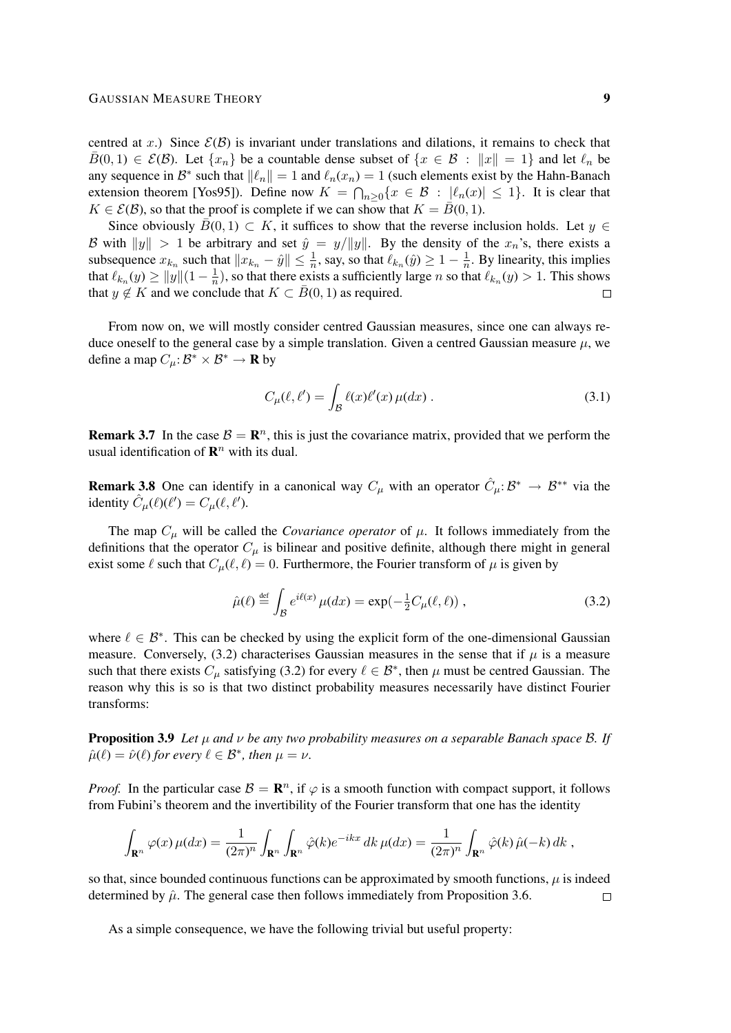centred at x.) Since  $\mathcal{E}(\mathcal{B})$  is invariant under translations and dilations, it remains to check that  $\bar{B}(0, 1) \in \mathcal{E}(\mathcal{B})$ . Let  $\{x_n\}$  be a countable dense subset of  $\{x \in \mathcal{B} : ||x|| = 1\}$  and let  $\ell_n$  be any sequence in  $\mathcal{B}^*$  such that  $\|\ell_n\| = 1$  and  $\ell_n(x_n) = 1$  (such elements exist by the Hahn-Banach extension theorem [Yos95]). Define now  $K = \bigcap_{n \geq 0} \{x \in \mathcal{B} : |\ell_n(x)| \leq 1\}$ . It is clear that  $K \in \mathcal{E}(\mathcal{B})$ , so that the proof is complete if we can show that  $K = \overline{B}(0, 1)$ .

Since obviously  $\bar{B}(0, 1) \subset K$ , it suffices to show that the reverse inclusion holds. Let  $y \in$ B with  $||y|| > 1$  be arbitrary and set  $\hat{y} = y/||y||$ . By the density of the  $x_n$ 's, there exists a subsequence  $x_{k_n}$  such that  $||x_{k_n} - \hat{y}|| \le \frac{1}{n}$ , say, so that  $\ell_{k_n}(\hat{y}) \ge 1 - \frac{1}{n}$  $\frac{1}{n}$ . By linearity, this implies that  $\ell_{k_n}(y) \ge ||y|| (1 - \frac{1}{n})$  $\frac{1}{n}$ ), so that there exists a sufficiently large *n* so that  $\ell_{k_n}(y) > 1$ . This shows that  $y \notin K$  and we conclude that  $K \subset \overline{B}(0,1)$  as required.  $\Box$ 

From now on, we will mostly consider centred Gaussian measures, since one can always reduce oneself to the general case by a simple translation. Given a centred Gaussian measure  $\mu$ , we define a map  $C_{\mu} : \mathcal{B}^* \times \mathcal{B}^* \to \mathbf{R}$  by

$$
C_{\mu}(\ell, \ell') = \int_{\mathcal{B}} \ell(x) \ell'(x) \mu(dx) . \tag{3.1}
$$

**Remark 3.7** In the case  $B = \mathbb{R}^n$ , this is just the covariance matrix, provided that we perform the usual identification of  $\mathbb{R}^n$  with its dual.

**Remark 3.8** One can identify in a canonical way  $C_{\mu}$  with an operator  $\hat{C}_{\mu}: \mathcal{B}^* \to \mathcal{B}^{**}$  via the identity  $\hat{C}_{\mu}(\ell)(\ell') = C_{\mu}(\ell, \ell').$ 

The map  $C_\mu$  will be called the *Covariance operator* of  $\mu$ . It follows immediately from the definitions that the operator  $C_{\mu}$  is bilinear and positive definite, although there might in general exist some  $\ell$  such that  $C_u(\ell, \ell) = 0$ . Furthermore, the Fourier transform of  $\mu$  is given by

$$
\hat{\mu}(\ell) \stackrel{\text{def}}{=} \int_{\mathcal{B}} e^{i\ell(x)} \,\mu(dx) = \exp(-\frac{1}{2}C_{\mu}(\ell,\ell)) \;, \tag{3.2}
$$

where  $\ell \in \mathcal{B}^*$ . This can be checked by using the explicit form of the one-dimensional Gaussian measure. Conversely, (3.2) characterises Gaussian measures in the sense that if  $\mu$  is a measure such that there exists  $C_{\mu}$  satisfying (3.2) for every  $\ell \in \mathcal{B}^*$ , then  $\mu$  must be centred Gaussian. The reason why this is so is that two distinct probability measures necessarily have distinct Fourier transforms:

Proposition 3.9 *Let* µ *and* ν *be any two probability measures on a separable Banach space* B*. If*  $\hat{\mu}(\ell) = \hat{\nu}(\ell)$  *for every*  $\ell \in \mathcal{B}^*$ *, then*  $\mu = \nu$ *.* 

*Proof.* In the particular case  $\mathcal{B} = \mathbb{R}^n$ , if  $\varphi$  is a smooth function with compact support, it follows from Fubini's theorem and the invertibility of the Fourier transform that one has the identity

$$
\int_{\mathbf{R}^n} \varphi(x) \,\mu(dx) = \frac{1}{(2\pi)^n} \int_{\mathbf{R}^n} \int_{\mathbf{R}^n} \hat{\varphi}(k) e^{-ikx} \, dk \,\mu(dx) = \frac{1}{(2\pi)^n} \int_{\mathbf{R}^n} \hat{\varphi}(k) \,\hat{\mu}(-k) \, dk \;,
$$

so that, since bounded continuous functions can be approximated by smooth functions,  $\mu$  is indeed determined by  $\hat{\mu}$ . The general case then follows immediately from Proposition 3.6.  $\Box$ 

As a simple consequence, we have the following trivial but useful property: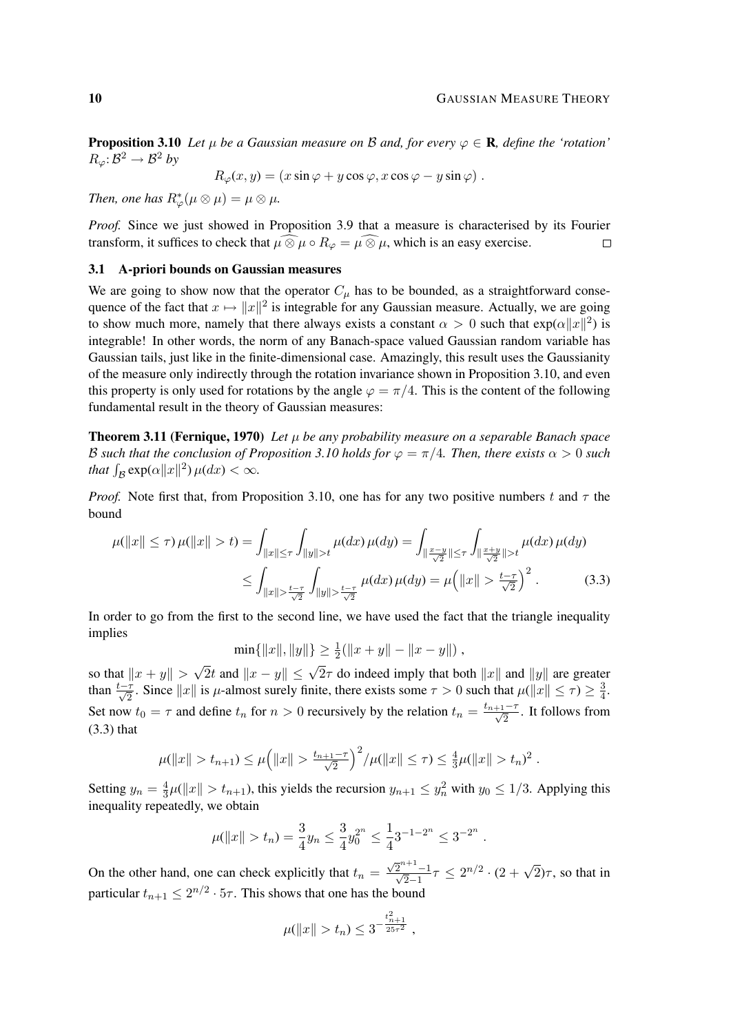**Proposition 3.10** Let  $\mu$  be a Gaussian measure on B and, for every  $\varphi \in \mathbf{R}$ , define the 'rotation'  $R_{\varphi} \colon \mathcal{B}^2 \to \mathcal{B}^2$  by

$$
R_{\varphi}(x, y) = (x \sin \varphi + y \cos \varphi, x \cos \varphi - y \sin \varphi).
$$

*Then, one has*  $R^*_{\varphi}(\mu \otimes \mu) = \mu \otimes \mu$ *.* 

*Proof.* Since we just showed in Proposition 3.9 that a measure is characterised by its Fourier transform, it suffices to check that  $\mu \widehat{\otimes} \mu \circ R_{\varphi} = \mu \widehat{\otimes} \mu$ , which is an easy exercise.  $\Box$ 

#### 3.1 A-priori bounds on Gaussian measures

We are going to show now that the operator  $C_{\mu}$  has to be bounded, as a straightforward consequence of the fact that  $x \mapsto ||x||^2$  is integrable for any Gaussian measure. Actually, we are going to show much more, namely that there always exists a constant  $\alpha > 0$  such that  $\exp(\alpha ||x||^2)$  is integrable! In other words, the norm of any Banach-space valued Gaussian random variable has Gaussian tails, just like in the finite-dimensional case. Amazingly, this result uses the Gaussianity of the measure only indirectly through the rotation invariance shown in Proposition 3.10, and even this property is only used for rotations by the angle  $\varphi = \pi/4$ . This is the content of the following fundamental result in the theory of Gaussian measures:

**Theorem 3.11 (Fernique, 1970)** Let  $\mu$  be any probability measure on a separable Banach space B such that the conclusion of Proposition 3.10 holds for  $\varphi = \pi/4$ . Then, there exists  $\alpha > 0$  such *that*  $\int_{\mathcal{B}} \exp(\alpha ||x||^2) \mu(dx) < \infty$ *.* 

*Proof.* Note first that, from Proposition 3.10, one has for any two positive numbers t and  $\tau$  the bound

$$
\mu(\|x\| \le \tau) \mu(\|x\| > t) = \int_{\|x\| \le \tau} \int_{\|y\| > t} \mu(dx) \mu(dy) = \int_{\|\frac{x-y}{\sqrt{2}}\| \le \tau} \int_{\|\frac{x+y}{\sqrt{2}}\| > t} \mu(dx) \mu(dy)
$$

$$
\le \int_{\|x\| > \frac{t-\tau}{\sqrt{2}}} \int_{\|y\| > \frac{t-\tau}{\sqrt{2}}} \mu(dx) \mu(dy) = \mu\left(\|x\| > \frac{t-\tau}{\sqrt{2}}\right)^2. \tag{3.3}
$$

In order to go from the first to the second line, we have used the fact that the triangle inequality implies

 $\min\{\|x\|, \|y\|\} \ge \frac{1}{2}(\|x+y\| - \|x-y\|)$ ,

so that  $\|x + y\|$  $\sqrt{2}t$  and  $||x - y|| \le \sqrt{2}\tau$  do indeed imply that both  $||x||$  and  $||y||$  are greater than  $\frac{t-\tau}{\sqrt{2}}$ . Since  $||x||$  is  $\mu$ -almost surely finite, there exists some  $\tau > 0$  such that  $\mu(||x|| \le \tau) \ge \frac{3}{4}$  $\frac{3}{4}$ . Set now  $t_0 = \tau$  and define  $t_n$  for  $n > 0$  recursively by the relation  $t_n = \frac{t_{n+1}-\tau}{\sqrt{2}}$ . It follows from (3.3) that

$$
\mu(\|x\| > t_{n+1}) \leq \mu\Big(\|x\| > \frac{t_{n+1}-\tau}{\sqrt{2}}\Big)^2/\mu(\|x\| \leq \tau) \leq \frac{4}{3}\mu(\|x\| > t_n)^2.
$$

Setting  $y_n = \frac{4}{3}$  $\frac{4}{3}\mu(\|x\| > t_{n+1})$ , this yields the recursion  $y_{n+1} \leq y_n^2$  with  $y_0 \leq 1/3$ . Applying this inequality repeatedly, we obtain

$$
\mu(\|x\| > t_n) = \frac{3}{4}y_n \le \frac{3}{4}y_0^{2^n} \le \frac{1}{4}3^{-1-2^n} \le 3^{-2^n}.
$$

On the other hand, one can check explicitly that  $t_n =$  $\frac{\sqrt{2}^{n+1}-1}{\sqrt{2}-1}\tau \leq 2^{n/2} \cdot (2+\sqrt{2})\tau$ , so that in particular  $t_{n+1} \leq 2^{n/2} \cdot 5\tau$ . This shows that one has the bound

$$
\mu(\|x\| > t_n) \leq 3^{-\frac{t_{n+1}^2}{25\tau^2}},
$$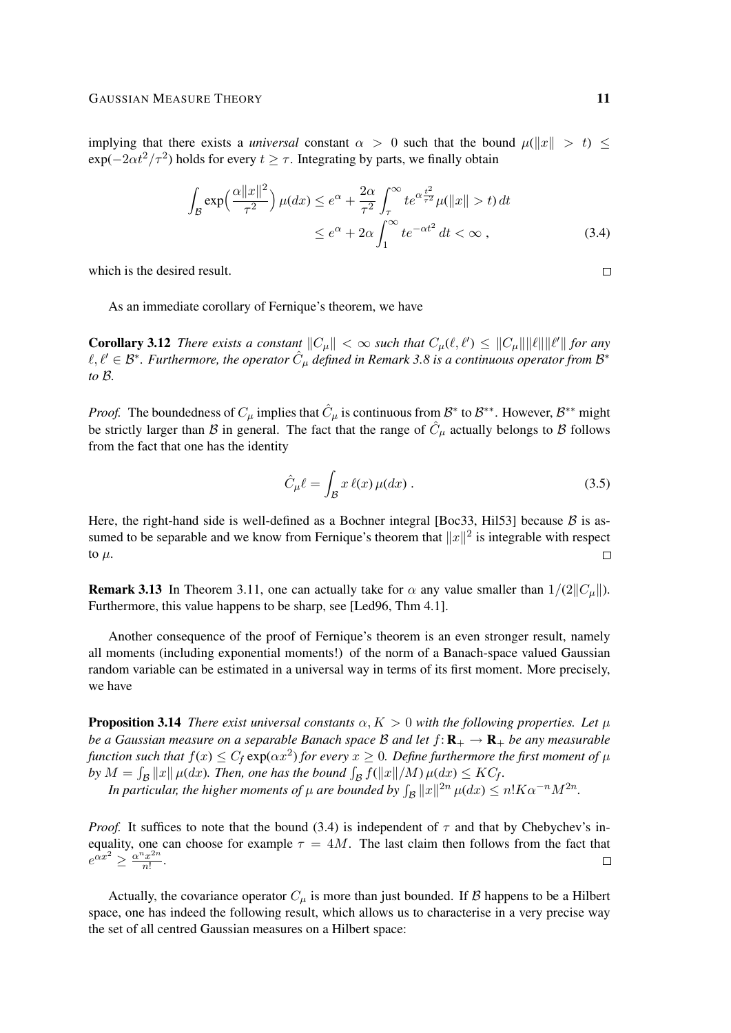implying that there exists a *universal* constant  $\alpha > 0$  such that the bound  $\mu(\Vert x \Vert > t) \le$  $exp(-2\alpha t^2/\tau^2)$  holds for every  $t \geq \tau$ . Integrating by parts, we finally obtain

$$
\int_{\mathcal{B}} \exp\left(\frac{\alpha ||x||^2}{\tau^2}\right) \mu(dx) \le e^{\alpha} + \frac{2\alpha}{\tau^2} \int_{\tau}^{\infty} t e^{\alpha \frac{t^2}{\tau^2}} \mu(||x|| > t) dt
$$
\n
$$
\le e^{\alpha} + 2\alpha \int_{1}^{\infty} t e^{-\alpha t^2} dt < \infty ,
$$
\n(3.4)

which is the desired result.

As an immediate corollary of Fernique's theorem, we have

**Corollary 3.12** *There exists a constant*  $||C_{\mu}|| < \infty$  *such that*  $C_{\mu}(\ell, \ell') \leq ||C_{\mu}|| ||\ell|| ||\ell'||$  *for any*  $\ell, \ell' \in \mathcal{B}^*$ . Furthermore, the operator  $\hat{C}_{\mu}$  defined in Remark 3.8 is a continuous operator from  $\mathcal{B}^*$ *to* B*.*

*Proof.* The boundedness of  $C_{\mu}$  implies that  $\hat{C}_{\mu}$  is continuous from  $\mathcal{B}^*$  to  $\mathcal{B}^{**}$ . However,  $\mathcal{B}^{**}$  might be strictly larger than B in general. The fact that the range of  $\hat{C}_{\mu}$  actually belongs to B follows from the fact that one has the identity

$$
\hat{C}_{\mu}\ell = \int_{\mathcal{B}} x \,\ell(x)\,\mu(dx) \,. \tag{3.5}
$$

Here, the right-hand side is well-defined as a Bochner integral [Boc33, Hil53] because  $B$  is assumed to be separable and we know from Fernique's theorem that  $||x||^2$  is integrable with respect to  $\mu$ .  $\Box$ 

**Remark 3.13** In Theorem 3.11, one can actually take for  $\alpha$  any value smaller than  $1/(2||C_u||)$ . Furthermore, this value happens to be sharp, see [Led96, Thm 4.1].

Another consequence of the proof of Fernique's theorem is an even stronger result, namely all moments (including exponential moments!) of the norm of a Banach-space valued Gaussian random variable can be estimated in a universal way in terms of its first moment. More precisely, we have

**Proposition 3.14** *There exist universal constants*  $\alpha, K > 0$  *with the following properties. Let*  $\mu$ *be a Gaussian measure on a separable Banach space B and let*  $f: \mathbb{R}_+ \to \mathbb{R}_+$  *be any measurable* function such that  $f(x) \leq C_f \exp(\alpha x^2)$  for every  $x \geq 0$ . Define furthermore the first moment of  $\mu$ by  $M = \int_{\mathcal{B}} ||x|| \mu(dx)$ . Then, one has the bound  $\int_{\mathcal{B}} f(||x||/M) \mu(dx) \leq KC_f$ .

*In particular, the higher moments of*  $\mu$  *are bounded by*  $\int_{\mathcal{B}} ||x||^{2n} \, \mu(dx) \leq n! K \alpha^{-n} M^{2n}$ .

*Proof.* It suffices to note that the bound (3.4) is independent of  $\tau$  and that by Chebychev's inequality, one can choose for example  $\tau = 4M$ . The last claim then follows from the fact that  $e^{\alpha x^2} \geq \frac{\alpha^n x^{2n}}{n!}$  $rac{r^{2n}}{n!}$ . П

Actually, the covariance operator  $C_{\mu}$  is more than just bounded. If B happens to be a Hilbert space, one has indeed the following result, which allows us to characterise in a very precise way the set of all centred Gaussian measures on a Hilbert space:

 $\Box$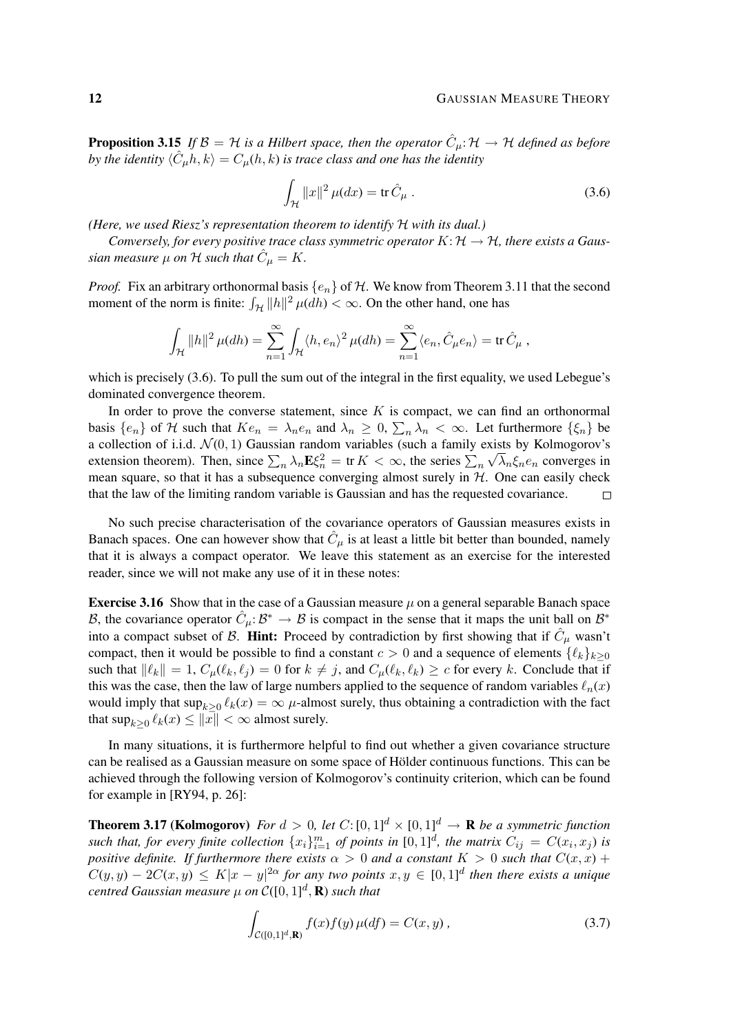**Proposition 3.15** If  $\mathcal{B} = H$  is a Hilbert space, then the operator  $\hat{C}_{\mu}$ :  $\mathcal{H} \to H$  defined as before by the identity  $\langle \hat{C}_{\mu}h, k \rangle = C_{\mu}(h, k)$  is trace class and one has the identity

$$
\int_{\mathcal{H}} \|x\|^2 \,\mu(dx) = \text{tr}\,\hat{C}_{\mu} \,.
$$
\n(3.6)

*(Here, we used Riesz's representation theorem to identify* H *with its dual.)*

*Conversely, for every positive trace class symmetric operator*  $K: \mathcal{H} \to \mathcal{H}$ *, there exists a Gaus*sian measure  $\mu$  on  ${\cal H}$  such that  $\hat{C}_\mu=K.$ 

*Proof.* Fix an arbitrary orthonormal basis  $\{e_n\}$  of H. We know from Theorem 3.11 that the second moment of the norm is finite:  $\int_{\mathcal{H}} ||h||^2 \mu(dh) < \infty$ . On the other hand, one has

$$
\int_{\mathcal{H}} \|h\|^2 \,\mu(dh) = \sum_{n=1}^{\infty} \int_{\mathcal{H}} \langle h, e_n \rangle^2 \,\mu(dh) = \sum_{n=1}^{\infty} \langle e_n, \hat{C}_{\mu} e_n \rangle = \text{tr}\,\hat{C}_{\mu} \,,
$$

which is precisely (3.6). To pull the sum out of the integral in the first equality, we used Lebegue's dominated convergence theorem.

In order to prove the converse statement, since  $K$  is compact, we can find an orthonormal basis  $\{e_n\}$  of H such that  $Ke_n = \lambda_n e_n$  and  $\lambda_n \geq 0$ ,  $\sum_n \lambda_n < \infty$ . Let furthermore  $\{\xi_n\}$  be a collection of i.i.d.  $\mathcal{N}(0, 1)$  Gaussian random variables (such a family exists by Kolmogorov's extension theorem). Then, since  $\sum_n \lambda_n \mathbf{E} \xi_n^2 = \text{tr } K < \infty$ , the series  $\sum_n \sqrt{\lambda_n} \xi_n e_n$  converges in mean square, so that it has a subsequence converging almost surely in  $H$ . One can easily check that the law of the limiting random variable is Gaussian and has the requested covariance.  $\Box$ 

No such precise characterisation of the covariance operators of Gaussian measures exists in Banach spaces. One can however show that  $\hat{C}_{\mu}$  is at least a little bit better than bounded, namely that it is always a compact operator. We leave this statement as an exercise for the interested reader, since we will not make any use of it in these notes:

**Exercise 3.16** Show that in the case of a Gaussian measure  $\mu$  on a general separable Banach space B, the covariance operator  $\hat{C}_{\mu}$ :  $\mathcal{B}^* \to \mathcal{B}$  is compact in the sense that it maps the unit ball on  $\mathcal{B}^*$ into a compact subset of B. **Hint:** Proceed by contradiction by first showing that if  $\hat{C}_{\mu}$  wasn't compact, then it would be possible to find a constant  $c > 0$  and a sequence of elements  $\{\ell_k\}_{k>0}$ such that  $\|\ell_k\| = 1$ ,  $C_\mu(\ell_k, \ell_j) = 0$  for  $k \neq j$ , and  $C_\mu(\ell_k, \ell_k) \geq c$  for every k. Conclude that if this was the case, then the law of large numbers applied to the sequence of random variables  $\ell_n(x)$ would imply that  $\sup_{k\geq 0} \ell_k(x) = \infty$   $\mu$ -almost surely, thus obtaining a contradiction with the fact that  $\sup_{k\geq 0} \ell_k(x) \leq \|x\| < \infty$  almost surely.

In many situations, it is furthermore helpful to find out whether a given covariance structure can be realised as a Gaussian measure on some space of Hölder continuous functions. This can be achieved through the following version of Kolmogorov's continuity criterion, which can be found for example in [RY94, p. 26]:

**Theorem 3.17 (Kolmogorov)** For  $d > 0$ , let  $C: [0, 1]^d \times [0, 1]^d \rightarrow \mathbf{R}$  be a symmetric function such that, for every finite collection  $\{x_i\}_{i=1}^m$  of points in  $[0,1]^d$ , the matrix  $C_{ij} = C(x_i, x_j)$  is *positive definite. If furthermore there exists*  $\alpha > 0$  *and a constant*  $K > 0$  *such that*  $C(x, x) + C(x, y)$  $C(y, y) - 2C(x, y) \leq K|x - y|^{2\alpha}$  for any two points  $x, y \in [0, 1]^d$  then there exists a unique centred Gaussian measure  $\mu$  on  $\mathcal C([0,1]^d,\mathbf R)$  such that

$$
\int_{C([0,1]^d,\mathbf{R})} f(x)f(y)\,\mu(df) = C(x,y)\,,\tag{3.7}
$$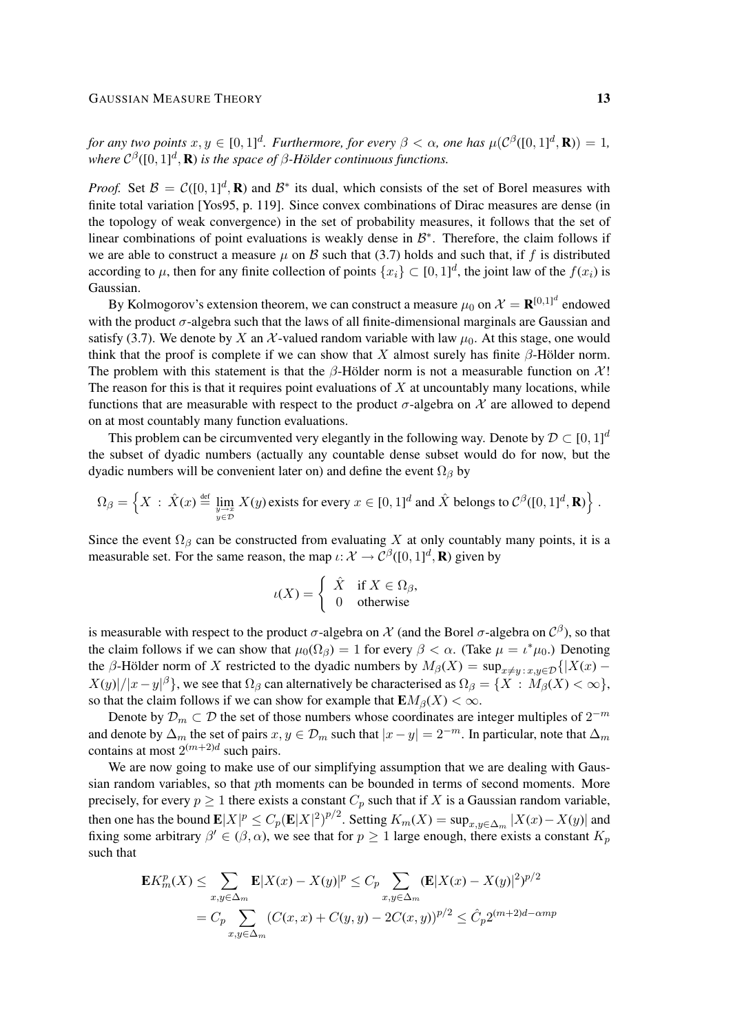*for any two points*  $x, y \in [0, 1]^d$ *. Furthermore, for every*  $\beta < \alpha$ *, one has*  $\mu(\mathcal{C}^{\beta}([0, 1]^d, \mathbf{R})) = 1$ *,* where  $C^{\beta}([0, 1]^d, \mathbf{R})$  *is the space of*  $\beta$ *-Hölder continuous functions.* 

*Proof.* Set  $\mathcal{B} = C([0, 1]^d, \mathbf{R})$  and  $\mathcal{B}^*$  its dual, which consists of the set of Borel measures with finite total variation [Yos95, p. 119]. Since convex combinations of Dirac measures are dense (in the topology of weak convergence) in the set of probability measures, it follows that the set of linear combinations of point evaluations is weakly dense in  $\mathcal{B}^*$ . Therefore, the claim follows if we are able to construct a measure  $\mu$  on B such that (3.7) holds and such that, if f is distributed according to  $\mu$ , then for any finite collection of points  $\{x_i\} \subset [0,1]^d$ , the joint law of the  $f(x_i)$  is Gaussian.

By Kolmogorov's extension theorem, we can construct a measure  $\mu_0$  on  $\mathcal{X} = \mathbf{R}^{[0,1]^d}$  endowed with the product  $\sigma$ -algebra such that the laws of all finite-dimensional marginals are Gaussian and satisfy (3.7). We denote by X an X-valued random variable with law  $\mu_0$ . At this stage, one would think that the proof is complete if we can show that X almost surely has finite  $\beta$ -Hölder norm. The problem with this statement is that the  $\beta$ -Hölder norm is not a measurable function on X! The reason for this is that it requires point evaluations of  $X$  at uncountably many locations, while functions that are measurable with respect to the product  $\sigma$ -algebra on  $\mathcal X$  are allowed to depend on at most countably many function evaluations.

This problem can be circumvented very elegantly in the following way. Denote by  $\mathcal{D} \subset [0, 1]^d$ the subset of dyadic numbers (actually any countable dense subset would do for now, but the dyadic numbers will be convenient later on) and define the event  $\Omega_{\beta}$  by

$$
\Omega_{\beta} = \left\{ X \,:\, \hat{X}(x) \stackrel{\text{def}}{=} \lim_{\substack{y \to x \\ y \in \mathcal{D}}} X(y) \text{ exists for every } x \in [0,1]^d \text{ and } \hat{X} \text{ belongs to } C^{\beta}([0,1]^d, \mathbf{R}) \right\}.
$$

Since the event  $\Omega_{\beta}$  can be constructed from evaluating X at only countably many points, it is a measurable set. For the same reason, the map  $\iota: \mathcal{X} \to \mathcal{C}^{\beta}([0,1]^d, \mathbf{R})$  given by

$$
\iota(X) = \begin{cases} \hat{X} & \text{if } X \in \Omega_{\beta}, \\ 0 & \text{otherwise} \end{cases}
$$

is measurable with respect to the product  $\sigma$ -algebra on  $\mathcal X$  (and the Borel  $\sigma$ -algebra on  $\mathcal C^\beta$ ), so that the claim follows if we can show that  $\mu_0(\Omega_\beta) = 1$  for every  $\beta < \alpha$ . (Take  $\mu = \iota^* \mu_0$ .) Denoting the β-Hölder norm of X restricted to the dyadic numbers by  $M_\beta(X) = \sup_{x \neq y} \sum_{x,y \in \mathcal{D}} \{ |X(x) - y| \}$  $|X(y)|/|x-y|^{\beta}$ , we see that  $\Omega_{\beta}$  can alternatively be characterised as  $\Omega_{\beta} = \{X : M_{\beta}(X) < \infty\}$ , so that the claim follows if we can show for example that  $\mathbf{E}M_{\beta}(X) < \infty$ .

Denote by  $\mathcal{D}_m \subset \mathcal{D}$  the set of those numbers whose coordinates are integer multiples of  $2^{-m}$ and denote by  $\Delta_m$  the set of pairs  $x, y \in \mathcal{D}_m$  such that  $|x-y|=2^{-m}$ . In particular, note that  $\Delta_m$ contains at most  $2^{(m+2)d}$  such pairs.

We are now going to make use of our simplifying assumption that we are dealing with Gaussian random variables, so that pth moments can be bounded in terms of second moments. More precisely, for every  $p \ge 1$  there exists a constant  $C_p$  such that if X is a Gaussian random variable, then one has the bound  $\mathbf{E}|X|^p \leq C_p(\mathbf{E}|X|^2)^{p/2}$ . Setting  $K_m(X) = \sup_{x,y \in \Delta_m} |X(x) - X(y)|$  and fixing some arbitrary  $\beta' \in (\beta, \alpha)$ , we see that for  $p \ge 1$  large enough, there exists a constant  $K_p$ such that

$$
\mathbf{E}K_m^p(X) \le \sum_{x,y \in \Delta_m} \mathbf{E}|X(x) - X(y)|^p \le C_p \sum_{x,y \in \Delta_m} (\mathbf{E}|X(x) - X(y)|^2)^{p/2}
$$
  
=  $C_p \sum_{x,y \in \Delta_m} (C(x,x) + C(y,y) - 2C(x,y))^{p/2} \le \hat{C}_p 2^{(m+2)d-\alpha mp}$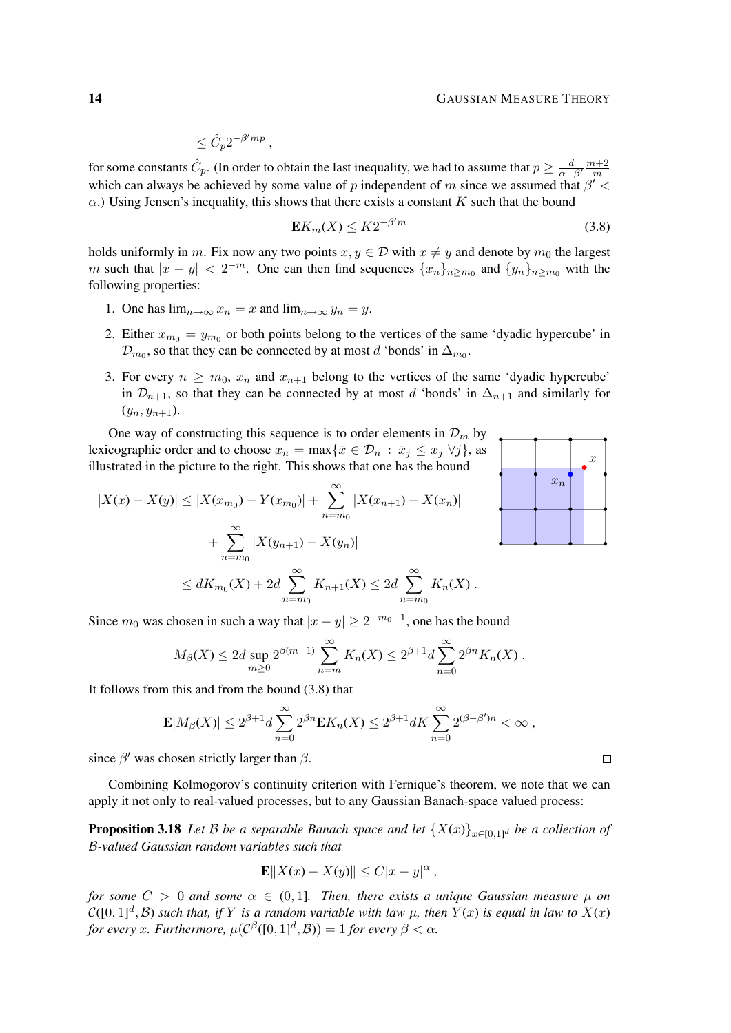$$
\leq \hat C_p 2^{-\beta' m p}\ ,
$$

for some constants  $\hat{C}_p$ . (In order to obtain the last inequality, we had to assume that  $p \ge \frac{d}{\alpha-\beta'}\frac{m+2}{m}$ m which can always be achieved by some value of p independent of m since we assumed that  $\beta'$  <  $\alpha$ .) Using Jensen's inequality, this shows that there exists a constant K such that the bound

$$
\mathbf{E}K_m(X) \le K2^{-\beta'm} \tag{3.8}
$$

holds uniformly in m. Fix now any two points  $x, y \in \mathcal{D}$  with  $x \neq y$  and denote by  $m_0$  the largest m such that  $|x-y| < 2^{-m}$ . One can then find sequences  $\{x_n\}_{n \ge m_0}$  and  $\{y_n\}_{n \ge m_0}$  with the following properties:

- 1. One has  $\lim_{n\to\infty} x_n = x$  and  $\lim_{n\to\infty} y_n = y$ .
- 2. Either  $x_{m_0} = y_{m_0}$  or both points belong to the vertices of the same 'dyadic hypercube' in  $\mathcal{D}_{m_0}$ , so that they can be connected by at most d 'bonds' in  $\Delta_{m_0}$ .
- 3. For every  $n \geq m_0$ ,  $x_n$  and  $x_{n+1}$  belong to the vertices of the same 'dyadic hypercube' in  $\mathcal{D}_{n+1}$ , so that they can be connected by at most d 'bonds' in  $\Delta_{n+1}$  and similarly for  $(y_n, y_{n+1}).$

One way of constructing this sequence is to order elements in  $\mathcal{D}_m$  by lexicographic order and to choose  $x_n = \max\{\bar{x} \in \mathcal{D}_n : \bar{x}_j \leq x_j \,\forall j\}$ , as illustrated in the picture to the right. This shows that one has the bound

$$
|X(x) - X(y)| \le |X(x_{m_0}) - Y(x_{m_0})| + \sum_{n=m_0}^{\infty} |X(x_{n+1}) - X(x_n)|
$$
  
+ 
$$
\sum_{n=m_0}^{\infty} |X(y_{n+1}) - X(y_n)|
$$
  

$$
\le dK_{m_0}(X) + 2d \sum_{n=m_0}^{\infty} K_{n+1}(X) \le 2d \sum_{n=m_0}^{\infty} K_n(X).
$$

Since  $m_0$  was chosen in such a way that  $|x - y| \ge 2^{-m_0 - 1}$ , one has the bound

$$
M_{\beta}(X) \leq 2d \sup_{m \geq 0} 2^{\beta(m+1)} \sum_{n=m}^{\infty} K_n(X) \leq 2^{\beta+1} d \sum_{n=0}^{\infty} 2^{\beta n} K_n(X).
$$

It follows from this and from the bound (3.8) that

$$
\mathbf{E}|M_{\beta}(X)| \leq 2^{\beta+1}d \sum_{n=0}^{\infty} 2^{\beta n} \mathbf{E} K_n(X) \leq 2^{\beta+1} dK \sum_{n=0}^{\infty} 2^{(\beta-\beta')n} < \infty,
$$

since  $\beta'$  was chosen strictly larger than  $\beta$ .

Combining Kolmogorov's continuity criterion with Fernique's theorem, we note that we can apply it not only to real-valued processes, but to any Gaussian Banach-space valued process:

**Proposition 3.18** Let B be a separable Banach space and let  $\{X(x)\}_{x\in[0,1]^d}$  be a collection of B*-valued Gaussian random variables such that*

$$
\mathbf{E}\|X(x) - X(y)\| \le C|x - y|^{\alpha},
$$

*for some*  $C > 0$  *and some*  $\alpha \in (0, 1]$ *. Then, there exists a unique Gaussian measure*  $\mu$  *on*  $\mathcal{C}([0,1]^d,\mathcal{B})$  such that, if Y is a random variable with law  $\mu$ , then  $Y(x)$  is equal in law to  $X(x)$ for every x. Furthermore,  $\mu(\mathcal{C}^{\beta}([0,1]^d,\mathcal{B})) = 1$  for every  $\beta < \alpha$ .



 $\Box$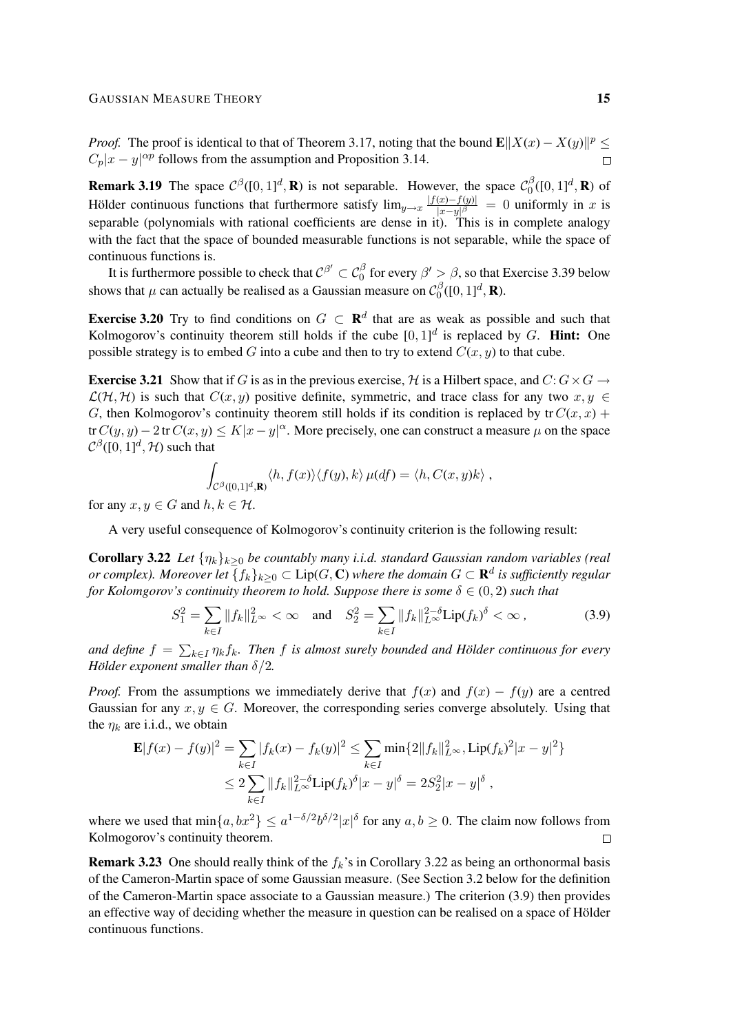*Proof.* The proof is identical to that of Theorem 3.17, noting that the bound  $\mathbf{E} ||X(x) - X(y)||^p \leq$  $C_p|x-y|^{\alpha p}$  follows from the assumption and Proposition 3.14.

**Remark 3.19** The space  $C^{\beta}([0,1]^d, \mathbf{R})$  is not separable. However, the space  $C_0^{\beta}$  $\int_0^\beta([0,1]^d,\mathbf{R})$  of Hölder continuous functions that furthermore satisfy  $\lim_{y\to x} \frac{|f(x)-f(y)|}{|x-y|^{\beta}}$  $\frac{f(x)-f(y)}{|x-y|^{\beta}} = 0$  uniformly in x is separable (polynomials with rational coefficients are dense in it). This is in complete analogy with the fact that the space of bounded measurable functions is not separable, while the space of continuous functions is.

It is furthermore possible to check that  $C^{\beta'}\subset C_0^\beta$  for every  $\beta'>\beta$ , so that Exercise 3.39 below shows that  $\mu$  can actually be realised as a Gaussian measure on  $\mathcal{C}_0^{\beta}$  $\int_0^\beta([0,1]^d,\mathbf{R}).$ 

**Exercise 3.20** Try to find conditions on  $G \subset \mathbb{R}^d$  that are as weak as possible and such that Kolmogorov's continuity theorem still holds if the cube  $[0,1]^d$  is replaced by G. Hint: One possible strategy is to embed G into a cube and then to try to extend  $C(x, y)$  to that cube.

**Exercise 3.21** Show that if G is as in the previous exercise, H is a Hilbert space, and  $C: G \times G \rightarrow$  $\mathcal{L}(\mathcal{H}, \mathcal{H})$  is such that  $C(x, y)$  positive definite, symmetric, and trace class for any two  $x, y \in$ G, then Kolmogorov's continuity theorem still holds if its condition is replaced by  $tr C(x, x)$  + tr  $C(y, y) - 2$  tr  $C(x, y) \le K|x - y|^{\alpha}$ . More precisely, one can construct a measure  $\mu$  on the space  $\mathcal{C}^{\beta}([0,1]^d, \mathcal{H})$  such that

$$
\int_{\mathcal{C}^{\beta}([0,1]^d,\mathbf{R})} \langle h, f(x) \rangle \langle f(y), k \rangle \, \mu(df) = \langle h, C(x,y)k \rangle ,
$$

for any  $x, y \in G$  and  $h, k \in H$ .

A very useful consequence of Kolmogorov's continuity criterion is the following result:

**Corollary 3.22** *Let*  $\{\eta_k\}_{k\geq 0}$  *be countably many i.i.d. standard Gaussian random variables (real or complex). Moreover let*  $\{f_k\}_{k\geq 0} \subset \text{Lip}(G, \mathbb{C})$  where the domain  $G \subset \mathbf{R}^d$  is sufficiently regular *for Kolomgorov's continuity theorem to hold. Suppose there is some*  $\delta \in (0, 2)$  *such that* 

$$
S_1^2 = \sum_{k \in I} ||f_k||_{L^{\infty}}^2 < \infty \quad \text{and} \quad S_2^2 = \sum_{k \in I} ||f_k||_{L^{\infty}}^{2-\delta} \text{Lip}(f_k)^{\delta} < \infty \,, \tag{3.9}
$$

and define  $f = \sum_{k \in I} \eta_k f_k$ . Then f is almost surely bounded and Hölder continuous for every *Hölder exponent smaller than*  $\delta/2$ *.* 

*Proof.* From the assumptions we immediately derive that  $f(x)$  and  $f(x) - f(y)$  are a centred Gaussian for any  $x, y \in G$ . Moreover, the corresponding series converge absolutely. Using that the  $\eta_k$  are i.i.d., we obtain

$$
\mathbf{E}|f(x) - f(y)|^2 = \sum_{k \in I} |f_k(x) - f_k(y)|^2 \le \sum_{k \in I} \min\{2\|f_k\|_{L^\infty}^2, \text{Lip}(f_k)^2 |x - y|^2\}
$$
  

$$
\le 2 \sum_{k \in I} \|f_k\|_{L^\infty}^{2-\delta} \text{Lip}(f_k)^{\delta} |x - y|^{\delta} = 2S_2^2 |x - y|^{\delta},
$$

where we used that  $\min\{a, bx^2\} \le a^{1-\delta/2} b^{\delta/2} |x|^{\delta}$  for any  $a, b \ge 0$ . The claim now follows from Kolmogorov's continuity theorem.  $\Box$ 

**Remark 3.23** One should really think of the  $f_k$ 's in Corollary 3.22 as being an orthonormal basis of the Cameron-Martin space of some Gaussian measure. (See Section 3.2 below for the definition of the Cameron-Martin space associate to a Gaussian measure.) The criterion (3.9) then provides an effective way of deciding whether the measure in question can be realised on a space of Hölder continuous functions.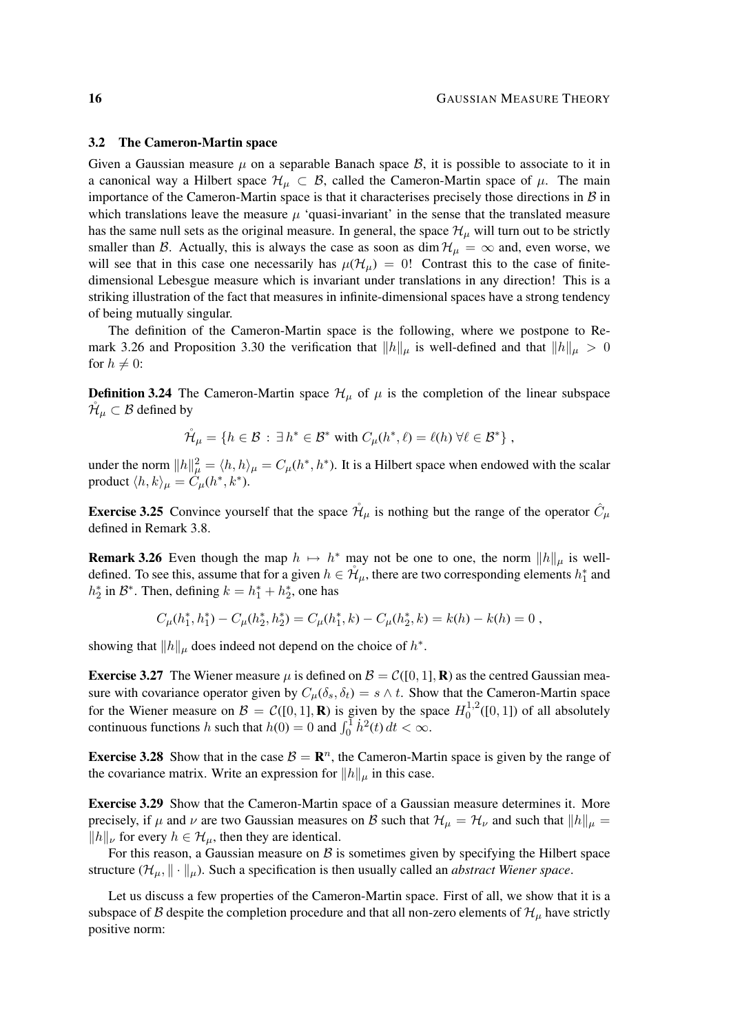#### 3.2 The Cameron-Martin space

Given a Gaussian measure  $\mu$  on a separable Banach space  $\beta$ , it is possible to associate to it in a canonical way a Hilbert space  $\mathcal{H}_{\mu} \subset \mathcal{B}$ , called the Cameron-Martin space of  $\mu$ . The main importance of the Cameron-Martin space is that it characterises precisely those directions in  $\beta$  in which translations leave the measure  $\mu$  'quasi-invariant' in the sense that the translated measure has the same null sets as the original measure. In general, the space  $\mathcal{H}_{\mu}$  will turn out to be strictly smaller than B. Actually, this is always the case as soon as dim  $\mathcal{H}_{\mu} = \infty$  and, even worse, we will see that in this case one necessarily has  $\mu(\mathcal{H}_{\mu}) = 0!$  Contrast this to the case of finitedimensional Lebesgue measure which is invariant under translations in any direction! This is a striking illustration of the fact that measures in infinite-dimensional spaces have a strong tendency of being mutually singular.

The definition of the Cameron-Martin space is the following, where we postpone to Remark 3.26 and Proposition 3.30 the verification that  $||h||_{\mu}$  is well-defined and that  $||h||_{\mu} > 0$ for  $h \neq 0$ :

**Definition 3.24** The Cameron-Martin space  $\mathcal{H}_{\mu}$  of  $\mu$  is the completion of the linear subspace  $\mathcal{H}_{\mu} \subset \mathcal{B}$  defined by

$$
\mathring{\mathcal{H}}_{\mu} = \{ h \in \mathcal{B} : \exists h^* \in \mathcal{B}^* \text{ with } C_{\mu}(h^*, \ell) = \ell(h) \ \forall \ell \in \mathcal{B}^* \},
$$

under the norm  $||h||^2_{\mu} = \langle h, h \rangle_{\mu} = C_{\mu}(h^*, h^*)$ . It is a Hilbert space when endowed with the scalar product  $\langle h, k \rangle_{\mu} = \dot{C}_{\mu}(h^*, k^*).$ 

**Exercise 3.25** Convince yourself that the space  $\mathcal{H}_{\mu}$  is nothing but the range of the operator  $\hat{C}_{\mu}$ defined in Remark 3.8.

**Remark 3.26** Even though the map  $h \mapsto h^*$  may not be one to one, the norm  $||h||_{\mu}$  is welldefined. To see this, assume that for a given  $h \in \mathcal{H}_{\mu}$ , there are two corresponding elements  $h_1^*$  and  $h_2^*$  in  $\mathcal{B}^*$ . Then, defining  $k = h_1^* + h_2^*$ , one has

$$
C_{\mu}(h_1^*,h_1^*) - C_{\mu}(h_2^*,h_2^*) = C_{\mu}(h_1^*,k) - C_{\mu}(h_2^*,k) = k(h) - k(h) = 0,
$$

showing that  $||h||_{\mu}$  does indeed not depend on the choice of  $h^*$ .

**Exercise 3.27** The Wiener measure  $\mu$  is defined on  $\mathcal{B} = C([0, 1], \mathbf{R})$  as the centred Gaussian measure with covariance operator given by  $C_{\mu}(\delta_s, \delta_t) = s \wedge t$ . Show that the Cameron-Martin space for the Wiener measure on  $\mathcal{B} = \mathcal{C}([0,1],\mathbf{R})$  is given by the space  $H_0^{1,2}$  $_{0}^{1,2}([0,1])$  of all absolutely continuous functions h such that  $h(0) = 0$  and  $\int_0^1 h^2(t) dt < \infty$ .

**Exercise 3.28** Show that in the case  $B = \mathbb{R}^n$ , the Cameron-Martin space is given by the range of the covariance matrix. Write an expression for  $||h||_{\mu}$  in this case.

Exercise 3.29 Show that the Cameron-Martin space of a Gaussian measure determines it. More precisely, if  $\mu$  and  $\nu$  are two Gaussian measures on B such that  $\|\lambda\|_{\mu} = \mathcal{H}_{\nu}$  and such that  $\|h\|_{\mu} =$  $||h||_{\nu}$  for every  $h \in \mathcal{H}_{\mu}$ , then they are identical.

For this reason, a Gaussian measure on  $\beta$  is sometimes given by specifying the Hilbert space structure  $(\mathcal{H}_{\mu}, \|\cdot\|_{\mu})$ . Such a specification is then usually called an *abstract Wiener space*.

Let us discuss a few properties of the Cameron-Martin space. First of all, we show that it is a subspace of B despite the completion procedure and that all non-zero elements of  $\mathcal{H}_{\mu}$  have strictly positive norm: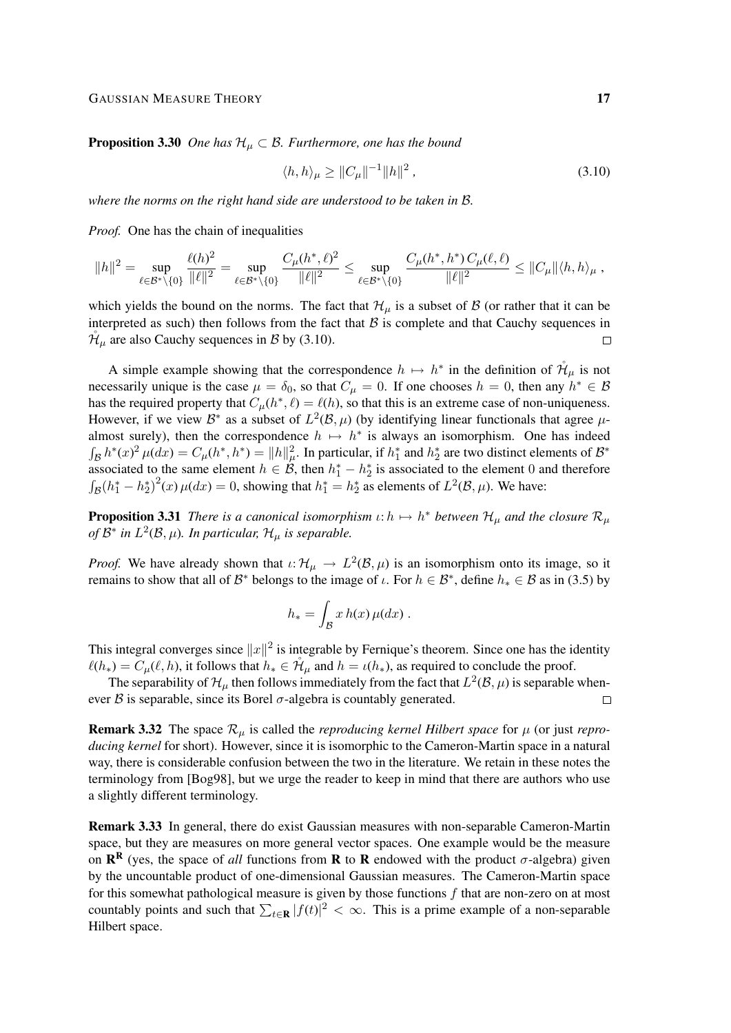**Proposition 3.30** *One has*  $\mathcal{H}_{\mu} \subset \mathcal{B}$ *. Furthermore, one has the bound* 

$$
\langle h, h \rangle_{\mu} \ge \| C_{\mu} \|^{-1} \| h \|^{2} \,, \tag{3.10}
$$

*where the norms on the right hand side are understood to be taken in* B*.*

*Proof.* One has the chain of inequalities

$$
\|h\|^2 = \sup_{\ell \in \mathcal{B}^* \backslash \{0\}} \frac{\ell(h)^2}{\|\ell\|^2} = \sup_{\ell \in \mathcal{B}^* \backslash \{0\}} \frac{C_\mu(h^*,\ell)^2}{\|\ell\|^2} \le \sup_{\ell \in \mathcal{B}^* \backslash \{0\}} \frac{C_\mu(h^*,h^*) \, C_\mu(\ell,\ell)}{\|\ell\|^2} \le \|C_\mu\| \langle h,h \rangle_\mu \;,
$$

which yields the bound on the norms. The fact that  $\mathcal{H}_{\mu}$  is a subset of  $\beta$  (or rather that it can be interpreted as such) then follows from the fact that  $B$  is complete and that Cauchy sequences in  $\mathcal{H}_{\mu}$  are also Cauchy sequences in B by (3.10).  $\Box$ 

A simple example showing that the correspondence  $h \mapsto h^*$  in the definition of  $\mathcal{H}_{\mu}$  is not necessarily unique is the case  $\mu = \delta_0$ , so that  $C_\mu = 0$ . If one chooses  $h = 0$ , then any  $h^* \in \mathcal{B}$ has the required property that  $C_{\mu}(h^*, \ell) = \ell(h)$ , so that this is an extreme case of non-uniqueness. However, if we view  $\mathcal{B}^*$  as a subset of  $L^2(\mathcal{B}, \mu)$  (by identifying linear functionals that agree  $\mu$ almost surely), then the correspondence  $h \mapsto h^*$  is always an isomorphism. One has indeed  $\int_{\mathcal{B}} h^*(x)^2 \mu(dx) = C_\mu(h^*, h^*) = ||h||_\mu^2$ . In particular, if  $h_1^*$  and  $h_2^*$  are two distinct elements of  $\mathcal{B}^*$ associated to the same element  $h \in \mathcal{B}$ , then  $h_1^* - h_2^*$  is associated to the element 0 and therefore  $\int_{\mathcal{B}} (h_1^* - h_2^*)^2(x) \mu(dx) = 0$ , showing that  $h_1^* = h_2^*$  as elements of  $L^2(\mathcal{B}, \mu)$ . We have:

**Proposition 3.31** There is a canonical isomorphism  $\iota : h \mapsto h^*$  between  $\mathcal{H}_{\mu}$  and the closure  $\mathcal{R}_{\mu}$ *of*  $\mathcal{B}^*$  in  $L^2(\mathcal{B}, \mu)$ *. In particular,*  $\mathcal{H}_\mu$  *is separable.* 

*Proof.* We have already shown that  $\iota: \mathcal{H}_\mu \to L^2(\mathcal{B}, \mu)$  is an isomorphism onto its image, so it remains to show that all of  $\mathcal{B}^*$  belongs to the image of  $\iota$ . For  $h \in \mathcal{B}^*$ , define  $h_* \in \mathcal{B}$  as in (3.5) by

$$
h_* = \int_{\mathcal{B}} x h(x) \,\mu(dx) \; .
$$

This integral converges since  $||x||^2$  is integrable by Fernique's theorem. Since one has the identity  $\ell(h_*) = C_\mu(\ell, h)$ , it follows that  $h_* \in \mathcal{H}_\mu$  and  $h = \iota(h_*)$ , as required to conclude the proof.

The separability of  $\mathcal{H}_{\mu}$  then follows immediately from the fact that  $L^2(\mathcal{B}, \mu)$  is separable whenever  $\beta$  is separable, since its Borel  $\sigma$ -algebra is countably generated.  $\Box$ 

**Remark 3.32** The space  $\mathcal{R}_{\mu}$  is called the *reproducing kernel Hilbert space* for  $\mu$  (or just *reproducing kernel* for short). However, since it is isomorphic to the Cameron-Martin space in a natural way, there is considerable confusion between the two in the literature. We retain in these notes the terminology from [Bog98], but we urge the reader to keep in mind that there are authors who use a slightly different terminology.

Remark 3.33 In general, there do exist Gaussian measures with non-separable Cameron-Martin space, but they are measures on more general vector spaces. One example would be the measure on  $\mathbb{R}^R$  (yes, the space of *all* functions from **R** to **R** endowed with the product  $\sigma$ -algebra) given by the uncountable product of one-dimensional Gaussian measures. The Cameron-Martin space for this somewhat pathological measure is given by those functions  $f$  that are non-zero on at most countably points and such that  $\sum_{t\in\mathbf{R}} |f(t)|^2 < \infty$ . This is a prime example of a non-separable Hilbert space.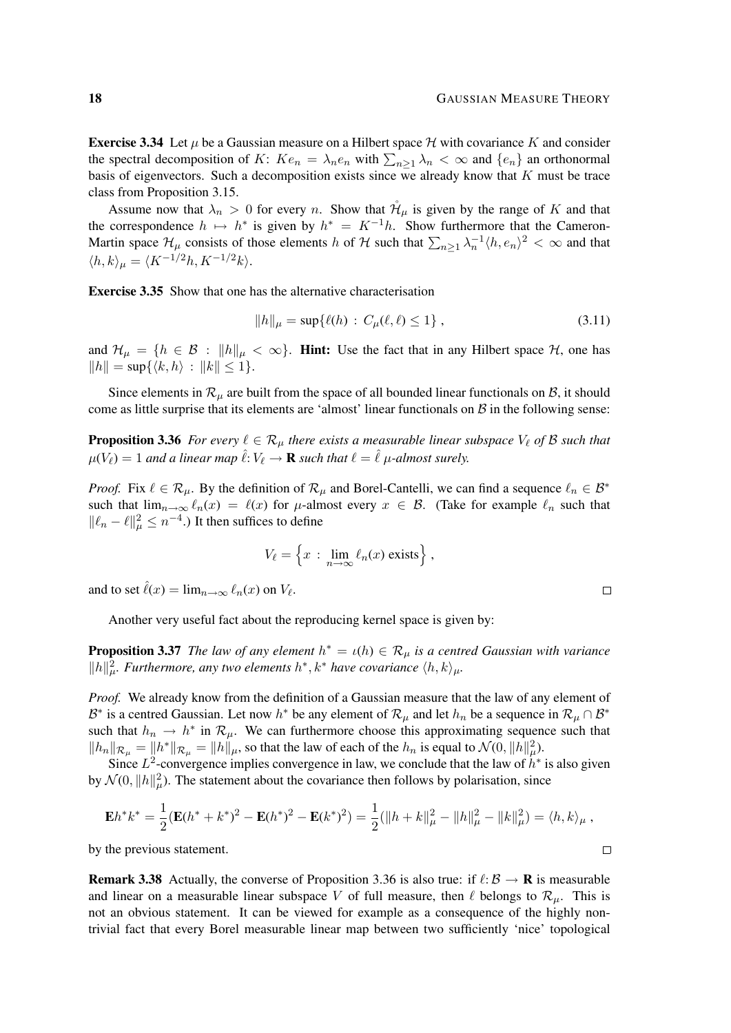**Exercise 3.34** Let  $\mu$  be a Gaussian measure on a Hilbert space  $\mathcal H$  with covariance K and consider the spectral decomposition of K:  $Ke_n = \lambda_n e_n$  with  $\sum_{n\geq 1} \lambda_n < \infty$  and  $\{e_n\}$  an orthonormal basis of eigenvectors. Such a decomposition exists since we already know that  $K$  must be trace class from Proposition 3.15.

Assume now that  $\lambda_n > 0$  for every n. Show that  $\mathcal{H}_{\mu}$  is given by the range of K and that the correspondence  $h \mapsto h^*$  is given by  $h^* = K^{-1}h$ . Show furthermore that the Cameron-Martin space  $\mathcal{H}_\mu$  consists of those elements h of H such that  $\sum_{n\geq 1}\lambda_n^{-1}\langle h, e_n\rangle^2 < \infty$  and that  $\langle h, k \rangle_{\mu} = \langle K^{-1/2}h, K^{-1/2}k \rangle.$ 

Exercise 3.35 Show that one has the alternative characterisation

$$
||h||_{\mu} = \sup \{ \ell(h) : C_{\mu}(\ell, \ell) \le 1 \}, \qquad (3.11)
$$

and  $\mathcal{H}_{\mu} = \{h \in \mathcal{B} : ||h||_{\mu} < \infty\}$ . Hint: Use the fact that in any Hilbert space  $\mathcal{H}$ , one has  $||h|| = \sup\{\langle k, h \rangle : ||k|| \leq 1\}.$ 

Since elements in  $\mathcal{R}_{\mu}$  are built from the space of all bounded linear functionals on B, it should come as little surprise that its elements are 'almost' linear functionals on  $\mathcal{B}$  in the following sense:

**Proposition 3.36** *For every*  $\ell \in \mathcal{R}_{\mu}$  *there exists a measurable linear subspace*  $V_{\ell}$  *of* B *such that*  $\mu(V_\ell) = 1$  and a linear map  $\hat{\ell}: V_\ell \to \mathbf{R}$  such that  $\ell = \hat{\ell}$   $\mu$ -almost surely.

*Proof.* Fix  $\ell \in \mathcal{R}_{\mu}$ . By the definition of  $\mathcal{R}_{\mu}$  and Borel-Cantelli, we can find a sequence  $\ell_n \in \mathcal{B}^*$ such that  $\lim_{n\to\infty} \ell_n(x) = \ell(x)$  for  $\mu$ -almost every  $x \in \mathcal{B}$ . (Take for example  $\ell_n$  such that  $||\ell_n - \ell||_\mu^2 \leq n^{-4}$ .) It then suffices to define

$$
V_{\ell} = \left\{ x \, : \, \lim_{n \to \infty} \ell_n(x) \text{ exists} \right\},\,
$$

and to set  $\hat{\ell}(x) = \lim_{n \to \infty} \ell_n(x)$  on  $V_{\ell}$ .

Another very useful fact about the reproducing kernel space is given by:

**Proposition 3.37** *The law of any element*  $h^* = \iota(h) \in \mathcal{R}_{\mu}$  *is a centred Gaussian with variance*  $\|h\|_{\mu}^2$ . Furthermore, any two elements  $h^*, k^*$  have covariance  $\langle h, k \rangle_{\mu}$ .

*Proof.* We already know from the definition of a Gaussian measure that the law of any element of B<sup>\*</sup> is a centred Gaussian. Let now  $h^*$  be any element of  $\mathcal{R}_\mu$  and let  $h_n$  be a sequence in  $\mathcal{R}_\mu \cap \mathcal{B}^*$ such that  $h_n \to h^*$  in  $\mathcal{R}_\mu$ . We can furthermore choose this approximating sequence such that  $||h_n||_{\mathcal{R}_\mu} = ||h^*||_{\mathcal{R}_\mu} = ||h||_{\mu}$ , so that the law of each of the  $h_n$  is equal to  $\mathcal{N}(0, ||h||^2_\mu)$ .

Since  $L^2$ -convergence implies convergence in law, we conclude that the law of  $h^*$  is also given by  $\mathcal{N}(0, ||h||^2)$ . The statement about the covariance then follows by polarisation, since

$$
\mathbf{E}h^*k^* = \frac{1}{2}(\mathbf{E}(h^* + k^*)^2 - \mathbf{E}(h^*)^2 - \mathbf{E}(k^*)^2) = \frac{1}{2}(\|h + k\|_{\mu}^2 - \|h\|_{\mu}^2 - \|k\|_{\mu}^2) = \langle h, k \rangle_{\mu},
$$

by the previous statement.

**Remark 3.38** Actually, the converse of Proposition 3.36 is also true: if  $\ell: \mathcal{B} \to \mathbf{R}$  is measurable and linear on a measurable linear subspace V of full measure, then  $\ell$  belongs to  $\mathcal{R}_{\mu}$ . This is not an obvious statement. It can be viewed for example as a consequence of the highly nontrivial fact that every Borel measurable linear map between two sufficiently 'nice' topological

 $\Box$ 

 $\Box$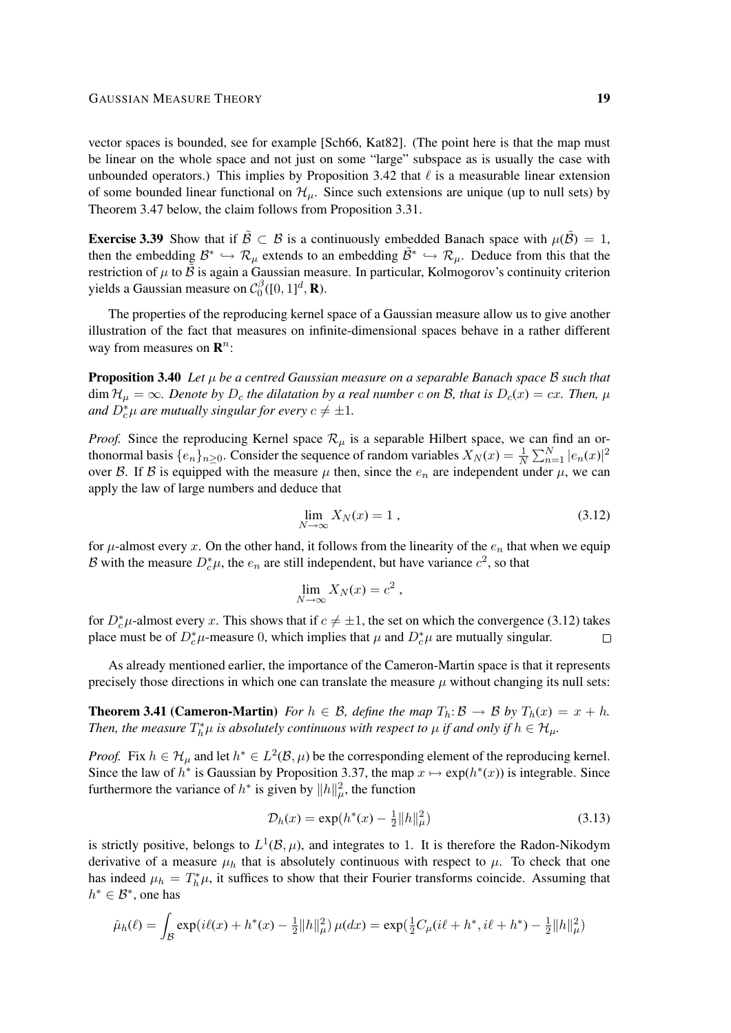vector spaces is bounded, see for example [Sch66, Kat82]. (The point here is that the map must be linear on the whole space and not just on some "large" subspace as is usually the case with unbounded operators.) This implies by Proposition 3.42 that  $\ell$  is a measurable linear extension of some bounded linear functional on  $\mathcal{H}_{\mu}$ . Since such extensions are unique (up to null sets) by Theorem 3.47 below, the claim follows from Proposition 3.31.

**Exercise 3.39** Show that if  $\tilde{\beta} \subset \beta$  is a continuously embedded Banach space with  $\mu(\tilde{\beta}) = 1$ , then the embedding  $\mathcal{B}^* \hookrightarrow \mathcal{R}_{\mu}$  extends to an embedding  $\tilde{\mathcal{B}}^* \hookrightarrow \mathcal{R}_{\mu}$ . Deduce from this that the restriction of  $\mu$  to  $\ddot{B}$  is again a Gaussian measure. In particular, Kolmogorov's continuity criterion yields a Gaussian measure on  $\mathcal{C}_0^{\beta}$  $\int_0^\beta([0,1]^d,\mathbf{R}).$ 

The properties of the reproducing kernel space of a Gaussian measure allow us to give another illustration of the fact that measures on infinite-dimensional spaces behave in a rather different way from measures on  $\mathbf{R}^n$ :

Proposition 3.40 *Let* µ *be a centred Gaussian measure on a separable Banach space* B *such that*  $\dim \mathcal{H}_{\mu} = \infty$ *. Denote by*  $D_c$  *the dilatation by a real number* c *on* B, *that is*  $D_c(x) = cx$ *. Then,*  $\mu$ and  $D_c^*\mu$  are mutually singular for every  $c \neq \pm 1$ .

*Proof.* Since the reproducing Kernel space  $\mathcal{R}_{\mu}$  is a separable Hilbert space, we can find an orthonormal basis  $\{e_n\}_{n\geq 0}$ . Consider the sequence of random variables  $X_N(x) = \frac{1}{N}$  $\frac{1}{N} \sum_{n=1}^{N} |e_n(x)|^2$ over B. If B is equipped with the measure  $\mu$  then, since the  $e_n$  are independent under  $\mu$ , we can apply the law of large numbers and deduce that

$$
\lim_{N \to \infty} X_N(x) = 1 \tag{3.12}
$$

for  $\mu$ -almost every x. On the other hand, it follows from the linearity of the  $e_n$  that when we equip B with the measure  $D_c^*\mu$ , the  $e_n$  are still independent, but have variance  $c^2$ , so that

$$
\lim_{N \to \infty} X_N(x) = c^2 ,
$$

for  $D_c^* \mu$ -almost every x. This shows that if  $c \neq \pm 1$ , the set on which the convergence (3.12) takes place must be of  $D_c^* \mu$ -measure 0, which implies that  $\mu$  and  $D_c^* \mu$  are mutually singular.  $\Box$ 

As already mentioned earlier, the importance of the Cameron-Martin space is that it represents precisely those directions in which one can translate the measure  $\mu$  without changing its null sets:

**Theorem 3.41 (Cameron-Martin)** *For*  $h \in \mathcal{B}$ *, define the map*  $T_h: \mathcal{B} \to \mathcal{B}$  *by*  $T_h(x) = x + h$ *. Then, the measure*  $T_h^*\mu$  *is absolutely continuous with respect to*  $\mu$  *if and only if*  $h \in \mathcal{H}_\mu$ *.* 

*Proof.* Fix  $h \in \mathcal{H}_{\mu}$  and let  $h^* \in L^2(\mathcal{B}, \mu)$  be the corresponding element of the reproducing kernel. Since the law of  $h^*$  is Gaussian by Proposition 3.37, the map  $x \mapsto \exp(h^*(x))$  is integrable. Since furthermore the variance of  $h^*$  is given by  $||h||^2_{\mu}$ , the function

$$
\mathcal{D}_h(x) = \exp(h^*(x) - \frac{1}{2} ||h||^2_\mu)
$$
\n(3.13)

is strictly positive, belongs to  $L^1(\mathcal{B}, \mu)$ , and integrates to 1. It is therefore the Radon-Nikodym derivative of a measure  $\mu_h$  that is absolutely continuous with respect to  $\mu$ . To check that one has indeed  $\mu_h = T_h^* \mu$ , it suffices to show that their Fourier transforms coincide. Assuming that  $h^* \in \mathcal{B}^*$ , one has

$$
\hat{\mu}_h(\ell) = \int_{\mathcal{B}} \exp(i\ell(x) + h^*(x) - \frac{1}{2} ||h||_{\mu}^2) \,\mu(dx) = \exp(\frac{1}{2}C_{\mu}(i\ell + h^*, i\ell + h^*) - \frac{1}{2} ||h||_{\mu}^2)
$$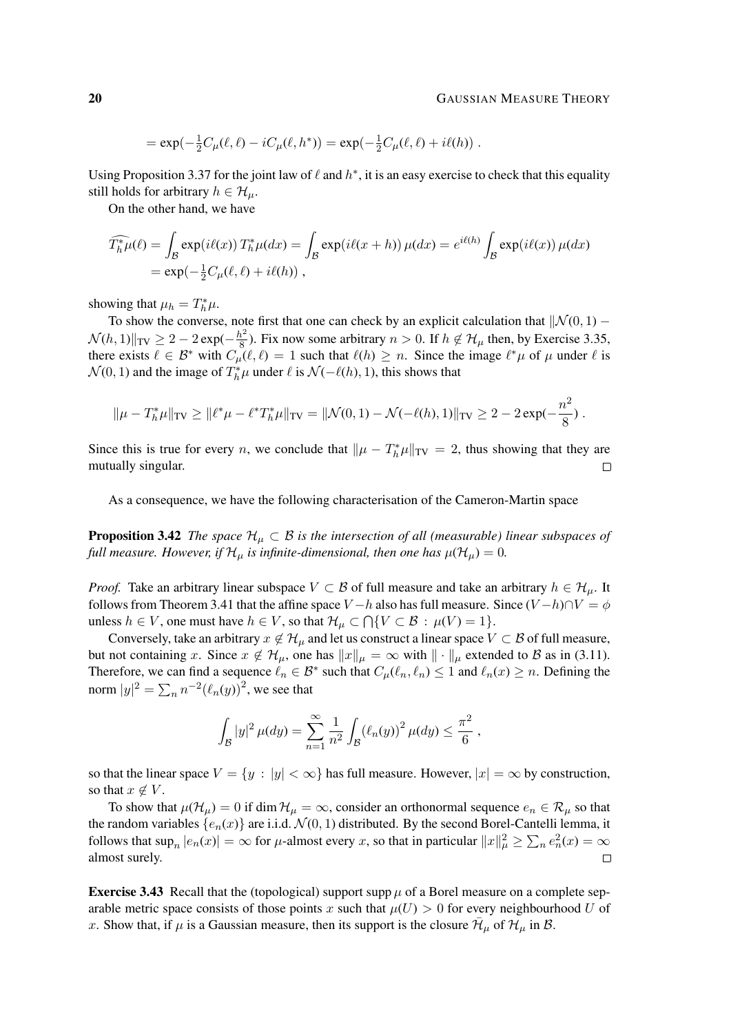$$
= \exp(-\frac{1}{2}C_{\mu}(\ell,\ell) - iC_{\mu}(\ell,h^*)) = \exp(-\frac{1}{2}C_{\mu}(\ell,\ell) + i\ell(h)).
$$

Using Proposition 3.37 for the joint law of  $\ell$  and  $h^*$ , it is an easy exercise to check that this equality still holds for arbitrary  $h \in \mathcal{H}_{\mu}$ .

On the other hand, we have

$$
\widehat{T_h^* \mu}(\ell) = \int_{\mathcal{B}} \exp(i\ell(x)) T_h^* \mu(dx) = \int_{\mathcal{B}} \exp(i\ell(x+h)) \mu(dx) = e^{i\ell(h)} \int_{\mathcal{B}} \exp(i\ell(x)) \mu(dx)
$$

$$
= \exp(-\frac{1}{2}C_\mu(\ell, \ell) + i\ell(h)),
$$

showing that  $\mu_h = T_h^* \mu$ .

To show the converse, note first that one can check by an explicit calculation that  $\|\mathcal{N}(0, 1) \mathcal{N}(h, 1)$ ||TV  $\geq 2 - 2 \exp(-\frac{h^2}{8})$  $\frac{6}{8}$ ). Fix now some arbitrary  $n > 0$ . If  $h \notin H_{\mu}$  then, by Exercise 3.35, there exists  $\ell \in \mathcal{B}^*$  with  $C_{\mu}(\ell, \ell) = 1$  such that  $\ell(h) \geq n$ . Since the image  $\ell^* \mu$  of  $\mu$  under  $\ell$  is  $\mathcal{N}(0, 1)$  and the image of  $T_h^*\mu$  under  $\ell$  is  $\mathcal{N}(-\ell(h), 1)$ , this shows that

$$
\|\mu - T_h^*\mu\|_{TV} \ge \|\ell^*\mu - \ell^*T_h^*\mu\|_{TV} = \|\mathcal{N}(0,1) - \mathcal{N}(-\ell(h),1)\|_{TV} \ge 2 - 2\exp(-\frac{n^2}{8}).
$$

Since this is true for every *n*, we conclude that  $\|\mu - T_h^*\mu\|_{TV} = 2$ , thus showing that they are mutually singular.  $\Box$ 

As a consequence, we have the following characterisation of the Cameron-Martin space

**Proposition 3.42** *The space*  $\mathcal{H}_{\mu} \subset \mathcal{B}$  *is the intersection of all (measurable) linear subspaces of full measure. However, if*  $\mathcal{H}_{\mu}$  *is infinite-dimensional, then one has*  $\mu(\mathcal{H}_{\mu}) = 0$ .

*Proof.* Take an arbitrary linear subspace  $V \subset B$  of full measure and take an arbitrary  $h \in H_{\mu}$ . It follows from Theorem 3.41 that the affine space  $V - h$  also has full measure. Since  $(V - h) \cap V = \phi$ unless  $h \in V$ , one must have  $h \in V$ , so that  $\mathcal{H}_{\mu} \subset \bigcap \{V \subset \mathcal{B} : \mu(V) = 1\}.$ 

Conversely, take an arbitrary  $x \notin \mathcal{H}_{\mu}$  and let us construct a linear space  $V \subset \mathcal{B}$  of full measure, but not containing x. Since  $x \notin \mathcal{H}_{\mu}$ , one has  $||x||_{\mu} = \infty$  with  $|| \cdot ||_{\mu}$  extended to B as in (3.11). Therefore, we can find a sequence  $\ell_n \in \mathcal{B}^*$  such that  $C_\mu(\ell_n, \ell_n) \leq 1$  and  $\ell_n(x) \geq n$ . Defining the norm  $|y|^2 = \sum_n n^{-2} (\ell_n(y))^2$ , we see that

$$
\int_{\mathcal{B}} |y|^2 \,\mu(dy) = \sum_{n=1}^{\infty} \frac{1}{n^2} \int_{\mathcal{B}} (\ell_n(y))^2 \,\mu(dy) \leq \frac{\pi^2}{6} ,
$$

so that the linear space  $V = \{y : |y| < \infty\}$  has full measure. However,  $|x| = \infty$  by construction, so that  $x \notin V$ .

To show that  $\mu(\mathcal{H}_\mu) = 0$  if dim  $\mathcal{H}_\mu = \infty$ , consider an orthonormal sequence  $e_n \in \mathcal{R}_\mu$  so that the random variables  $\{e_n(x)\}\$ are i.i.d.  $\mathcal{N}(0, 1)$  distributed. By the second Borel-Cantelli lemma, it follows that  $\sup_n |e_n(x)| = \infty$  for  $\mu$ -almost every x, so that in particular  $||x||^2_{\mu} \ge \sum_n e_n^2(x) = \infty$ almost surely.  $\Box$ 

**Exercise 3.43** Recall that the (topological) support supp  $\mu$  of a Borel measure on a complete separable metric space consists of those points x such that  $\mu(U) > 0$  for every neighbourhood U of x. Show that, if  $\mu$  is a Gaussian measure, then its support is the closure  $\bar{\mathcal{H}}_{\mu}$  of  $\mathcal{H}_{\mu}$  in B.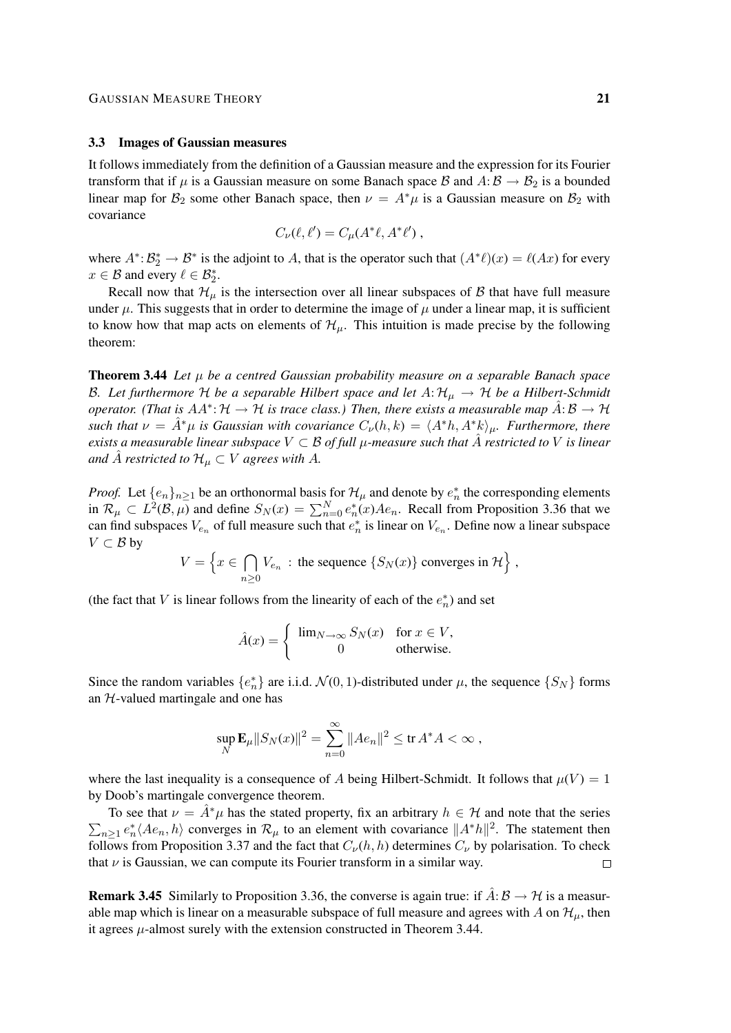### 3.3 Images of Gaussian measures

It follows immediately from the definition of a Gaussian measure and the expression for its Fourier transform that if  $\mu$  is a Gaussian measure on some Banach space B and  $A: \mathcal{B} \to \mathcal{B}_2$  is a bounded linear map for  $\mathcal{B}_2$  some other Banach space, then  $\nu = A^*\mu$  is a Gaussian measure on  $\mathcal{B}_2$  with covariance

$$
C_{\nu}(\ell, \ell') = C_{\mu}(A^*\ell, A^*\ell'),
$$

where  $A^*$ :  $B_2^* \to B^*$  is the adjoint to A, that is the operator such that  $(A^*\ell)(x) = \ell(Ax)$  for every  $x \in \mathcal{B}$  and every  $\ell \in \mathcal{B}_2^*$ .

Recall now that  $\mathcal{H}_{\mu}$  is the intersection over all linear subspaces of  $\beta$  that have full measure under  $\mu$ . This suggests that in order to determine the image of  $\mu$  under a linear map, it is sufficient to know how that map acts on elements of  $\mathcal{H}_{\mu}$ . This intuition is made precise by the following theorem:

Theorem 3.44 *Let* µ *be a centred Gaussian probability measure on a separable Banach space* B. Let furthermore H be a separable Hilbert space and let  $A: H_\mu \to H$  be a Hilbert-Schmidt *operator.* (That is  $AA^{\ast}$ :  $H \to H$  is trace class.) Then, there exists a measurable map  $\hat{A}$ :  $B \to H$ *such that*  $\nu = \hat{A}^*\mu$  *is Gaussian with covariance*  $C_{\nu}(h, k) = \langle A^*h, A^*k \rangle_{\mu}$ *. Furthermore, there exists a measurable linear subspace*  $V \subset \mathcal{B}$  *of full*  $\mu$ -measure such that  $\hat{A}$  restricted to V is linear *and*  $\hat{A}$  *restricted to*  $\mathcal{H}_{\mu} \subset V$  *agrees with* A.

*Proof.* Let  $\{e_n\}_{n\geq 1}$  be an orthonormal basis for  $\mathcal{H}_\mu$  and denote by  $e_n^*$  the corresponding elements in  $\mathcal{R}_\mu \subset L^2(\mathcal{B}, \mu)$  and define  $S_N(x) = \sum_{n=0}^N e_n^*(x) A e_n$ . Recall from Proposition 3.36 that we can find subspaces  $V_{e_n}$  of full measure such that  $e_n^*$  is linear on  $V_{e_n}$ . Define now a linear subspace  $V \subset \mathcal{B}$  by

$$
V = \left\{ x \in \bigcap_{n \geq 0} V_{e_n} : \text{ the sequence } \{ S_N(x) \} \text{ converges in } \mathcal{H} \right\},\
$$

(the fact that V is linear follows from the linearity of each of the  $e_n^*$ ) and set

$$
\hat{A}(x) = \begin{cases} \lim_{N \to \infty} S_N(x) & \text{for } x \in V, \\ 0 & \text{otherwise.} \end{cases}
$$

Since the random variables  $\{e_n^*\}$  are i.i.d.  $\mathcal{N}(0, 1)$ -distributed under  $\mu$ , the sequence  $\{S_N\}$  forms an  $H$ -valued martingale and one has

$$
\sup_N \mathbf{E}_{\mu} ||S_N(x)||^2 = \sum_{n=0}^{\infty} ||Ae_n||^2 \le \text{tr } A^*A < \infty ,
$$

where the last inequality is a consequence of A being Hilbert-Schmidt. It follows that  $\mu(V) = 1$ by Doob's martingale convergence theorem.

To see that  $\nu = \tilde{A}^*\mu$  has the stated property, fix an arbitrary  $h \in H$  and note that the series  $\sum_{n\geq 1} e_n^* \langle A e_n, h \rangle$  converges in  $\mathcal{R}_{\mu}$  to an element with covariance  $||A^*h||^2$ . The statement then follows from Proposition 3.37 and the fact that  $C_{\nu}(h, h)$  determines  $C_{\nu}$  by polarisation. To check that  $\nu$  is Gaussian, we can compute its Fourier transform in a similar way.  $\Box$ 

**Remark 3.45** Similarly to Proposition 3.36, the converse is again true: if  $\hat{A}: \mathcal{B} \to \mathcal{H}$  is a measurable map which is linear on a measurable subspace of full measure and agrees with A on  $\mathcal{H}_{\mu}$ , then it agrees  $\mu$ -almost surely with the extension constructed in Theorem 3.44.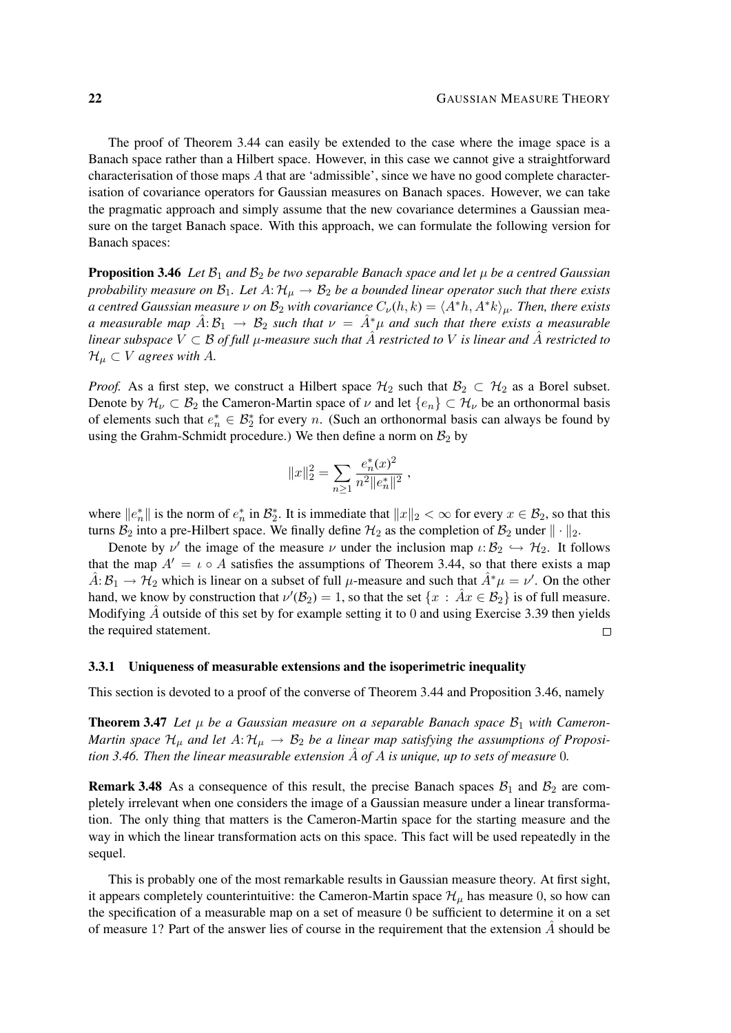The proof of Theorem 3.44 can easily be extended to the case where the image space is a Banach space rather than a Hilbert space. However, in this case we cannot give a straightforward characterisation of those maps  $A$  that are 'admissible', since we have no good complete characterisation of covariance operators for Gaussian measures on Banach spaces. However, we can take the pragmatic approach and simply assume that the new covariance determines a Gaussian measure on the target Banach space. With this approach, we can formulate the following version for Banach spaces:

**Proposition 3.46** *Let*  $\mathcal{B}_1$  *and*  $\mathcal{B}_2$  *be two separable Banach space and let*  $\mu$  *be a centred Gaussian probability measure on*  $\mathcal{B}_1$ *. Let*  $A: \mathcal{H}_{\mu} \to \mathcal{B}_2$  *be a bounded linear operator such that there exists a centred Gaussian measure*  $\nu$  *on*  $\mathcal{B}_2$  *with covariance*  $C_{\nu}(h, k) = \langle A^*h, A^*k \rangle_{\mu}$ *. Then, there exists a* measurable map  $A: \mathcal{B}_1 \to \mathcal{B}_2$  such that  $\nu = A^*\mu$  and such that there exists a measurable *linear subspace*  $V \subset \mathcal{B}$  *of full*  $\mu$ -measure such that A restricted to V is linear and A restricted to  $\mathcal{H}_{\mu} \subset V$  *agrees with A.* 

*Proof.* As a first step, we construct a Hilbert space  $\mathcal{H}_2$  such that  $\mathcal{B}_2 \subset \mathcal{H}_2$  as a Borel subset. Denote by  $\mathcal{H}_{\nu} \subset \mathcal{B}_2$  the Cameron-Martin space of  $\nu$  and let  $\{e_n\} \subset \mathcal{H}_{\nu}$  be an orthonormal basis of elements such that  $e_n^* \in \mathcal{B}_2^*$  for every n. (Such an orthonormal basis can always be found by using the Grahm-Schmidt procedure.) We then define a norm on  $\mathcal{B}_2$  by

$$
||x||_2^2 = \sum_{n\geq 1} \frac{e_n^*(x)^2}{n^2 ||e_n^*||^2} ,
$$

where  $||e_n^*||$  is the norm of  $e_n^*$  in  $\mathcal{B}_2^*$ . It is immediate that  $||x||_2 < \infty$  for every  $x \in \mathcal{B}_2$ , so that this turns  $B_2$  into a pre-Hilbert space. We finally define  $H_2$  as the completion of  $B_2$  under  $\|\cdot\|_2$ .

Denote by  $\nu'$  the image of the measure  $\nu$  under the inclusion map  $\iota: \mathcal{B}_2 \hookrightarrow \mathcal{H}_2$ . It follows that the map  $A' = \iota \circ A$  satisfies the assumptions of Theorem 3.44, so that there exists a map  $\hat{A}$ :  $\hat{B}_1 \to \hat{H}_2$  which is linear on a subset of full  $\mu$ -measure and such that  $\hat{A}^*\mu = \nu'$ . On the other hand, we know by construction that  $\nu'(\mathcal{B}_2) = 1$ , so that the set  $\{x : \hat{A}x \in \mathcal{B}_2\}$  is of full measure. Modifying  $\hat{A}$  outside of this set by for example setting it to 0 and using Exercise 3.39 then yields the required statement.  $\Box$ 

#### 3.3.1 Uniqueness of measurable extensions and the isoperimetric inequality

This section is devoted to a proof of the converse of Theorem 3.44 and Proposition 3.46, namely

**Theorem 3.47** Let  $\mu$  be a Gaussian measure on a separable Banach space  $\mathcal{B}_1$  with Cameron-*Martin space*  $\mathcal{H}_{\mu}$  and let  $A: \mathcal{H}_{\mu} \to \mathcal{B}_2$  be a linear map satisfying the assumptions of Proposi*tion 3.46. Then the linear measurable extension*  $\ddot{A}$  *of*  $A$  *is unique, up to sets of measure* 0*.* 

**Remark 3.48** As a consequence of this result, the precise Banach spaces  $\mathcal{B}_1$  and  $\mathcal{B}_2$  are completely irrelevant when one considers the image of a Gaussian measure under a linear transformation. The only thing that matters is the Cameron-Martin space for the starting measure and the way in which the linear transformation acts on this space. This fact will be used repeatedly in the sequel.

This is probably one of the most remarkable results in Gaussian measure theory. At first sight, it appears completely counterintuitive: the Cameron-Martin space  $\mathcal{H}_{\mu}$  has measure 0, so how can the specification of a measurable map on a set of measure 0 be sufficient to determine it on a set of measure 1? Part of the answer lies of course in the requirement that the extension  $A$  should be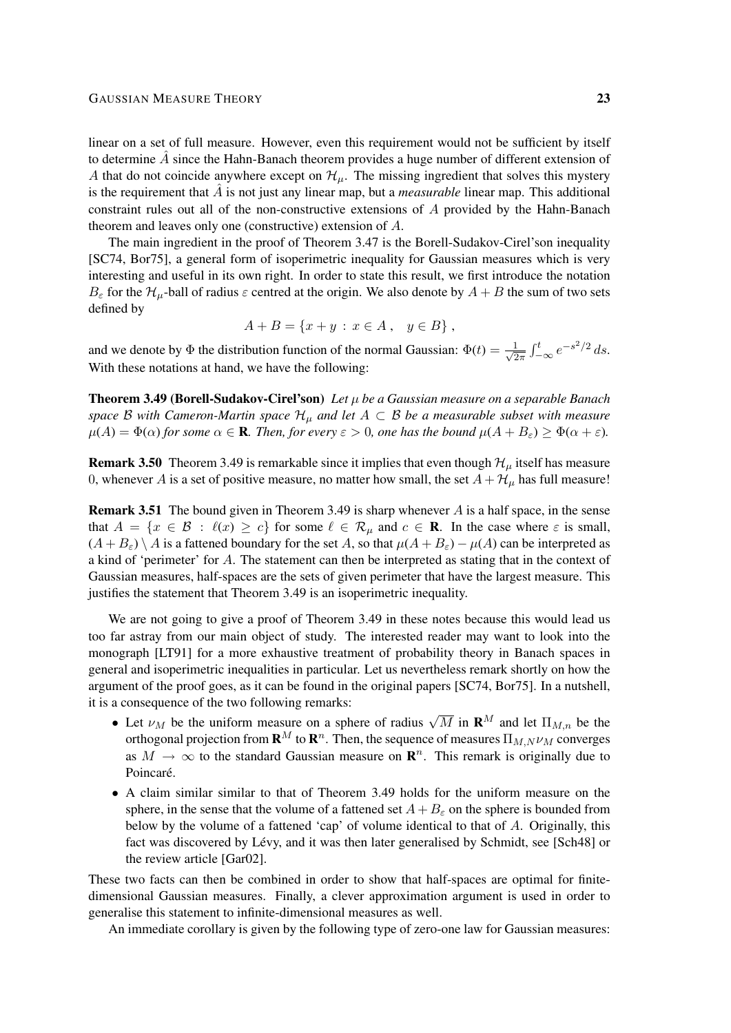linear on a set of full measure. However, even this requirement would not be sufficient by itself to determine  $\hat{A}$  since the Hahn-Banach theorem provides a huge number of different extension of A that do not coincide anywhere except on  $\mathcal{H}_{\mu}$ . The missing ingredient that solves this mystery is the requirement that  $\vec{A}$  is not just any linear map, but a *measurable* linear map. This additional constraint rules out all of the non-constructive extensions of A provided by the Hahn-Banach theorem and leaves only one (constructive) extension of A.

The main ingredient in the proof of Theorem 3.47 is the Borell-Sudakov-Cirel'son inequality [SC74, Bor75], a general form of isoperimetric inequality for Gaussian measures which is very interesting and useful in its own right. In order to state this result, we first introduce the notation  $B_\varepsilon$  for the  $\mathcal{H}_u$ -ball of radius  $\varepsilon$  centred at the origin. We also denote by  $A + B$  the sum of two sets defined by

$$
A + B = \{x + y : x \in A, y \in B\},\
$$

and we denote by  $\Phi$  the distribution function of the normal Gaussian:  $\Phi(t) = \frac{1}{\sqrt{6}}$  $\frac{1}{2\pi} \int_{-\infty}^{t} e^{-s^2/2} ds.$ With these notations at hand, we have the following:

Theorem 3.49 (Borell-Sudakov-Cirel'son) *Let* µ *be a Gaussian measure on a separable Banach space* B with Cameron-Martin space  $\mathcal{H}_{\mu}$  and let  $A \subset \mathcal{B}$  be a measurable subset with measure  $\mu(A) = \Phi(\alpha)$  *for some*  $\alpha \in \mathbf{R}$ *. Then, for every*  $\varepsilon > 0$ *, one has the bound*  $\mu(A + B_{\varepsilon}) \ge \Phi(\alpha + \varepsilon)$ *.* 

**Remark 3.50** Theorem 3.49 is remarkable since it implies that even though  $\mathcal{H}_{\mu}$  itself has measure 0, whenever A is a set of positive measure, no matter how small, the set  $A + H_{\mu}$  has full measure!

**Remark 3.51** The bound given in Theorem 3.49 is sharp whenever  $\vec{A}$  is a half space, in the sense that  $A = \{x \in \mathcal{B} : \ell(x) \ge c\}$  for some  $\ell \in \mathcal{R}_{\mu}$  and  $c \in \mathbf{R}$ . In the case where  $\varepsilon$  is small,  $(A + B_{\varepsilon}) \setminus A$  is a fattened boundary for the set A, so that  $\mu(A + B_{\varepsilon}) - \mu(A)$  can be interpreted as a kind of 'perimeter' for A. The statement can then be interpreted as stating that in the context of Gaussian measures, half-spaces are the sets of given perimeter that have the largest measure. This justifies the statement that Theorem 3.49 is an isoperimetric inequality.

We are not going to give a proof of Theorem 3.49 in these notes because this would lead us too far astray from our main object of study. The interested reader may want to look into the monograph [LT91] for a more exhaustive treatment of probability theory in Banach spaces in general and isoperimetric inequalities in particular. Let us nevertheless remark shortly on how the argument of the proof goes, as it can be found in the original papers [SC74, Bor75]. In a nutshell, it is a consequence of the two following remarks:

- Let  $\nu_M$  be the uniform measure on a sphere of radius  $\sqrt{M}$  in  $\mathbf{R}^M$  and let  $\Pi_{M,n}$  be the orthogonal projection from  $\mathbf{R}^M$  to  $\mathbf{R}^n$ . Then, the sequence of measures  $\Pi_{M,N}\nu_M$  converges as  $M \to \infty$  to the standard Gaussian measure on  $\mathbb{R}^n$ . This remark is originally due to Poincaré.
- A claim similar similar to that of Theorem 3.49 holds for the uniform measure on the sphere, in the sense that the volume of a fattened set  $A + B_{\varepsilon}$  on the sphere is bounded from below by the volume of a fattened 'cap' of volume identical to that of A. Originally, this fact was discovered by Lévy, and it was then later generalised by Schmidt, see [Sch48] or the review article [Gar02].

These two facts can then be combined in order to show that half-spaces are optimal for finitedimensional Gaussian measures. Finally, a clever approximation argument is used in order to generalise this statement to infinite-dimensional measures as well.

An immediate corollary is given by the following type of zero-one law for Gaussian measures: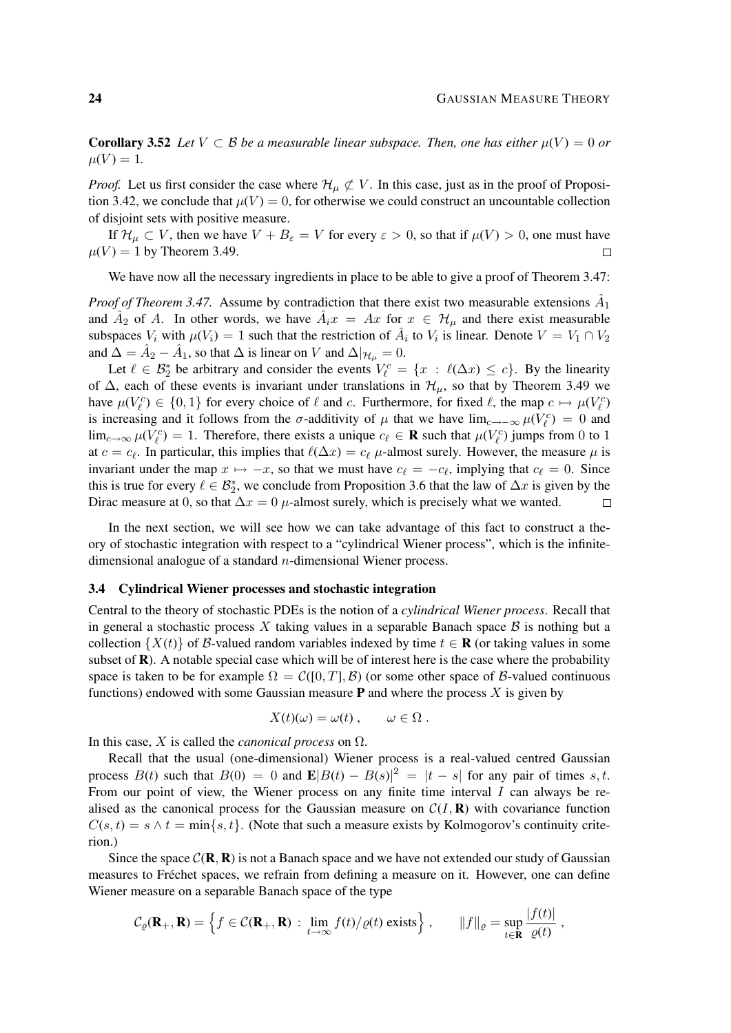|f(t)|

**Corollary 3.52** Let  $V \subset \mathcal{B}$  be a measurable linear subspace. Then, one has either  $\mu(V) = 0$  or  $\mu(V) = 1.$ 

*Proof.* Let us first consider the case where  $\mathcal{H}_{\mu} \not\subset V$ . In this case, just as in the proof of Proposition 3.42, we conclude that  $\mu(V) = 0$ , for otherwise we could construct an uncountable collection of disjoint sets with positive measure.

If  $\mathcal{H}_{\mu} \subset V$ , then we have  $V + B_{\varepsilon} = V$  for every  $\varepsilon > 0$ , so that if  $\mu(V) > 0$ , one must have  $\mu(V) = 1$  by Theorem 3.49.  $\Box$ 

We have now all the necessary ingredients in place to be able to give a proof of Theorem 3.47:

*Proof of Theorem 3.47.* Assume by contradiction that there exist two measurable extensions  $\hat{A}_1$ and  $\hat{A}_2$  of A. In other words, we have  $\hat{A}_i x = Ax$  for  $x \in \mathcal{H}_{\mu}$  and there exist measurable subspaces  $V_i$  with  $\mu(V_i) = 1$  such that the restriction of  $\hat{A}_i$  to  $V_i$  is linear. Denote  $V = V_1 \cap V_2$ and  $\hat{\Delta} = \hat{A}_2 - \hat{A}_1$ , so that  $\Delta$  is linear on V and  $\Delta|_{\mathcal{H}_{\mu}} = 0$ .

Let  $\ell \in \mathcal{B}_2^*$  be arbitrary and consider the events  $V_{\ell}^c = \{x : \ell(\Delta x) \leq c\}$ . By the linearity of  $\Delta$ , each of these events is invariant under translations in  $\mathcal{H}_{\mu}$ , so that by Theorem 3.49 we have  $\mu(V_{\ell}^c) \in \{0,1\}$  for every choice of  $\ell$  and c. Furthermore, for fixed  $\ell$ , the map  $c \mapsto \mu(V_{\ell}^c)$ is increasing and it follows from the  $\sigma$ -additivity of  $\mu$  that we have lim<sub>c→−∞</sub>  $\mu(V_\ell^c) = 0$  and  $\lim_{c\to\infty}\mu(V_{\ell}^c)=1$ . Therefore, there exists a unique  $c_{\ell} \in \mathbf{R}$  such that  $\mu(V_{\ell}^c)$  jumps from 0 to 1 at  $c = c_{\ell}$ . In particular, this implies that  $\ell(\Delta x) = c_{\ell}$  µ-almost surely. However, the measure  $\mu$  is invariant under the map  $x \mapsto -x$ , so that we must have  $c_\ell = -c_\ell$ , implying that  $c_\ell = 0$ . Since this is true for every  $\ell \in \mathcal{B}_2^*$ , we conclude from Proposition 3.6 that the law of  $\Delta x$  is given by the Dirac measure at 0, so that  $\Delta x = 0$  µ-almost surely, which is precisely what we wanted.  $\Box$ 

In the next section, we will see how we can take advantage of this fact to construct a theory of stochastic integration with respect to a "cylindrical Wiener process", which is the infinitedimensional analogue of a standard n-dimensional Wiener process.

### 3.4 Cylindrical Wiener processes and stochastic integration

Central to the theory of stochastic PDEs is the notion of a *cylindrical Wiener process*. Recall that in general a stochastic process X taking values in a separable Banach space  $\beta$  is nothing but a collection  $\{X(t)\}\$  of B-valued random variables indexed by time  $t \in \mathbf{R}$  (or taking values in some subset of  $\bf{R}$ ). A notable special case which will be of interest here is the case where the probability space is taken to be for example  $\Omega = C([0, T], \mathcal{B})$  (or some other space of  $\mathcal{B}$ -valued continuous functions) endowed with some Gaussian measure **P** and where the process  $X$  is given by

$$
X(t)(\omega) = \omega(t) , \qquad \omega \in \Omega .
$$

In this case,  $X$  is called the *canonical process* on  $\Omega$ .

Recall that the usual (one-dimensional) Wiener process is a real-valued centred Gaussian process  $B(t)$  such that  $B(0) = 0$  and  $\mathbf{E}|B(t) - B(s)|^2 = |t - s|$  for any pair of times s, t. From our point of view, the Wiener process on any finite time interval  $I$  can always be realised as the canonical process for the Gaussian measure on  $C(I, \mathbf{R})$  with covariance function  $C(s, t) = s \wedge t = \min\{s, t\}.$  (Note that such a measure exists by Kolmogorov's continuity criterion.)

Since the space  $C(\mathbf{R}, \mathbf{R})$  is not a Banach space and we have not extended our study of Gaussian measures to Fréchet spaces, we refrain from defining a measure on it. However, one can define Wiener measure on a separable Banach space of the type

$$
\mathcal{C}_{\varrho}(\mathbf{R}_+,\mathbf{R}) = \left\{ f \in \mathcal{C}(\mathbf{R}_+,\mathbf{R}) : \lim_{t \to \infty} f(t) / \varrho(t) \text{ exists} \right\}, \qquad ||f||_{\varrho} = \sup_{t \in \mathbf{R}} \frac{|f(t)|}{\varrho(t)},
$$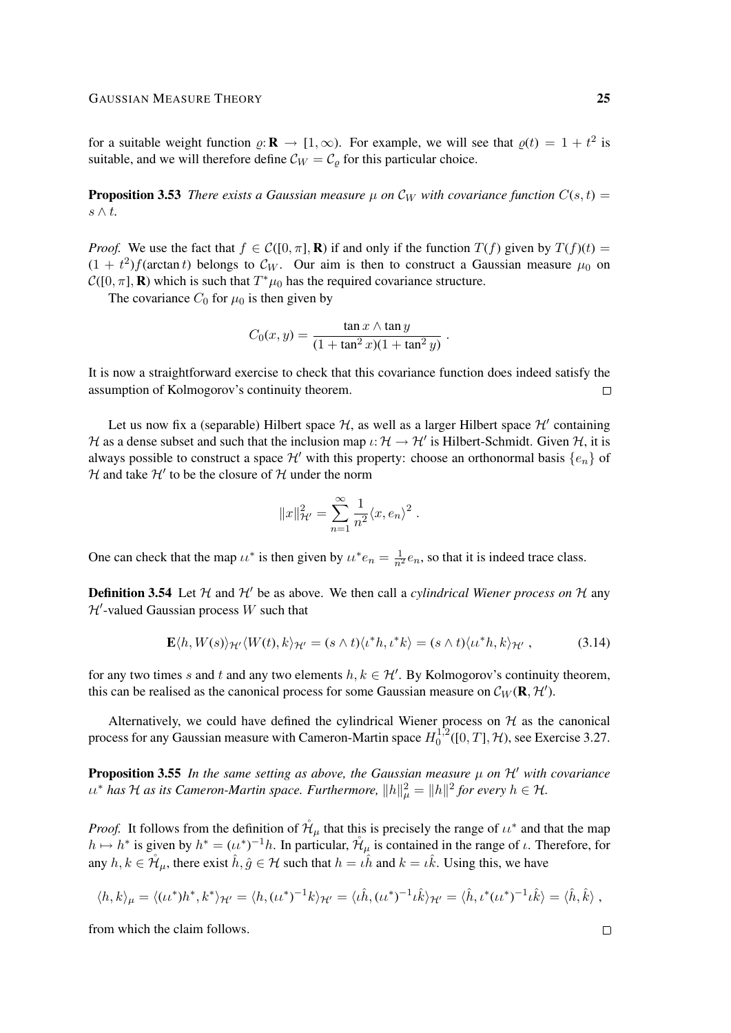for a suitable weight function  $\varrho: \mathbf{R} \to [1,\infty)$ . For example, we will see that  $\varrho(t) = 1 + t^2$  is suitable, and we will therefore define  $\mathcal{C}_W = \mathcal{C}_\rho$  for this particular choice.

**Proposition 3.53** *There exists a Gaussian measure*  $\mu$  *on*  $\mathcal{C}_W$  *with covariance function*  $C(s,t)$  = s ∧ t*.*

*Proof.* We use the fact that  $f \in C([0, \pi], \mathbf{R})$  if and only if the function  $T(f)$  given by  $T(f)(t) =$  $(1 + t^2)f(\arctan t)$  belongs to  $\mathcal{C}_W$ . Our aim is then to construct a Gaussian measure  $\mu_0$  on  $\mathcal{C}([0,\pi],\mathbf{R})$  which is such that  $T^*\mu_0$  has the required covariance structure.

The covariance  $C_0$  for  $\mu_0$  is then given by

$$
C_0(x, y) = \frac{\tan x \wedge \tan y}{(1 + \tan^2 x)(1 + \tan^2 y)}
$$

.

It is now a straightforward exercise to check that this covariance function does indeed satisfy the assumption of Kolmogorov's continuity theorem.  $\Box$ 

Let us now fix a (separable) Hilbert space  $H$ , as well as a larger Hilbert space  $H'$  containing H as a dense subset and such that the inclusion map  $\iota: \mathcal{H} \to \mathcal{H}'$  is Hilbert-Schmidt. Given H, it is always possible to construct a space  $\mathcal{H}'$  with this property: choose an orthonormal basis  $\{e_n\}$  of  $H$  and take  $H'$  to be the closure of  $H$  under the norm

$$
||x||_{\mathcal{H}'}^2 = \sum_{n=1}^{\infty} \frac{1}{n^2} \langle x, e_n \rangle^2.
$$

One can check that the map  $u^*$  is then given by  $u^*e_n = \frac{1}{n^2}e_n$ , so that it is indeed trace class.

**Definition 3.54** Let  $H$  and  $H'$  be as above. We then call a *cylindrical Wiener process on*  $H$  any  $\mathcal{H}'$ -valued Gaussian process W such that

$$
\mathbf{E}\langle h, W(s)\rangle_{\mathcal{H}'}\langle W(t), k\rangle_{\mathcal{H}'} = (s \wedge t)\langle \iota^*h, \iota^*k\rangle = (s \wedge t)\langle \iota \iota^*h, k\rangle_{\mathcal{H}'},
$$
(3.14)

for any two times s and t and any two elements  $h, k \in \mathcal{H}'$ . By Kolmogorov's continuity theorem, this can be realised as the canonical process for some Gaussian measure on  $\mathcal{C}_W(\mathbf{R}, \mathcal{H}')$ .

Alternatively, we could have defined the cylindrical Wiener process on  $H$  as the canonical process for any Gaussian measure with Cameron-Martin space  $H_0^{1,2}$  $0^{1,2}([0,T], \mathcal{H})$ , see Exercise 3.27.

**Proposition 3.55** In the same setting as above, the Gaussian measure  $\mu$  on  $\mathcal{H}'$  with covariance  $u^*$  has H as its Cameron-Martin space. Furthermore,  $||h||^2_{\mu} = ||h||^2$  for every  $h \in H$ .

*Proof.* It follows from the definition of  $\mathcal{H}_{\mu}$  that this is precisely the range of  $\mu^*$  and that the map  $h \mapsto h^*$  is given by  $h^* = (u^*)^{-1}h$ . In particular,  $\mathcal{H}_{\mu}$  is contained in the range of  $\iota$ . Therefore, for any  $h, k \in \mathring{\mathcal{H}}_{\mu}$ , there exist  $\hat{h}, \hat{g} \in \mathcal{H}$  such that  $h = \hat{\iota} \hat{h}$  and  $k = \hat{\iota} \hat{k}$ . Using this, we have

$$
\langle h, k \rangle_{\mu} = \langle (\iota \iota^*) h^*, k^* \rangle_{\mathcal{H}'} = \langle h, (\iota \iota^*)^{-1} k \rangle_{\mathcal{H}'} = \langle \iota \hat{h}, (\iota \iota^*)^{-1} \iota \hat{k} \rangle_{\mathcal{H}'} = \langle \hat{h}, \iota^* (\iota \iota^*)^{-1} \iota \hat{k} \rangle = \langle \hat{h}, \hat{k} \rangle,
$$

from which the claim follows.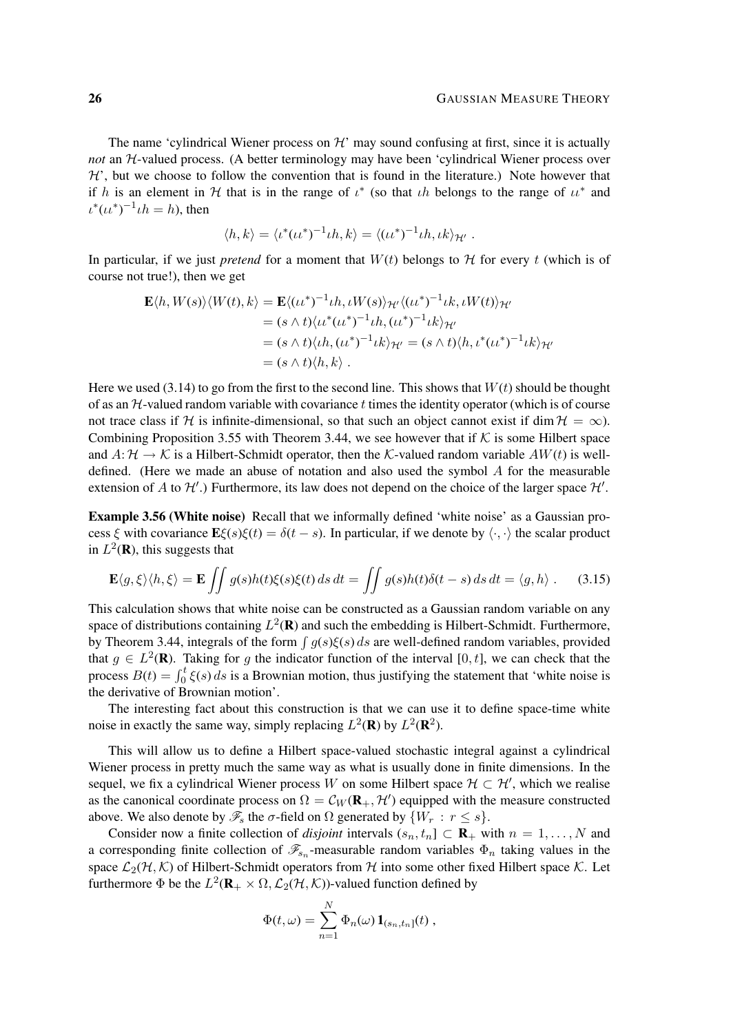The name 'cylindrical Wiener process on  $\mathcal{H}'$  may sound confusing at first, since it is actually *not* an H-valued process. (A better terminology may have been 'cylindrical Wiener process over  $H'$ , but we choose to follow the convention that is found in the literature.) Note however that if h is an element in H that is in the range of  $\iota^*$  (so that  $\iota h$  belongs to the range of  $\iota \iota^*$  and  $\iota^*(\iota \iota^*)^{-1} \iota h = h$ ), then

$$
\langle h, k \rangle = \langle \iota^* (\iota \iota^*)^{-1} \iota h, k \rangle = \langle (\iota \iota^*)^{-1} \iota h, \iota k \rangle_{\mathcal{H'}}.
$$

In particular, if we just *pretend* for a moment that  $W(t)$  belongs to  $H$  for every t (which is of course not true!), then we get

$$
\mathbf{E}\langle h, W(s)\rangle \langle W(t), k\rangle = \mathbf{E}\langle (u^*)^{-1} \iota h, \iota W(s)\rangle_{\mathcal{H}'} \langle (u^*)^{-1} \iota k, \iota W(t)\rangle_{\mathcal{H}'}
$$
  
\n
$$
= (s \wedge t) \langle u^*(u^*)^{-1} \iota h, (u^*)^{-1} \iota k\rangle_{\mathcal{H}'}
$$
  
\n
$$
= (s \wedge t) \langle \iota h, (u^*)^{-1} \iota k\rangle_{\mathcal{H}'} = (s \wedge t) \langle h, \iota^*(u^*)^{-1} \iota k\rangle_{\mathcal{H}'}
$$
  
\n
$$
= (s \wedge t) \langle h, k\rangle.
$$

Here we used (3.14) to go from the first to the second line. This shows that  $W(t)$  should be thought of as an  $H$ -valued random variable with covariance  $t$  times the identity operator (which is of course not trace class if H is infinite-dimensional, so that such an object cannot exist if dim  $H = \infty$ ). Combining Proposition 3.55 with Theorem 3.44, we see however that if  $K$  is some Hilbert space and  $A: \mathcal{H} \to \mathcal{K}$  is a Hilbert-Schmidt operator, then the K-valued random variable  $AW(t)$  is welldefined. (Here we made an abuse of notation and also used the symbol A for the measurable extension of A to  $\mathcal{H}'$ .) Furthermore, its law does not depend on the choice of the larger space  $\mathcal{H}'$ .

Example 3.56 (White noise) Recall that we informally defined 'white noise' as a Gaussian process ξ with covariance  $\mathbf{E}\xi(s)\xi(t) = \delta(t-s)$ . In particular, if we denote by  $\langle \cdot, \cdot \rangle$  the scalar product in  $L^2(\mathbf{R})$ , this suggests that

$$
\mathbf{E}\langle g,\xi\rangle\langle h,\xi\rangle = \mathbf{E}\iint g(s)h(t)\xi(s)\xi(t)\,ds\,dt = \iint g(s)h(t)\delta(t-s)\,ds\,dt = \langle g,h\rangle\;.\tag{3.15}
$$

This calculation shows that white noise can be constructed as a Gaussian random variable on any space of distributions containing  $L^2(\mathbf{R})$  and such the embedding is Hilbert-Schmidt. Furthermore, by Theorem 3.44, integrals of the form  $\int g(s)\xi(s) ds$  are well-defined random variables, provided that  $g \in L^2(\mathbf{R})$ . Taking for g the indicator function of the interval [0, t], we can check that the process  $B(t) = \int_0^t \xi(s) ds$  is a Brownian motion, thus justifying the statement that 'white noise is the derivative of Brownian motion'.

The interesting fact about this construction is that we can use it to define space-time white noise in exactly the same way, simply replacing  $L^2(\mathbf{R})$  by  $L^2(\mathbf{R}^2)$ .

This will allow us to define a Hilbert space-valued stochastic integral against a cylindrical Wiener process in pretty much the same way as what is usually done in finite dimensions. In the sequel, we fix a cylindrical Wiener process W on some Hilbert space  $\mathcal{H} \subset \mathcal{H}'$ , which we realise as the canonical coordinate process on  $\Omega = \mathcal{C}_W(\mathbf{R}_+, \mathcal{H}')$  equipped with the measure constructed above. We also denote by  $\mathscr{F}_s$  the  $\sigma$ -field on  $\Omega$  generated by  $\{W_r : r \leq s\}$ .

Consider now a finite collection of *disjoint* intervals  $(s_n, t_n] \subset \mathbf{R}_+$  with  $n = 1, ..., N$  and a corresponding finite collection of  $\mathcal{F}_{s_n}$ -measurable random variables  $\Phi_n$  taking values in the space  $\mathcal{L}_2(\mathcal{H}, \mathcal{K})$  of Hilbert-Schmidt operators from  $\mathcal{H}$  into some other fixed Hilbert space  $\mathcal{K}$ . Let furthermore  $\Phi$  be the  $L^2(\mathbf{R}_+ \times \Omega, \mathcal{L}_2(\mathcal{H}, \mathcal{K}))$ -valued function defined by

$$
\Phi(t,\omega)=\sum_{n=1}^N \Phi_n(\omega) \mathbf{1}_{(s_n,t_n]}(t) ,
$$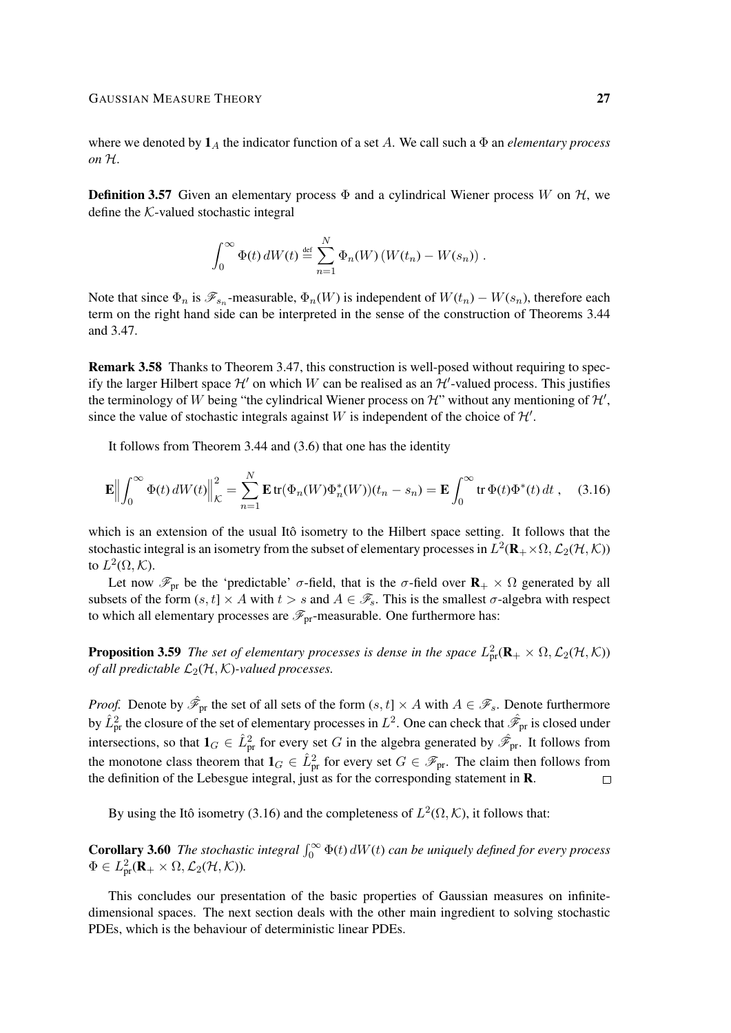where we denoted by  $1_A$  the indicator function of a set A. We call such a  $\Phi$  an *elementary process on* H.

**Definition 3.57** Given an elementary process  $\Phi$  and a cylindrical Wiener process W on H, we define the K-valued stochastic integral

$$
\int_0^\infty \Phi(t) dW(t) \stackrel{\text{def}}{=} \sum_{n=1}^N \Phi_n(W) (W(t_n) - W(s_n)).
$$

Note that since  $\Phi_n$  is  $\mathscr{F}_{s_n}$ -measurable,  $\Phi_n(W)$  is independent of  $W(t_n) - W(s_n)$ , therefore each term on the right hand side can be interpreted in the sense of the construction of Theorems 3.44 and 3.47.

Remark 3.58 Thanks to Theorem 3.47, this construction is well-posed without requiring to specify the larger Hilbert space  $\mathcal{H}'$  on which W can be realised as an  $\mathcal{H}'$ -valued process. This justifies the terminology of W being "the cylindrical Wiener process on  $\mathcal{H}$ " without any mentioning of  $\mathcal{H}'$ , since the value of stochastic integrals against W is independent of the choice of  $\mathcal{H}'$ .

It follows from Theorem 3.44 and (3.6) that one has the identity

$$
\mathbf{E}\Big\|\int_0^\infty \Phi(t) dW(t)\Big\|_{\mathcal{K}}^2 = \sum_{n=1}^N \mathbf{E}\,\text{tr}(\Phi_n(W)\Phi_n^*(W))(t_n - s_n) = \mathbf{E}\int_0^\infty \text{tr}\,\Phi(t)\Phi^*(t) dt\,,\tag{3.16}
$$

which is an extension of the usual Itô isometry to the Hilbert space setting. It follows that the stochastic integral is an isometry from the subset of elementary processes in  $L^2(\mathbf{R}_+ \times \Omega, \mathcal{L}_2(\mathcal{H}, \mathcal{K}))$ to  $L^2(\Omega,\mathcal{K})$ .

Let now  $\mathscr{F}_{pr}$  be the 'predictable'  $\sigma$ -field, that is the  $\sigma$ -field over  $\mathbf{R}_{+} \times \Omega$  generated by all subsets of the form  $(s, t] \times A$  with  $t > s$  and  $A \in \mathscr{F}_s$ . This is the smallest  $\sigma$ -algebra with respect to which all elementary processes are  $\mathscr{F}_{pr}$ -measurable. One furthermore has:

**Proposition 3.59** The set of elementary processes is dense in the space  $L^2_{\text{pr}}(\mathbf{R}_+ \times \Omega, \mathcal{L}_2(\mathcal{H}, \mathcal{K}))$ *of all predictable*  $\mathcal{L}_2(\mathcal{H}, \mathcal{K})$ *-valued processes.* 

*Proof.* Denote by  $\hat{\mathscr{F}}_{pr}$  the set of all sets of the form  $(s, t] \times A$  with  $A \in \mathscr{F}_s$ . Denote furthermore by  $\hat{L}_{\text{pr}}^2$  the closure of the set of elementary processes in  $L^2$ . One can check that  $\hat{\mathscr{F}}_{\text{pr}}$  is closed under intersections, so that  $1_G \in \hat{L}_{pr}^2$  for every set G in the algebra generated by  $\hat{\mathscr{F}}_{pr}$ . It follows from the monotone class theorem that  $1_G \in \hat{L}_{pr}^2$  for every set  $G \in \mathscr{F}_{pr}$ . The claim then follows from the definition of the Lebesgue integral, just as for the corresponding statement in R.  $\Box$ 

By using the Itô isometry (3.16) and the completeness of  $L^2(\Omega,\mathcal{K})$ , it follows that:

**Corollary 3.60** The stochastic integral  $\int_0^\infty \Phi(t) dW(t)$  can be uniquely defined for every process  $\Phi \in L^2_{\text{pr}}(\mathbf{R}_+ \times \Omega, \mathcal{L}_2(\mathcal{H}, \mathcal{K})).$ 

This concludes our presentation of the basic properties of Gaussian measures on infinitedimensional spaces. The next section deals with the other main ingredient to solving stochastic PDEs, which is the behaviour of deterministic linear PDEs.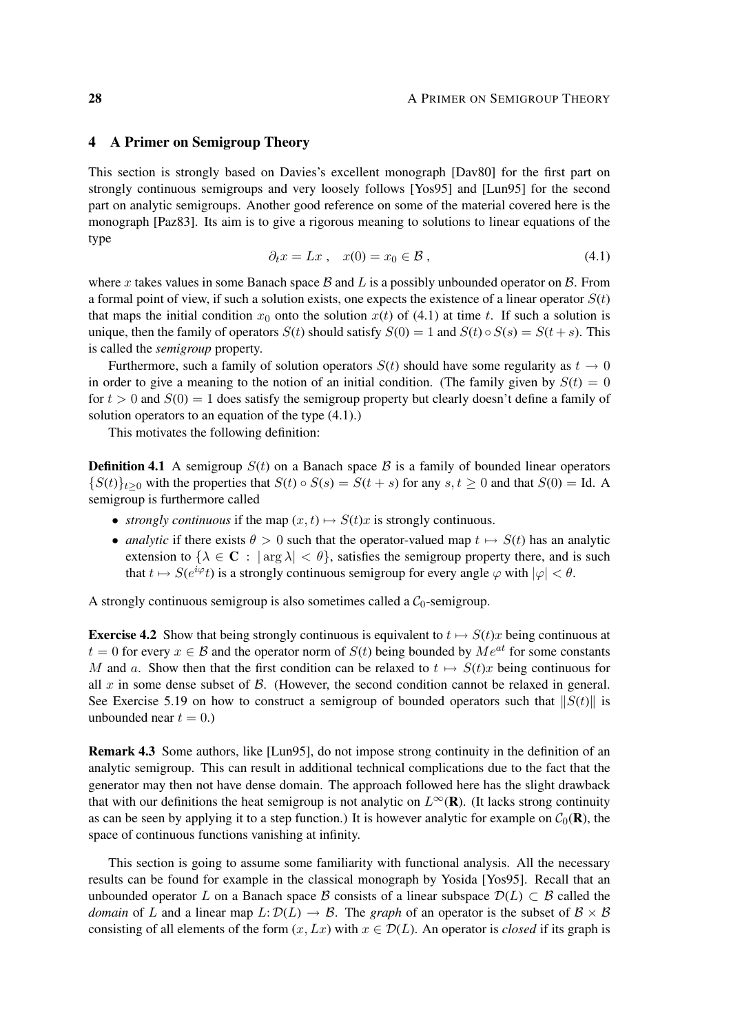# 4 A Primer on Semigroup Theory

This section is strongly based on Davies's excellent monograph [Dav80] for the first part on strongly continuous semigroups and very loosely follows [Yos95] and [Lun95] for the second part on analytic semigroups. Another good reference on some of the material covered here is the monograph [Paz83]. Its aim is to give a rigorous meaning to solutions to linear equations of the type

$$
\partial_t x = Lx \,, \quad x(0) = x_0 \in \mathcal{B} \,, \tag{4.1}
$$

where x takes values in some Banach space B and L is a possibly unbounded operator on B. From a formal point of view, if such a solution exists, one expects the existence of a linear operator  $S(t)$ that maps the initial condition  $x_0$  onto the solution  $x(t)$  of (4.1) at time t. If such a solution is unique, then the family of operators  $S(t)$  should satisfy  $S(0) = 1$  and  $S(t) \circ S(s) = S(t + s)$ . This is called the *semigroup* property.

Furthermore, such a family of solution operators  $S(t)$  should have some regularity as  $t \to 0$ in order to give a meaning to the notion of an initial condition. (The family given by  $S(t) = 0$ for  $t > 0$  and  $S(0) = 1$  does satisfy the semigroup property but clearly doesn't define a family of solution operators to an equation of the type (4.1).)

This motivates the following definition:

**Definition 4.1** A semigroup  $S(t)$  on a Banach space  $\beta$  is a family of bounded linear operators  ${S(t)}_{t>0}$  with the properties that  $S(t) \circ S(s) = S(t+s)$  for any  $s, t \ge 0$  and that  $S(0) = \text{Id}$ . A semigroup is furthermore called

- *strongly continuous* if the map  $(x, t) \mapsto S(t)x$  is strongly continuous.
- *analytic* if there exists  $\theta > 0$  such that the operator-valued map  $t \mapsto S(t)$  has an analytic extension to  $\{\lambda \in \mathbf{C} : |\arg \lambda| < \theta\}$ , satisfies the semigroup property there, and is such that  $t \mapsto S(e^{i\varphi}t)$  is a strongly continuous semigroup for every angle  $\varphi$  with  $|\varphi| < \theta$ .

A strongly continuous semigroup is also sometimes called a  $C_0$ -semigroup.

**Exercise 4.2** Show that being strongly continuous is equivalent to  $t \mapsto S(t)x$  being continuous at  $t = 0$  for every  $x \in \mathcal{B}$  and the operator norm of  $S(t)$  being bounded by  $Me^{at}$  for some constants M and a. Show then that the first condition can be relaxed to  $t \mapsto S(t)x$  being continuous for all  $x$  in some dense subset of  $\beta$ . (However, the second condition cannot be relaxed in general. See Exercise 5.19 on how to construct a semigroup of bounded operators such that  $||S(t)||$  is unbounded near  $t = 0$ .)

Remark 4.3 Some authors, like [Lun95], do not impose strong continuity in the definition of an analytic semigroup. This can result in additional technical complications due to the fact that the generator may then not have dense domain. The approach followed here has the slight drawback that with our definitions the heat semigroup is not analytic on  $L^{\infty}(\mathbf{R})$ . (It lacks strong continuity as can be seen by applying it to a step function.) It is however analytic for example on  $C_0(\mathbf{R})$ , the space of continuous functions vanishing at infinity.

This section is going to assume some familiarity with functional analysis. All the necessary results can be found for example in the classical monograph by Yosida [Yos95]. Recall that an unbounded operator L on a Banach space B consists of a linear subspace  $\mathcal{D}(L) \subset \mathcal{B}$  called the *domain* of L and a linear map  $L: \mathcal{D}(L) \to \mathcal{B}$ . The *graph* of an operator is the subset of  $\mathcal{B} \times \mathcal{B}$ consisting of all elements of the form  $(x, Lx)$  with  $x \in \mathcal{D}(L)$ . An operator is *closed* if its graph is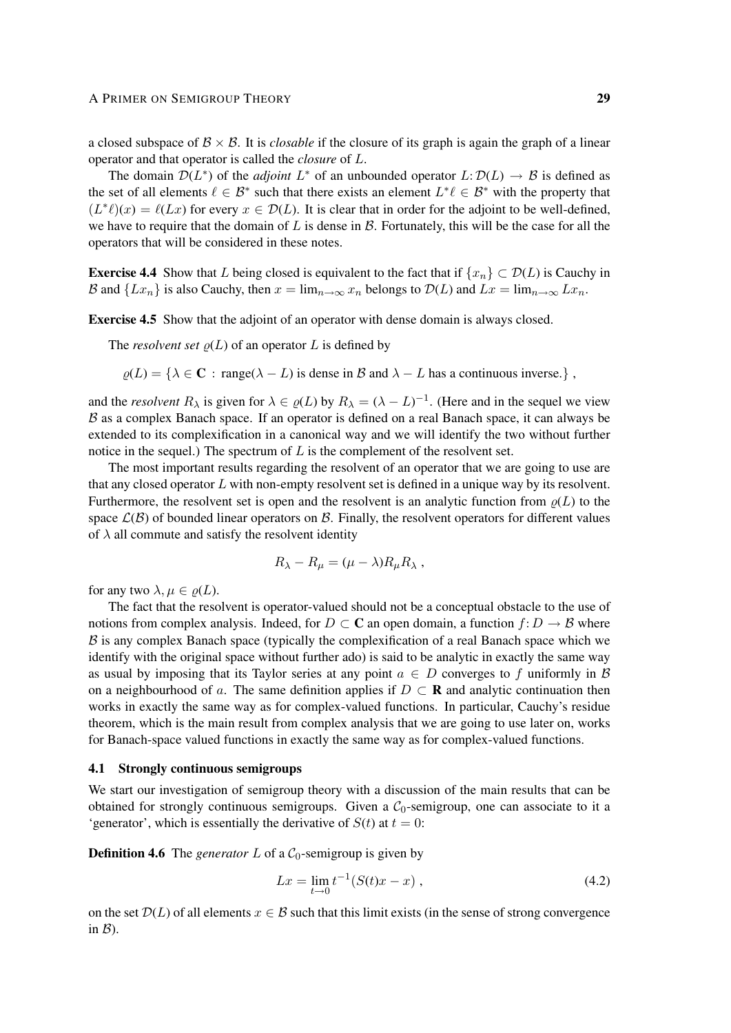a closed subspace of  $\mathcal{B} \times \mathcal{B}$ . It is *closable* if the closure of its graph is again the graph of a linear operator and that operator is called the *closure* of L.

The domain  $\mathcal{D}(L^*)$  of the *adjoint*  $L^*$  of an unbounded operator  $L: \mathcal{D}(L) \to \mathcal{B}$  is defined as the set of all elements  $\ell \in \mathcal{B}^*$  such that there exists an element  $L^* \ell \in \mathcal{B}^*$  with the property that  $(L^*\ell)(x) = \ell(Lx)$  for every  $x \in \mathcal{D}(L)$ . It is clear that in order for the adjoint to be well-defined, we have to require that the domain of L is dense in  $\beta$ . Fortunately, this will be the case for all the operators that will be considered in these notes.

**Exercise 4.4** Show that L being closed is equivalent to the fact that if  $\{x_n\} \subset \mathcal{D}(L)$  is Cauchy in B and  $\{Lx_n\}$  is also Cauchy, then  $x = \lim_{n \to \infty} x_n$  belongs to  $\mathcal{D}(L)$  and  $Lx = \lim_{n \to \infty} Lx_n$ .

Exercise 4.5 Show that the adjoint of an operator with dense domain is always closed.

The *resolvent set*  $\rho(L)$  of an operator L is defined by

 $\rho(L) = {\lambda \in \mathbb{C} : \text{range}(\lambda - L) \text{ is dense in } \mathcal{B} \text{ and } \lambda - L \text{ has a continuous inverse.}}$ 

and the *resolvent*  $R_{\lambda}$  is given for  $\lambda \in \varrho(L)$  by  $R_{\lambda} = (\lambda - L)^{-1}$ . (Here and in the sequel we view  $B$  as a complex Banach space. If an operator is defined on a real Banach space, it can always be extended to its complexification in a canonical way and we will identify the two without further notice in the sequel.) The spectrum of  $L$  is the complement of the resolvent set.

The most important results regarding the resolvent of an operator that we are going to use are that any closed operator L with non-empty resolvent set is defined in a unique way by its resolvent. Furthermore, the resolvent set is open and the resolvent is an analytic function from  $\rho(L)$  to the space  $\mathcal{L}(\mathcal{B})$  of bounded linear operators on  $\mathcal{B}$ . Finally, the resolvent operators for different values of  $\lambda$  all commute and satisfy the resolvent identity

$$
R_{\lambda} - R_{\mu} = (\mu - \lambda) R_{\mu} R_{\lambda} ,
$$

for any two  $\lambda, \mu \in \rho(L)$ .

The fact that the resolvent is operator-valued should not be a conceptual obstacle to the use of notions from complex analysis. Indeed, for  $D \subset \mathbb{C}$  an open domain, a function  $f: D \to B$  where  $\beta$  is any complex Banach space (typically the complexification of a real Banach space which we identify with the original space without further ado) is said to be analytic in exactly the same way as usual by imposing that its Taylor series at any point  $a \in D$  converges to f uniformly in B on a neighbourhood of a. The same definition applies if  $D \subset \mathbf{R}$  and analytic continuation then works in exactly the same way as for complex-valued functions. In particular, Cauchy's residue theorem, which is the main result from complex analysis that we are going to use later on, works for Banach-space valued functions in exactly the same way as for complex-valued functions.

#### 4.1 Strongly continuous semigroups

We start our investigation of semigroup theory with a discussion of the main results that can be obtained for strongly continuous semigroups. Given a  $C_0$ -semigroup, one can associate to it a 'generator', which is essentially the derivative of  $S(t)$  at  $t = 0$ :

**Definition 4.6** The *generator* L of a  $C_0$ -semigroup is given by

$$
Lx = \lim_{t \to 0} t^{-1} (S(t)x - x), \qquad (4.2)
$$

on the set  $\mathcal{D}(L)$  of all elements  $x \in \mathcal{B}$  such that this limit exists (in the sense of strong convergence in  $\mathcal{B}$ ).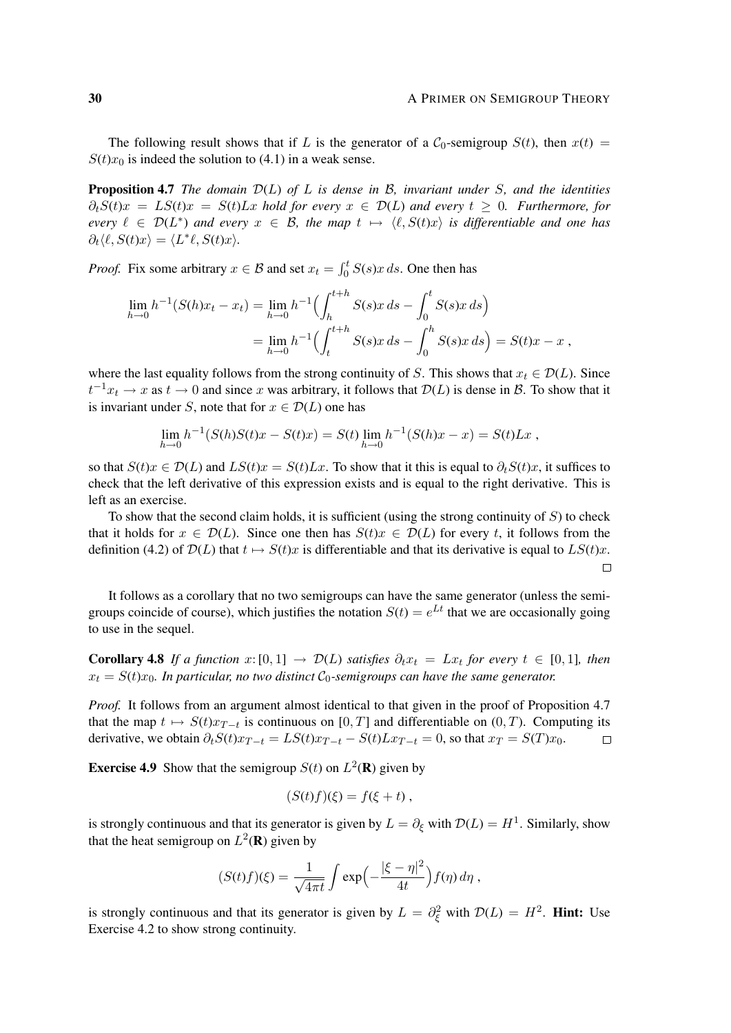The following result shows that if L is the generator of a  $C_0$ -semigroup  $S(t)$ , then  $x(t)$  =  $S(t)x_0$  is indeed the solution to (4.1) in a weak sense.

Proposition 4.7 *The domain* D(L) *of* L *is dense in* B*, invariant under* S*, and the identities*  $\partial_t S(t)x = L S(t)x = S(t)Lx$  *hold for every*  $x \in \mathcal{D}(L)$  *and every*  $t \geq 0$ *. Furthermore, for every*  $\ell \in \mathcal{D}(L^*)$  *and every*  $x \in \mathcal{B}$ , the map  $t \mapsto \langle \ell, S(t)x \rangle$  *is differentiable and one has*  $\partial_t \langle \ell, S(t)x \rangle = \langle L^* \ell, S(t)x \rangle.$ 

*Proof.* Fix some arbitrary  $x \in B$  and set  $x_t = \int_0^t S(s)x \, ds$ . One then has

$$
\lim_{h \to 0} h^{-1}(S(h)x_t - x_t) = \lim_{h \to 0} h^{-1} \Big( \int_h^{t+h} S(s)x \, ds - \int_0^t S(s)x \, ds \Big)
$$
  
= 
$$
\lim_{h \to 0} h^{-1} \Big( \int_t^{t+h} S(s)x \, ds - \int_0^h S(s)x \, ds \Big) = S(t)x - x,
$$

where the last equality follows from the strong continuity of S. This shows that  $x_t \in \mathcal{D}(L)$ . Since  $t^{-1}x_t \to x$  as  $t \to 0$  and since x was arbitrary, it follows that  $\mathcal{D}(L)$  is dense in  $\mathcal{B}$ . To show that it is invariant under S, note that for  $x \in \mathcal{D}(L)$  one has

$$
\lim_{h \to 0} h^{-1}(S(h)S(t)x - S(t)x) = S(t) \lim_{h \to 0} h^{-1}(S(h)x - x) = S(t)Lx,
$$

so that  $S(t)x \in \mathcal{D}(L)$  and  $LS(t)x = S(t)Lx$ . To show that it this is equal to  $\partial_t S(t)x$ , it suffices to check that the left derivative of this expression exists and is equal to the right derivative. This is left as an exercise.

To show that the second claim holds, it is sufficient (using the strong continuity of  $S$ ) to check that it holds for  $x \in \mathcal{D}(L)$ . Since one then has  $S(t)x \in \mathcal{D}(L)$  for every t, it follows from the definition (4.2) of  $\mathcal{D}(L)$  that  $t \mapsto S(t)x$  is differentiable and that its derivative is equal to  $LS(t)x$ .  $\Box$ 

It follows as a corollary that no two semigroups can have the same generator (unless the semigroups coincide of course), which justifies the notation  $S(t) = e^{Lt}$  that we are occasionally going to use in the sequel.

**Corollary 4.8** If a function  $x:[0,1] \to \mathcal{D}(L)$  satisfies  $\partial_t x_t = Lx_t$  for every  $t \in [0,1]$ , then  $x_t = S(t)x_0$ . In particular, no two distinct  $C_0$ -semigroups can have the same generator.

*Proof.* It follows from an argument almost identical to that given in the proof of Proposition 4.7 that the map  $t \mapsto S(t)x_{T-t}$  is continuous on [0, T] and differentiable on (0, T). Computing its derivative, we obtain  $\partial_t S(t)x_{T-t} = LS(t)x_{T-t} - S(t)Lx_{T-t} = 0$ , so that  $x_T = S(T)x_0$ .  $\Box$ 

**Exercise 4.9** Show that the semigroup  $S(t)$  on  $L^2(\mathbf{R})$  given by

$$
(S(t)f)(\xi) = f(\xi + t) ,
$$

is strongly continuous and that its generator is given by  $L = \partial_{\xi}$  with  $\mathcal{D}(L) = H^1$ . Similarly, show that the heat semigroup on  $L^2(\mathbf{R})$  given by

$$
(S(t)f)(\xi) = \frac{1}{\sqrt{4\pi t}} \int \exp\left(-\frac{|\xi - \eta|^2}{4t}\right) f(\eta) d\eta,
$$

is strongly continuous and that its generator is given by  $L = \partial_{\xi}^{2}$  with  $\mathcal{D}(L) = H^{2}$ . **Hint:** Use Exercise 4.2 to show strong continuity.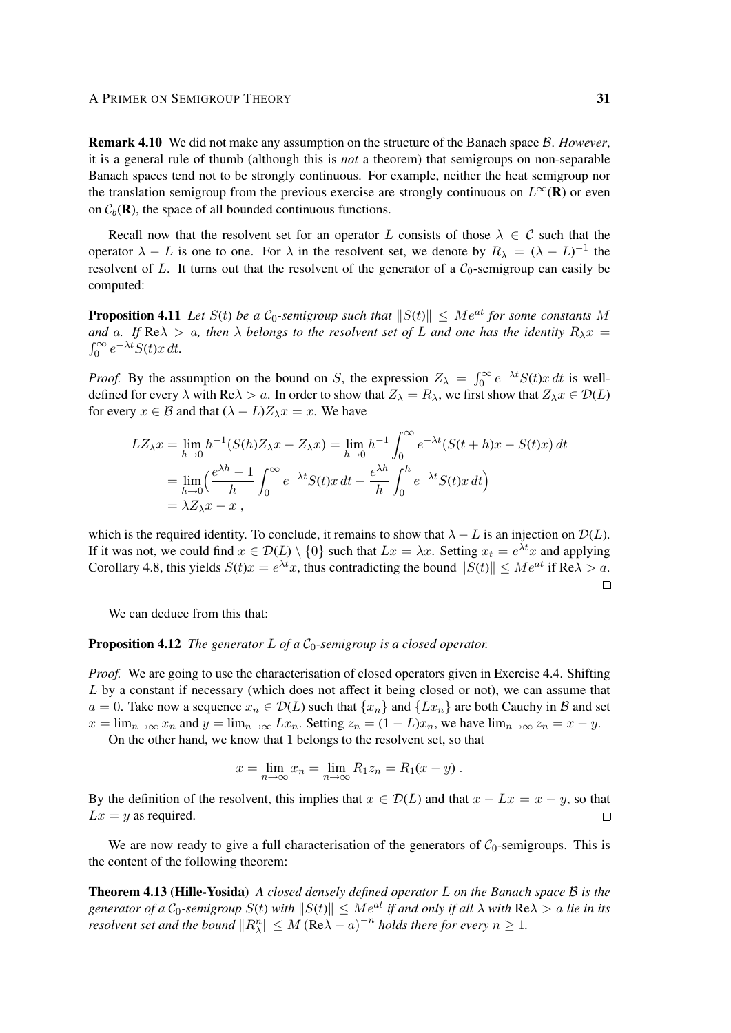#### A PRIMER ON SEMIGROUP THEORY 31

Remark 4.10 We did not make any assumption on the structure of the Banach space B. *However*, it is a general rule of thumb (although this is *not* a theorem) that semigroups on non-separable Banach spaces tend not to be strongly continuous. For example, neither the heat semigroup nor the translation semigroup from the previous exercise are strongly continuous on  $L^{\infty}(\mathbf{R})$  or even on  $C_b(\mathbf{R})$ , the space of all bounded continuous functions.

Recall now that the resolvent set for an operator L consists of those  $\lambda \in C$  such that the operator  $\lambda - L$  is one to one. For  $\lambda$  in the resolvent set, we denote by  $R_{\lambda} = (\lambda - L)^{-1}$  the resolvent of L. It turns out that the resolvent of the generator of a  $C_0$ -semigroup can easily be computed:

**Proposition 4.11** Let  $S(t)$  be a  $C_0$ -semigroup such that  $||S(t)|| \le Me^{at}$  *for some constants* M *and* a. If Re $\lambda > a$ , then  $\lambda$  belongs to the resolvent set of L and one has the identity  $R_{\lambda}x =$  $\int_0^\infty e^{-\lambda t} S(t) x dt$ .

*Proof.* By the assumption on the bound on S, the expression  $Z_{\lambda} = \int_0^{\infty} e^{-\lambda t} S(t) x dt$  is welldefined for every  $\lambda$  with Re $\lambda > a$ . In order to show that  $Z_{\lambda} = R_{\lambda}$ , we first show that  $Z_{\lambda} x \in \mathcal{D}(L)$ for every  $x \in B$  and that  $(\lambda - L)Z_{\lambda}x = x$ . We have

$$
LZ_{\lambda}x = \lim_{h \to 0} h^{-1}(S(h)Z_{\lambda}x - Z_{\lambda}x) = \lim_{h \to 0} h^{-1} \int_0^{\infty} e^{-\lambda t} (S(t+h)x - S(t)x) dt
$$
  
= 
$$
\lim_{h \to 0} \left( \frac{e^{\lambda h} - 1}{h} \int_0^{\infty} e^{-\lambda t} S(t)x dt - \frac{e^{\lambda h}}{h} \int_0^h e^{-\lambda t} S(t)x dt \right)
$$
  
= 
$$
\lambda Z_{\lambda}x - x,
$$

which is the required identity. To conclude, it remains to show that  $\lambda - L$  is an injection on  $\mathcal{D}(L)$ . If it was not, we could find  $x \in \mathcal{D}(L) \setminus \{0\}$  such that  $Lx = \lambda x$ . Setting  $x_t = e^{\lambda t}x$  and applying Corollary 4.8, this yields  $S(t)x = e^{\lambda t}x$ , thus contradicting the bound  $||S(t)|| \le Me^{at}$  if Re $\lambda > a$ .  $\Box$ 

We can deduce from this that:

# **Proposition 4.12** *The generator*  $L$  *of a*  $C_0$ -semigroup is a closed operator.

*Proof.* We are going to use the characterisation of closed operators given in Exercise 4.4. Shifting L by a constant if necessary (which does not affect it being closed or not), we can assume that  $a = 0$ . Take now a sequence  $x_n \in \mathcal{D}(L)$  such that  $\{x_n\}$  and  $\{Lx_n\}$  are both Cauchy in B and set  $x = \lim_{n \to \infty} x_n$  and  $y = \lim_{n \to \infty} Lx_n$ . Setting  $z_n = (1 - L)x_n$ , we have  $\lim_{n \to \infty} z_n = x - y$ .

On the other hand, we know that 1 belongs to the resolvent set, so that

$$
x = \lim_{n \to \infty} x_n = \lim_{n \to \infty} R_1 z_n = R_1 (x - y) .
$$

By the definition of the resolvent, this implies that  $x \in \mathcal{D}(L)$  and that  $x - Lx = x - y$ , so that  $Lx = y$  as required.  $\Box$ 

We are now ready to give a full characterisation of the generators of  $C_0$ -semigroups. This is the content of the following theorem:

Theorem 4.13 (Hille-Yosida) *A closed densely defined operator* L *on the Banach space* B *is the generator of a*  $C_0$ -semigroup  $S(t)$  with  $||S(t)|| \le Me^{at}$  *if and only if all*  $\lambda$  *with*  $Re \lambda > a$  *lie in its resolvent set and the bound*  $||R_{\lambda}^{n}|| \leq M (\text{Re}\lambda - a)^{-n}$  *holds there for every*  $n \geq 1$ *.*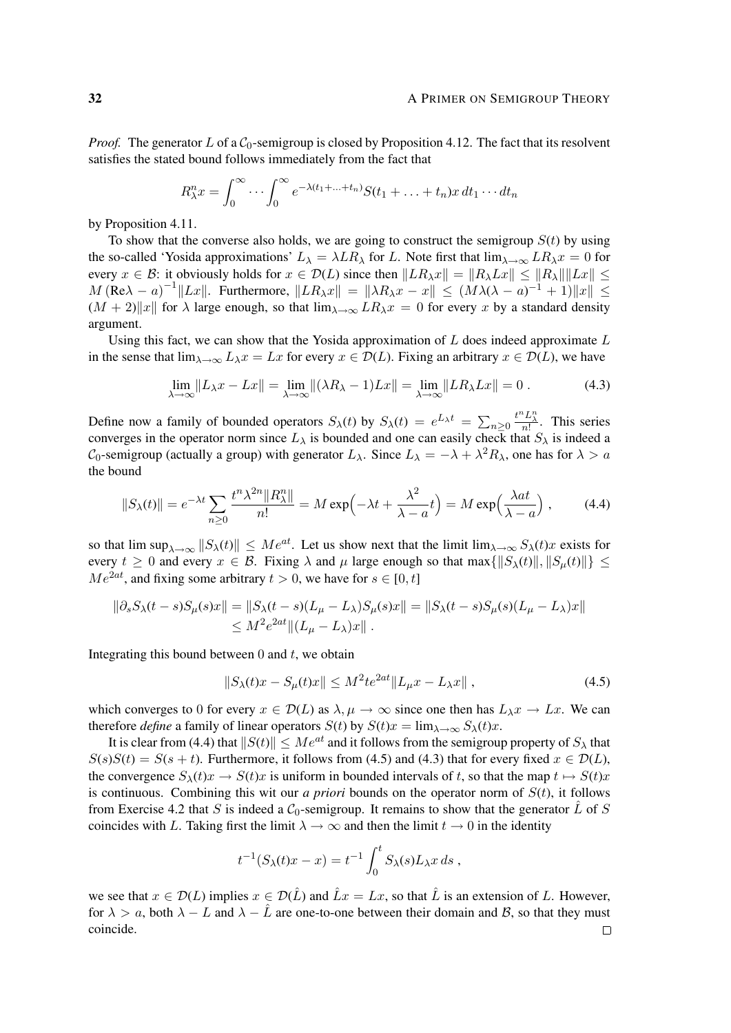*Proof.* The generator L of a  $C_0$ -semigroup is closed by Proposition 4.12. The fact that its resolvent satisfies the stated bound follows immediately from the fact that

$$
R_{\lambda}^{n}x = \int_{0}^{\infty} \cdots \int_{0}^{\infty} e^{-\lambda(t_{1} + \ldots + t_{n})} S(t_{1} + \ldots + t_{n})x dt_{1} \cdots dt_{n}
$$

by Proposition 4.11.

To show that the converse also holds, we are going to construct the semigroup  $S(t)$  by using the so-called 'Yosida approximations'  $L_{\lambda} = \lambda LR_{\lambda}$  for L. Note first that  $\lim_{\lambda \to \infty} LR_{\lambda} x = 0$  for every  $x \in \mathcal{B}$ : it obviously holds for  $x \in \mathcal{D}(L)$  since then  $||LR_\lambda x|| = ||R_\lambda Lx|| \le ||R_\lambda|| ||Lx|| \le$  $M(\text{Re}\lambda - a)^{-1}||Lx||$ . Furthermore,  $||LR_\lambda x|| = ||\lambda R_\lambda x - x|| \leq (M\lambda(\lambda - a)^{-1} + 1)||x|| \leq$  $(M + 2)$ |x| for  $\lambda$  large enough, so that  $\lim_{\lambda \to \infty} LR_{\lambda}x = 0$  for every x by a standard density argument.

Using this fact, we can show that the Yosida approximation of  $L$  does indeed approximate  $L$ in the sense that  $\lim_{\lambda\to\infty} L_\lambda x = Lx$  for every  $x \in \mathcal{D}(L)$ . Fixing an arbitrary  $x \in \mathcal{D}(L)$ , we have

$$
\lim_{\lambda \to \infty} ||L_{\lambda}x - Lx|| = \lim_{\lambda \to \infty} ||(\lambda R_{\lambda} - 1)Lx|| = \lim_{\lambda \to \infty} ||LR_{\lambda}Lx|| = 0.
$$
 (4.3)

Define now a family of bounded operators  $S_{\lambda}(t)$  by  $S_{\lambda}(t) = e^{L_{\lambda}t} = \sum_{n \geq 0}$  $\frac{t^n L_{\lambda}^n}{n!}$ . This series converges in the operator norm since  $L_{\lambda}$  is bounded and one can easily check that  $S_{\lambda}$  is indeed a  $C_0$ -semigroup (actually a group) with generator  $L_\lambda$ . Since  $L_\lambda = -\lambda + \lambda^2 R_\lambda$ , one has for  $\lambda > a$ the bound

$$
||S_{\lambda}(t)|| = e^{-\lambda t} \sum_{n\geq 0} \frac{t^n \lambda^{2n} ||R_{\lambda}^n||}{n!} = M \exp\left(-\lambda t + \frac{\lambda^2}{\lambda - a} t\right) = M \exp\left(\frac{\lambda a t}{\lambda - a}\right),\tag{4.4}
$$

so that  $\limsup_{\lambda\to\infty}||S_{\lambda}(t)|| \leq Me^{at}$ . Let us show next that the limit  $\lim_{\lambda\to\infty}S_{\lambda}(t)x$  exists for every  $t \geq 0$  and every  $x \in \mathcal{B}$ . Fixing  $\lambda$  and  $\mu$  large enough so that max $\{\|S_\lambda(t)\|, \|S_\mu(t)\|\} \leq$  $Me^{2at}$ , and fixing some arbitrary  $t > 0$ , we have for  $s \in [0, t]$ 

$$
\|\partial_s S_\lambda(t-s)S_\mu(s)x\| = \|S_\lambda(t-s)(L_\mu - L_\lambda)S_\mu(s)x\| = \|S_\lambda(t-s)S_\mu(s)(L_\mu - L_\lambda)x\| \le M^2 e^{2at} \|(L_\mu - L_\lambda)x\|.
$$

Integrating this bound between  $0$  and  $t$ , we obtain

$$
||S_{\lambda}(t)x - S_{\mu}(t)x|| \le M^2 t e^{2at} ||L_{\mu}x - L_{\lambda}x||,
$$
\n(4.5)

which converges to 0 for every  $x \in \mathcal{D}(L)$  as  $\lambda, \mu \to \infty$  since one then has  $L_{\lambda}x \to Lx$ . We can therefore *define* a family of linear operators  $S(t)$  by  $S(t)x = \lim_{\lambda \to \infty} S_{\lambda}(t)x$ .

It is clear from (4.4) that  $||S(t)|| \le Me^{at}$  and it follows from the semigroup property of  $S_\lambda$  that  $S(s)S(t) = S(s + t)$ . Furthermore, it follows from (4.5) and (4.3) that for every fixed  $x \in \mathcal{D}(L)$ , the convergence  $S_{\lambda}(t)x \rightarrow S(t)x$  is uniform in bounded intervals of t, so that the map  $t \mapsto S(t)x$ is continuous. Combining this wit our *a priori* bounds on the operator norm of  $S(t)$ , it follows from Exercise 4.2 that S is indeed a  $C_0$ -semigroup. It remains to show that the generator  $\tilde{L}$  of S coincides with L. Taking first the limit  $\lambda \to \infty$  and then the limit  $t \to 0$  in the identity

$$
t^{-1}(S_{\lambda}(t)x - x) = t^{-1} \int_0^t S_{\lambda}(s)L_{\lambda}x ds ,
$$

we see that  $x \in \mathcal{D}(L)$  implies  $x \in \mathcal{D}(L)$  and  $\hat{L}x = Lx$ , so that  $\hat{L}$  is an extension of L. However, for  $\lambda > a$ , both  $\lambda - L$  and  $\lambda - L$  are one-to-one between their domain and B, so that they must coincide. $\Box$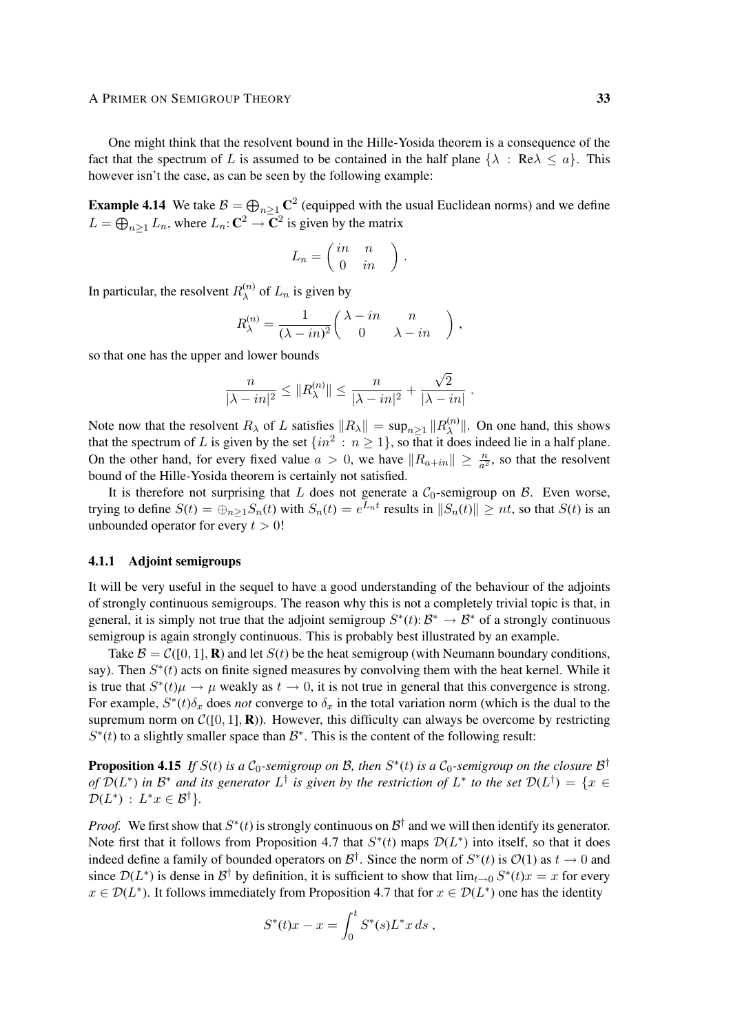#### A PRIMER ON SEMIGROUP THEORY 33

One might think that the resolvent bound in the Hille-Yosida theorem is a consequence of the fact that the spectrum of L is assumed to be contained in the half plane  $\{\lambda : \text{Re}\lambda \leq a\}$ . This however isn't the case, as can be seen by the following example:

**Example 4.14** We take  $B = \bigoplus_{n \geq 1} \mathbb{C}^2$  (equipped with the usual Euclidean norms) and we define  $L = \bigoplus_{n \geq 1} L_n$ , where  $L_n: \mathbb{C}^2 \to \mathbb{C}^2$  is given by the matrix

$$
L_n = \left(\begin{array}{cc} in & n \\ 0 & in \end{array}\right).
$$

In particular, the resolvent  $R_{\lambda}^{(n)}$  $\chi^{(n)}$  of  $L_n$  is given by

$$
R_{\lambda}^{(n)} = \frac{1}{(\lambda - in)^2} \begin{pmatrix} \lambda - in & n \\ 0 & \lambda - in \end{pmatrix},
$$

so that one has the upper and lower bounds

$$
\frac{n}{|\lambda - in|^2} \le ||R_\lambda^{(n)}|| \le \frac{n}{|\lambda - in|^2} + \frac{\sqrt{2}}{|\lambda - in|}
$$

.

Note now that the resolvent  $R_{\lambda}$  of L satisfies  $||R_{\lambda}|| = \sup_{n \geq 1} ||R_{\lambda}^{(n)}||$  $\|\mathbf{x}_{\lambda}^{(n)}\|$ . On one hand, this shows that the spectrum of L is given by the set  $\{in^2 : n \geq 1\}$ , so that it does indeed lie in a half plane. On the other hand, for every fixed value  $a > 0$ , we have  $||R_{a+in}|| \ge \frac{n}{a^2}$ , so that the resolvent bound of the Hille-Yosida theorem is certainly not satisfied.

It is therefore not surprising that  $L$  does not generate a  $C_0$ -semigroup on  $B$ . Even worse, trying to define  $S(t) = \bigoplus_{n \geq 1} S_n(t)$  with  $S_n(t) = e^{L_n t}$  results in  $||S_n(t)|| \geq nt$ , so that  $S(t)$  is an unbounded operator for every  $t > 0!$ 

# 4.1.1 Adjoint semigroups

It will be very useful in the sequel to have a good understanding of the behaviour of the adjoints of strongly continuous semigroups. The reason why this is not a completely trivial topic is that, in general, it is simply not true that the adjoint semigroup  $S^*(t): \mathcal{B}^* \to \mathcal{B}^*$  of a strongly continuous semigroup is again strongly continuous. This is probably best illustrated by an example.

Take  $\mathcal{B} = \mathcal{C}([0, 1], \mathbf{R})$  and let  $S(t)$  be the heat semigroup (with Neumann boundary conditions, say). Then  $S^*(t)$  acts on finite signed measures by convolving them with the heat kernel. While it is true that  $S^*(t)\mu \to \mu$  weakly as  $t \to 0$ , it is not true in general that this convergence is strong. For example,  $S^*(t)\delta_x$  does *not* converge to  $\delta_x$  in the total variation norm (which is the dual to the supremum norm on  $\mathcal{C}([0, 1], \mathbf{R})$ ). However, this difficulty can always be overcome by restricting  $S^*(t)$  to a slightly smaller space than  $\mathcal{B}^*$ . This is the content of the following result:

**Proposition 4.15** If  $S(t)$  is a  $C_0$ -semigroup on B, then  $S^*(t)$  is a  $C_0$ -semigroup on the closure  $\mathcal{B}^{\dagger}$ *of*  $\mathcal{D}(L^*)$  in  $\mathcal{B}^*$  and its generator  $L^{\dagger}$  is given by the restriction of  $L^*$  to the set  $\mathcal{D}(L^{\dagger}) = \{x \in L^* | \: t \in L^* \}$  $\mathcal{D}(L^*)$  :  $L^*x \in \mathcal{B}^{\dagger}$ .

*Proof.* We first show that  $S^*(t)$  is strongly continuous on  $\mathcal{B}^{\dagger}$  and we will then identify its generator. Note first that it follows from Proposition 4.7 that  $S^*(t)$  maps  $\mathcal{D}(L^*)$  into itself, so that it does indeed define a family of bounded operators on  $\mathcal{B}^{\dagger}$ . Since the norm of  $S^*(t)$  is  $\mathcal{O}(1)$  as  $t \to 0$  and since  $\mathcal{D}(L^*)$  is dense in  $\mathcal{B}^{\dagger}$  by definition, it is sufficient to show that  $\lim_{t\to 0} S^*(t)x = x$  for every  $x \in \mathcal{D}(L^*)$ . It follows immediately from Proposition 4.7 that for  $x \in \mathcal{D}(L^*)$  one has the identity

$$
S^*(t)x - x = \int_0^t S^*(s)L^*x ds,
$$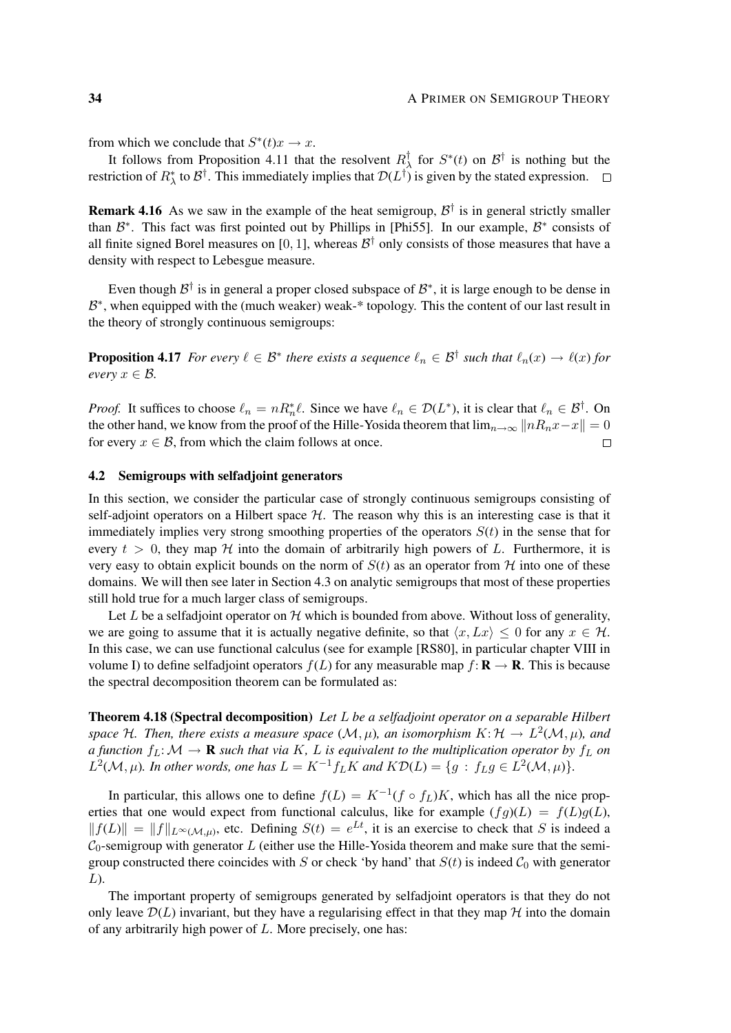from which we conclude that  $S^*(t)x \to x$ .

It follows from Proposition 4.11 that the resolvent  $R_2^{\dagger}$  $\frac{1}{\lambda}$  for  $S^*(t)$  on  $\mathcal{B}^{\dagger}$  is nothing but the restriction of  $R^*_{\lambda}$  to  $\mathcal{B}^{\dagger}$ . This immediately implies that  $\mathcal{D}(L^{\dagger})$  is given by the stated expression.

**Remark 4.16** As we saw in the example of the heat semigroup,  $\mathcal{B}^{\dagger}$  is in general strictly smaller than  $\mathcal{B}^*$ . This fact was first pointed out by Phillips in [Phi55]. In our example,  $\mathcal{B}^*$  consists of all finite signed Borel measures on [0, 1], whereas  $\mathcal{B}^{\dagger}$  only consists of those measures that have a density with respect to Lebesgue measure.

Even though  $\mathcal{B}^{\dagger}$  is in general a proper closed subspace of  $\mathcal{B}^*$ , it is large enough to be dense in B<sup>\*</sup>, when equipped with the (much weaker) weak-<sup>\*</sup> topology. This the content of our last result in the theory of strongly continuous semigroups:

**Proposition 4.17** For every  $\ell \in \mathcal{B}^*$  there exists a sequence  $\ell_n \in \mathcal{B}^{\dagger}$  such that  $\ell_n(x) \to \ell(x)$  for *every*  $x \in \mathcal{B}$ *.* 

*Proof.* It suffices to choose  $\ell_n = nR_n^* \ell$ . Since we have  $\ell_n \in \mathcal{D}(L^*)$ , it is clear that  $\ell_n \in \mathcal{B}^{\dagger}$ . On the other hand, we know from the proof of the Hille-Yosida theorem that  $\lim_{n\to\infty}||nR_nx-x|| = 0$ for every  $x \in \mathcal{B}$ , from which the claim follows at once.  $\Box$ 

# 4.2 Semigroups with selfadjoint generators

In this section, we consider the particular case of strongly continuous semigroups consisting of self-adjoint operators on a Hilbert space  $H$ . The reason why this is an interesting case is that it immediately implies very strong smoothing properties of the operators  $S(t)$  in the sense that for every  $t > 0$ , they map  $H$  into the domain of arbitrarily high powers of L. Furthermore, it is very easy to obtain explicit bounds on the norm of  $S(t)$  as an operator from  $H$  into one of these domains. We will then see later in Section 4.3 on analytic semigroups that most of these properties still hold true for a much larger class of semigroups.

Let L be a selfadjoint operator on  $H$  which is bounded from above. Without loss of generality, we are going to assume that it is actually negative definite, so that  $\langle x, Lx \rangle \leq 0$  for any  $x \in \mathcal{H}$ . In this case, we can use functional calculus (see for example [RS80], in particular chapter VIII in volume I) to define selfadioint operators  $f(L)$  for any measurable map  $f: \mathbf{R} \to \mathbf{R}$ . This is because the spectral decomposition theorem can be formulated as:

Theorem 4.18 (Spectral decomposition) *Let* L *be a selfadjoint operator on a separable Hilbert* space H. Then, there exists a measure space  $(\mathcal{M}, \mu)$ , an isomorphism  $K: \mathcal{H} \to L^2(\mathcal{M}, \mu)$ , and *a function*  $f_L: M \to \mathbf{R}$  *such that via* K, L *is equivalent to the multiplication operator by*  $f_L$  *on*  $L^2(\mathcal{M}, \mu)$ *. In other words, one has*  $L = K^{-1} f_L K$  *and*  $K \mathcal{D}(L) = \{g : f_L g \in L^2(\mathcal{M}, \mu)\}.$ 

In particular, this allows one to define  $f(L) = K^{-1}(f \circ f_L)K$ , which has all the nice properties that one would expect from functional calculus, like for example  $(fg)(L) = f(L)g(L)$ ,  $||f(L)|| = ||f||_{L^{\infty}(\mathcal{M},\mu)}$ , etc. Defining  $S(t) = e^{Lt}$ , it is an exercise to check that S is indeed a  $C_0$ -semigroup with generator L (either use the Hille-Yosida theorem and make sure that the semigroup constructed there coincides with S or check 'by hand' that  $S(t)$  is indeed  $C_0$  with generator  $L$ ).

The important property of semigroups generated by selfadjoint operators is that they do not only leave  $\mathcal{D}(L)$  invariant, but they have a regularising effect in that they map  $\mathcal{H}$  into the domain of any arbitrarily high power of  $L$ . More precisely, one has: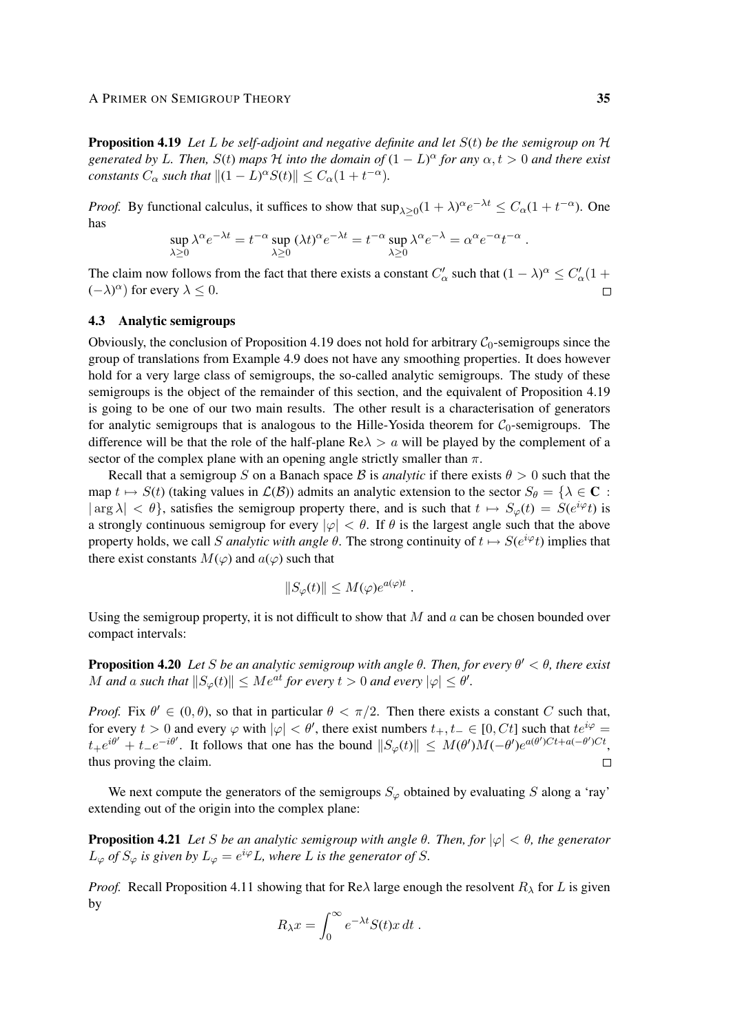#### A PRIMER ON SEMIGROUP THEORY 35

Proposition 4.19 *Let* L *be self-adjoint and negative definite and let* S(t) *be the semigroup on* H *generated by L. Then,*  $S(t)$  *maps*  $H$  *into the domain of*  $(1 - L)^{\alpha}$  *for any*  $\alpha, t > 0$  *and there exist constants*  $C_{\alpha}$  *such that*  $||(1 - L)^{\alpha} S(t)|| \leq C_{\alpha} (1 + t^{-\alpha})$ *.* 

*Proof.* By functional calculus, it suffices to show that  $\sup_{\lambda \geq 0} (1 + \lambda)^{\alpha} e^{-\lambda t} \leq C_{\alpha} (1 + t^{-\alpha})$ . One has

$$
\sup_{\lambda \geq 0} \lambda^{\alpha} e^{-\lambda t} = t^{-\alpha} \sup_{\lambda \geq 0} (\lambda t)^{\alpha} e^{-\lambda t} = t^{-\alpha} \sup_{\lambda \geq 0} \lambda^{\alpha} e^{-\lambda} = \alpha^{\alpha} e^{-\alpha} t^{-\alpha}.
$$

The claim now follows from the fact that there exists a constant  $C'_\alpha$  such that  $(1 - \lambda)^\alpha \le C'_\alpha(1 +$  $(-λ)^\alpha$ ) for every  $λ ≤ 0$ .

# 4.3 Analytic semigroups

Obviously, the conclusion of Proposition 4.19 does not hold for arbitrary  $C_0$ -semigroups since the group of translations from Example 4.9 does not have any smoothing properties. It does however hold for a very large class of semigroups, the so-called analytic semigroups. The study of these semigroups is the object of the remainder of this section, and the equivalent of Proposition 4.19 is going to be one of our two main results. The other result is a characterisation of generators for analytic semigroups that is analogous to the Hille-Yosida theorem for  $C_0$ -semigroups. The difference will be that the role of the half-plane  $\text{Re}\lambda > a$  will be played by the complement of a sector of the complex plane with an opening angle strictly smaller than  $\pi$ .

Recall that a semigroup S on a Banach space B is *analytic* if there exists  $\theta > 0$  such that the map  $t \mapsto S(t)$  (taking values in  $\mathcal{L}(\mathcal{B})$ ) admits an analytic extension to the sector  $S_{\theta} = {\lambda \in \mathbb{C} : \mathbb{R}^d}$  $|\arg \lambda| < \theta$ , satisfies the semigroup property there, and is such that  $t \mapsto S_{\varphi}(t) = S(e^{i\varphi}t)$  is a strongly continuous semigroup for every  $|\varphi| < \theta$ . If  $\theta$  is the largest angle such that the above property holds, we call S *analytic with angle*  $\theta$ . The strong continuity of  $t \mapsto S(e^{i\varphi}t)$  implies that there exist constants  $M(\varphi)$  and  $a(\varphi)$  such that

$$
||S_{\varphi}(t)|| \le M(\varphi)e^{a(\varphi)t} .
$$

Using the semigroup property, it is not difficult to show that  $M$  and  $a$  can be chosen bounded over compact intervals:

Proposition 4.20 *Let* S *be an analytic semigroup with angle* θ*. Then, for every* θ <sup>0</sup> < θ*, there exist M* and a such that  $||S_{\varphi}(t)|| \le Me^{at}$  for every  $t > 0$  and every  $|\varphi| \le \theta'$ .

*Proof.* Fix  $\theta' \in (0, \theta)$ , so that in particular  $\theta < \pi/2$ . Then there exists a constant C such that, for every  $t > 0$  and every  $\varphi$  with  $|\varphi| < \theta'$ , there exist numbers  $t_+, t_- \in [0, Ct]$  such that  $te^{i\varphi} =$  $t_+e^{i\theta'} + t_-e^{-i\theta'}$ . It follows that one has the bound  $||S_\varphi(t)|| \leq M(\theta')M(-\theta')e^{a(\theta')Ct + a(-\theta')Ct}$ , thus proving the claim. П

We next compute the generators of the semigroups  $S_{\varphi}$  obtained by evaluating S along a 'ray' extending out of the origin into the complex plane:

**Proposition 4.21** *Let* S *be an analytic semigroup with angle*  $\theta$ *. Then, for*  $|\varphi| < \theta$ *, the generator*  $L_{\varphi}$  *of*  $S_{\varphi}$  *is given by*  $L_{\varphi} = e^{i\varphi}L$ *, where L is the generator of S.* 

*Proof.* Recall Proposition 4.11 showing that for Re $\lambda$  large enough the resolvent  $R_{\lambda}$  for L is given by

$$
R_{\lambda}x = \int_0^{\infty} e^{-\lambda t} S(t)x dt.
$$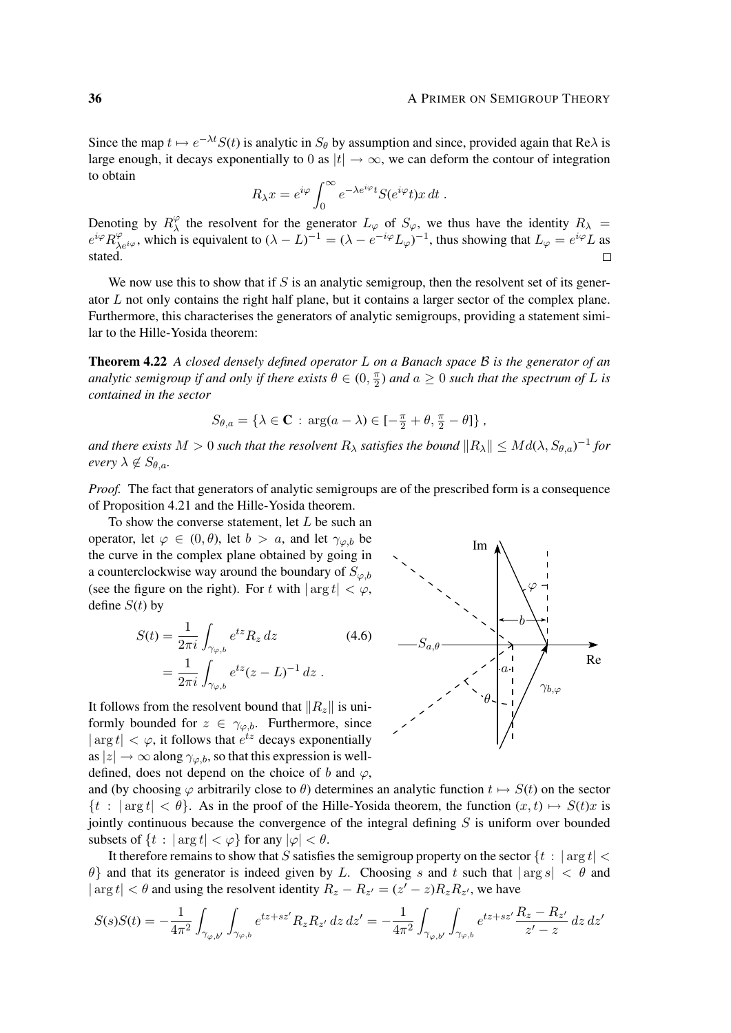Since the map  $t \mapsto e^{-\lambda t}S(t)$  is analytic in  $S_\theta$  by assumption and since, provided again that Re $\lambda$  is large enough, it decays exponentially to 0 as  $|t| \to \infty$ , we can deform the contour of integration to obtain

$$
R_{\lambda}x = e^{i\varphi} \int_0^{\infty} e^{-\lambda e^{i\varphi}t} S(e^{i\varphi}t)x dt.
$$

Denoting by  $R_{\lambda}^{\varphi}$  $\chi^{\varphi}$  the resolvent for the generator  $L_{\varphi}$  of  $S_{\varphi}$ , we thus have the identity  $R_{\lambda} =$  $e^{i\varphi}R_{\lambda e^{i\varphi}}^{\varphi}$ , which is equivalent to  $(\lambda - L)^{-1} = (\lambda - e^{-i\varphi}L_{\varphi})^{-1}$ , thus showing that  $L_{\varphi} = e^{i\varphi}L$  as stated.  $\Box$ 

We now use this to show that if  $S$  is an analytic semigroup, then the resolvent set of its generator L not only contains the right half plane, but it contains a larger sector of the complex plane. Furthermore, this characterises the generators of analytic semigroups, providing a statement similar to the Hille-Yosida theorem:

Theorem 4.22 *A closed densely defined operator* L *on a Banach space* B *is the generator of an analytic semigroup if and only if there exists*  $\theta \in (0, \frac{\pi}{2})$  $\frac{\pi}{2}$ ) and  $a \geq 0$  such that the spectrum of  $L$  is *contained in the sector*

$$
S_{\theta,a} = \{ \lambda \in \mathbf{C} : \arg(a - \lambda) \in [-\frac{\pi}{2} + \theta, \frac{\pi}{2} - \theta] \},
$$

and there exists  $M > 0$  such that the resolvent  $R_\lambda$  satisfies the bound  $\|R_\lambda\| \leq Md(\lambda, S_{\theta,a})^{-1}$  for *every*  $\lambda \notin S_{\theta,a}$ *.* 

*Proof.* The fact that generators of analytic semigroups are of the prescribed form is a consequence of Proposition 4.21 and the Hille-Yosida theorem.

To show the converse statement, let  $L$  be such an operator, let  $\varphi \in (0, \theta)$ , let  $b > a$ , and let  $\gamma_{\varphi, b}$  be the curve in the complex plane obtained by going in a counterclockwise way around the boundary of  $S_{\varphi,b}$ (see the figure on the right). For t with  $|\arg t| < \varphi$ , define  $S(t)$  by

$$
S(t) = \frac{1}{2\pi i} \int_{\gamma_{\varphi,b}} e^{tz} R_z dz
$$
\n
$$
= \frac{1}{2\pi i} \int_{\gamma_{\varphi,b}} e^{tz} (z - L)^{-1} dz .
$$
\n(4.6)

It follows from the resolvent bound that  $||R_z||$  is uniformly bounded for  $z \in \gamma_{\varphi,b}$ . Furthermore, since  $|\arg t| < \varphi$ , it follows that  $e^{tz}$  decays exponentially as  $|z| \to \infty$  along  $\gamma_{\varphi,b}$ , so that this expression is welldefined, does not depend on the choice of b and  $\varphi$ ,



and (by choosing  $\varphi$  arbitrarily close to  $\theta$ ) determines an analytic function  $t \mapsto S(t)$  on the sector  $\{t : |arg t| < \theta\}$ . As in the proof of the Hille-Yosida theorem, the function  $(x, t) \mapsto S(t)x$  is jointly continuous because the convergence of the integral defining  $S$  is uniform over bounded subsets of  $\{t : |\arg t| < \varphi\}$  for any  $|\varphi| < \theta$ .

It therefore remains to show that S satisfies the semigroup property on the sector  $\{t : |arg t| < \theta\}$  $\theta$  and that its generator is indeed given by L. Choosing s and t such that  $|\arg s| < \theta$  and  $|\arg t| < \theta$  and using the resolvent identity  $R_z - R_{z'} = (z' - z)R_zR_{z'}$ , we have

$$
S(s)S(t) = -\frac{1}{4\pi^2} \int_{\gamma_{\varphi,b'}} \int_{\gamma_{\varphi,b}} e^{tz + sz'} R_z R_{z'} dz dz' = -\frac{1}{4\pi^2} \int_{\gamma_{\varphi,b'}} \int_{\gamma_{\varphi,b}} e^{tz + sz'} \frac{R_z - R_{z'}}{z' - z} dz dz'
$$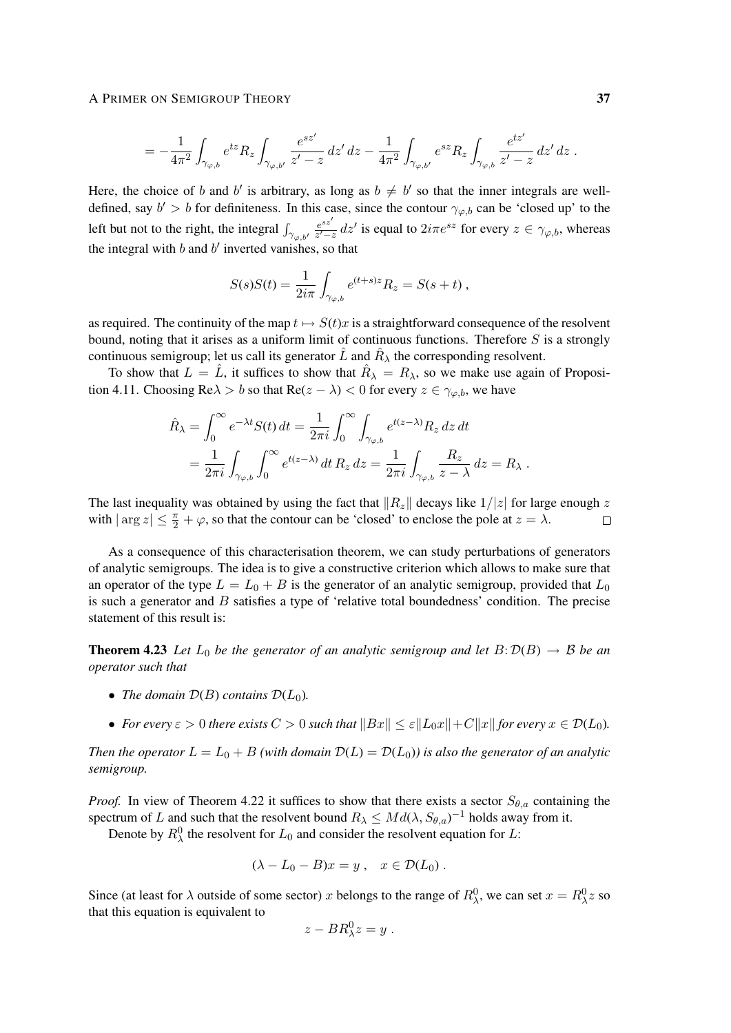### A PRIMER ON SEMIGROUP THEORY 37

$$
= - \frac{1}{4\pi^2} \int_{\gamma_{\varphi,b}} e^{tz} R_z \int_{\gamma_{\varphi,b'}} \frac{e^{sz'}}{z'-z} \, dz' \, dz - \frac{1}{4\pi^2} \int_{\gamma_{\varphi,b'}} e^{sz} R_z \int_{\gamma_{\varphi,b}} \frac{e^{tz'}}{z'-z} \, dz' \, dz \; .
$$

Here, the choice of b and b' is arbitrary, as long as  $b \neq b'$  so that the inner integrals are welldefined, say  $b' > b$  for definiteness. In this case, since the contour  $\gamma_{\varphi,b}$  can be 'closed up' to the left but not to the right, the integral  $\int_{\gamma_{\varphi,b'}} \frac{e^{sz'}}{z'-s}$  $\frac{e^{sz}}{z'-z}$  dz' is equal to  $2i\pi e^{sz}$  for every  $z \in \gamma_{\varphi,b}$ , whereas the integral with  $b$  and  $b'$  inverted vanishes, so that

$$
S(s)S(t) = \frac{1}{2i\pi} \int_{\gamma_{\varphi,b}} e^{(t+s)z} R_z = S(s+t) ,
$$

as required. The continuity of the map  $t \mapsto S(t)x$  is a straightforward consequence of the resolvent bound, noting that it arises as a uniform limit of continuous functions. Therefore  $S$  is a strongly continuous semigroup; let us call its generator  $\hat{L}$  and  $\hat{R}_{\lambda}$  the corresponding resolvent.

To show that  $L = \hat{L}$ , it suffices to show that  $\hat{R}_{\lambda} = R_{\lambda}$ , so we make use again of Proposition 4.11. Choosing Re $\lambda > b$  so that Re( $z - \lambda$ ) < 0 for every  $z \in \gamma_{\varphi,b}$ , we have

$$
\hat{R}_{\lambda} = \int_0^{\infty} e^{-\lambda t} S(t) dt = \frac{1}{2\pi i} \int_0^{\infty} \int_{\gamma_{\varphi, b}} e^{t(z-\lambda)} R_z dz dt
$$
  
= 
$$
\frac{1}{2\pi i} \int_{\gamma_{\varphi, b}} \int_0^{\infty} e^{t(z-\lambda)} dt R_z dz = \frac{1}{2\pi i} \int_{\gamma_{\varphi, b}} \frac{R_z}{z-\lambda} dz = R_{\lambda}.
$$

The last inequality was obtained by using the fact that  $||R_z||$  decays like  $1/|z|$  for large enough z with  $|\arg z| \leq \frac{\pi}{2} + \varphi$ , so that the contour can be 'closed' to enclose the pole at  $z = \lambda$ .  $\Box$ 

As a consequence of this characterisation theorem, we can study perturbations of generators of analytic semigroups. The idea is to give a constructive criterion which allows to make sure that an operator of the type  $L = L_0 + B$  is the generator of an analytic semigroup, provided that  $L_0$ is such a generator and B satisfies a type of 'relative total boundedness' condition. The precise statement of this result is:

**Theorem 4.23** Let  $L_0$  be the generator of an analytic semigroup and let  $B: \mathcal{D}(B) \to \mathcal{B}$  be an *operator such that*

- *The domain*  $D(B)$  *contains*  $D(L_0)$ *.*
- *For every*  $\varepsilon > 0$  *there exists*  $C > 0$  *such that*  $||Bx|| \leq \varepsilon ||L_0x|| + C||x||$  *for every*  $x \in \mathcal{D}(L_0)$ *.*

*Then the operator*  $L = L_0 + B$  *(with domain*  $D(L) = D(L_0)$ *) is also the generator of an analytic semigroup.*

*Proof.* In view of Theorem 4.22 it suffices to show that there exists a sector  $S_{\theta,a}$  containing the spectrum of L and such that the resolvent bound  $R_{\lambda} \leq Md(\lambda, S_{\theta, a})^{-1}$  holds away from it.

Denote by  $R^0_\lambda$  the resolvent for  $L_0$  and consider the resolvent equation for L:

$$
(\lambda - L_0 - B)x = y , \quad x \in \mathcal{D}(L_0) .
$$

Since (at least for  $\lambda$  outside of some sector) x belongs to the range of  $R_\lambda^0$ , we can set  $x = R_\lambda^0 z$  so that this equation is equivalent to

$$
z - BR_{\lambda}^0 z = y.
$$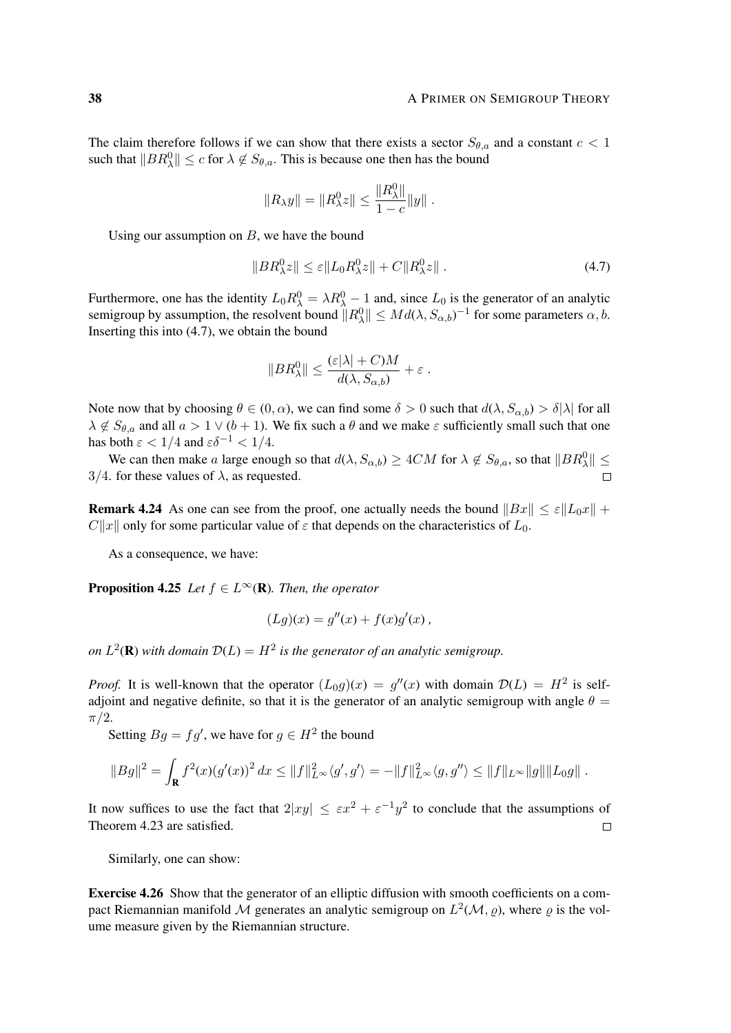The claim therefore follows if we can show that there exists a sector  $S_{\theta,a}$  and a constant  $c < 1$ such that  $||BR_{\lambda}^{0}|| \leq c$  for  $\lambda \notin S_{\theta,a}$ . This is because one then has the bound

$$
||R_{\lambda}y|| = ||R_{\lambda}^{0}z|| \le \frac{||R_{\lambda}^{0}||}{1-c}||y||.
$$

Using our assumption on  $B$ , we have the bound

$$
||BR_{\lambda}^{0}z|| \leq \varepsilon ||L_0R_{\lambda}^{0}z|| + C||R_{\lambda}^{0}z||. \tag{4.7}
$$

Furthermore, one has the identity  $L_0 R_\lambda^0 = \lambda R_\lambda^0 - 1$  and, since  $L_0$  is the generator of an analytic semigroup by assumption, the resolvent bound  $||R_\lambda^0|| \leq Md(\lambda, S_{\alpha,b})^{-1}$  for some parameters  $\alpha, b$ . Inserting this into (4.7), we obtain the bound

$$
||BR_{\lambda}^{0}|| \leq \frac{(\varepsilon |\lambda| + C)M}{d(\lambda, S_{\alpha,b})} + \varepsilon.
$$

Note now that by choosing  $\theta \in (0, \alpha)$ , we can find some  $\delta > 0$  such that  $d(\lambda, S_{\alpha, b}) > \delta |\lambda|$  for all  $\lambda \notin S_{\theta,a}$  and all  $a > 1 \vee (b+1)$ . We fix such a  $\theta$  and we make  $\varepsilon$  sufficiently small such that one has both  $\varepsilon < 1/4$  and  $\varepsilon \delta^{-1} < 1/4$ .

We can then make a large enough so that  $d(\lambda, S_{\alpha,b}) \geq 4CM$  for  $\lambda \notin S_{\theta,a}$ , so that  $||BR_{\lambda}^0|| \leq$  $3/4$ . for these values of  $\lambda$ , as requested.  $\Box$ 

**Remark 4.24** As one can see from the proof, one actually needs the bound  $||Bx|| \le \varepsilon ||L_0x|| +$  $C||x||$  only for some particular value of  $\varepsilon$  that depends on the characteristics of  $L_0$ .

As a consequence, we have:

**Proposition 4.25** *Let*  $f \in L^{\infty}(\mathbb{R})$ *. Then, the operator* 

$$
(Lg)(x) = g''(x) + f(x)g'(x),
$$

*on*  $L^2(\mathbf{R})$  with domain  $\mathcal{D}(L) = H^2$  is the generator of an analytic semigroup.

*Proof.* It is well-known that the operator  $(L_0g)(x) = g''(x)$  with domain  $\mathcal{D}(L) = H^2$  is selfadjoint and negative definite, so that it is the generator of an analytic semigroup with angle  $\theta =$  $\pi/2$ .

Setting  $Bg = fg'$ , we have for  $g \in H^2$  the bound

$$
||Bg||^2 = \int_{\mathbf{R}} f^2(x) (g'(x))^2 dx \le ||f||_{L^{\infty}}^2 \langle g', g' \rangle = -||f||_{L^{\infty}}^2 \langle g, g'' \rangle \le ||f||_{L^{\infty}} ||g|| ||L_0 g||.
$$

It now suffices to use the fact that  $2|xy| \leq \varepsilon x^2 + \varepsilon^{-1} y^2$  to conclude that the assumptions of Theorem 4.23 are satisfied.  $\Box$ 

Similarly, one can show:

Exercise 4.26 Show that the generator of an elliptic diffusion with smooth coefficients on a compact Riemannian manifold M generates an analytic semigroup on  $L^2(\mathcal{M}, \varrho)$ , where  $\varrho$  is the volume measure given by the Riemannian structure.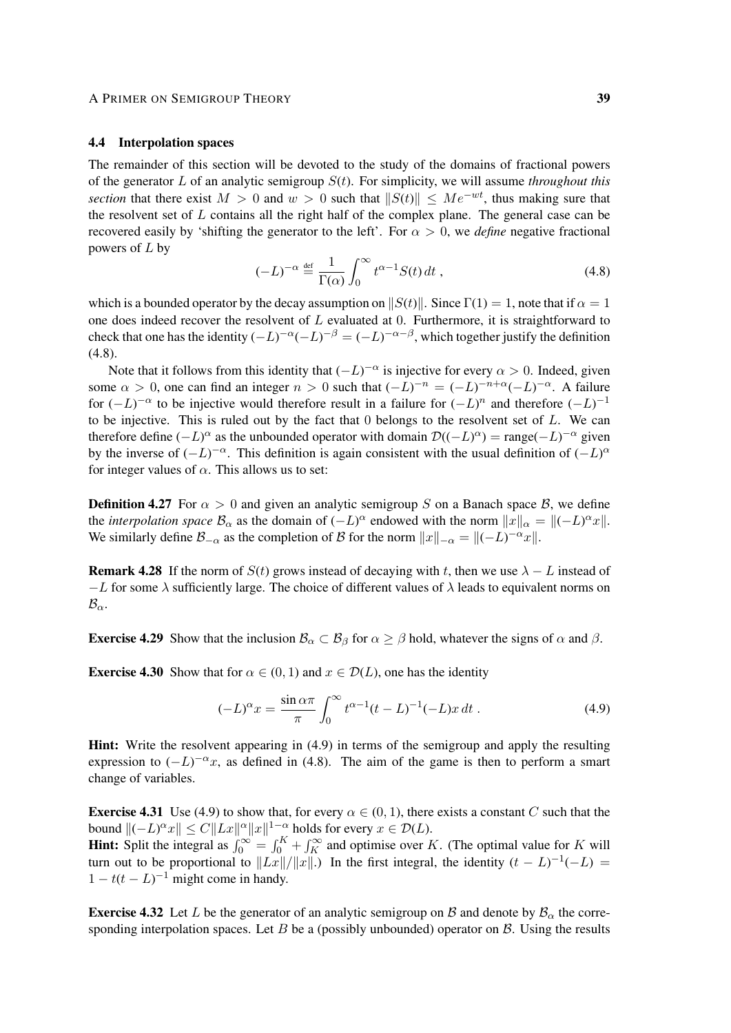### A PRIMER ON SEMIGROUP THEORY 39

## 4.4 Interpolation spaces

The remainder of this section will be devoted to the study of the domains of fractional powers of the generator L of an analytic semigroup  $S(t)$ . For simplicity, we will assume *throughout this section* that there exist  $M > 0$  and  $w > 0$  such that  $||S(t)|| \le Me^{-wt}$ , thus making sure that the resolvent set of L contains all the right half of the complex plane. The general case can be recovered easily by 'shifting the generator to the left'. For  $\alpha > 0$ , we *define* negative fractional powers of  $L$  by

$$
(-L)^{-\alpha} \stackrel{\text{def}}{=} \frac{1}{\Gamma(\alpha)} \int_0^\infty t^{\alpha-1} S(t) dt , \qquad (4.8)
$$

which is a bounded operator by the decay assumption on  $||S(t)||$ . Since  $\Gamma(1) = 1$ , note that if  $\alpha = 1$ one does indeed recover the resolvent of  $L$  evaluated at 0. Furthermore, it is straightforward to check that one has the identity  $(-L)^{-\alpha}(-L)^{-\beta} = (-L)^{-\alpha-\beta}$ , which together justify the definition (4.8).

Note that it follows from this identity that  $(-L)^{-\alpha}$  is injective for every  $\alpha > 0$ . Indeed, given some  $\alpha > 0$ , one can find an integer  $n > 0$  such that  $(-L)^{-n} = (-L)^{-n+\alpha}(-L)^{-\alpha}$ . A failure for  $(-L)^{-\alpha}$  to be injective would therefore result in a failure for  $(-L)^n$  and therefore  $(-L)^{-1}$ to be injective. This is ruled out by the fact that  $0$  belongs to the resolvent set of  $L$ . We can therefore define  $(-L)^\alpha$  as the unbounded operator with domain  $\mathcal{D}((-L)^\alpha) = \text{range}(-L)^{-\alpha}$  given by the inverse of  $(-L)^{-\alpha}$ . This definition is again consistent with the usual definition of  $(-L)^{\alpha}$ for integer values of  $\alpha$ . This allows us to set:

**Definition 4.27** For  $\alpha > 0$  and given an analytic semigroup S on a Banach space B, we define the *interpolation space*  $B_{\alpha}$  as the domain of  $(-L)^{\alpha}$  endowed with the norm  $||x||_{\alpha} = ||(-L)^{\alpha}x||$ . We similarly define  $\mathcal{B}_{-\alpha}$  as the completion of B for the norm  $||x||_{-\alpha} = ||(-L)^{-\alpha}x||$ .

**Remark 4.28** If the norm of  $S(t)$  grows instead of decaying with t, then we use  $\lambda - L$  instead of  $-L$  for some  $\lambda$  sufficiently large. The choice of different values of  $\lambda$  leads to equivalent norms on  $\mathcal{B}_{\alpha}$ .

**Exercise 4.29** Show that the inclusion  $\mathcal{B}_{\alpha} \subset \mathcal{B}_{\beta}$  for  $\alpha \geq \beta$  hold, whatever the signs of  $\alpha$  and  $\beta$ .

**Exercise 4.30** Show that for  $\alpha \in (0, 1)$  and  $x \in \mathcal{D}(L)$ , one has the identity

$$
(-L)^{\alpha}x = \frac{\sin \alpha \pi}{\pi} \int_0^{\infty} t^{\alpha - 1} (t - L)^{-1} (-L) x \, dt \,. \tag{4.9}
$$

Hint: Write the resolvent appearing in (4.9) in terms of the semigroup and apply the resulting expression to  $(-L)^{-\alpha}$ x, as defined in (4.8). The aim of the game is then to perform a smart change of variables.

**Exercise 4.31** Use (4.9) to show that, for every  $\alpha \in (0, 1)$ , there exists a constant C such that the bound  $||(-L)^{\alpha}x|| \leq C ||Lx||^{\alpha} ||x||^{1-\alpha}$  holds for every  $x \in \mathcal{D}(L)$ .

**Hint:** Split the integral as  $\int_0^\infty f_0^K = \int_0^K + \int_K^\infty f_0^K$  and optimise over K. (The optimal value for K will turn out to be proportional to  $||Lx||/||x||$ .) In the first integral, the identity  $(t - L)^{-1}(-L) =$  $1 - t(t - L)^{-1}$  might come in handy.

**Exercise 4.32** Let L be the generator of an analytic semigroup on B and denote by  $B_\alpha$  the corresponding interpolation spaces. Let B be a (possibly unbounded) operator on  $\beta$ . Using the results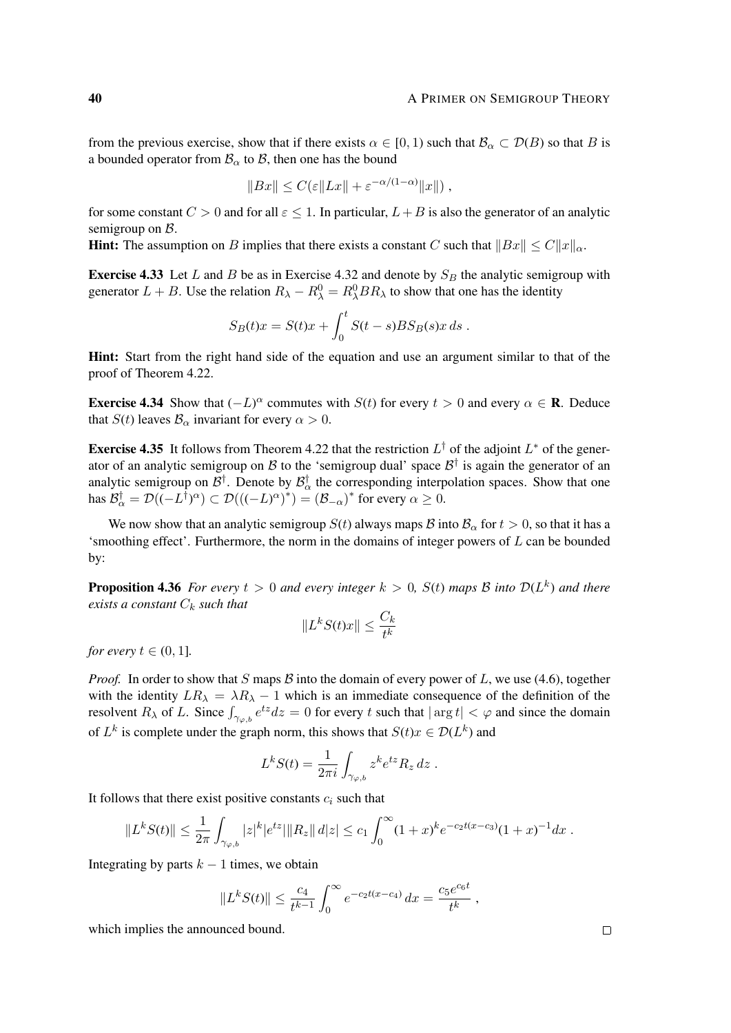from the previous exercise, show that if there exists  $\alpha \in [0, 1)$  such that  $\mathcal{B}_{\alpha} \subset \mathcal{D}(B)$  so that B is a bounded operator from  $\mathcal{B}_{\alpha}$  to  $\mathcal{B}$ , then one has the bound

$$
||Bx|| \leq C(\varepsilon ||Lx|| + \varepsilon^{-\alpha/(1-\alpha)} ||x||),
$$

for some constant  $C > 0$  and for all  $\varepsilon < 1$ . In particular,  $L + B$  is also the generator of an analytic semigroup on  $\beta$ .

**Hint:** The assumption on B implies that there exists a constant C such that  $||Bx|| \leq C||x||_{\alpha}$ .

**Exercise 4.33** Let L and B be as in Exercise 4.32 and denote by  $S_B$  the analytic semigroup with generator  $L + B$ . Use the relation  $R_{\lambda} - R_{\lambda}^0 = R_{\lambda}^0 B R_{\lambda}$  to show that one has the identity

$$
S_B(t)x = S(t)x + \int_0^t S(t-s)BS_B(s)x ds.
$$

Hint: Start from the right hand side of the equation and use an argument similar to that of the proof of Theorem 4.22.

**Exercise 4.34** Show that  $(-L)^{\alpha}$  commutes with  $S(t)$  for every  $t > 0$  and every  $\alpha \in \mathbb{R}$ . Deduce that  $S(t)$  leaves  $\mathcal{B}_{\alpha}$  invariant for every  $\alpha > 0$ .

**Exercise 4.35** It follows from Theorem 4.22 that the restriction  $L^{\dagger}$  of the adjoint  $L^*$  of the generator of an analytic semigroup on B to the 'semigroup dual' space  $B^{\dagger}$  is again the generator of an analytic semigroup on  $\mathcal{B}^{\dagger}$ . Denote by  $\mathcal{B}^{\dagger}_{\alpha}$  the corresponding interpolation spaces. Show that one has  $\mathcal{B}_{\alpha}^{\dagger} = \mathcal{D}((-L^{\dagger})^{\alpha}) \subset \mathcal{D}((-L)^{\alpha})^{\dagger}) = (\mathcal{B}_{-\alpha})^*$  for every  $\alpha \ge 0$ .

We now show that an analytic semigroup  $S(t)$  always maps  $\mathcal B$  into  $\mathcal B_\alpha$  for  $t > 0$ , so that it has a 'smoothing effect'. Furthermore, the norm in the domains of integer powers of  $L$  can be bounded by:

**Proposition 4.36** *For every*  $t > 0$  *and every integer*  $k > 0$ ,  $S(t)$  *maps*  $\beta$  *into*  $\mathcal{D}(L^k)$  *and there exists a constant*  $C_k$  *such that* 

$$
||L^k S(t)x|| \le \frac{C_k}{t^k}
$$

*for every*  $t \in (0, 1]$ *.* 

*Proof.* In order to show that S maps B into the domain of every power of L, we use (4.6), together with the identity  $LR_{\lambda} = \lambda R_{\lambda} - 1$  which is an immediate consequence of the definition of the resolvent  $R_\lambda$  of L. Since  $\int_{\gamma_{\varphi,b}} e^{tz} dz = 0$  for every t such that  $|\arg t| < \varphi$  and since the domain of  $L^k$  is complete under the graph norm, this shows that  $S(t)x \in \mathcal{D}(L^k)$  and

$$
L^k S(t) = \frac{1}{2\pi i} \int_{\gamma_{\varphi,b}} z^k e^{tz} R_z dz.
$$

It follows that there exist positive constants  $c_i$  such that

$$
||L^k S(t)|| \leq \frac{1}{2\pi} \int_{\gamma_{\varphi,b}} |z|^k |e^{tz}||R_z|| \, dz| \leq c_1 \int_0^\infty (1+x)^k e^{-c_2 t(x-c_3)} (1+x)^{-1} dx.
$$

Integrating by parts  $k - 1$  times, we obtain

$$
||L^k S(t)|| \le \frac{c_4}{t^{k-1}} \int_0^\infty e^{-c_2 t(x-c_4)} dx = \frac{c_5 e^{c_6 t}}{t^k},
$$

which implies the announced bound.

 $\Box$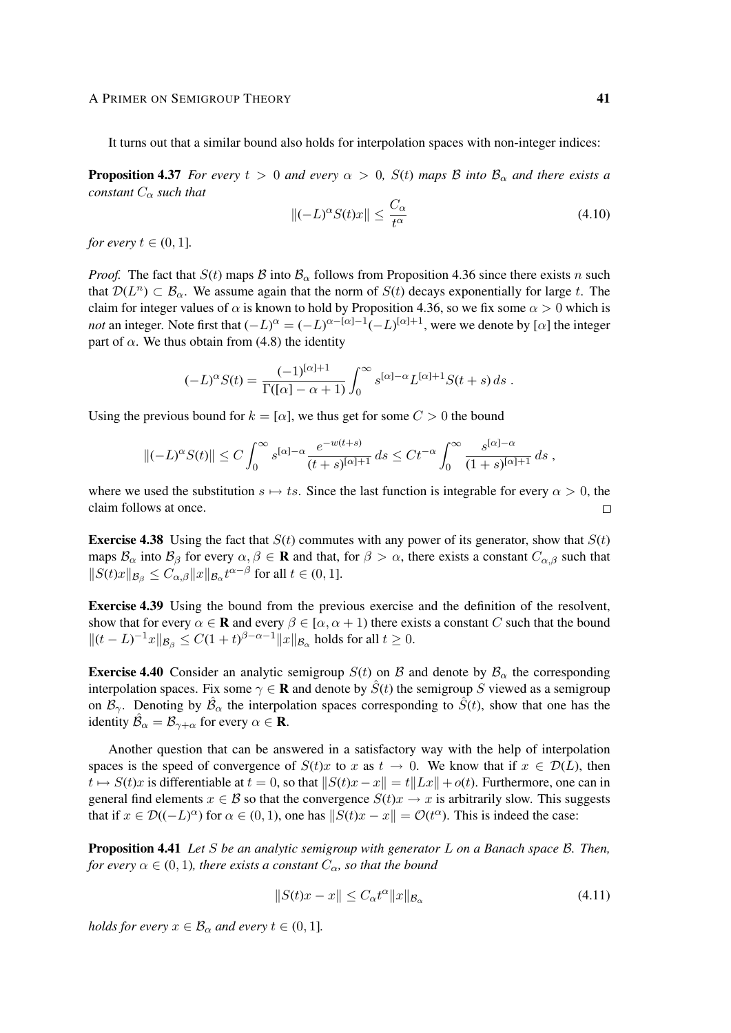#### A PRIMER ON SEMIGROUP THEORY 41

It turns out that a similar bound also holds for interpolation spaces with non-integer indices:

**Proposition 4.37** *For every*  $t > 0$  *and every*  $\alpha > 0$ ,  $S(t)$  *maps*  $\beta$  *into*  $\beta_{\alpha}$  *and there exists a constant*  $C_{\alpha}$  *such that* 

$$
\left\|(-L)^{\alpha} S(t)x\right\| \le \frac{C_{\alpha}}{t^{\alpha}}\tag{4.10}
$$

*for every*  $t \in (0, 1]$ *.* 

*Proof.* The fact that  $S(t)$  maps  $\beta$  into  $\beta_{\alpha}$  follows from Proposition 4.36 since there exists n such that  $\mathcal{D}(L^n) \subset \mathcal{B}_\alpha$ . We assume again that the norm of  $S(t)$  decays exponentially for large t. The claim for integer values of  $\alpha$  is known to hold by Proposition 4.36, so we fix some  $\alpha > 0$  which is *not* an integer. Note first that  $(-L)^{\alpha} = (-L)^{\alpha - [\alpha]-1}(-L)^{[\alpha]+1}$ , were we denote by [ $\alpha$ ] the integer part of  $\alpha$ . We thus obtain from (4.8) the identity

$$
(-L)^{\alpha}S(t) = \frac{(-1)^{[\alpha]+1}}{\Gamma([\alpha]-\alpha+1)} \int_0^{\infty} s^{[\alpha]-\alpha} L^{[\alpha]+1}S(t+s) ds.
$$

Using the previous bound for  $k = [\alpha]$ , we thus get for some  $C > 0$  the bound

$$
\|(-L)^{\alpha}S(t)\| \le C\int_0^{\infty} s^{[\alpha]-\alpha} \frac{e^{-w(t+s)}}{(t+s)^{[\alpha]+1}} ds \le Ct^{-\alpha} \int_0^{\infty} \frac{s^{[\alpha]-\alpha}}{(1+s)^{[\alpha]+1}} ds,
$$

where we used the substitution  $s \mapsto ts$ . Since the last function is integrable for every  $\alpha > 0$ , the claim follows at once.  $\Box$ 

**Exercise 4.38** Using the fact that  $S(t)$  commutes with any power of its generator, show that  $S(t)$ maps  $\mathcal{B}_{\alpha}$  into  $\mathcal{B}_{\beta}$  for every  $\alpha, \beta \in \mathbf{R}$  and that, for  $\beta > \alpha$ , there exists a constant  $C_{\alpha,\beta}$  such that  $||S(t)x||_{\mathcal{B}_{\beta}} \leq C_{\alpha,\beta} ||x||_{\mathcal{B}_{\alpha}} t^{\alpha-\beta}$  for all  $t \in (0,1]$ .

Exercise 4.39 Using the bound from the previous exercise and the definition of the resolvent, show that for every  $\alpha \in \mathbf{R}$  and every  $\beta \in [\alpha, \alpha + 1)$  there exists a constant C such that the bound  $||(t-L)^{-1}x||_{\mathcal{B}_{\beta}} \leq C(1+t)^{\beta-\alpha-1}||x||_{\mathcal{B}_{\alpha}}$  holds for all  $t \geq 0$ .

**Exercise 4.40** Consider an analytic semigroup  $S(t)$  on B and denote by  $B_\alpha$  the corresponding interpolation spaces. Fix some  $\gamma \in \mathbf{R}$  and denote by  $S(t)$  the semigroup S viewed as a semigroup on  $\mathcal{B}_{\gamma}$ . Denoting by  $\mathcal{B}_{\alpha}$  the interpolation spaces corresponding to  $\hat{S}(t)$ , show that one has the identity  $\hat{\mathcal{B}}_{\alpha} = \mathcal{B}_{\gamma+\alpha}$  for every  $\alpha \in \mathbf{R}$ .

Another question that can be answered in a satisfactory way with the help of interpolation spaces is the speed of convergence of  $S(t)x$  to x as  $t \to 0$ . We know that if  $x \in \mathcal{D}(L)$ , then  $t \mapsto S(t)x$  is differentiable at  $t = 0$ , so that  $||S(t)x - x|| = t||Lx|| + o(t)$ . Furthermore, one can in general find elements  $x \in B$  so that the convergence  $S(t)x \to x$  is arbitrarily slow. This suggests that if  $x \in \mathcal{D}((-L)^{\alpha})$  for  $\alpha \in (0, 1)$ , one has  $||S(t)x - x|| = \mathcal{O}(t^{\alpha})$ . This is indeed the case:

Proposition 4.41 *Let* S *be an analytic semigroup with generator* L *on a Banach space* B*. Then, for every*  $\alpha \in (0, 1)$ *, there exists a constant*  $C_{\alpha}$ *, so that the bound* 

$$
||S(t)x - x|| \leq C_{\alpha} t^{\alpha} ||x||_{\mathcal{B}_{\alpha}}
$$
\n(4.11)

*holds for every*  $x \in \mathcal{B}_{\alpha}$  *and every*  $t \in (0, 1]$ *.*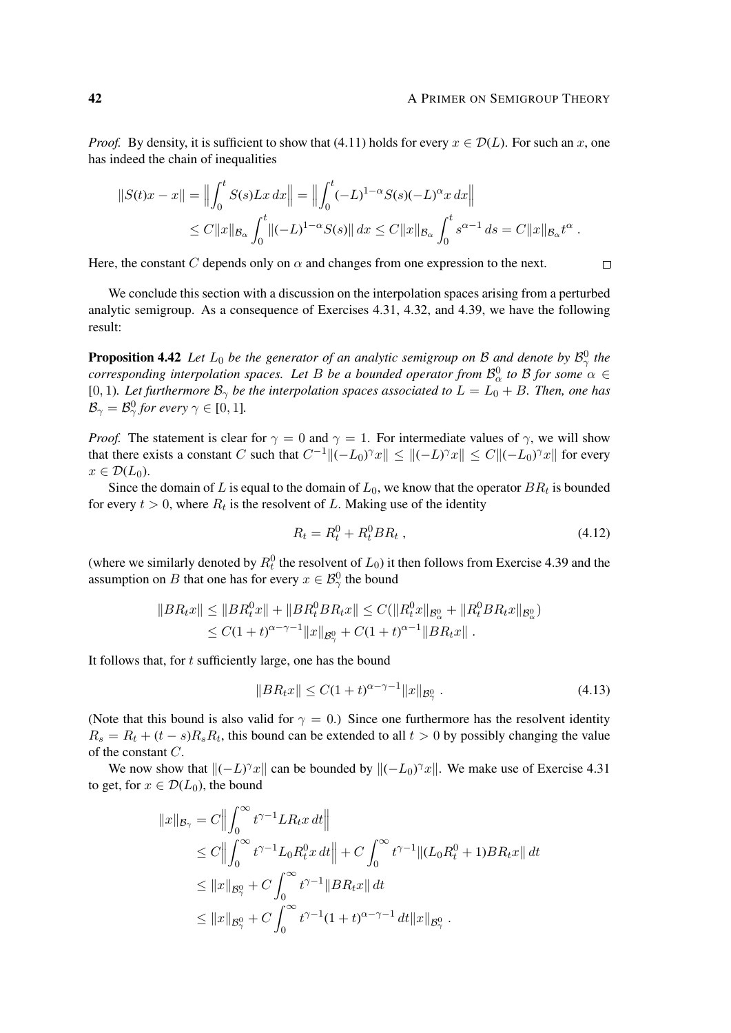$\Box$ 

*Proof.* By density, it is sufficient to show that (4.11) holds for every  $x \in \mathcal{D}(L)$ . For such an x, one has indeed the chain of inequalities

$$
||S(t)x - x|| = \left\| \int_0^t S(s)Lx \, dx \right\| = \left\| \int_0^t (-L)^{1-\alpha} S(s)(-L)^{\alpha} x \, dx \right\|
$$
  
\n
$$
\leq C ||x||_{\mathcal{B}_{\alpha}} \int_0^t ||(-L)^{1-\alpha} S(s)|| \, dx \leq C ||x||_{\mathcal{B}_{\alpha}} \int_0^t s^{\alpha-1} \, ds = C ||x||_{\mathcal{B}_{\alpha}} t^{\alpha} .
$$

Here, the constant C depends only on  $\alpha$  and changes from one expression to the next.

We conclude this section with a discussion on the interpolation spaces arising from a perturbed analytic semigroup. As a consequence of Exercises 4.31, 4.32, and 4.39, we have the following result:

**Proposition 4.42** Let  $L_0$  be the generator of an analytic semigroup on B and denote by  $\mathcal{B}^0_\gamma$  the *corresponding interpolation spaces. Let* B *be a bounded operator from*  $\mathcal{B}^0_\alpha$  to B for some  $\alpha \in$ [0, 1). Let furthermore  $\mathcal{B}_{\gamma}$  be the interpolation spaces associated to  $L = L_0 + B$ . Then, one has  $\mathcal{B}_{\gamma} = \mathcal{B}_{\gamma}^0$  for every  $\gamma \in [0,1]$ .

*Proof.* The statement is clear for  $\gamma = 0$  and  $\gamma = 1$ . For intermediate values of  $\gamma$ , we will show that there exists a constant C such that  $C^{-1} \|(-L_0)^{\gamma}x\| \le \|(-L)^{\gamma}x\| \le C \|(-L_0)^{\gamma}x\|$  for every  $x \in \mathcal{D}(L_0)$ .

Since the domain of L is equal to the domain of  $L_0$ , we know that the operator  $BR_t$  is bounded for every  $t > 0$ , where  $R_t$  is the resolvent of L. Making use of the identity

$$
R_t = R_t^0 + R_t^0 BR_t \t\t(4.12)
$$

(where we similarly denoted by  $R_t^0$  the resolvent of  $L_0$ ) it then follows from Exercise 4.39 and the assumption on B that one has for every  $x \in \mathcal{B}^0_\gamma$  the bound

$$
||BR_t x|| \le ||BR_t^0 x|| + ||BR_t^0 BR_t x|| \le C(||R_t^0 x||_{\mathcal{B}_{\alpha}^0} + ||R_t^0 BR_t x||_{\mathcal{B}_{\alpha}^0})
$$
  

$$
\le C(1+t)^{\alpha-\gamma-1} ||x||_{\mathcal{B}_{\gamma}^0} + C(1+t)^{\alpha-1} ||BR_t x||.
$$

It follows that, for  $t$  sufficiently large, one has the bound

$$
||BR_t x|| \le C(1+t)^{\alpha-\gamma-1} ||x||_{\mathcal{B}_\gamma^0}.
$$
\n(4.13)

(Note that this bound is also valid for  $\gamma = 0$ .) Since one furthermore has the resolvent identity  $R_s = R_t + (t - s)R_sR_t$ , this bound can be extended to all  $t > 0$  by possibly changing the value of the constant C.

We now show that  $\|(-L)^{\gamma}x\|$  can be bounded by  $\|(-L_0)^{\gamma}x\|$ . We make use of Exercise 4.31 to get, for  $x \in \mathcal{D}(L_0)$ , the bound

$$
||x||_{\mathcal{B}_{\gamma}} = C \Big\| \int_0^{\infty} t^{\gamma - 1} L R_t x dt \Big\|
$$
  
\n
$$
\leq C \Big\| \int_0^{\infty} t^{\gamma - 1} L_0 R_t^0 x dt \Big\| + C \int_0^{\infty} t^{\gamma - 1} ||(L_0 R_t^0 + 1) B R_t x|| dt
$$
  
\n
$$
\leq ||x||_{\mathcal{B}_{\gamma}^0} + C \int_0^{\infty} t^{\gamma - 1} ||B R_t x|| dt
$$
  
\n
$$
\leq ||x||_{\mathcal{B}_{\gamma}^0} + C \int_0^{\infty} t^{\gamma - 1} (1 + t)^{\alpha - \gamma - 1} dt ||x||_{\mathcal{B}_{\gamma}^0} .
$$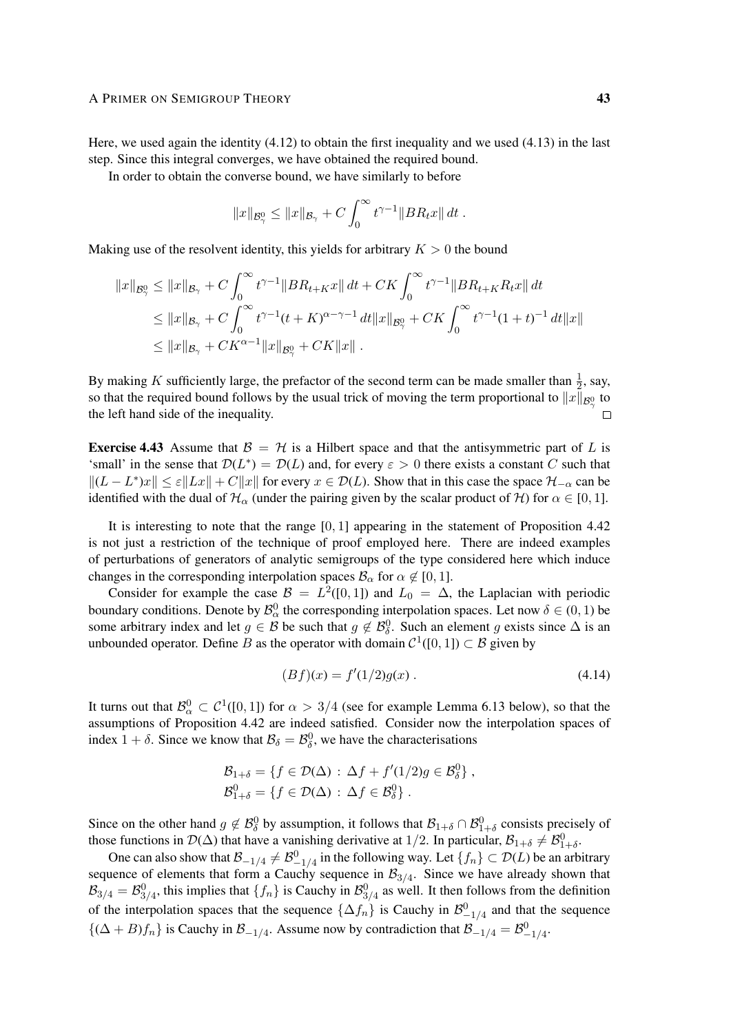Here, we used again the identity  $(4.12)$  to obtain the first inequality and we used  $(4.13)$  in the last step. Since this integral converges, we have obtained the required bound.

In order to obtain the converse bound, we have similarly to before

$$
||x||_{\mathcal{B}^0_\gamma} \leq ||x||_{\mathcal{B}_\gamma} + C \int_0^\infty t^{\gamma-1} ||BR_t x|| dt.
$$

Making use of the resolvent identity, this yields for arbitrary  $K > 0$  the bound

$$
||x||_{\mathcal{B}^0_{\gamma}} \le ||x||_{\mathcal{B}_{\gamma}} + C \int_0^{\infty} t^{\gamma - 1} ||BR_{t+K}x|| dt + CK \int_0^{\infty} t^{\gamma - 1} ||BR_{t+K}R_t x|| dt
$$
  
\n
$$
\le ||x||_{\mathcal{B}_{\gamma}} + C \int_0^{\infty} t^{\gamma - 1} (t + K)^{\alpha - \gamma - 1} dt ||x||_{\mathcal{B}^0_{\gamma}} + CK \int_0^{\infty} t^{\gamma - 1} (1 + t)^{-1} dt ||x||
$$
  
\n
$$
\le ||x||_{\mathcal{B}_{\gamma}} + CK^{\alpha - 1} ||x||_{\mathcal{B}^0_{\gamma}} + CK ||x|| .
$$

By making K sufficiently large, the prefactor of the second term can be made smaller than  $\frac{1}{2}$ , say, so that the required bound follows by the usual trick of moving the term proportional to  $||x||_{\mathcal{B}^0_\gamma}$  to the left hand side of the inequality.  $\Box$ 

**Exercise 4.43** Assume that  $\mathcal{B} = \mathcal{H}$  is a Hilbert space and that the antisymmetric part of L is 'small' in the sense that  $\mathcal{D}(L^*) = \mathcal{D}(L)$  and, for every  $\varepsilon > 0$  there exists a constant C such that  $||(L - L^*)x|| \le \varepsilon ||Lx|| + C||x||$  for every  $x \in \mathcal{D}(L)$ . Show that in this case the space  $\mathcal{H}_{-\alpha}$  can be identified with the dual of  $\mathcal{H}_{\alpha}$  (under the pairing given by the scalar product of  $\mathcal{H}$ ) for  $\alpha \in [0, 1]$ .

It is interesting to note that the range  $[0, 1]$  appearing in the statement of Proposition 4.42 is not just a restriction of the technique of proof employed here. There are indeed examples of perturbations of generators of analytic semigroups of the type considered here which induce changes in the corresponding interpolation spaces  $\mathcal{B}_{\alpha}$  for  $\alpha \notin [0, 1]$ .

Consider for example the case  $\mathcal{B} = L^2([0,1])$  and  $L_0 = \Delta$ , the Laplacian with periodic boundary conditions. Denote by  $\mathcal{B}_{\alpha}^0$  the corresponding interpolation spaces. Let now  $\delta \in (0,1)$  be some arbitrary index and let  $g \in B$  be such that  $g \notin \mathcal{B}^0_\delta$ . Such an element g exists since  $\Delta$  is an unbounded operator. Define B as the operator with domain  $C^1([0, 1]) \subset \mathcal{B}$  given by

$$
(Bf)(x) = f'(1/2)g(x) . \t\t(4.14)
$$

It turns out that  $\mathcal{B}^0_\alpha \subset \mathcal{C}^1([0,1])$  for  $\alpha > 3/4$  (see for example Lemma 6.13 below), so that the assumptions of Proposition 4.42 are indeed satisfied. Consider now the interpolation spaces of index  $1 + \delta$ . Since we know that  $\mathcal{B}_{\delta} = \mathcal{B}_{\delta}^0$ , we have the characterisations

$$
\mathcal{B}_{1+\delta} = \{ f \in \mathcal{D}(\Delta) : \Delta f + f'(1/2)g \in \mathcal{B}_{\delta}^0 \},
$$
  

$$
\mathcal{B}_{1+\delta}^0 = \{ f \in \mathcal{D}(\Delta) : \Delta f \in \mathcal{B}_{\delta}^0 \}.
$$

Since on the other hand  $g \notin \mathcal{B}_{\delta}^0$  by assumption, it follows that  $\mathcal{B}_{1+\delta} \cap \mathcal{B}_{1+\delta}^0$  consists precisely of those functions in  $\mathcal{D}(\Delta)$  that have a vanishing derivative at 1/2. In particular,  $\mathcal{B}_{1+\delta} \neq \mathcal{B}_{1+\delta}^0$ .

One can also show that  $\mathcal{B}_{-1/4} \neq \mathcal{B}_{-1/4}^0$  in the following way. Let  $\{f_n\} \subset \mathcal{D}(L)$  be an arbitrary sequence of elements that form a Cauchy sequence in  $\mathcal{B}_{3/4}$ . Since we have already shown that  $\mathcal{B}_{3/4} = \mathcal{B}_{3/4}^0$ , this implies that  $\{f_n\}$  is Cauchy in  $\mathcal{B}_{3/4}^0$  as well. It then follows from the definition of the interpolation spaces that the sequence  $\{\Delta f_n\}$  is Cauchy in  $\mathcal{B}^0_{-1/4}$  and that the sequence  ${(\Delta + B)f_n}$  is Cauchy in  $\mathcal{B}_{-1/4}$ . Assume now by contradiction that  $\mathcal{B}_{-1/4} = \mathcal{B}_{-1/4}^0$ .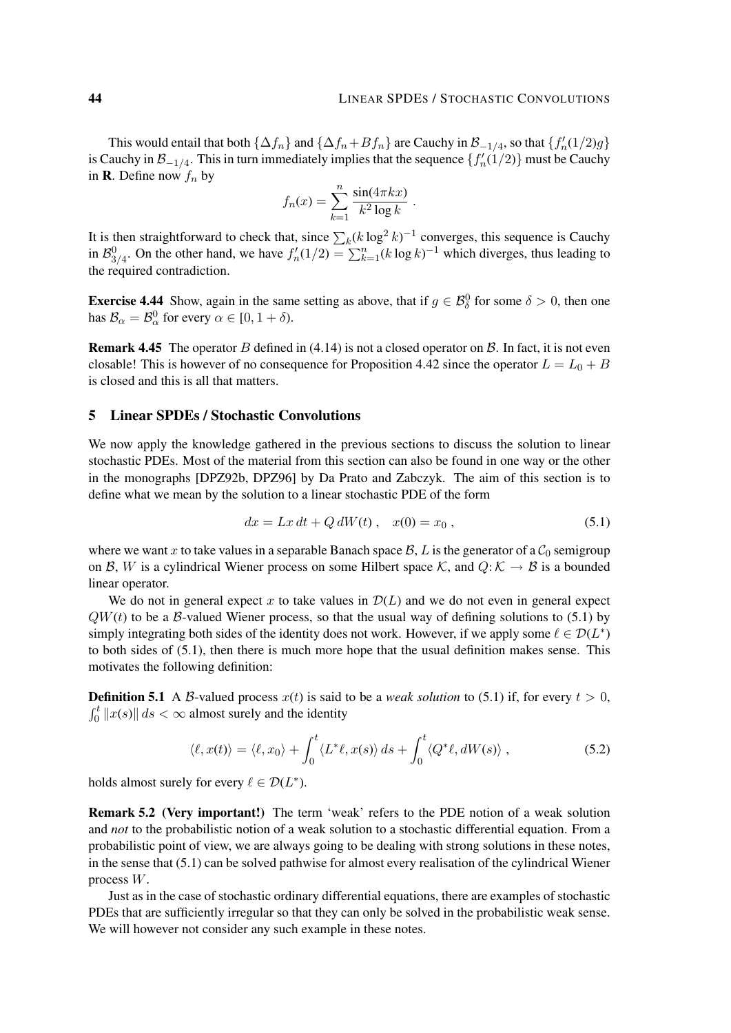This would entail that both  $\{\Delta f_n\}$  and  $\{\Delta f_n + B f_n\}$  are Cauchy in  $\mathcal{B}_{-1/4}$ , so that  $\{f'_n(1/2)g\}$ is Cauchy in  $\mathcal{B}_{-1/4}$ . This in turn immediately implies that the sequence  $\{f'_n(1/2)\}$  must be Cauchy in **R**. Define now  $f_n$  by

$$
f_n(x) = \sum_{k=1}^n \frac{\sin(4\pi kx)}{k^2 \log k}.
$$

It is then straightforward to check that, since  $\sum_k (k \log^2 k)^{-1}$  converges, this sequence is Cauchy in  $\mathcal{B}_{3/4}^0$ . On the other hand, we have  $f'_n(1/2) = \sum_{k=1}^n (k \log k)^{-1}$  which diverges, thus leading to the required contradiction.

**Exercise 4.44** Show, again in the same setting as above, that if  $g \in \mathcal{B}_{\delta}^0$  for some  $\delta > 0$ , then one has  $\mathcal{B}_{\alpha} = \mathcal{B}_{\alpha}^0$  for every  $\alpha \in [0, 1 + \delta)$ .

**Remark 4.45** The operator B defined in (4.14) is not a closed operator on B. In fact, it is not even closable! This is however of no consequence for Proposition 4.42 since the operator  $L = L_0 + B$ is closed and this is all that matters.

# 5 Linear SPDEs / Stochastic Convolutions

We now apply the knowledge gathered in the previous sections to discuss the solution to linear stochastic PDEs. Most of the material from this section can also be found in one way or the other in the monographs [DPZ92b, DPZ96] by Da Prato and Zabczyk. The aim of this section is to define what we mean by the solution to a linear stochastic PDE of the form

$$
dx = Lx dt + Q dW(t), \quad x(0) = x_0,
$$
\n(5.1)

where we want x to take values in a separable Banach space  $\mathcal{B}, L$  is the generator of a  $\mathcal{C}_0$  semigroup on B, W is a cylindrical Wiener process on some Hilbert space K, and  $Q: K \to B$  is a bounded linear operator.

We do not in general expect x to take values in  $\mathcal{D}(L)$  and we do not even in general expect  $QW(t)$  to be a B-valued Wiener process, so that the usual way of defining solutions to (5.1) by simply integrating both sides of the identity does not work. However, if we apply some  $\ell \in \mathcal{D}(L^*)$ to both sides of (5.1), then there is much more hope that the usual definition makes sense. This motivates the following definition:

**Definition 5.1** A B-valued process  $x(t)$  is said to be a *weak solution* to (5.1) if, for every  $t > 0$ ,  $\int_0^t \|x(s)\| ds < \infty$  almost surely and the identity

$$
\langle \ell, x(t) \rangle = \langle \ell, x_0 \rangle + \int_0^t \langle L^* \ell, x(s) \rangle \, ds + \int_0^t \langle Q^* \ell, dW(s) \rangle \,, \tag{5.2}
$$

holds almost surely for every  $\ell \in \mathcal{D}(L^*)$ .

Remark 5.2 (Very important!) The term 'weak' refers to the PDE notion of a weak solution and *not* to the probabilistic notion of a weak solution to a stochastic differential equation. From a probabilistic point of view, we are always going to be dealing with strong solutions in these notes, in the sense that (5.1) can be solved pathwise for almost every realisation of the cylindrical Wiener process W.

Just as in the case of stochastic ordinary differential equations, there are examples of stochastic PDEs that are sufficiently irregular so that they can only be solved in the probabilistic weak sense. We will however not consider any such example in these notes.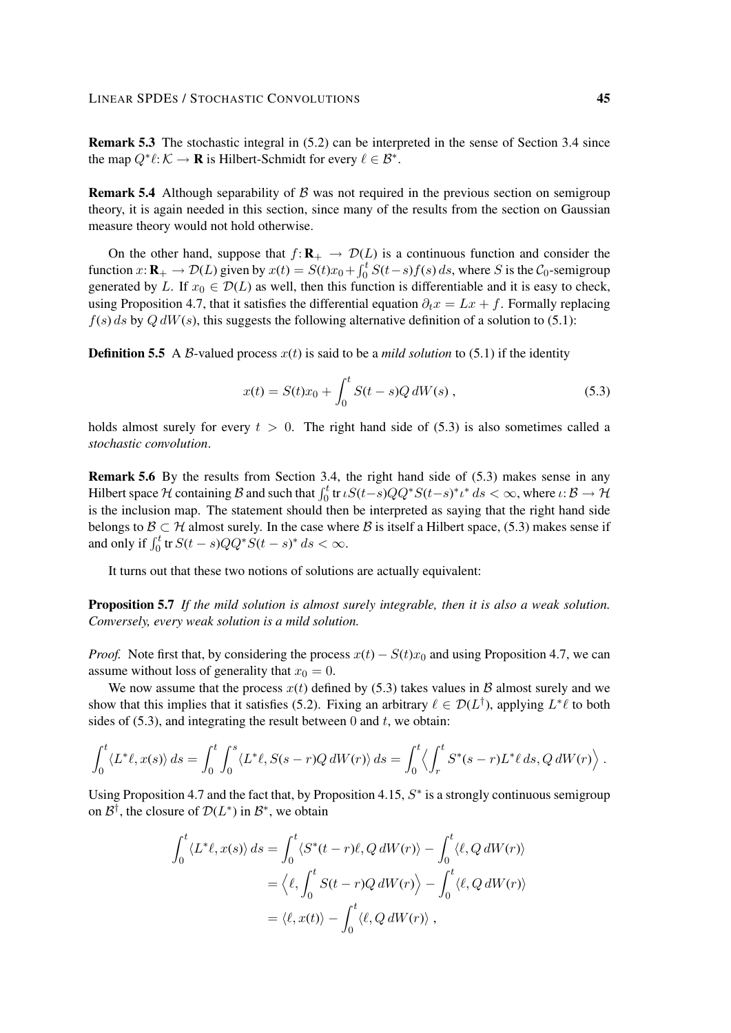Remark 5.3 The stochastic integral in (5.2) can be interpreted in the sense of Section 3.4 since the map  $Q^* \ell : \mathcal{K} \to \mathbf{R}$  is Hilbert-Schmidt for every  $\ell \in \mathcal{B}^*$ .

**Remark 5.4** Although separability of  $\beta$  was not required in the previous section on semigroup theory, it is again needed in this section, since many of the results from the section on Gaussian measure theory would not hold otherwise.

On the other hand, suppose that  $f: \mathbf{R}_{+} \to \mathcal{D}(L)$  is a continuous function and consider the function  $x: \mathbf{R}_{+} \to \mathcal{D}(L)$  given by  $x(t) = S(t)x_0 + \int_0^t S(t-s)f(s) ds$ , where S is the  $\mathcal{C}_0$ -semigroup generated by L. If  $x_0 \in \mathcal{D}(L)$  as well, then this function is differentiable and it is easy to check, using Proposition 4.7, that it satisfies the differential equation  $\partial_t x = Lx + f$ . Formally replacing  $f(s)$  ds by  $Q$  dW(s), this suggests the following alternative definition of a solution to (5.1):

**Definition 5.5** A B-valued process  $x(t)$  is said to be a *mild solution* to (5.1) if the identity

$$
x(t) = S(t)x_0 + \int_0^t S(t - s)Q dW(s), \qquad (5.3)
$$

holds almost surely for every  $t > 0$ . The right hand side of (5.3) is also sometimes called a *stochastic convolution*.

Remark 5.6 By the results from Section 3.4, the right hand side of (5.3) makes sense in any Hilbert space  $H$  containing  $B$  and such that  $\int_0^t \text{tr } \iota S(t-s)QQ^*S(t-s)^* \iota^* ds < \infty$ , where  $\iota: B \to H$ is the inclusion map. The statement should then be interpreted as saying that the right hand side belongs to  $\mathcal{B} \subset \mathcal{H}$  almost surely. In the case where  $\mathcal{B}$  is itself a Hilbert space, (5.3) makes sense if and only if  $\int_0^t$  tr  $S(t-s)QQ^*S(t-s)^* ds < \infty$ .

It turns out that these two notions of solutions are actually equivalent:

Proposition 5.7 *If the mild solution is almost surely integrable, then it is also a weak solution. Conversely, every weak solution is a mild solution.*

*Proof.* Note first that, by considering the process  $x(t) - S(t)x_0$  and using Proposition 4.7, we can assume without loss of generality that  $x_0 = 0$ .

We now assume that the process  $x(t)$  defined by (5.3) takes values in  $\beta$  almost surely and we show that this implies that it satisfies (5.2). Fixing an arbitrary  $\ell \in \mathcal{D}(L^{\dagger})$ , applying  $L^* \ell$  to both sides of  $(5.3)$ , and integrating the result between 0 and t, we obtain:

$$
\int_0^t \langle L^*\ell, x(s) \rangle ds = \int_0^t \int_0^s \langle L^*\ell, S(s-r)Q dW(r) \rangle ds = \int_0^t \langle \int_r^t S^*(s-r) L^*\ell ds, Q dW(r) \rangle.
$$

Using Proposition 4.7 and the fact that, by Proposition 4.15,  $S^*$  is a strongly continuous semigroup on  $\mathcal{B}^{\dagger}$ , the closure of  $\mathcal{D}(L^*)$  in  $\mathcal{B}^*$ , we obtain

$$
\int_0^t \langle L^*\ell, x(s) \rangle ds = \int_0^t \langle S^*(t - r)\ell, Q dW(r) \rangle - \int_0^t \langle \ell, Q dW(r) \rangle
$$
  
=  $\langle \ell, \int_0^t S(t - r)Q dW(r) \rangle - \int_0^t \langle \ell, Q dW(r) \rangle$   
=  $\langle \ell, x(t) \rangle - \int_0^t \langle \ell, Q dW(r) \rangle$ ,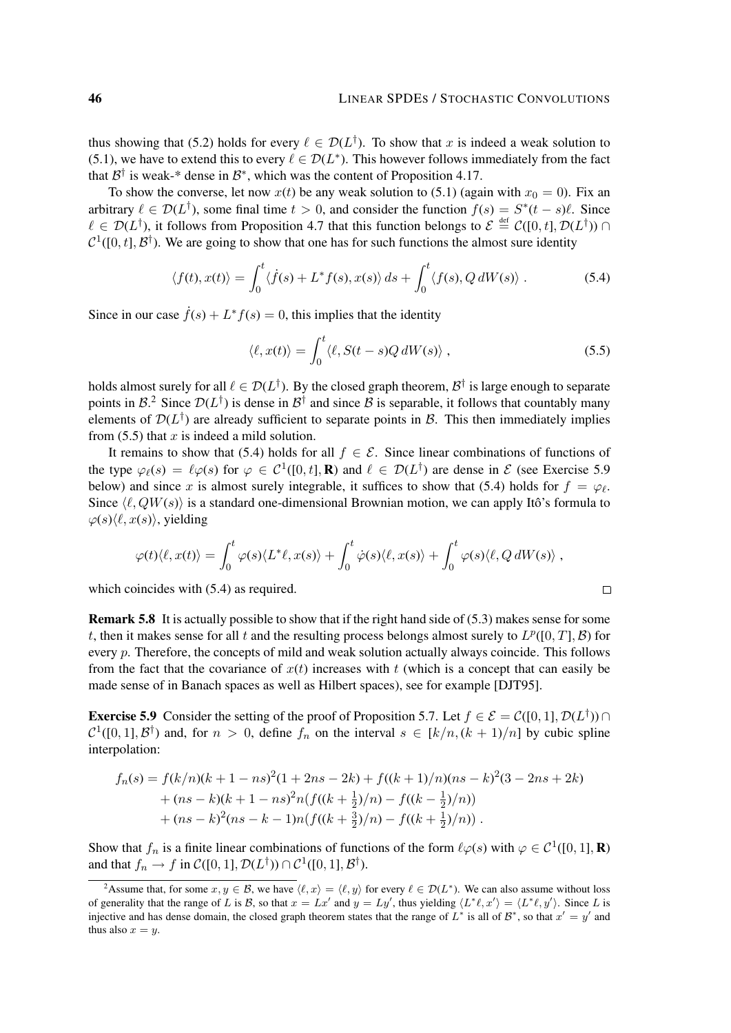thus showing that (5.2) holds for every  $\ell \in \mathcal{D}(L^{\dagger})$ . To show that x is indeed a weak solution to (5.1), we have to extend this to every  $\ell \in \mathcal{D}(L^*)$ . This however follows immediately from the fact that  $\mathcal{B}^{\dagger}$  is weak-\* dense in  $\mathcal{B}^*$ , which was the content of Proposition 4.17.

To show the converse, let now  $x(t)$  be any weak solution to (5.1) (again with  $x_0 = 0$ ). Fix an arbitrary  $\ell \in \mathcal{D}(L^{\dagger})$ , some final time  $t > 0$ , and consider the function  $f(s) = S^*(t - s)\ell$ . Since  $\ell \in \mathcal{D}(L^{\dagger})$ , it follows from Proposition 4.7 that this function belongs to  $\mathcal{E} \stackrel{\text{def}}{=} \mathcal{C}([0, t], \mathcal{D}(L^{\dagger}))$  $C^1([0, t], \mathcal{B}^{\dagger})$ . We are going to show that one has for such functions the almost sure identity

$$
\langle f(t), x(t) \rangle = \int_0^t \langle \dot{f}(s) + L^* f(s), x(s) \rangle \, ds + \int_0^t \langle f(s), Q \, dW(s) \rangle \,. \tag{5.4}
$$

Since in our case  $\dot{f}(s) + L^* f(s) = 0$ , this implies that the identity

$$
\langle \ell, x(t) \rangle = \int_0^t \langle \ell, S(t - s) Q dW(s) \rangle, \qquad (5.5)
$$

 $\Box$ 

holds almost surely for all  $\ell \in \mathcal{D}(L^{\dagger})$ . By the closed graph theorem,  $\mathcal{B}^{\dagger}$  is large enough to separate points in B.<sup>2</sup> Since  $\mathcal{D}(L^{\dagger})$  is dense in B<sup>†</sup> and since B is separable, it follows that countably many elements of  $\mathcal{D}(L^{\dagger})$  are already sufficient to separate points in B. This then immediately implies from  $(5.5)$  that x is indeed a mild solution.

It remains to show that (5.4) holds for all  $f \in \mathcal{E}$ . Since linear combinations of functions of the type  $\varphi_{\ell}(s) = \ell \varphi(s)$  for  $\varphi \in C^1([0, t], \mathbf{R})$  and  $\ell \in \mathcal{D}(L^{\dagger})$  are dense in  $\mathcal{E}$  (see Exercise 5.9 below) and since x is almost surely integrable, it suffices to show that (5.4) holds for  $f = \varphi_{\ell}$ . Since  $\langle \ell, QW(s) \rangle$  is a standard one-dimensional Brownian motion, we can apply Itô's formula to  $\varphi(s)\langle \ell, x(s)\rangle$ , yielding

$$
\varphi(t)\langle \ell, x(t) \rangle = \int_0^t \varphi(s) \langle L^* \ell, x(s) \rangle + \int_0^t \dot{\varphi}(s) \langle \ell, x(s) \rangle + \int_0^t \varphi(s) \langle \ell, Q dW(s) \rangle,
$$

which coincides with  $(5.4)$  as required.

Remark 5.8 It is actually possible to show that if the right hand side of (5.3) makes sense for some t, then it makes sense for all t and the resulting process belongs almost surely to  $L^p([0,T], \mathcal{B})$  for every p. Therefore, the concepts of mild and weak solution actually always coincide. This follows from the fact that the covariance of  $x(t)$  increases with t (which is a concept that can easily be made sense of in Banach spaces as well as Hilbert spaces), see for example [DJT95].

**Exercise 5.9** Consider the setting of the proof of Proposition 5.7. Let  $f \in \mathcal{E} = \mathcal{C}([0, 1], \mathcal{D}(L^{\dagger}))$  $\mathcal{C}^1([0,1], \mathcal{B}^{\dagger})$  and, for  $n > 0$ , define  $f_n$  on the interval  $s \in [k/n, (k+1)/n]$  by cubic spline interpolation:

$$
f_n(s) = f(k/n)(k + 1 - ns)^2(1 + 2ns - 2k) + f((k + 1)/n)(ns - k)^2(3 - 2ns + 2k) + (ns - k)(k + 1 - ns)^2n(f((k + \frac{1}{2})/n) - f((k - \frac{1}{2})/n)) + (ns - k)^2(ns - k - 1)n(f((k + \frac{3}{2})/n) - f((k + \frac{1}{2})/n)).
$$

Show that  $f_n$  is a finite linear combinations of functions of the form  $\ell \varphi(s)$  with  $\varphi \in C^1([0, 1], \mathbf{R})$ and that  $f_n \to f$  in  $\mathcal{C}([0,1], \mathcal{D}(L^{\dagger})) \cap \mathcal{C}^1([0,1], \mathcal{B}^{\dagger})$ .

<sup>&</sup>lt;sup>2</sup>Assume that, for some  $x, y \in \mathcal{B}$ , we have  $\langle \ell, x \rangle = \langle \ell, y \rangle$  for every  $\ell \in \mathcal{D}(L^*)$ . We can also assume without loss of generality that the range of L is B, so that  $x = Lx'$  and  $y = Ly'$ , thus yielding  $\langle L^* \ell, x' \rangle = \langle L^* \ell, y' \rangle$ . Since L is injective and has dense domain, the closed graph theorem states that the range of  $L^*$  is all of  $\mathcal{B}^*$ , so that  $x' = y'$  and thus also  $x = y$ .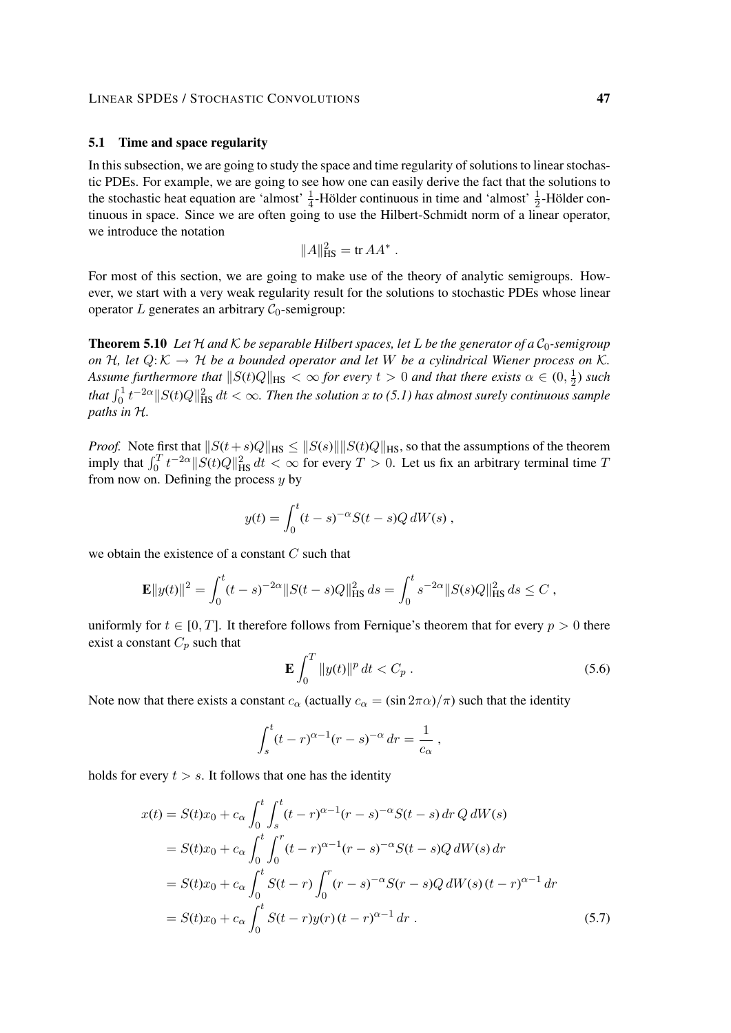### LINEAR SPDES / STOCHASTIC CONVOLUTIONS 47

## 5.1 Time and space regularity

In this subsection, we are going to study the space and time regularity of solutions to linear stochastic PDEs. For example, we are going to see how one can easily derive the fact that the solutions to the stochastic heat equation are 'almost'  $\frac{1}{4}$ -Hölder continuous in time and 'almost'  $\frac{1}{2}$  $\frac{1}{2}$ -Hölder continuous in space. Since we are often going to use the Hilbert-Schmidt norm of a linear operator, we introduce the notation

$$
||A||_{\text{HS}}^2 = \text{tr } A A^*.
$$

For most of this section, we are going to make use of the theory of analytic semigroups. However, we start with a very weak regularity result for the solutions to stochastic PDEs whose linear operator L generates an arbitrary  $C_0$ -semigroup:

**Theorem 5.10** Let H and K be separable Hilbert spaces, let L be the generator of a  $C_0$ -semigroup *on*  $H$ *, let*  $Q: K \to H$  *be a bounded operator and let* W *be a cylindrical Wiener process on* K. Assume furthermore that  $\|S(t)Q\|_{\text{HS}} < \infty$  for every  $t > 0$  and that there exists  $\alpha \in (0, \frac{1}{2})$  $(\frac{1}{2})$  *such* that  $\int_0^1 t^{-2\alpha} \|S(t)Q\|_{\text{HS}}^2 \, dt < \infty$ . Then the solution x to (5.1) has almost surely continuous sample *paths in* H*.*

*Proof.* Note first that  $||S(t+s)Q||_{HS} \le ||S(s)|| ||S(t)Q||_{HS}$ , so that the assumptions of the theorem imply that  $\int_0^T t^{-2\alpha} ||S(t)Q||_{\text{HS}}^2 dt < \infty$  for every  $T > 0$ . Let us fix an arbitrary terminal time T from now on. Defining the process  $y$  by

$$
y(t) = \int_0^t (t - s)^{-\alpha} S(t - s) Q dW(s) ,
$$

we obtain the existence of a constant  $C$  such that

$$
\mathbf{E}||y(t)||^2 = \int_0^t (t-s)^{-2\alpha} ||S(t-s)Q||_{\text{HS}}^2 ds = \int_0^t s^{-2\alpha} ||S(s)Q||_{\text{HS}}^2 ds \le C,
$$

uniformly for  $t \in [0, T]$ . It therefore follows from Fernique's theorem that for every  $p > 0$  there exist a constant  $C_p$  such that

$$
\mathbf{E} \int_0^T \|y(t)\|^p dt < C_p . \tag{5.6}
$$

Note now that there exists a constant  $c_{\alpha}$  (actually  $c_{\alpha} = (\sin 2\pi \alpha)/\pi$ ) such that the identity

$$
\int_{s}^{t} (t-r)^{\alpha - 1} (r - s)^{-\alpha} \, dr = \frac{1}{c_{\alpha}},
$$

holds for every  $t > s$ . It follows that one has the identity

$$
x(t) = S(t)x_0 + c_\alpha \int_0^t \int_s^t (t-r)^{\alpha-1} (r-s)^{-\alpha} S(t-s) dr Q dW(s)
$$
  
\n
$$
= S(t)x_0 + c_\alpha \int_0^t \int_0^r (t-r)^{\alpha-1} (r-s)^{-\alpha} S(t-s) Q dW(s) dr
$$
  
\n
$$
= S(t)x_0 + c_\alpha \int_0^t S(t-r) \int_0^r (r-s)^{-\alpha} S(r-s) Q dW(s) (t-r)^{\alpha-1} dr
$$
  
\n
$$
= S(t)x_0 + c_\alpha \int_0^t S(t-r) y(r) (t-r)^{\alpha-1} dr.
$$
 (5.7)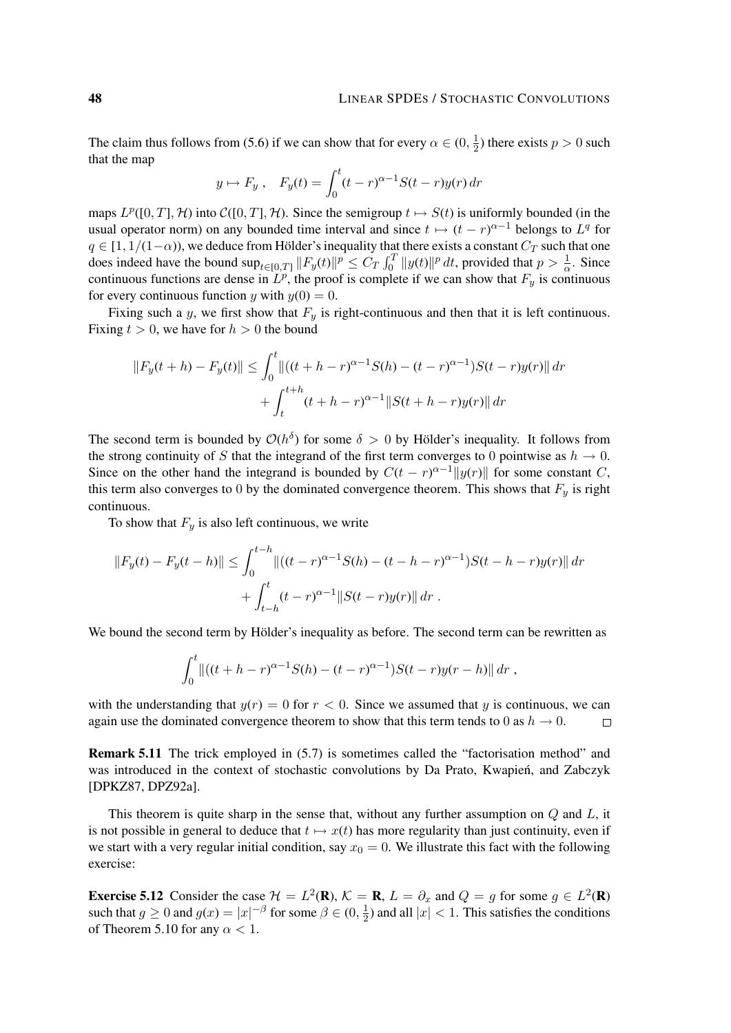The claim thus follows from (5.6) if we can show that for every  $\alpha \in (0, \frac{1}{2})$  $(\frac{1}{2})$  there exists  $p > 0$  such that the map

$$
y \mapsto F_y
$$
,  $F_y(t) = \int_0^t (t - r)^{\alpha - 1} S(t - r) y(r) dr$ 

maps  $L^p([0,T], \mathcal{H})$  into  $\mathcal{C}([0,T], \mathcal{H})$ . Since the semigroup  $t \mapsto S(t)$  is uniformly bounded (in the usual operator norm) on any bounded time interval and since  $t \mapsto (t - r)^{\alpha - 1}$  belongs to  $L^q$  for  $q \in [1, 1/(1-\alpha))$ , we deduce from Hölder's inequality that there exists a constant  $C_T$  such that one does indeed have the bound  $\sup_{t\in[0,T]}\|F_y(t)\|^p \leq C_T\int_0^T\|y(t)\|^p dt$ , provided that  $p > \frac{1}{\alpha}$ . Since continuous functions are dense in  $\overline{L}^p$ , the proof is complete if we can show that  $F_y$  is continuous for every continuous function y with  $y(0) = 0$ .

Fixing such a y, we first show that  $F_y$  is right-continuous and then that it is left continuous. Fixing  $t > 0$ , we have for  $h > 0$  the bound

$$
||F_y(t+h) - F_y(t)|| \le \int_0^t ||((t+h-r)^{\alpha-1}S(h) - (t-r)^{\alpha-1})S(t-r)y(r)|| dr
$$
  
+ 
$$
\int_t^{t+h} (t+h-r)^{\alpha-1} ||S(t+h-r)y(r)|| dr
$$

The second term is bounded by  $\mathcal{O}(h^{\delta})$  for some  $\delta > 0$  by Hölder's inequality. It follows from the strong continuity of S that the integrand of the first term converges to 0 pointwise as  $h \to 0$ . Since on the other hand the integrand is bounded by  $C(t - r)^{\alpha-1} ||y(r)||$  for some constant C, this term also converges to 0 by the dominated convergence theorem. This shows that  $F_y$  is right continuous.

To show that  $F_y$  is also left continuous, we write

$$
||F_y(t) - F_y(t - h)|| \le \int_0^{t - h} ||((t - r)^{\alpha - 1}S(h) - (t - h - r)^{\alpha - 1})S(t - h - r)y(r)|| dr
$$
  
+ 
$$
\int_{t - h}^t (t - r)^{\alpha - 1} ||S(t - r)y(r)|| dr.
$$

We bound the second term by Hölder's inequality as before. The second term can be rewritten as

$$
\int_0^t \left\| \left( (t+h-r)^{\alpha-1} S(h) - (t-r)^{\alpha-1} \right) S(t-r) y(r-h) \right\| dr,
$$

with the understanding that  $y(r) = 0$  for  $r < 0$ . Since we assumed that y is continuous, we can again use the dominated convergence theorem to show that this term tends to 0 as  $h \to 0$ .  $\Box$ 

Remark 5.11 The trick employed in (5.7) is sometimes called the "factorisation method" and was introduced in the context of stochastic convolutions by Da Prato, Kwapien, and Zabczyk ´ [DPKZ87, DPZ92a].

This theorem is quite sharp in the sense that, without any further assumption on  $Q$  and  $L$ , it is not possible in general to deduce that  $t \mapsto x(t)$  has more regularity than just continuity, even if we start with a very regular initial condition, say  $x_0 = 0$ . We illustrate this fact with the following exercise:

**Exercise 5.12** Consider the case  $\mathcal{H} = L^2(\mathbf{R})$ ,  $\mathcal{K} = \mathbf{R}$ ,  $L = \partial_x$  and  $Q = g$  for some  $g \in L^2(\mathbf{R})$ such that  $g \ge 0$  and  $g(x) = |x|^{-\beta}$  for some  $\beta \in (0, \frac{1}{2})$  $\frac{1}{2}$ ) and all  $|x| < 1$ . This satisfies the conditions of Theorem 5.10 for any  $\alpha$  < 1.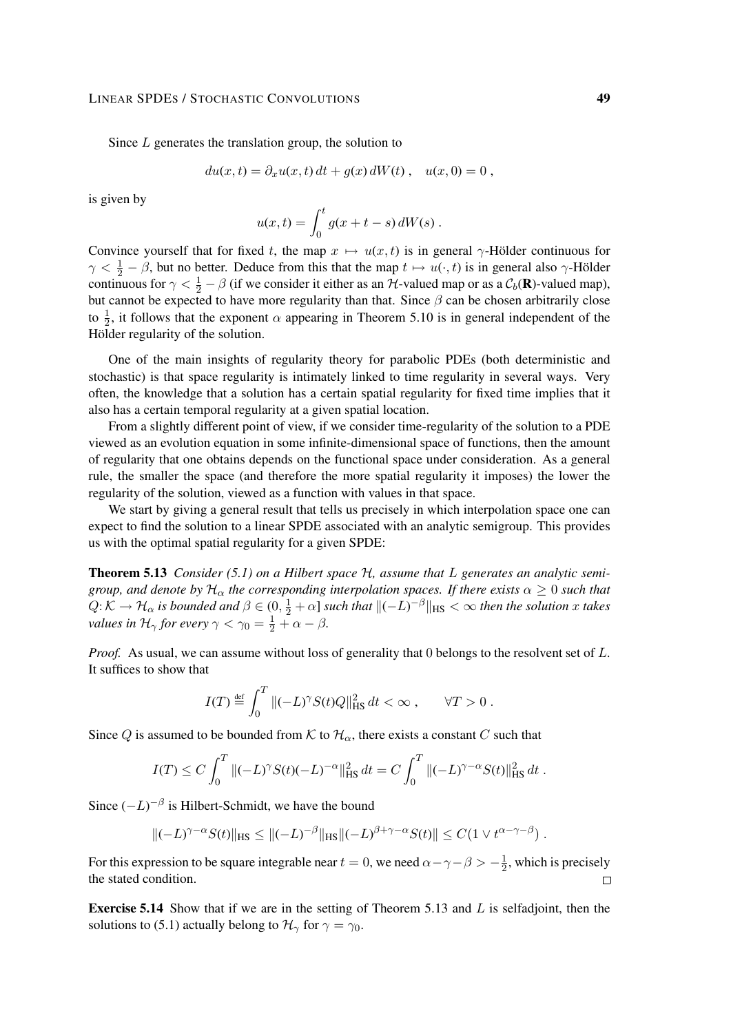#### LINEAR SPDES / STOCHASTIC CONVOLUTIONS 49

Since  $L$  generates the translation group, the solution to

$$
du(x,t) = \partial_x u(x,t) dt + g(x) dW(t), \quad u(x,0) = 0,
$$

is given by

$$
u(x,t) = \int_0^t g(x+t-s) dW(s) .
$$

Convince yourself that for fixed t, the map  $x \mapsto u(x, t)$  is in general  $\gamma$ -Hölder continuous for  $\gamma < \frac{1}{2} - \beta$ , but no better. Deduce from this that the map  $t \mapsto u(\cdot, t)$  is in general also  $\gamma$ -Hölder continuous for  $\gamma < \frac{1}{2} - \beta$  (if we consider it either as an H-valued map or as a  $C_b(\mathbf{R})$ -valued map), but cannot be expected to have more regularity than that. Since  $\beta$  can be chosen arbitrarily close to  $\frac{1}{2}$ , it follows that the exponent  $\alpha$  appearing in Theorem 5.10 is in general independent of the Hölder regularity of the solution.

One of the main insights of regularity theory for parabolic PDEs (both deterministic and stochastic) is that space regularity is intimately linked to time regularity in several ways. Very often, the knowledge that a solution has a certain spatial regularity for fixed time implies that it also has a certain temporal regularity at a given spatial location.

From a slightly different point of view, if we consider time-regularity of the solution to a PDE viewed as an evolution equation in some infinite-dimensional space of functions, then the amount of regularity that one obtains depends on the functional space under consideration. As a general rule, the smaller the space (and therefore the more spatial regularity it imposes) the lower the regularity of the solution, viewed as a function with values in that space.

We start by giving a general result that tells us precisely in which interpolation space one can expect to find the solution to a linear SPDE associated with an analytic semigroup. This provides us with the optimal spatial regularity for a given SPDE:

Theorem 5.13 *Consider (5.1) on a Hilbert space* H*, assume that* L *generates an analytic semigroup, and denote by*  $H_{\alpha}$  *the corresponding interpolation spaces. If there exists*  $\alpha \geq 0$  *such that*  $Q:\mathcal{K}\to\mathcal{H}_\alpha$  is bounded and  $\beta\in(0,\frac{1}{2}+\alpha]$  such that  $\|(-L)^{-\beta}\|_{\text{HS}}<\infty$  then the solution x takes *values in*  $\mathcal{H}_{\gamma}$  *for every*  $\gamma < \gamma_0 = \frac{1}{2} + \alpha - \beta$ *.* 

*Proof.* As usual, we can assume without loss of generality that 0 belongs to the resolvent set of L. It suffices to show that

$$
I(T) \stackrel{\text{def}}{=} \int_0^T \|(-L)^\gamma S(t)Q\|_{\text{HS}}^2 dt < \infty \,, \qquad \forall T > 0 \,.
$$

Since Q is assumed to be bounded from K to  $\mathcal{H}_{\alpha}$ , there exists a constant C such that

$$
I(T) \le C \int_0^T \|(-L)^\gamma S(t)(-L)^{-\alpha}\|_{\text{HS}}^2 dt = C \int_0^T \|(-L)^{\gamma-\alpha} S(t)\|_{\text{HS}}^2 dt.
$$

Since  $(-L)^{-\beta}$  is Hilbert-Schmidt, we have the bound

$$
\|(-L)^{\gamma-\alpha}S(t)\|_{\text{HS}} \le \|(-L)^{-\beta}\|_{\text{HS}} \|(-L)^{\beta+\gamma-\alpha}S(t)\| \le C(1 \vee t^{\alpha-\gamma-\beta}).
$$

For this expression to be square integrable near  $t = 0$ , we need  $\alpha - \gamma - \beta > -\frac{1}{2}$  $\frac{1}{2}$ , which is precisely the stated condition.  $\Box$ 

**Exercise 5.14** Show that if we are in the setting of Theorem 5.13 and  $L$  is selfadjoint, then the solutions to (5.1) actually belong to  $\mathcal{H}_{\gamma}$  for  $\gamma = \gamma_0$ .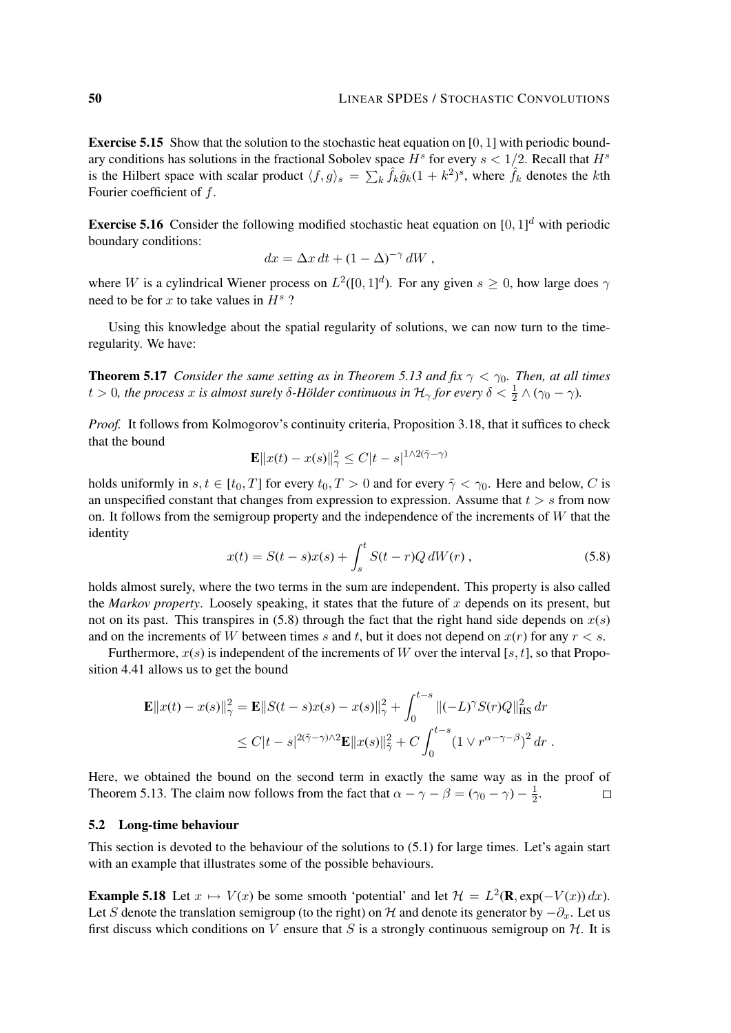Exercise 5.15 Show that the solution to the stochastic heat equation on [0, 1] with periodic boundary conditions has solutions in the fractional Sobolev space  $H^s$  for every  $s < 1/2$ . Recall that  $H^s$ is the Hilbert space with scalar product  $\langle f, g \rangle_s = \sum_k \hat{f}_k \hat{g}_k (1 + k^2)^s$ , where  $\hat{f}_k$  denotes the kth Fourier coefficient of f.

**Exercise 5.16** Consider the following modified stochastic heat equation on  $[0, 1]^d$  with periodic boundary conditions:

$$
dx = \Delta x dt + (1 - \Delta)^{-\gamma} dW,
$$

where W is a cylindrical Wiener process on  $L^2([0,1]^d)$ . For any given  $s \ge 0$ , how large does  $\gamma$ need to be for x to take values in  $H^s$ ?

Using this knowledge about the spatial regularity of solutions, we can now turn to the timeregularity. We have:

**Theorem 5.17** *Consider the same setting as in Theorem 5.13 and fix*  $\gamma < \gamma_0$ *. Then, at all times* t > 0, the process x is almost surely  $\delta$ -Hölder continuous in  $\mathcal{H}_{\gamma}$  for every  $\delta < \frac{1}{2} \wedge (\gamma_0 - \gamma)$ .

*Proof.* It follows from Kolmogorov's continuity criteria, Proposition 3.18, that it suffices to check that the bound

$$
\mathbf{E}||x(t) - x(s)||_{\gamma}^{2} \leq C|t - s|^{1 \wedge 2(\tilde{\gamma} - \gamma)}
$$

holds uniformly in  $s, t \in [t_0, T]$  for every  $t_0, T > 0$  and for every  $\tilde{\gamma} < \gamma_0$ . Here and below, C is an unspecified constant that changes from expression to expression. Assume that  $t > s$  from now on. It follows from the semigroup property and the independence of the increments of  $W$  that the identity

$$
x(t) = S(t - s)x(s) + \int_{s}^{t} S(t - r)Q dW(r), \qquad (5.8)
$$

holds almost surely, where the two terms in the sum are independent. This property is also called the *Markov property*. Loosely speaking, it states that the future of  $x$  depends on its present, but not on its past. This transpires in  $(5.8)$  through the fact that the right hand side depends on  $x(s)$ and on the increments of W between times s and t, but it does not depend on  $x(r)$  for any  $r < s$ .

Furthermore,  $x(s)$  is independent of the increments of W over the interval [s, t], so that Proposition 4.41 allows us to get the bound

$$
\mathbf{E} ||x(t) - x(s)||_{\gamma}^{2} = \mathbf{E} ||S(t - s)x(s) - x(s)||_{\gamma}^{2} + \int_{0}^{t - s} ||(-L)^{\gamma} S(r)Q||_{\text{HS}}^{2} dr
$$
  

$$
\leq C|t - s|^{2(\tilde{\gamma} - \gamma) \wedge 2} \mathbf{E} ||x(s)||_{\tilde{\gamma}}^{2} + C \int_{0}^{t - s} (1 \vee r^{\alpha - \gamma - \beta})^{2} dr.
$$

Here, we obtained the bound on the second term in exactly the same way as in the proof of Theorem 5.13. The claim now follows from the fact that  $\alpha - \gamma - \beta = (\gamma_0 - \gamma) - \frac{1}{2}$  $rac{1}{2}$ .  $\Box$ 

## 5.2 Long-time behaviour

This section is devoted to the behaviour of the solutions to (5.1) for large times. Let's again start with an example that illustrates some of the possible behaviours.

**Example 5.18** Let  $x \mapsto V(x)$  be some smooth 'potential' and let  $\mathcal{H} = L^2(\mathbf{R}, \exp(-V(x)) dx)$ . Let S denote the translation semigroup (to the right) on H and denote its generator by  $-\partial_x$ . Let us first discuss which conditions on V ensure that S is a strongly continuous semigroup on  $H$ . It is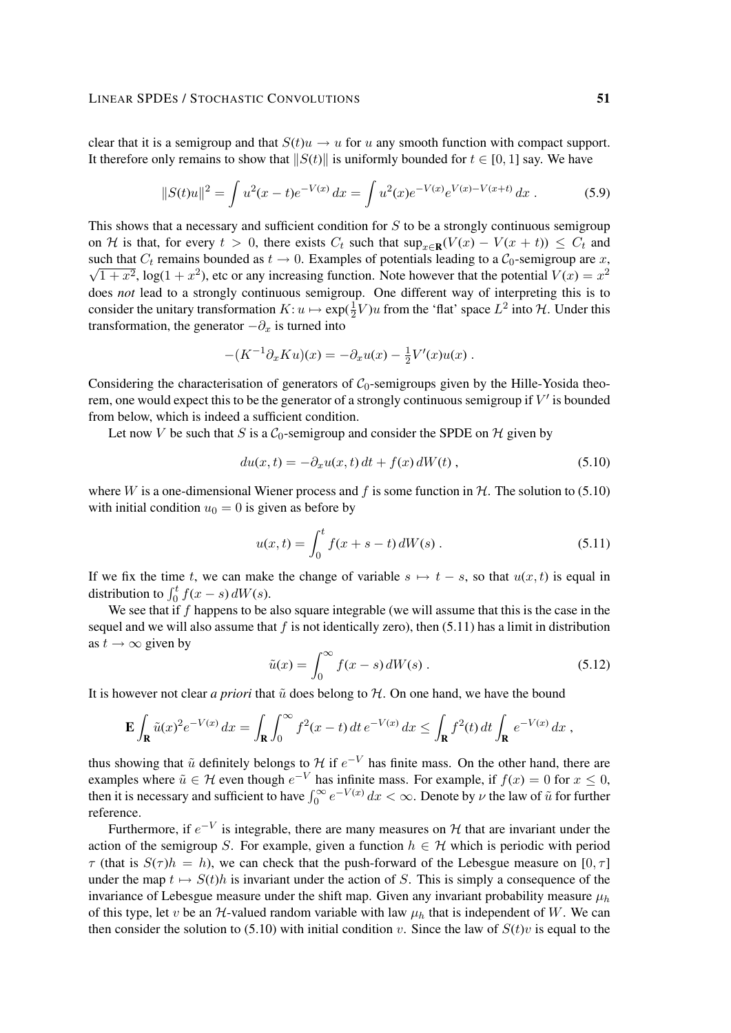clear that it is a semigroup and that  $S(t)u \rightarrow u$  for u any smooth function with compact support. It therefore only remains to show that  $||S(t)||$  is uniformly bounded for  $t \in [0, 1]$  say. We have

$$
||S(t)u||^2 = \int u^2(x-t)e^{-V(x)} dx = \int u^2(x)e^{-V(x)}e^{V(x)-V(x+t)} dx.
$$
 (5.9)

This shows that a necessary and sufficient condition for  $S$  to be a strongly continuous semigroup on H is that, for every  $t > 0$ , there exists  $C_t$  such that  $\sup_{x \in \mathbf{R}} (V(x) - V(x + t)) \leq C_t$  and such that  $C_t$  remains bounded as  $t \to 0$ . Examples of potentials leading to a  $C_0$ -semigroup are x,  $\overline{1+x^2}$ , log( $1+x^2$ ), etc or any increasing function. Note however that the potential  $V(x) = x^2$ does *not* lead to a strongly continuous semigroup. One different way of interpreting this is to consider the unitary transformation  $K: u \mapsto \exp(\frac{1}{2}V)u$  from the 'flat' space  $L^2$  into  $H$ . Under this transformation, the generator  $-\partial_x$  is turned into

$$
-(K^{-1}\partial_x Ku)(x) = -\partial_x u(x) - \frac{1}{2}V'(x)u(x) .
$$

Considering the characterisation of generators of  $C_0$ -semigroups given by the Hille-Yosida theorem, one would expect this to be the generator of a strongly continuous semigroup if  $V'$  is bounded from below, which is indeed a sufficient condition.

Let now V be such that S is a  $C_0$ -semigroup and consider the SPDE on H given by

$$
du(x,t) = -\partial_x u(x,t) dt + f(x) dW(t), \qquad (5.10)
$$

where W is a one-dimensional Wiener process and f is some function in  $H$ . The solution to (5.10) with initial condition  $u_0 = 0$  is given as before by

$$
u(x,t) = \int_0^t f(x+s-t) dW(s).
$$
 (5.11)

If we fix the time t, we can make the change of variable  $s \mapsto t - s$ , so that  $u(x, t)$  is equal in distribution to  $\int_0^t f(x-s) dW(s)$ .

We see that if  $f$  happens to be also square integrable (we will assume that this is the case in the sequel and we will also assume that f is not identically zero), then  $(5.11)$  has a limit in distribution as  $t \to \infty$  given by

$$
\tilde{u}(x) = \int_0^\infty f(x - s) dW(s) . \tag{5.12}
$$

It is however not clear *a priori* that  $\tilde{u}$  does belong to  $H$ . On one hand, we have the bound

$$
\mathbf{E} \int_{\mathbf{R}} \tilde{u}(x)^2 e^{-V(x)} dx = \int_{\mathbf{R}} \int_0^\infty f^2(x-t) dt e^{-V(x)} dx \le \int_{\mathbf{R}} f^2(t) dt \int_{\mathbf{R}} e^{-V(x)} dx,
$$

thus showing that  $\tilde{u}$  definitely belongs to  $\mathcal{H}$  if  $e^{-V}$  has finite mass. On the other hand, there are examples where  $\tilde{u} \in \mathcal{H}$  even though  $e^{-V}$  has infinite mass. For example, if  $f(x) = 0$  for  $x \le 0$ , then it is necessary and sufficient to have  $\int_0^\infty e^{-V(x)} dx < \infty$ . Denote by  $\nu$  the law of  $\tilde{u}$  for further reference.

Furthermore, if  $e^{-V}$  is integrable, there are many measures on H that are invariant under the action of the semigroup S. For example, given a function  $h \in \mathcal{H}$  which is periodic with period  $\tau$  (that is  $S(\tau)h = h$ ), we can check that the push-forward of the Lebesgue measure on [0,  $\tau$ ] under the map  $t \mapsto S(t)h$  is invariant under the action of S. This is simply a consequence of the invariance of Lebesgue measure under the shift map. Given any invariant probability measure  $\mu_h$ of this type, let v be an  $H$ -valued random variable with law  $\mu_h$  that is independent of W. We can then consider the solution to (5.10) with initial condition v. Since the law of  $S(t)v$  is equal to the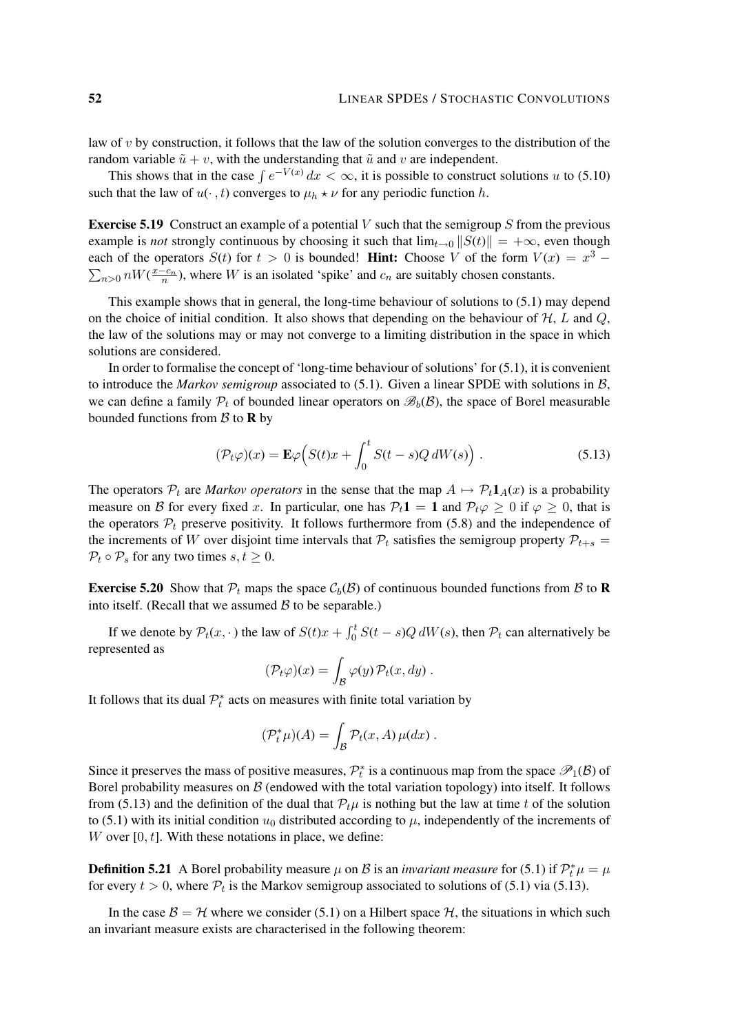law of v by construction, it follows that the law of the solution converges to the distribution of the random variable  $\tilde{u} + v$ , with the understanding that  $\tilde{u}$  and v are independent.

This shows that in the case  $\int e^{-V(x)} dx < \infty$ , it is possible to construct solutions u to (5.10) such that the law of  $u(\cdot, t)$  converges to  $\mu_h \star \nu$  for any periodic function h.

**Exercise 5.19** Construct an example of a potential V such that the semigroup S from the previous example is *not* strongly continuous by choosing it such that  $\lim_{t\to 0} ||S(t)|| = +\infty$ , even though each of the operators  $S(t)$  for  $t > 0$  is bounded! Hint: Choose V of the form  $V(x) = x^3 \sum_{n>0} nW(\frac{x-c_n}{n})$ , where W is an isolated 'spike' and  $c_n$  are suitably chosen constants.

This example shows that in general, the long-time behaviour of solutions to (5.1) may depend on the choice of initial condition. It also shows that depending on the behaviour of  $H, L$  and  $Q$ , the law of the solutions may or may not converge to a limiting distribution in the space in which solutions are considered.

In order to formalise the concept of 'long-time behaviour of solutions' for (5.1), it is convenient to introduce the *Markov semigroup* associated to (5.1). Given a linear SPDE with solutions in B, we can define a family  $\mathcal{P}_t$  of bounded linear operators on  $\mathcal{B}_b(\mathcal{B})$ , the space of Borel measurable bounded functions from  $\beta$  to **R** by

$$
(\mathcal{P}_t\varphi)(x) = \mathbf{E}\varphi\Big(S(t)x + \int_0^t S(t-s)Q\,dW(s)\Big) . \tag{5.13}
$$

The operators  $P_t$  are *Markov operators* in the sense that the map  $A \mapsto P_t \mathbf{1}_A(x)$  is a probability measure on B for every fixed x. In particular, one has  $P_t 1 = 1$  and  $P_t \varphi \ge 0$  if  $\varphi \ge 0$ , that is the operators  $P_t$  preserve positivity. It follows furthermore from (5.8) and the independence of the increments of W over disjoint time intervals that  $P_t$  satisfies the semigroup property  $P_{t+s}$  =  $P_t \circ P_s$  for any two times  $s, t \geq 0$ .

**Exercise 5.20** Show that  $P_t$  maps the space  $C_b(\mathcal{B})$  of continuous bounded functions from  $\mathcal{B}$  to **R** into itself. (Recall that we assumed  $\beta$  to be separable.)

If we denote by  $P_t(x, \cdot)$  the law of  $S(t)x + \int_0^t S(t-s)Q dW(s)$ , then  $P_t$  can alternatively be represented as

$$
(\mathcal{P}_t\varphi)(x) = \int_{\mathcal{B}} \varphi(y) \, \mathcal{P}_t(x, dy) \, .
$$

It follows that its dual  $\mathcal{P}_t^*$  acts on measures with finite total variation by

$$
(\mathcal{P}_t^*\mu)(A) = \int_{\mathcal{B}} \mathcal{P}_t(x, A)\,\mu(dx) \; .
$$

Since it preserves the mass of positive measures,  $\mathcal{P}_t^*$  is a continuous map from the space  $\mathcal{P}_1(\mathcal{B})$  of Borel probability measures on  $\beta$  (endowed with the total variation topology) into itself. It follows from (5.13) and the definition of the dual that  $\mathcal{P}_t\mu$  is nothing but the law at time t of the solution to (5.1) with its initial condition  $u_0$  distributed according to  $\mu$ , independently of the increments of W over  $[0, t]$ . With these notations in place, we define:

**Definition 5.21** A Borel probability measure  $\mu$  on B is an *invariant measure* for (5.1) if  $\mathcal{P}_t^* \mu = \mu$ for every  $t > 0$ , where  $P_t$  is the Markov semigroup associated to solutions of (5.1) via (5.13).

In the case  $\mathcal{B} = \mathcal{H}$  where we consider (5.1) on a Hilbert space  $\mathcal{H}$ , the situations in which such an invariant measure exists are characterised in the following theorem: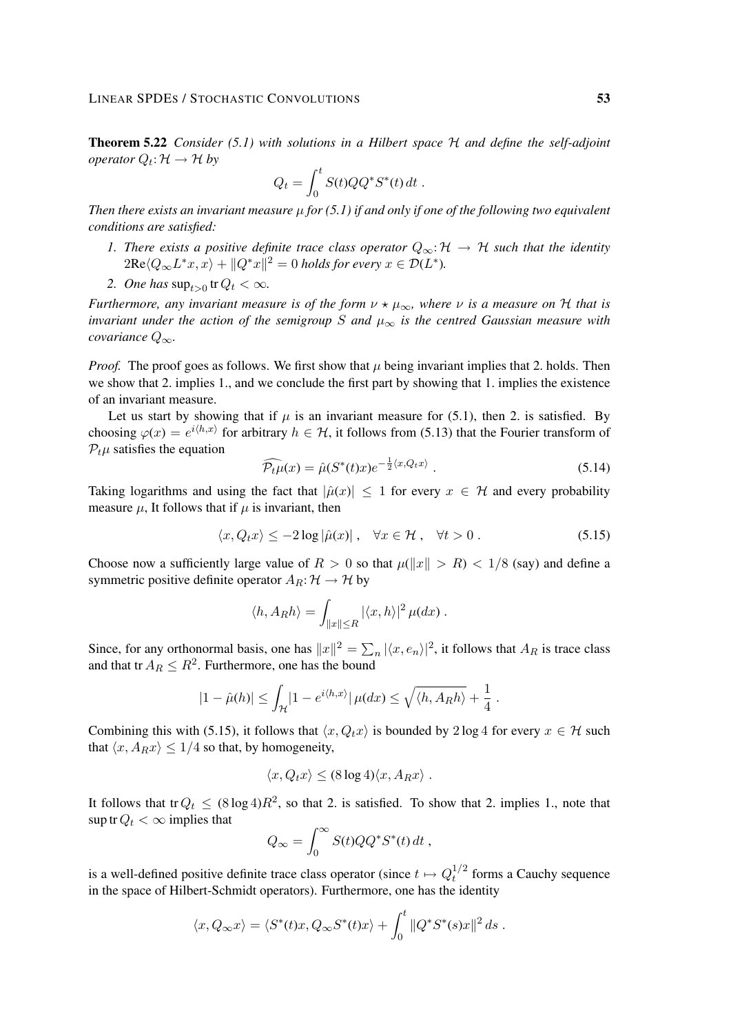Theorem 5.22 *Consider (5.1) with solutions in a Hilbert space* H *and define the self-adjoint operator*  $Q_t: \mathcal{H} \to \mathcal{H}$  *by* 

$$
Q_t = \int_0^t S(t)QQ^*S^*(t) dt.
$$

*Then there exists an invariant measure*  $\mu$  *for* (5.1) *if and only if one of the following two equivalent conditions are satisfied:*

- *1. There exists a positive definite trace class operator*  $Q_{\infty}$ : H → H *such that the identity*  $2\text{Re}\langle Q_{\infty}L^*x, x\rangle + \|Q^*x\|^2 = 0$  holds for every  $x\in \mathcal{D}(L^*).$
- 2. *One has*  $\sup_{t>0}$  tr  $Q_t < \infty$ *.*

*Furthermore, any invariant measure is of the form*  $\nu \star \mu_{\infty}$ *, where*  $\nu$  *is a measure on* H *that is invariant under the action of the semigroup* S and  $\mu_{\infty}$  *is the centred Gaussian measure with covariance* Q∞*.*

*Proof.* The proof goes as follows. We first show that  $\mu$  being invariant implies that 2. holds. Then we show that 2. implies 1., and we conclude the first part by showing that 1. implies the existence of an invariant measure.

Let us start by showing that if  $\mu$  is an invariant measure for (5.1), then 2, is satisfied. By choosing  $\varphi(x) = e^{i\langle h,x\rangle}$  for arbitrary  $h \in \mathcal{H}$ , it follows from (5.13) that the Fourier transform of  $P_t\mu$  satisfies the equation

$$
\widehat{\mathcal{P}_t \mu}(x) = \widehat{\mu}(S^*(t)x)e^{-\frac{1}{2}\langle x, Q_t x \rangle}.
$$
\n(5.14)

Taking logarithms and using the fact that  $|\hat{\mu}(x)| \leq 1$  for every  $x \in \mathcal{H}$  and every probability measure  $\mu$ , It follows that if  $\mu$  is invariant, then

$$
\langle x, Q_t x \rangle \le -2 \log |\hat{\mu}(x)| \,, \quad \forall x \in \mathcal{H} \,, \quad \forall t > 0 \,. \tag{5.15}
$$

Choose now a sufficiently large value of  $R > 0$  so that  $\mu(\Vert x \Vert > R) < 1/8$  (say) and define a symmetric positive definite operator  $A_R: \mathcal{H} \to \mathcal{H}$  by

$$
\langle h, A_R h \rangle = \int_{\|x\| \le R} |\langle x, h \rangle|^2 \, \mu(dx) \, .
$$

Since, for any orthonormal basis, one has  $||x||^2 = \sum_n |\langle x, e_n \rangle|^2$ , it follows that  $A_R$  is trace class and that tr  $A_R \leq R^2$ . Furthermore, one has the bound

$$
|1-\hat{\mu}(h)| \leq \int_{\mathcal{H}} |1-e^{i\langle h,x\rangle}|\,\mu(dx) \leq \sqrt{\langle h,A_Rh\rangle} + \frac{1}{4}.
$$

Combining this with (5.15), it follows that  $\langle x, Q_t x \rangle$  is bounded by 2 log 4 for every  $x \in \mathcal{H}$  such that  $\langle x, A_R x \rangle \leq 1/4$  so that, by homogeneity,

$$
\langle x, Q_t x \rangle \leq (8 \log 4) \langle x, A_R x \rangle.
$$

It follows that tr  $Q_t \le (8 \log 4)R^2$ , so that 2. is satisfied. To show that 2. implies 1., note that sup tr  $Q_t < \infty$  implies that

$$
Q_{\infty} = \int_0^{\infty} S(t)QQ^*S^*(t) dt,
$$

is a well-defined positive definite trace class operator (since  $t \mapsto Q_t^{1/2}$  $t^{1/2}$  forms a Cauchy sequence in the space of Hilbert-Schmidt operators). Furthermore, one has the identity

$$
\langle x, Q_{\infty} x \rangle = \langle S^*(t)x, Q_{\infty} S^*(t)x \rangle + \int_0^t \| Q^* S^*(s)x \|^2 ds.
$$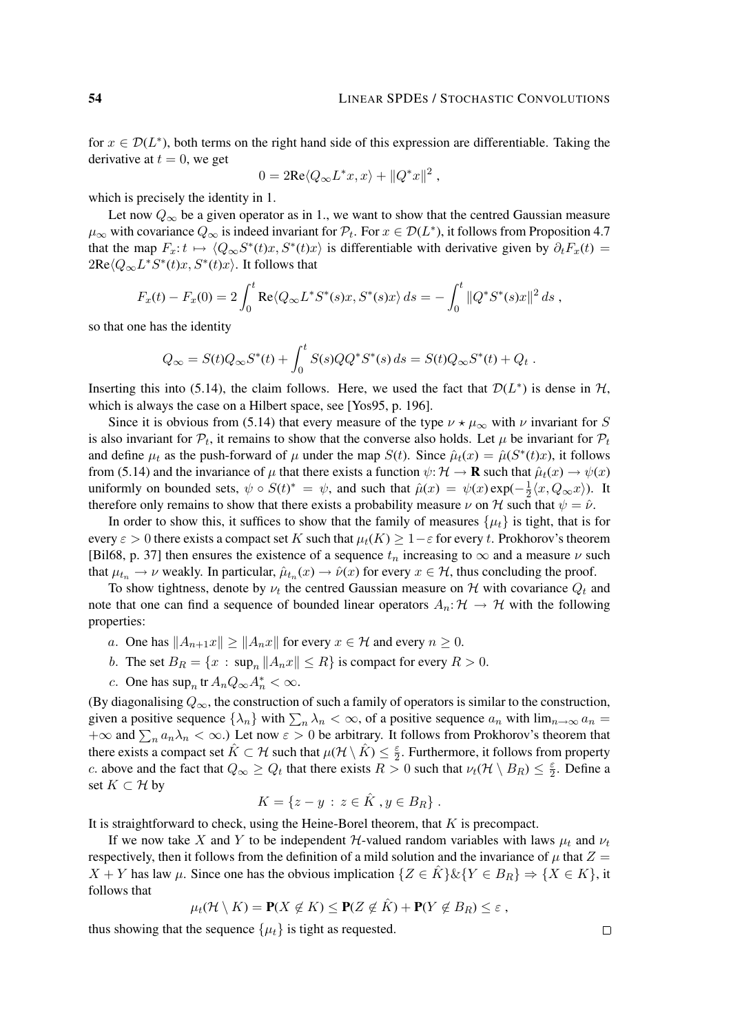for  $x \in \mathcal{D}(L^*)$ , both terms on the right hand side of this expression are differentiable. Taking the derivative at  $t = 0$ , we get

$$
0 = 2\text{Re}\langle Q_{\infty}L^*x, x\rangle + ||Q^*x||^2,
$$

which is precisely the identity in 1.

Let now  $Q_{\infty}$  be a given operator as in 1., we want to show that the centred Gaussian measure  $\mu_{\infty}$  with covariance  $Q_{\infty}$  is indeed invariant for  $\mathcal{P}_t$ . For  $x \in \mathcal{D}(L^*)$ , it follows from Proposition 4.7 that the map  $F_x: t \mapsto \langle Q_\infty S^*(t)x, S^*(t)x \rangle$  is differentiable with derivative given by  $\partial_t F_x(t) =$  $2\text{Re}\langle Q_{\infty}L^*S^*(t)x, S^*(t)x\rangle$ . It follows that

$$
F_x(t) - F_x(0) = 2 \int_0^t \text{Re} \langle Q_\infty L^* S^*(s) x, S^*(s) x \rangle ds = - \int_0^t \| Q^* S^*(s) x \|^2 ds,
$$

so that one has the identity

$$
Q_{\infty} = S(t)Q_{\infty}S^*(t) + \int_0^t S(s)QQ^*S^*(s) ds = S(t)Q_{\infty}S^*(t) + Q_t.
$$

Inserting this into (5.14), the claim follows. Here, we used the fact that  $\mathcal{D}(L^*)$  is dense in  $\mathcal{H}$ , which is always the case on a Hilbert space, see [Yos95, p. 196].

Since it is obvious from (5.14) that every measure of the type  $\nu \star \mu_{\infty}$  with  $\nu$  invariant for S is also invariant for  $P_t$ , it remains to show that the converse also holds. Let  $\mu$  be invariant for  $P_t$ and define  $\mu_t$  as the push-forward of  $\mu$  under the map  $S(t)$ . Since  $\hat{\mu}_t(x) = \hat{\mu}(S^*(t)x)$ , it follows from (5.14) and the invariance of  $\mu$  that there exists a function  $\psi: \mathcal{H} \to \mathbf{R}$  such that  $\hat{\mu}_t(x) \to \psi(x)$ uniformly on bounded sets,  $\psi \circ S(t)^* = \psi$ , and such that  $\hat{\mu}(x) = \psi(x) \exp(-\frac{1}{2}$  $\frac{1}{2}\langle x, Q_{\infty}x\rangle$ ). It therefore only remains to show that there exists a probability measure  $\nu$  on H such that  $\psi = \hat{\nu}$ .

In order to show this, it suffices to show that the family of measures  $\{\mu_t\}$  is tight, that is for every  $\varepsilon > 0$  there exists a compact set K such that  $\mu_t(K) \geq 1 - \varepsilon$  for every t. Prokhorov's theorem [Bil68, p. 37] then ensures the existence of a sequence  $t_n$  increasing to  $\infty$  and a measure  $\nu$  such that  $\mu_{t_n} \to \nu$  weakly. In particular,  $\hat{\mu}_{t_n}(x) \to \hat{\nu}(x)$  for every  $x \in \mathcal{H}$ , thus concluding the proof.

To show tightness, denote by  $\nu_t$  the centred Gaussian measure on H with covariance  $Q_t$  and note that one can find a sequence of bounded linear operators  $A_n: \mathcal{H} \to \mathcal{H}$  with the following properties:

- a. One has  $||A_{n+1}x|| > ||A_nx||$  for every  $x \in \mathcal{H}$  and every  $n \geq 0$ .
- b. The set  $B_R = \{x : \sup_n ||A_n x|| \le R\}$  is compact for every  $R > 0$ .
- c. One has  $\sup_n \text{tr} A_n Q_\infty A_n^* < \infty$ .

(By diagonalising  $Q_{\infty}$ , the construction of such a family of operators is similar to the construction, given a positive sequence  $\{\lambda_n\}$  with  $\sum_n \lambda_n < \infty$ , of a positive sequence  $a_n$  with  $\lim_{n\to\infty} a_n =$  $+\infty$  and  $\sum_n a_n \lambda_n < \infty$ .) Let now  $\varepsilon > 0$  be arbitrary. It follows from Prokhorov's theorem that there exists a compact set  $\hat{K} \subset \mathcal{H}$  such that  $\mu(\mathcal{H} \setminus \hat{K}) \leq \frac{\varepsilon}{2}$  $\frac{\varepsilon}{2}$ . Furthermore, it follows from property c. above and the fact that  $Q_{\infty} \geq Q_t$  that there exists  $R > 0$  such that  $\nu_t(\mathcal{H} \setminus B_R) \leq \frac{\varepsilon}{2}$  $\frac{\varepsilon}{2}$ . Define a set  $K \subset \mathcal{H}$  by

$$
K = \{z - y \,:\, z \in \hat{K} \, , y \in B_R\} \, .
$$

It is straightforward to check, using the Heine-Borel theorem, that  $K$  is precompact.

If we now take X and Y to be independent H-valued random variables with laws  $\mu_t$  and  $\nu_t$ respectively, then it follows from the definition of a mild solution and the invariance of  $\mu$  that  $Z =$  $X + Y$  has law  $\mu$ . Since one has the obvious implication  $\{Z \in \hat{K}\}\&\{Y \in B_R\} \Rightarrow \{X \in K\}$ , it follows that

$$
\mu_t(\mathcal{H}\setminus K)=\mathbf{P}(X\not\in K)\leq \mathbf{P}(Z\not\in \hat{K})+\mathbf{P}(Y\not\in B_R)\leq \varepsilon,
$$

thus showing that the sequence  $\{\mu_t\}$  is tight as requested.

 $\Box$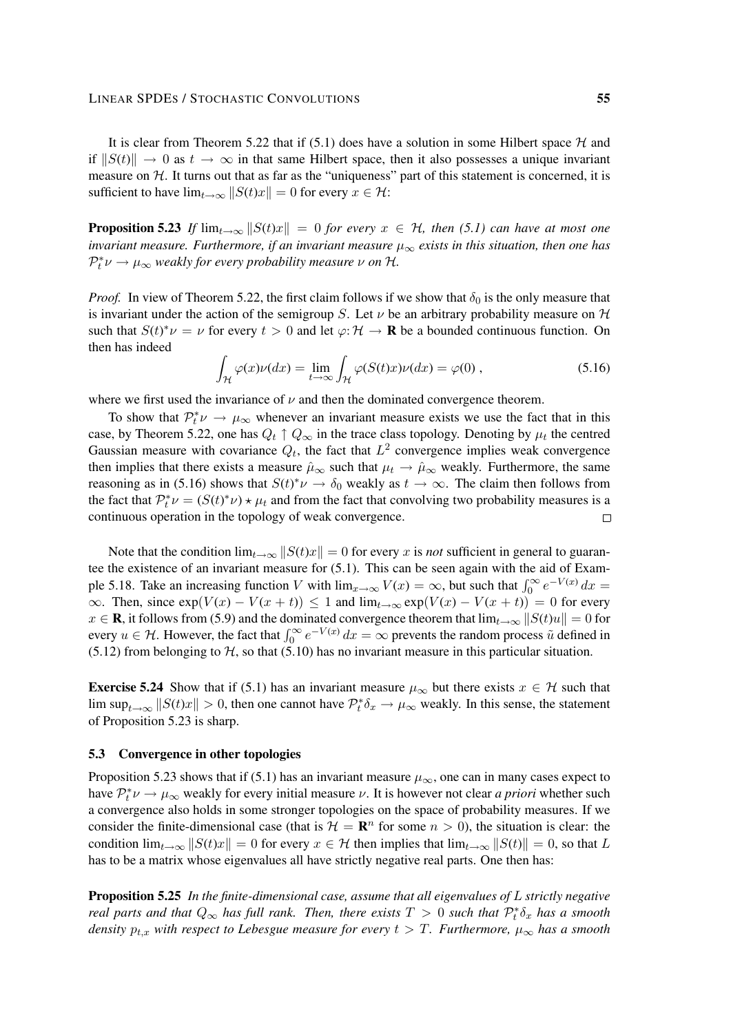It is clear from Theorem 5.22 that if (5.1) does have a solution in some Hilbert space  $H$  and if  $||S(t)|| \rightarrow 0$  as  $t \rightarrow \infty$  in that same Hilbert space, then it also possesses a unique invariant measure on  $H$ . It turns out that as far as the "uniqueness" part of this statement is concerned, it is sufficient to have  $\lim_{t\to\infty}||S(t)x|| = 0$  for every  $x \in \mathcal{H}$ :

**Proposition 5.23** If  $\lim_{t\to\infty} ||S(t)x|| = 0$  for every  $x \in H$ , then (5.1) can have at most one *invariant measure. Furthermore, if an invariant measure*  $\mu_{\infty}$  *exists in this situation, then one has*  $\mathcal{P}_t^* \nu \to \mu_\infty$  weakly for every probability measure  $\nu$  on H.

*Proof.* In view of Theorem 5.22, the first claim follows if we show that  $\delta_0$  is the only measure that is invariant under the action of the semigroup S. Let  $\nu$  be an arbitrary probability measure on  $\mathcal H$ such that  $S(t)^*\nu = \nu$  for every  $t > 0$  and let  $\varphi: \mathcal{H} \to \mathbf{R}$  be a bounded continuous function. On then has indeed

$$
\int_{\mathcal{H}} \varphi(x)\nu(dx) = \lim_{t \to \infty} \int_{\mathcal{H}} \varphi(S(t)x)\nu(dx) = \varphi(0) , \qquad (5.16)
$$

where we first used the invariance of  $\nu$  and then the dominated convergence theorem.

To show that  $\mathcal{P}_t^* \nu \to \mu_\infty$  whenever an invariant measure exists we use the fact that in this case, by Theorem 5.22, one has  $Q_t \uparrow Q_{\infty}$  in the trace class topology. Denoting by  $\mu_t$  the centred Gaussian measure with covariance  $Q_t$ , the fact that  $L^2$  convergence implies weak convergence then implies that there exists a measure  $\hat{\mu}_{\infty}$  such that  $\mu_t \to \hat{\mu}_{\infty}$  weakly. Furthermore, the same reasoning as in (5.16) shows that  $S(t)^*\nu \to \delta_0$  weakly as  $t \to \infty$ . The claim then follows from the fact that  $\mathcal{P}_t^* \nu = (S(t)^* \nu) \star \mu_t$  and from the fact that convolving two probability measures is a continuous operation in the topology of weak convergence.  $\Box$ 

Note that the condition  $\lim_{t\to\infty}||S(t)x|| = 0$  for every x is *not* sufficient in general to guarantee the existence of an invariant measure for (5.1). This can be seen again with the aid of Example 5.18. Take an increasing function V with  $\lim_{x\to\infty} V(x) = \infty$ , but such that  $\int_0^\infty e^{-V(x)} dx =$  $\infty$ . Then, since  $\exp(V(x) - V(x + t)) \leq 1$  and  $\lim_{t\to\infty} \exp(V(x) - V(x + t)) = 0$  for every  $x \in \mathbf{R}$ , it follows from (5.9) and the dominated convergence theorem that  $\lim_{t\to\infty} ||S(t)u|| = 0$  for every  $u \in H$ . However, the fact that  $\int_0^\infty e^{-V(x)} dx = \infty$  prevents the random process  $\tilde{u}$  defined in  $(5.12)$  from belonging to  $H$ , so that  $(5.10)$  has no invariant measure in this particular situation.

**Exercise 5.24** Show that if (5.1) has an invariant measure  $\mu_{\infty}$  but there exists  $x \in \mathcal{H}$  such that lim sup<sub>t→∞</sub>  $||S(t)x|| > 0$ , then one cannot have  $\mathcal{P}_t^*\delta_x \to \mu_\infty$  weakly. In this sense, the statement of Proposition 5.23 is sharp.

### 5.3 Convergence in other topologies

Proposition 5.23 shows that if (5.1) has an invariant measure  $\mu_{\infty}$ , one can in many cases expect to have  $\mathcal{P}_t^* \nu \to \mu_\infty$  weakly for every initial measure  $\nu$ . It is however not clear *a priori* whether such a convergence also holds in some stronger topologies on the space of probability measures. If we consider the finite-dimensional case (that is  $\mathcal{H} = \mathbb{R}^n$  for some  $n > 0$ ), the situation is clear: the condition  $\lim_{t\to\infty}||S(t)x|| = 0$  for every  $x \in H$  then implies that  $\lim_{t\to\infty}||S(t)|| = 0$ , so that L has to be a matrix whose eigenvalues all have strictly negative real parts. One then has:

Proposition 5.25 *In the finite-dimensional case, assume that all eigenvalues of* L *strictly negative real parts and that*  $Q_{\infty}$  *has full rank. Then, there exists*  $T > 0$  *such that*  $\mathcal{P}_t^* \delta_x$  *has a smooth density*  $p_{t,x}$  *with respect to Lebesgue measure for every*  $t > T$ *. Furthermore,*  $\mu_{\infty}$  *has a smooth*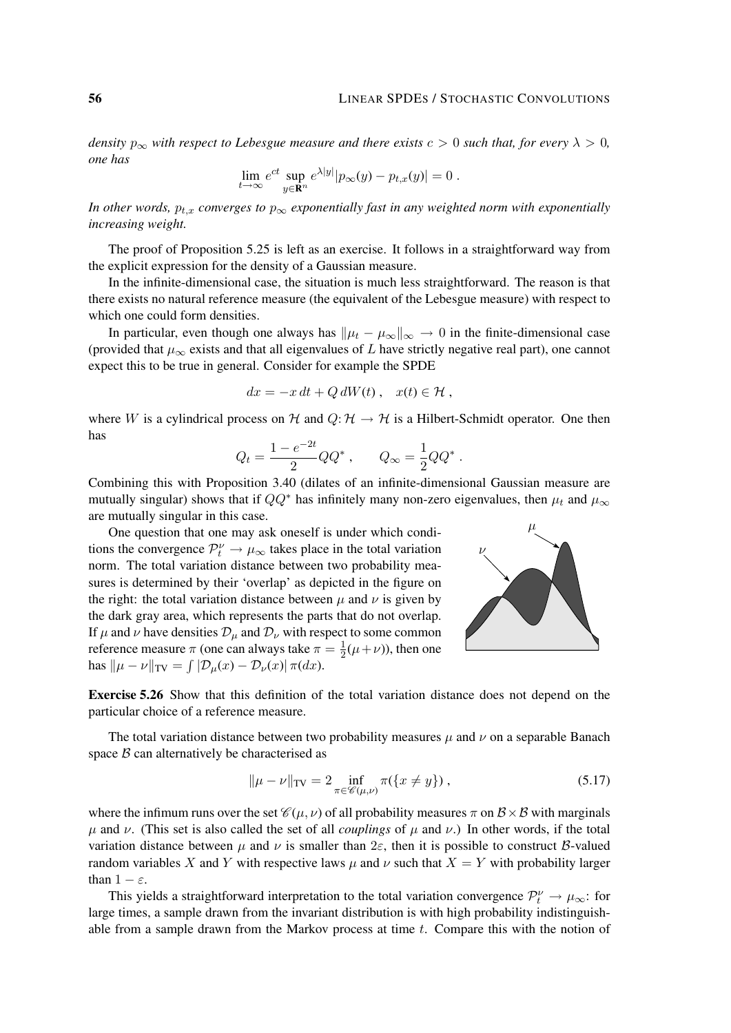*density*  $p_{\infty}$  *with respect to Lebesgue measure and there exists*  $c > 0$  *such that, for every*  $\lambda > 0$ *, one has*

$$
\lim_{t \to \infty} e^{ct} \sup_{y \in \mathbf{R}^n} e^{\lambda |y|} |p_\infty(y) - p_{t,x}(y)| = 0.
$$

*In other words,*  $p_{t,x}$  *converges to*  $p_{\infty}$  *exponentially fast in any weighted norm with exponentially increasing weight.*

The proof of Proposition 5.25 is left as an exercise. It follows in a straightforward way from the explicit expression for the density of a Gaussian measure.

In the infinite-dimensional case, the situation is much less straightforward. The reason is that there exists no natural reference measure (the equivalent of the Lebesgue measure) with respect to which one could form densities.

In particular, even though one always has  $\|\mu_t - \mu_\infty\|_{\infty} \to 0$  in the finite-dimensional case (provided that  $\mu_{\infty}$  exists and that all eigenvalues of L have strictly negative real part), one cannot expect this to be true in general. Consider for example the SPDE

$$
dx = -x dt + Q dW(t), \quad x(t) \in \mathcal{H},
$$

where W is a cylindrical process on H and  $Q: H \to H$  is a Hilbert-Schmidt operator. One then has

$$
Q_t = \frac{1 - e^{-2t}}{2}QQ^*
$$
,  $Q_\infty = \frac{1}{2}QQ^*$ .

Combining this with Proposition 3.40 (dilates of an infinite-dimensional Gaussian measure are mutually singular) shows that if  $QQ^*$  has infinitely many non-zero eigenvalues, then  $\mu_t$  and  $\mu_\infty$ are mutually singular in this case.

One question that one may ask oneself is under which conditions the convergence  $\mathcal{P}_t^{\nu} \to \mu_{\infty}$  takes place in the total variation norm. The total variation distance between two probability measures is determined by their 'overlap' as depicted in the figure on the right: the total variation distance between  $\mu$  and  $\nu$  is given by the dark gray area, which represents the parts that do not overlap. If  $\mu$  and  $\nu$  have densities  $\mathcal{D}_{\mu}$  and  $\mathcal{D}_{\nu}$  with respect to some common reference measure  $\pi$  (one can always take  $\pi = \frac{1}{2}$  $\frac{1}{2}(\mu+\nu)$ ), then one has  $\|\mu - \nu\|_{TV} = \int |\mathcal{D}_{\mu}(x) - \mathcal{D}_{\nu}(x)| \pi(dx).$ 



Exercise 5.26 Show that this definition of the total variation distance does not depend on the particular choice of a reference measure.

The total variation distance between two probability measures  $\mu$  and  $\nu$  on a separable Banach space  $\beta$  can alternatively be characterised as

$$
\|\mu - \nu\|_{\text{TV}} = 2 \inf_{\pi \in \mathscr{C}(\mu, \nu)} \pi({x \neq y}), \tag{5.17}
$$

where the infimum runs over the set  $\mathcal{C}(\mu, \nu)$  of all probability measures  $\pi$  on  $\mathcal{B} \times \mathcal{B}$  with marginals  $\mu$  and  $\nu$ . (This set is also called the set of all *couplings* of  $\mu$  and  $\nu$ .) In other words, if the total variation distance between  $\mu$  and  $\nu$  is smaller than  $2\varepsilon$ , then it is possible to construct B-valued random variables X and Y with respective laws  $\mu$  and  $\nu$  such that  $X = Y$  with probability larger than  $1 - \varepsilon$ .

This yields a straightforward interpretation to the total variation convergence  $\mathcal{P}_t^{\nu} \to \mu_{\infty}$ : for large times, a sample drawn from the invariant distribution is with high probability indistinguishable from a sample drawn from the Markov process at time  $t$ . Compare this with the notion of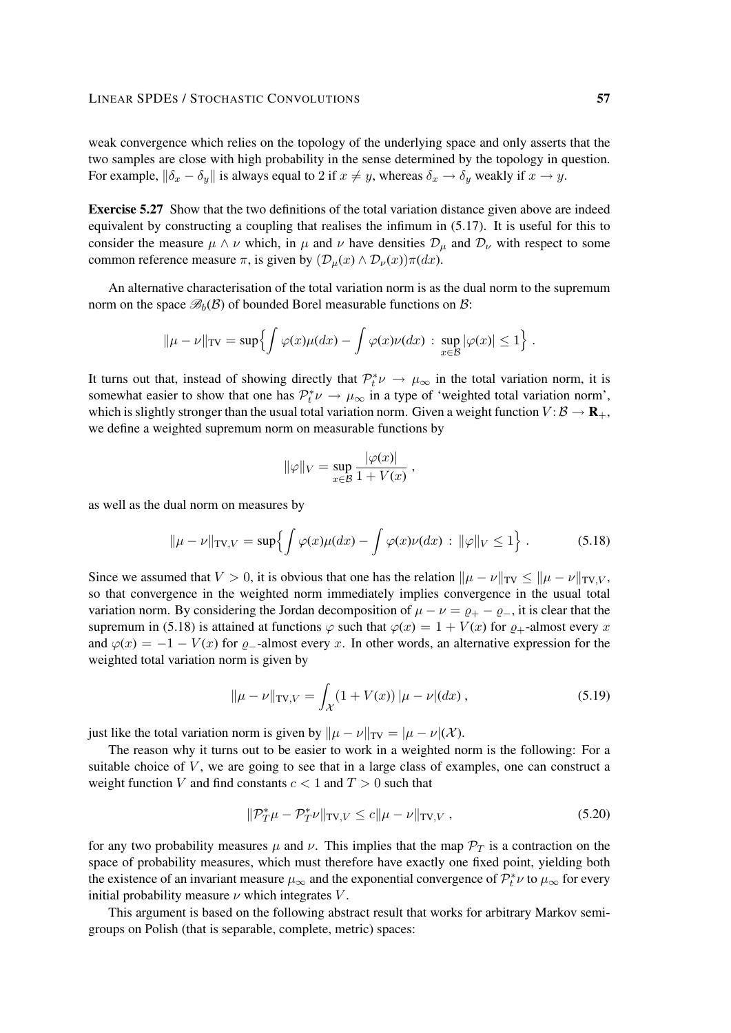weak convergence which relies on the topology of the underlying space and only asserts that the two samples are close with high probability in the sense determined by the topology in question. For example,  $\|\delta_x - \delta_y\|$  is always equal to 2 if  $x \neq y$ , whereas  $\delta_x \to \delta_y$  weakly if  $x \to y$ .

Exercise 5.27 Show that the two definitions of the total variation distance given above are indeed equivalent by constructing a coupling that realises the infimum in (5.17). It is useful for this to consider the measure  $\mu \wedge \nu$  which, in  $\mu$  and  $\nu$  have densities  $\mathcal{D}_{\mu}$  and  $\mathcal{D}_{\nu}$  with respect to some common reference measure  $\pi$ , is given by  $(\mathcal{D}_{\mu}(x) \wedge \mathcal{D}_{\nu}(x))\pi(dx)$ .

An alternative characterisation of the total variation norm is as the dual norm to the supremum norm on the space  $\mathscr{B}_{b}(\mathcal{B})$  of bounded Borel measurable functions on  $\mathcal{B}$ :

$$
\|\mu - \nu\|_{\text{TV}} = \sup \left\{ \int \varphi(x) \mu(dx) - \int \varphi(x) \nu(dx) : \sup_{x \in \mathcal{B}} |\varphi(x)| \leq 1 \right\}.
$$

It turns out that, instead of showing directly that  $\mathcal{P}_t^* \nu \to \mu_\infty$  in the total variation norm, it is somewhat easier to show that one has  $\mathcal{P}_t^* \nu \to \mu_\infty$  in a type of 'weighted total variation norm', which is slightly stronger than the usual total variation norm. Given a weight function  $V : \mathcal{B} \to \mathbb{R}_+$ , we define a weighted supremum norm on measurable functions by

$$
\|\varphi\|_V = \sup_{x \in \mathcal{B}} \frac{|\varphi(x)|}{1 + V(x)},
$$

as well as the dual norm on measures by

$$
\|\mu - \nu\|_{\text{TV}, V} = \sup \left\{ \int \varphi(x) \mu(dx) - \int \varphi(x) \nu(dx) : \|\varphi\|_{V} \le 1 \right\}. \tag{5.18}
$$

Since we assumed that  $V > 0$ , it is obvious that one has the relation  $\|\mu - \nu\|_{TV} \le \|\mu - \nu\|_{TV}$ , so that convergence in the weighted norm immediately implies convergence in the usual total variation norm. By considering the Jordan decomposition of  $\mu - \nu = \rho_+ - \rho_-$ , it is clear that the supremum in (5.18) is attained at functions  $\varphi$  such that  $\varphi(x) = 1 + V(x)$  for  $\rho_{+}$ -almost every x and  $\varphi(x) = -1 - V(x)$  for  $\varphi$ --almost every x. In other words, an alternative expression for the weighted total variation norm is given by

$$
\|\mu - \nu\|_{\text{TV}, V} = \int_{\mathcal{X}} (1 + V(x)) |\mu - \nu|(dx), \qquad (5.19)
$$

just like the total variation norm is given by  $\|\mu - \nu\|_{TV} = |\mu - \nu|(\mathcal{X})$ .

The reason why it turns out to be easier to work in a weighted norm is the following: For a suitable choice of  $V$ , we are going to see that in a large class of examples, one can construct a weight function V and find constants  $c < 1$  and  $T > 0$  such that

$$
\|\mathcal{P}_T^*\mu - \mathcal{P}_T^*\nu\|_{\text{TV},V} \le c\|\mu - \nu\|_{\text{TV},V},\tag{5.20}
$$

for any two probability measures  $\mu$  and  $\nu$ . This implies that the map  $\mathcal{P}_T$  is a contraction on the space of probability measures, which must therefore have exactly one fixed point, yielding both the existence of an invariant measure  $\mu_{\infty}$  and the exponential convergence of  $\mathcal{P}_t^* \nu$  to  $\mu_{\infty}$  for every initial probability measure  $\nu$  which integrates V.

This argument is based on the following abstract result that works for arbitrary Markov semigroups on Polish (that is separable, complete, metric) spaces: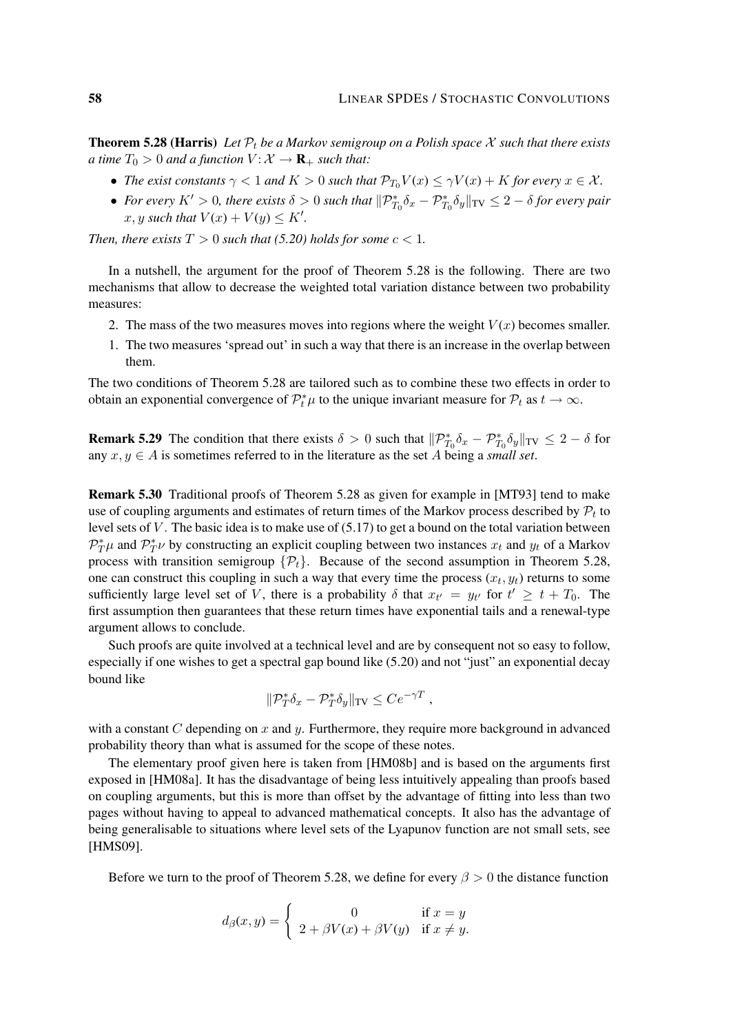**Theorem 5.28 (Harris)** Let  $\mathcal{P}_t$  be a Markov semigroup on a Polish space X such that there exists *a time*  $T_0 > 0$  *and a function*  $V: \mathcal{X} \to \mathbf{R}_+$  *such that:* 

- *The exist constants*  $\gamma < 1$  *and*  $K > 0$  *such that*  $\mathcal{P}_{T_0}V(x) \leq \gamma V(x) + K$  *for every*  $x \in \mathcal{X}$ *.*
- For every  $K' > 0$ , there exists  $\delta > 0$  such that  $\|\mathcal{P}^*_{T_0}\delta_x \mathcal{P}^*_{T_0}\delta_y\|_{TV} \leq 2 \delta$  for every pair  $x, y$  such that  $V(x) + V(y) \leq K'$ .

*Then, there exists*  $T > 0$  *such that* (5.20) *holds for some*  $c < 1$ *.* 

In a nutshell, the argument for the proof of Theorem 5.28 is the following. There are two mechanisms that allow to decrease the weighted total variation distance between two probability measures:

- 2. The mass of the two measures moves into regions where the weight  $V(x)$  becomes smaller.
- 1. The two measures 'spread out' in such a way that there is an increase in the overlap between them.

The two conditions of Theorem 5.28 are tailored such as to combine these two effects in order to obtain an exponential convergence of  $\mathcal{P}_t^* \mu$  to the unique invariant measure for  $\mathcal{P}_t$  as  $t \to \infty$ .

**Remark 5.29** The condition that there exists  $\delta > 0$  such that  $||\mathcal{P}^*_{T_0}\delta_x - \mathcal{P}^*_{T_0}\delta_y||_{TV} \leq 2 - \delta$  for any  $x, y \in A$  is sometimes referred to in the literature as the set A being a *small set*.

Remark 5.30 Traditional proofs of Theorem 5.28 as given for example in [MT93] tend to make use of coupling arguments and estimates of return times of the Markov process described by  $\mathcal{P}_t$  to level sets of V. The basic idea is to make use of  $(5.17)$  to get a bound on the total variation between  $\mathcal{P}_T^*\mu$  and  $\mathcal{P}_T^*\nu$  by constructing an explicit coupling between two instances  $x_t$  and  $y_t$  of a Markov process with transition semigroup  $\{\mathcal{P}_t\}$ . Because of the second assumption in Theorem 5.28, one can construct this coupling in such a way that every time the process  $(x_t, y_t)$  returns to some sufficiently large level set of V, there is a probability  $\delta$  that  $x_{t'} = y_{t'}$  for  $t' \geq t + T_0$ . The first assumption then guarantees that these return times have exponential tails and a renewal-type argument allows to conclude.

Such proofs are quite involved at a technical level and are by consequent not so easy to follow, especially if one wishes to get a spectral gap bound like (5.20) and not "just" an exponential decay bound like

$$
\|\mathcal{P}_T^*\delta_x-\mathcal{P}_T^*\delta_y\|_{\text{TV}}\leq Ce^{-\gamma T},
$$

with a constant  $C$  depending on  $x$  and  $y$ . Furthermore, they require more background in advanced probability theory than what is assumed for the scope of these notes.

The elementary proof given here is taken from [HM08b] and is based on the arguments first exposed in [HM08a]. It has the disadvantage of being less intuitively appealing than proofs based on coupling arguments, but this is more than offset by the advantage of fitting into less than two pages without having to appeal to advanced mathematical concepts. It also has the advantage of being generalisable to situations where level sets of the Lyapunov function are not small sets, see [HMS09].

Before we turn to the proof of Theorem 5.28, we define for every  $\beta > 0$  the distance function

$$
d_{\beta}(x,y) = \begin{cases} 0 & \text{if } x = y \\ 2 + \beta V(x) + \beta V(y) & \text{if } x \neq y. \end{cases}
$$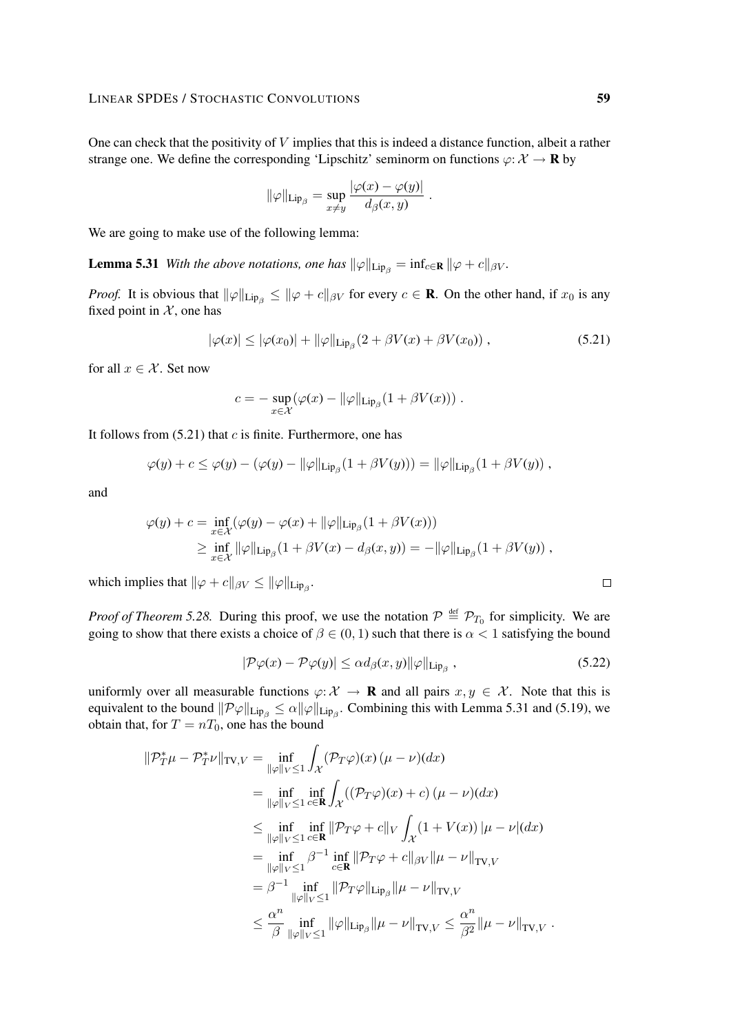One can check that the positivity of V implies that this is indeed a distance function, albeit a rather strange one. We define the corresponding 'Lipschitz' seminorm on functions  $\varphi: \mathcal{X} \to \mathbf{R}$  by

$$
\|\varphi\|_{\mathrm{Lip}_{\beta}} = \sup_{x \neq y} \frac{|\varphi(x) - \varphi(y)|}{d_{\beta}(x, y)}.
$$

We are going to make use of the following lemma:

**Lemma 5.31** *With the above notations, one has*  $\|\varphi\|_{\text{Lip}_\beta} = \inf_{c \in \mathbb{R}} \|\varphi + c\|_{\beta V}$ *.* 

*Proof.* It is obvious that  $\|\varphi\|_{\text{Lip}_\beta} \le \|\varphi + c\|_{\beta V}$  for every  $c \in \mathbf{R}$ . On the other hand, if  $x_0$  is any fixed point in  $X$ , one has

$$
|\varphi(x)| \le |\varphi(x_0)| + ||\varphi||_{\text{Lip}_{\beta}} (2 + \beta V(x) + \beta V(x_0)), \qquad (5.21)
$$

for all  $x \in \mathcal{X}$ . Set now

$$
c = - \sup_{x \in \mathcal{X}} (\varphi(x) - ||\varphi||_{\text{Lip}_{\beta}} (1 + \beta V(x))).
$$

It follows from  $(5.21)$  that c is finite. Furthermore, one has

$$
\varphi(y) + c \leq \varphi(y) - (\varphi(y) - ||\varphi||_{\mathrm{Lip}_{\beta}}(1 + \beta V(y))) = ||\varphi||_{\mathrm{Lip}_{\beta}}(1 + \beta V(y)),
$$

and

$$
\varphi(y) + c = \inf_{x \in \mathcal{X}} (\varphi(y) - \varphi(x) + ||\varphi||_{\text{Lip}_{\beta}} (1 + \beta V(x)))
$$
  
 
$$
\geq \inf_{x \in \mathcal{X}} ||\varphi||_{\text{Lip}_{\beta}} (1 + \beta V(x) - d_{\beta}(x, y)) = -||\varphi||_{\text{Lip}_{\beta}} (1 + \beta V(y)),
$$

which implies that  $\|\varphi + c\|_{\beta V} \le \|\varphi\|_{\text{Lip}_\beta}$ .

*Proof of Theorem 5.28.* During this proof, we use the notation  $P \stackrel{\text{def}}{=} \mathcal{P}_{T_0}$  for simplicity. We are going to show that there exists a choice of  $\beta \in (0, 1)$  such that there is  $\alpha < 1$  satisfying the bound

$$
|\mathcal{P}\varphi(x) - \mathcal{P}\varphi(y)| \le \alpha d_{\beta}(x, y) ||\varphi||_{\text{Lip}_{\beta}} , \qquad (5.22)
$$

uniformly over all measurable functions  $\varphi: \mathcal{X} \to \mathbf{R}$  and all pairs  $x, y \in \mathcal{X}$ . Note that this is equivalent to the bound  $\|\mathcal{P}\varphi\|_{\text{Lip}_\beta} \leq \alpha \|\varphi\|_{\text{Lip}_\beta}$ . Combining this with Lemma 5.31 and (5.19), we obtain that, for  $T = nT_0$ , one has the bound

$$
\|\mathcal{P}_{T}^{*}\mu - \mathcal{P}_{T}^{*}\nu\|_{\text{TV},V} = \inf_{\|\varphi\|_{V} \leq 1} \int_{\mathcal{X}} (\mathcal{P}_{T}\varphi)(x) (\mu - \nu)(dx)
$$
  
\n
$$
= \inf_{\|\varphi\|_{V} \leq 1} \inf_{c \in \mathbf{R}} \int_{\mathcal{X}} ((\mathcal{P}_{T}\varphi)(x) + c) (\mu - \nu)(dx)
$$
  
\n
$$
\leq \inf_{\|\varphi\|_{V} \leq 1} \inf_{c \in \mathbf{R}} \|\mathcal{P}_{T}\varphi + c\|_{V} \int_{\mathcal{X}} (1 + V(x)) |\mu - \nu|(dx)
$$
  
\n
$$
= \inf_{\|\varphi\|_{V} \leq 1} \beta^{-1} \inf_{c \in \mathbf{R}} \|\mathcal{P}_{T}\varphi + c\|_{\beta V} \|\mu - \nu\|_{\text{TV},V}
$$
  
\n
$$
= \beta^{-1} \inf_{\|\varphi\|_{V} \leq 1} \|\mathcal{P}_{T}\varphi\|_{\text{Lip}_{\beta}} \|\mu - \nu\|_{\text{TV},V}
$$
  
\n
$$
\leq \frac{\alpha^{n}}{\beta} \inf_{\|\varphi\|_{V} \leq 1} \|\varphi\|_{\text{Lip}_{\beta}} \|\mu - \nu\|_{\text{TV},V} \leq \frac{\alpha^{n}}{\beta^{2}} \|\mu - \nu\|_{\text{TV},V}.
$$

 $\Box$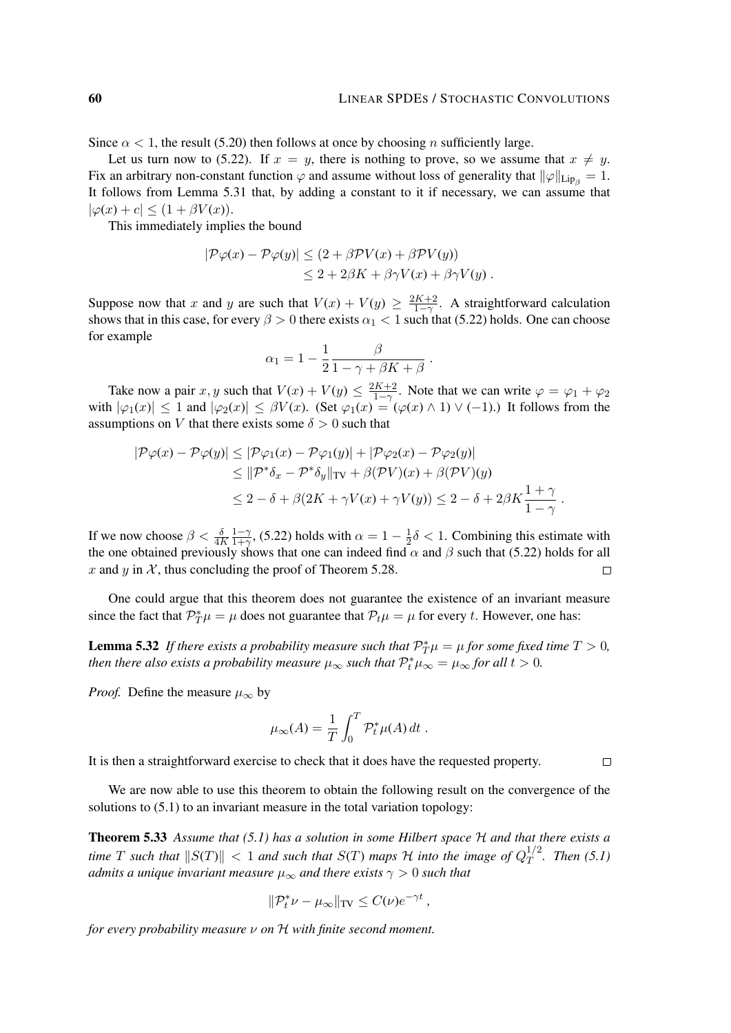Since  $\alpha$  < 1, the result (5.20) then follows at once by choosing n sufficiently large.

Let us turn now to (5.22). If  $x = y$ , there is nothing to prove, so we assume that  $x \neq y$ . Fix an arbitrary non-constant function  $\varphi$  and assume without loss of generality that  $\|\varphi\|_{\text{Lip}_a} = 1$ . It follows from Lemma 5.31 that, by adding a constant to it if necessary, we can assume that  $|\varphi(x) + c| \leq (1 + \beta V(x)).$ 

This immediately implies the bound

$$
|\mathcal{P}\varphi(x) - \mathcal{P}\varphi(y)| \le (2 + \beta \mathcal{P}V(x) + \beta \mathcal{P}V(y))
$$
  

$$
\le 2 + 2\beta K + \beta \gamma V(x) + \beta \gamma V(y) .
$$

Suppose now that x and y are such that  $V(x) + V(y) \ge \frac{2K+2}{1-\gamma}$ . A straightforward calculation shows that in this case, for every  $\beta > 0$  there exists  $\alpha_1 < 1$  such that (5.22) holds. One can choose for example

$$
\alpha_1 = 1 - \frac{1}{2} \frac{\beta}{1 - \gamma + \beta K + \beta}.
$$

Take now a pair x, y such that  $V(x) + V(y) \le \frac{2K+2}{1-\gamma}$ . Note that we can write  $\varphi = \varphi_1 + \varphi_2$ with  $|\varphi_1(x)| \leq 1$  and  $|\varphi_2(x)| \leq \beta V(x)$ . (Set  $\varphi_1(x) = (\varphi(x) \wedge 1) \vee (-1)$ .) It follows from the assumptions on V that there exists some  $\delta > 0$  such that

$$
|\mathcal{P}\varphi(x) - \mathcal{P}\varphi(y)| \leq |\mathcal{P}\varphi_1(x) - \mathcal{P}\varphi_1(y)| + |\mathcal{P}\varphi_2(x) - \mathcal{P}\varphi_2(y)|
$$
  
\n
$$
\leq ||\mathcal{P}^*\delta_x - \mathcal{P}^*\delta_y||_{TV} + \beta(\mathcal{P}V)(x) + \beta(\mathcal{P}V)(y)
$$
  
\n
$$
\leq 2 - \delta + \beta(2K + \gamma V(x) + \gamma V(y)) \leq 2 - \delta + 2\beta K \frac{1 + \gamma}{1 - \gamma}.
$$

 $1-\gamma$ If we now choose  $\beta < \frac{\delta}{4K}$  $\frac{1-\gamma}{1+\gamma}$ , (5.22) holds with  $\alpha = 1 - \frac{1}{2}$  $\frac{1}{2}\delta$  < 1. Combining this estimate with the one obtained previously shows that one can indeed find  $\alpha$  and  $\beta$  such that (5.22) holds for all x and y in  $\mathcal{X}$ , thus concluding the proof of Theorem 5.28.  $\Box$ 

One could argue that this theorem does not guarantee the existence of an invariant measure since the fact that  $\mathcal{P}_{T}^{*}\mu = \mu$  does not guarantee that  $\mathcal{P}_{t}\mu = \mu$  for every t. However, one has:

**Lemma 5.32** If there exists a probability measure such that  $\mathcal{P}_T^*\mu = \mu$  for some fixed time  $T > 0$ , *then there also exists a probability measure*  $\mu_{\infty}$  *such that*  $\mathcal{P}_t^* \mu_{\infty} = \mu_{\infty}$  *for all t* > 0*.* 

*Proof.* Define the measure  $\mu_{\infty}$  by

$$
\mu_{\infty}(A) = \frac{1}{T} \int_0^T \mathcal{P}_t^* \mu(A) dt.
$$

 $\Box$ 

It is then a straightforward exercise to check that it does have the requested property.

We are now able to use this theorem to obtain the following result on the convergence of the solutions to (5.1) to an invariant measure in the total variation topology:

Theorem 5.33 *Assume that (5.1) has a solution in some Hilbert space* H *and that there exists a time* T such that  $||S(T)|| < 1$  and such that  $S(T)$  maps H into the image of  $Q_T^{1/2}$  $T^{1/2}$ . Then (5.1) *admits a unique invariant measure*  $\mu_{\infty}$  *and there exists*  $\gamma > 0$  *such that* 

$$
\|\mathcal{P}_t^*\nu - \mu_\infty\|_{\text{TV}} \le C(\nu)e^{-\gamma t},
$$

*for every probability measure* ν *on* H *with finite second moment.*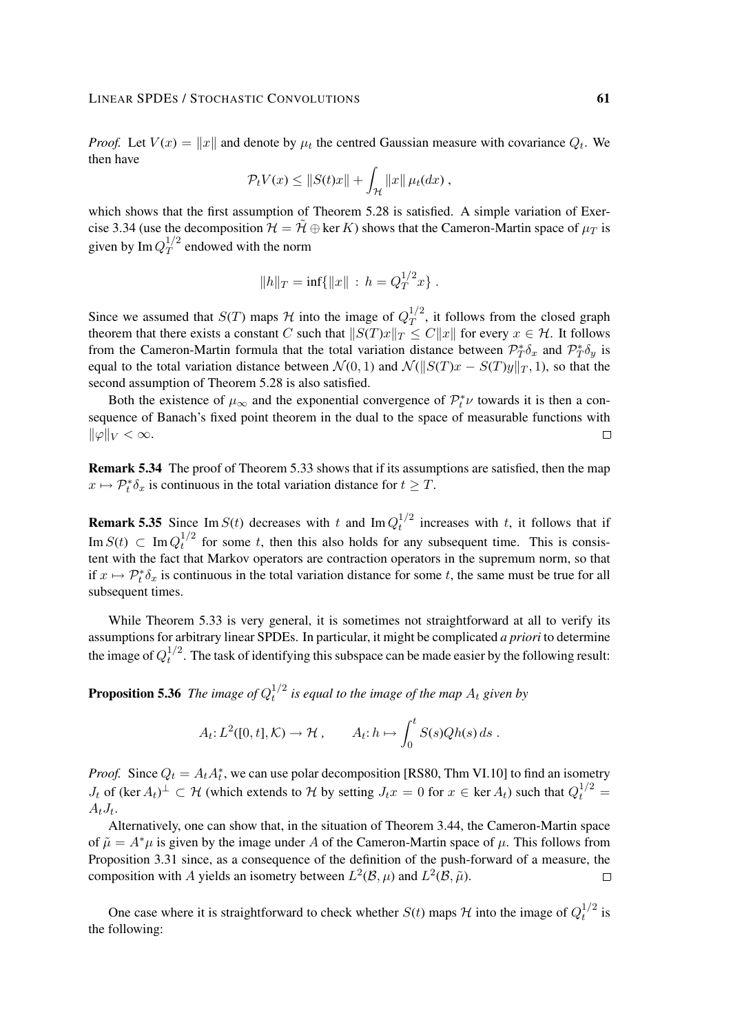#### LINEAR SPDES / STOCHASTIC CONVOLUTIONS 61

*Proof.* Let  $V(x) = ||x||$  and denote by  $\mu_t$  the centred Gaussian measure with covariance  $Q_t$ . We then have

$$
\mathcal{P}_t V(x) \leq ||S(t)x|| + \int_{\mathcal{H}} ||x|| \mu_t(dx) ,
$$

which shows that the first assumption of Theorem 5.28 is satisfied. A simple variation of Exercise 3.34 (use the decomposition  $\mathcal{H} = \tilde{\mathcal{H}} \oplus \ker K$ ) shows that the Cameron-Martin space of  $\mu_T$  is given by Im  $Q_T^{1/2}$  $T^{1/2}$  endowed with the norm

$$
||h||_T = \inf\{||x|| : h = Q_T^{1/2}x\}.
$$

Since we assumed that  $S(T)$  maps H into the image of  $Q_T^{1/2}$  $T^{1/2}$ , it follows from the closed graph theorem that there exists a constant C such that  $||S(T)x||_T \leq C||x||$  for every  $x \in \mathcal{H}$ . It follows from the Cameron-Martin formula that the total variation distance between  $\mathcal{P}_T^*\delta_x$  and  $\mathcal{P}_T^*\delta_y$  is equal to the total variation distance between  $\mathcal{N}(0, 1)$  and  $\mathcal{N}(\Vert S(T)x - S(T)y \Vert_T, 1)$ , so that the second assumption of Theorem 5.28 is also satisfied.

Both the existence of  $\mu_{\infty}$  and the exponential convergence of  $\mathcal{P}_t^* \nu$  towards it is then a consequence of Banach's fixed point theorem in the dual to the space of measurable functions with  $\|\varphi\|_V < \infty.$  $\Box$ 

Remark 5.34 The proof of Theorem 5.33 shows that if its assumptions are satisfied, then the map  $x \mapsto \mathcal{P}_t^* \delta_x$  is continuous in the total variation distance for  $t \geq T$ .

**Remark 5.35** Since Im  $S(t)$  decreases with t and Im  $Q_t^{1/2}$  $t_t^{1/2}$  increases with t, it follows that if Im  $S(t)$   $\subset$  Im  $Q_t^{1/2}$  $t<sub>t</sub><sup>1/2</sup>$  for some t, then this also holds for any subsequent time. This is consistent with the fact that Markov operators are contraction operators in the supremum norm, so that if  $x \mapsto \mathcal{P}_t^* \delta_x$  is continuous in the total variation distance for some t, the same must be true for all subsequent times.

While Theorem 5.33 is very general, it is sometimes not straightforward at all to verify its assumptions for arbitrary linear SPDEs. In particular, it might be complicated *a priori* to determine the image of  $Q_t^{1/2}$  $t^{1/2}$ . The task of identifying this subspace can be made easier by the following result:

**Proposition 5.36** The image of  $Q_t^{1/2}$  $t^{1/2}$  is equal to the image of the map  $A_t$  given by

$$
A_t: L^2([0, t], \mathcal{K}) \to \mathcal{H}, \qquad A_t: h \mapsto \int_0^t S(s)Qh(s) ds.
$$

*Proof.* Since  $Q_t = A_t A_t^*$ , we can use polar decomposition [RS80, Thm VI.10] to find an isometry  $J_t$  of (ker  $A_t$ )<sup> $\perp \subset H$ </sup> (which extends to H by setting  $J_t x = 0$  for  $x \in \text{ker } A_t$ ) such that  $Q_t^{1/2} =$  $A_t J_t$ .

Alternatively, one can show that, in the situation of Theorem 3.44, the Cameron-Martin space of  $\tilde{\mu} = A^*\mu$  is given by the image under A of the Cameron-Martin space of  $\mu$ . This follows from Proposition 3.31 since, as a consequence of the definition of the push-forward of a measure, the composition with A yields an isometry between  $L^2(\mathcal{B}, \mu)$  and  $L^2(\mathcal{B}, \tilde{\mu})$ .  $\Box$ 

One case where it is straightforward to check whether  $S(t)$  maps  $H$  into the image of  $Q_t^{1/2}$  $t^{1/2}$  is the following: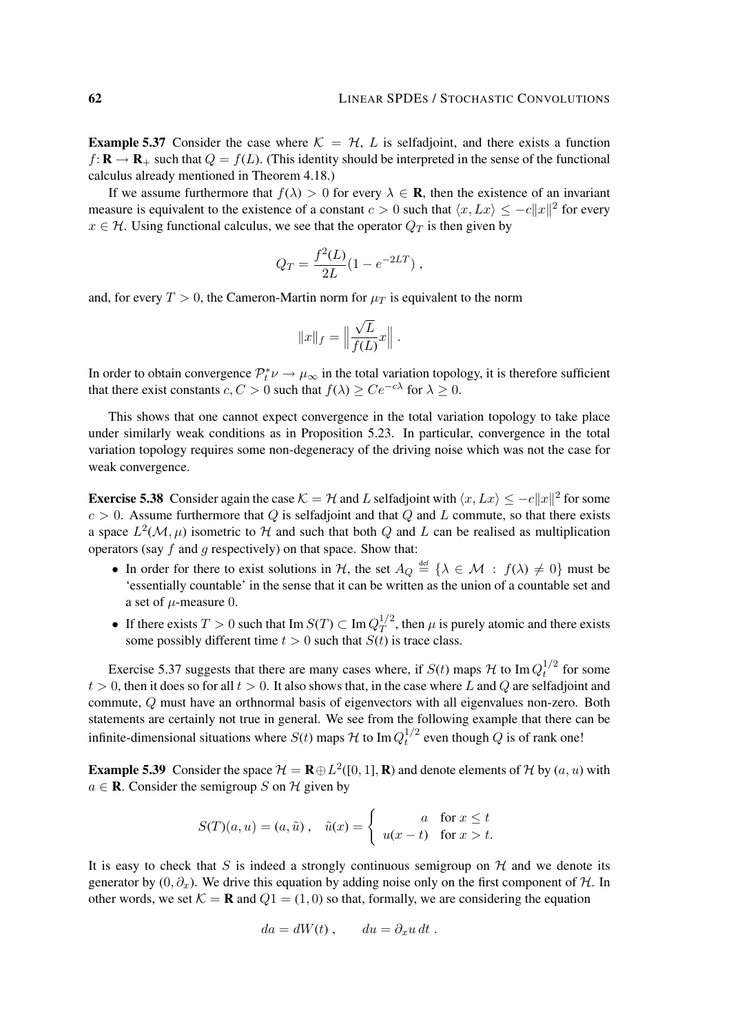**Example 5.37** Consider the case where  $K = H$ , L is selfadjoint, and there exists a function  $f: \mathbf{R} \to \mathbf{R}_+$  such that  $Q = f(L)$ . (This identity should be interpreted in the sense of the functional calculus already mentioned in Theorem 4.18.)

If we assume furthermore that  $f(\lambda) > 0$  for every  $\lambda \in \mathbf{R}$ , then the existence of an invariant measure is equivalent to the existence of a constant  $c > 0$  such that  $\langle x, Lx \rangle \le -c||x||^2$  for every  $x \in \mathcal{H}$ . Using functional calculus, we see that the operator  $Q_T$  is then given by

$$
Q_T = \frac{f^2(L)}{2L}(1 - e^{-2LT}) ,
$$

and, for every  $T > 0$ , the Cameron-Martin norm for  $\mu_T$  is equivalent to the norm

$$
||x||_f = \Big\|\frac{\sqrt{L}}{f(L)}x\Big\|.
$$

In order to obtain convergence  $\mathcal{P}_t^* \nu \to \mu_\infty$  in the total variation topology, it is therefore sufficient that there exist constants  $c, C > 0$  such that  $f(\lambda) \ge Ce^{-c\lambda}$  for  $\lambda \ge 0$ .

This shows that one cannot expect convergence in the total variation topology to take place under similarly weak conditions as in Proposition 5.23. In particular, convergence in the total variation topology requires some non-degeneracy of the driving noise which was not the case for weak convergence.

**Exercise 5.38** Consider again the case  $K = H$  and L selfadjoint with  $\langle x, Lx \rangle \le -c||x||^2$  for some  $c > 0$ . Assume furthermore that Q is selfadjoint and that Q and L commute, so that there exists a space  $L^2(\mathcal{M}, \mu)$  isometric to H and such that both Q and L can be realised as multiplication operators (say  $f$  and  $g$  respectively) on that space. Show that:

- In order for there to exist solutions in H, the set  $A_Q \stackrel{\text{def}}{=} \{ \lambda \in \mathcal{M} : f(\lambda) \neq 0 \}$  must be 'essentially countable' in the sense that it can be written as the union of a countable set and a set of  $\mu$ -measure 0.
- If there exists  $T > 0$  such that Im  $S(T) \subset \text{Im } Q_T^{1/2}$  $T^{1/2}$ , then  $\mu$  is purely atomic and there exists some possibly different time  $t > 0$  such that  $S(t)$  is trace class.

Exercise 5.37 suggests that there are many cases where, if  $S(t)$  maps H to Im  $Q_t^{1/2}$  $t^{1/2}$  for some  $t > 0$ , then it does so for all  $t > 0$ . It also shows that, in the case where L and Q are selfadjoint and commute, Q must have an orthnormal basis of eigenvectors with all eigenvalues non-zero. Both statements are certainly not true in general. We see from the following example that there can be infinite-dimensional situations where  $S(t)$  maps  $H$  to Im  $Q_t^{1/2}$  $t^{1/2}$  even though Q is of rank one!

**Example 5.39** Consider the space  $\mathcal{H} = \mathbf{R} \oplus L^2([0,1], \mathbf{R})$  and denote elements of  $\mathcal{H}$  by  $(a, u)$  with  $a \in \mathbf{R}$ . Consider the semigroup S on H given by

$$
S(T)(a, u) = (a, \tilde{u}), \quad \tilde{u}(x) = \begin{cases} a & \text{for } x \le t \\ u(x - t) & \text{for } x > t. \end{cases}
$$

It is easy to check that S is indeed a strongly continuous semigroup on  $H$  and we denote its generator by  $(0, \partial_x)$ . We drive this equation by adding noise only on the first component of H. In other words, we set  $K = \mathbf{R}$  and  $Q_1 = (1, 0)$  so that, formally, we are considering the equation

$$
da = dW(t) , \qquad du = \partial_x u \, dt .
$$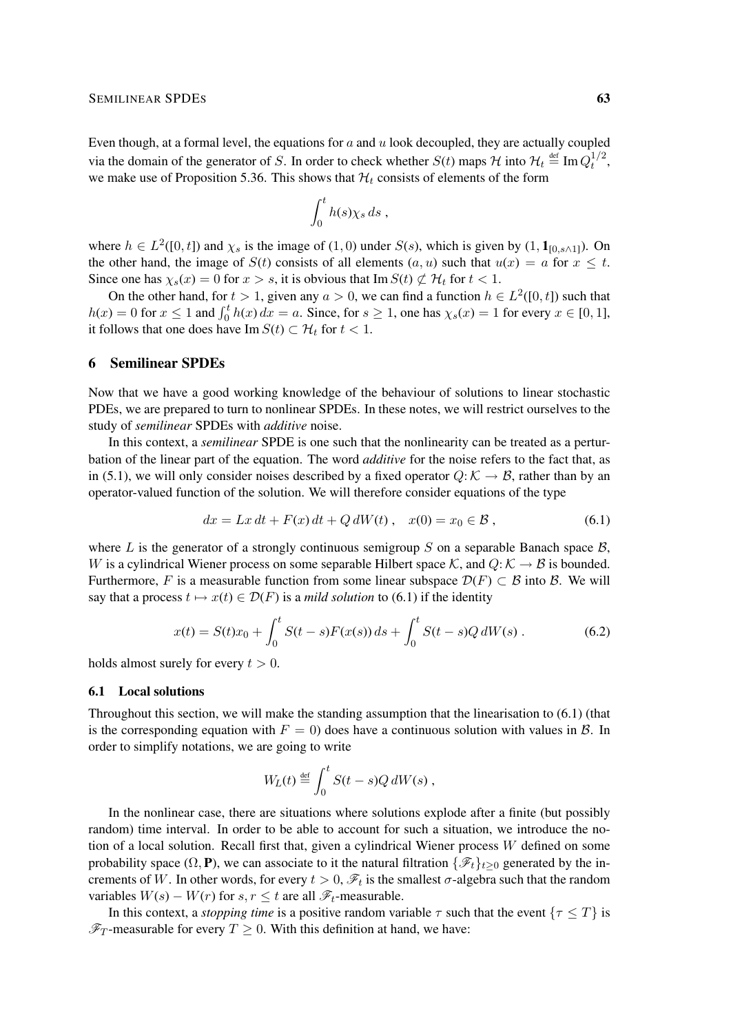Even though, at a formal level, the equations for  $a$  and  $u$  look decoupled, they are actually coupled via the domain of the generator of S. In order to check whether  $S(t)$  maps H into  $\mathcal{H}_t \stackrel{\text{def}}{=} \text{Im } Q_t^{1/2}$  $t^{1/2}$ , we make use of Proposition 5.36. This shows that  $\mathcal{H}_t$  consists of elements of the form

$$
\int_0^t h(s) \chi_s ds ,
$$

where  $h \in L^2([0, t])$  and  $\chi_s$  is the image of  $(1, 0)$  under  $S(s)$ , which is given by  $(1, \mathbf{1}_{[0, s \wedge 1]})$ . On the other hand, the image of  $S(t)$  consists of all elements  $(a, u)$  such that  $u(x) = a$  for  $x \le t$ . Since one has  $\chi_s(x) = 0$  for  $x > s$ , it is obvious that Im  $S(t) \not\subset H_t$  for  $t < 1$ .

On the other hand, for  $t > 1$ , given any  $a > 0$ , we can find a function  $h \in L^2([0, t])$  such that  $h(x) = 0$  for  $x \le 1$  and  $\int_0^t h(x) dx = a$ . Since, for  $s \ge 1$ , one has  $\chi_s(x) = 1$  for every  $x \in [0, 1]$ , it follows that one does have Im  $S(t) \subset \mathcal{H}_t$  for  $t < 1$ .

# 6 Semilinear SPDEs

Now that we have a good working knowledge of the behaviour of solutions to linear stochastic PDEs, we are prepared to turn to nonlinear SPDEs. In these notes, we will restrict ourselves to the study of *semilinear* SPDEs with *additive* noise.

In this context, a *semilinear* SPDE is one such that the nonlinearity can be treated as a perturbation of the linear part of the equation. The word *additive* for the noise refers to the fact that, as in (5.1), we will only consider noises described by a fixed operator  $Q: K \to B$ , rather than by an operator-valued function of the solution. We will therefore consider equations of the type

$$
dx = Lx dt + F(x) dt + Q dW(t), \quad x(0) = x_0 \in \mathcal{B}, \tag{6.1}
$$

where L is the generator of a strongly continuous semigroup S on a separable Banach space  $\mathcal{B}$ , W is a cylindrical Wiener process on some separable Hilbert space K, and  $Q: K \to B$  is bounded. Furthermore, F is a measurable function from some linear subspace  $\mathcal{D}(F) \subset \mathcal{B}$  into  $\mathcal{B}$ . We will say that a process  $t \mapsto x(t) \in \mathcal{D}(F)$  is a *mild solution* to (6.1) if the identity

$$
x(t) = S(t)x_0 + \int_0^t S(t-s)F(x(s))\,ds + \int_0^t S(t-s)Q\,dW(s)\,.
$$
\n(6.2)

holds almost surely for every  $t > 0$ .

# 6.1 Local solutions

Throughout this section, we will make the standing assumption that the linearisation to (6.1) (that is the corresponding equation with  $F = 0$ ) does have a continuous solution with values in  $\mathcal{B}$ . In order to simplify notations, we are going to write

$$
W_L(t) \stackrel{\text{def}}{=} \int_0^t S(t-s)Q dW(s) ,
$$

In the nonlinear case, there are situations where solutions explode after a finite (but possibly random) time interval. In order to be able to account for such a situation, we introduce the notion of a local solution. Recall first that, given a cylindrical Wiener process W defined on some probability space  $(\Omega, \mathbf{P})$ , we can associate to it the natural filtration  $\{\mathscr{F}_t\}_{t>0}$  generated by the increments of W. In other words, for every  $t > 0$ ,  $\mathscr{F}_t$  is the smallest  $\sigma$ -algebra such that the random variables  $W(s) - W(r)$  for  $s, r \le t$  are all  $\mathscr{F}_t$ -measurable.

In this context, a *stopping time* is a positive random variable  $\tau$  such that the event  $\{\tau \leq T\}$  is  $\mathscr{F}_T$ -measurable for every  $T \geq 0$ . With this definition at hand, we have: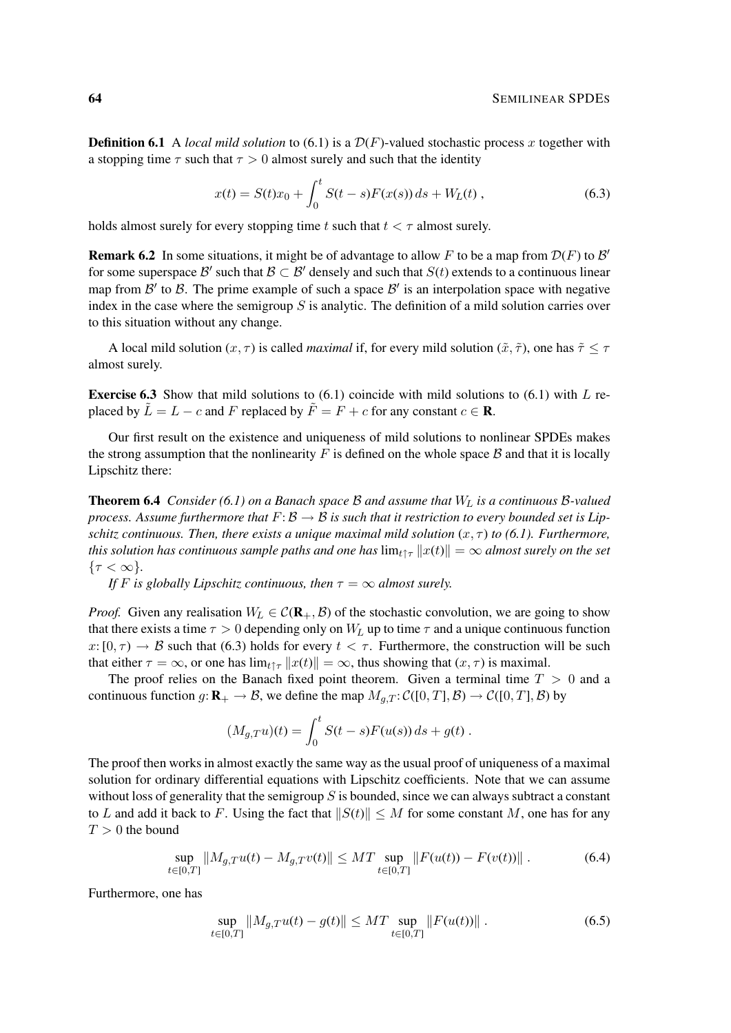**Definition 6.1** A *local mild solution* to (6.1) is a  $\mathcal{D}(F)$ -valued stochastic process x together with a stopping time  $\tau$  such that  $\tau > 0$  almost surely and such that the identity

$$
x(t) = S(t)x_0 + \int_0^t S(t-s)F(x(s))\,ds + W_L(t) \,,\tag{6.3}
$$

holds almost surely for every stopping time t such that  $t < \tau$  almost surely.

**Remark 6.2** In some situations, it might be of advantage to allow F to be a map from  $\mathcal{D}(F)$  to  $\mathcal{B}'$ for some superspace B' such that  $\mathcal{B} \subset \mathcal{B}'$  densely and such that  $S(t)$  extends to a continuous linear map from  $\mathcal{B}'$  to  $\mathcal{B}$ . The prime example of such a space  $\mathcal{B}'$  is an interpolation space with negative index in the case where the semigroup  $S$  is analytic. The definition of a mild solution carries over to this situation without any change.

A local mild solution  $(x, \tau)$  is called *maximal* if, for every mild solution  $(\tilde{x}, \tilde{\tau})$ , one has  $\tilde{\tau} \leq \tau$ almost surely.

**Exercise 6.3** Show that mild solutions to  $(6.1)$  coincide with mild solutions to  $(6.1)$  with L replaced by  $\tilde{L} = L - c$  and F replaced by  $\tilde{F} = F + c$  for any constant  $c \in \mathbb{R}$ .

Our first result on the existence and uniqueness of mild solutions to nonlinear SPDEs makes the strong assumption that the nonlinearity F is defined on the whole space  $\beta$  and that it is locally Lipschitz there:

Theorem 6.4 *Consider (6.1) on a Banach space* B *and assume that* W<sup>L</sup> *is a continuous* B*-valued process. Assume furthermore that*  $F: \mathcal{B} \to \mathcal{B}$  *is such that it restriction to every bounded set is Lipschitz continuous. Then, there exists a unique maximal mild solution*  $(x, \tau)$  *to* (6.1). Furthermore, *this solution has continuous sample paths and one has*  $\lim_{t\uparrow\tau} ||x(t)|| = \infty$  *almost surely on the set*  $\{\tau < \infty\}.$ 

*If F* is globally Lipschitz continuous, then  $\tau = \infty$  almost surely.

*Proof.* Given any realisation  $W_L \in C(\mathbf{R}_+, \mathcal{B})$  of the stochastic convolution, we are going to show that there exists a time  $\tau > 0$  depending only on  $W_L$  up to time  $\tau$  and a unique continuous function  $x:[0,\tau) \to \mathcal{B}$  such that (6.3) holds for every  $t < \tau$ . Furthermore, the construction will be such that either  $\tau = \infty$ , or one has  $\lim_{t \uparrow \tau} ||x(t)|| = \infty$ , thus showing that  $(x, \tau)$  is maximal.

The proof relies on the Banach fixed point theorem. Given a terminal time  $T > 0$  and a continuous function  $g: \mathbf{R}_{+} \to \mathcal{B}$ , we define the map  $M_{g,T}: \mathcal{C}([0,T], \mathcal{B}) \to \mathcal{C}([0,T], \mathcal{B})$  by

$$
(M_{g,T}u)(t) = \int_0^t S(t-s)F(u(s))\,ds + g(t) \,.
$$

The proof then works in almost exactly the same way as the usual proof of uniqueness of a maximal solution for ordinary differential equations with Lipschitz coefficients. Note that we can assume without loss of generality that the semigroup  $S$  is bounded, since we can always subtract a constant to L and add it back to F. Using the fact that  $||S(t)|| \leq M$  for some constant M, one has for any  $T > 0$  the bound

$$
\sup_{t \in [0,T]} \|M_{g,T}u(t) - M_{g,T}v(t)\| \le MT \sup_{t \in [0,T]} \|F(u(t)) - F(v(t))\|.
$$
 (6.4)

Furthermore, one has

$$
\sup_{t \in [0,T]} \|M_{g,T}u(t) - g(t)\| \le MT \sup_{t \in [0,T]} \|F(u(t))\|.
$$
\n(6.5)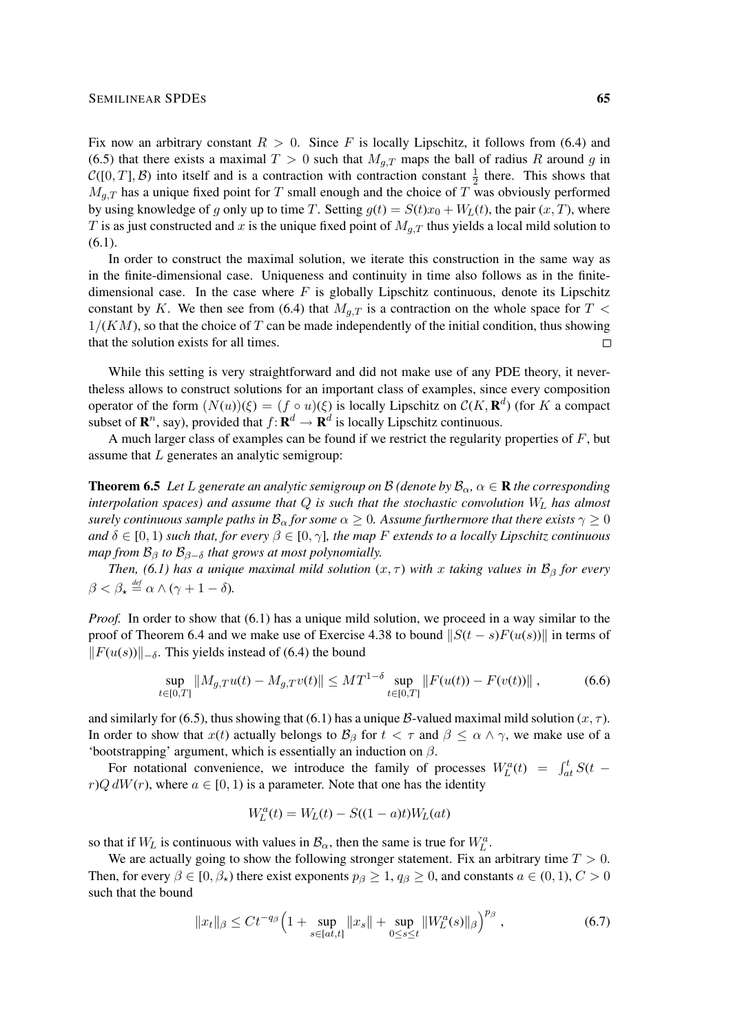Fix now an arbitrary constant  $R > 0$ . Since F is locally Lipschitz, it follows from (6.4) and (6.5) that there exists a maximal  $T > 0$  such that  $M_{q,T}$  maps the ball of radius R around g in  $\mathcal{C}([0,T], \mathcal{B})$  into itself and is a contraction with contraction constant  $\frac{1}{2}$  there. This shows that  $M_{g,T}$  has a unique fixed point for T small enough and the choice of T was obviously performed by using knowledge of g only up to time T. Setting  $g(t) = S(t)x_0 + W_L(t)$ , the pair  $(x, T)$ , where T is as just constructed and x is the unique fixed point of  $M_{q,T}$  thus yields a local mild solution to  $(6.1).$ 

In order to construct the maximal solution, we iterate this construction in the same way as in the finite-dimensional case. Uniqueness and continuity in time also follows as in the finitedimensional case. In the case where  $F$  is globally Lipschitz continuous, denote its Lipschitz constant by K. We then see from (6.4) that  $M_{q,T}$  is a contraction on the whole space for T <  $1/(KM)$ , so that the choice of T can be made independently of the initial condition, thus showing that the solution exists for all times.  $\Box$ 

While this setting is very straightforward and did not make use of any PDE theory, it nevertheless allows to construct solutions for an important class of examples, since every composition operator of the form  $(N(u))(\xi) = (f \circ u)(\xi)$  is locally Lipschitz on  $C(K, \mathbf{R}^d)$  (for K a compact subset of  $\mathbf{R}^n$ , say), provided that  $f: \mathbf{R}^d \to \mathbf{R}^d$  is locally Lipschitz continuous.

A much larger class of examples can be found if we restrict the regularity properties of  $F$ , but assume that L generates an analytic semigroup:

**Theorem 6.5** Let L generate an analytic semigroup on B (denote by  $\mathcal{B}_{\alpha}$ ,  $\alpha \in \mathbb{R}$  the corresponding *interpolation spaces) and assume that* Q *is such that the stochastic convolution* W<sup>L</sup> *has almost surely continuous sample paths in*  $B_{\alpha}$  *for some*  $\alpha \geq 0$ *. Assume furthermore that there exists*  $\gamma \geq 0$ *and*  $\delta \in [0, 1)$  *such that, for every*  $\beta \in [0, \gamma]$ *, the map F extends to a locally Lipschitz continuous map from*  $\mathcal{B}_{\beta}$  *to*  $\mathcal{B}_{\beta-\delta}$  *that grows at most polynomially.* 

*Then,* (6.1) has a unique maximal mild solution  $(x, \tau)$  with x taking values in  $\mathcal{B}_{\beta}$  for every  $\beta < \beta_{\star} \stackrel{\text{def}}{=} \alpha \wedge (\gamma + 1 - \delta).$ 

*Proof.* In order to show that (6.1) has a unique mild solution, we proceed in a way similar to the proof of Theorem 6.4 and we make use of Exercise 4.38 to bound  $||S(t - s)F(u(s))||$  in terms of  $||F(u(s))||_{-\delta}$ . This yields instead of (6.4) the bound

$$
\sup_{t \in [0,T]} \|M_{g,T}u(t) - M_{g,T}v(t)\| \le MT^{1-\delta} \sup_{t \in [0,T]} \|F(u(t)) - F(v(t))\|,
$$
\n(6.6)

and similarly for (6.5), thus showing that (6.1) has a unique B-valued maximal mild solution  $(x, \tau)$ . In order to show that  $x(t)$  actually belongs to  $\mathcal{B}_{\beta}$  for  $t < \tau$  and  $\beta \leq \alpha \wedge \gamma$ , we make use of a 'bootstrapping' argument, which is essentially an induction on  $\beta$ .

For notational convenience, we introduce the family of processes  $W_L^a(t) = \int_{at}^t S(t - t) dt$  $r)Q dW(r)$ , where  $a \in [0, 1)$  is a parameter. Note that one has the identity

$$
W_L^a(t) = W_L(t) - S((1 - a)t)W_L(at)
$$

so that if  $W_L$  is continuous with values in  $B_\alpha$ , then the same is true for  $W_L^a$ .

We are actually going to show the following stronger statement. Fix an arbitrary time  $T > 0$ . Then, for every  $\beta \in [0, \beta_{\star})$  there exist exponents  $p_{\beta} \geq 1$ ,  $q_{\beta} \geq 0$ , and constants  $a \in (0, 1)$ ,  $C > 0$ such that the bound

$$
||x_t||_{\beta} \le Ct^{-q_{\beta}} \Big( 1 + \sup_{s \in [at, t]} ||x_s|| + \sup_{0 \le s \le t} ||W_L^a(s)||_{\beta} \Big)^{p_{\beta}}, \tag{6.7}
$$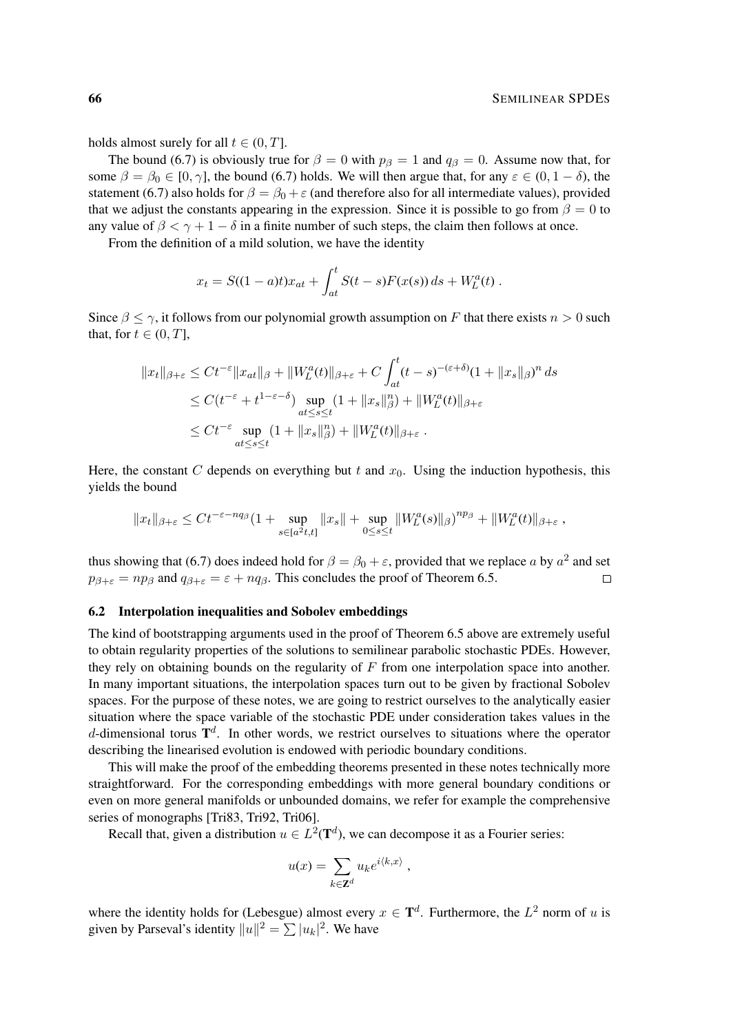holds almost surely for all  $t \in (0, T]$ .

The bound (6.7) is obviously true for  $\beta = 0$  with  $p_\beta = 1$  and  $q_\beta = 0$ . Assume now that, for some  $\beta = \beta_0 \in [0, \gamma]$ , the bound (6.7) holds. We will then argue that, for any  $\varepsilon \in (0, 1 - \delta)$ , the statement (6.7) also holds for  $\beta = \beta_0 + \varepsilon$  (and therefore also for all intermediate values), provided that we adjust the constants appearing in the expression. Since it is possible to go from  $\beta = 0$  to any value of  $\beta < \gamma + 1 - \delta$  in a finite number of such steps, the claim then follows at once.

From the definition of a mild solution, we have the identity

$$
x_t = S((1-a)t)x_{at} + \int_{at}^t S(t-s)F(x(s)) ds + W_L^a(t).
$$

Since  $\beta \leq \gamma$ , it follows from our polynomial growth assumption on F that there exists  $n > 0$  such that, for  $t \in (0, T]$ ,

$$
||x_t||_{\beta+\varepsilon} \le Ct^{-\varepsilon} ||x_{at}||_{\beta} + ||W_L^a(t)||_{\beta+\varepsilon} + C \int_{at}^t (t-s)^{-(\varepsilon+\delta)} (1+||x_s||_{\beta})^n ds
$$
  
\n
$$
\le C(t^{-\varepsilon} + t^{1-\varepsilon-\delta}) \sup_{\substack{at \le s \le t}} (1+||x_s||_{\beta}^n) + ||W_L^a(t)||_{\beta+\varepsilon}
$$
  
\n
$$
\le Ct^{-\varepsilon} \sup_{\substack{at \le s \le t}} (1+||x_s||_{\beta}^n) + ||W_L^a(t)||_{\beta+\varepsilon}.
$$

Here, the constant C depends on everything but t and  $x_0$ . Using the induction hypothesis, this yields the bound

$$
||x_t||_{\beta+\varepsilon} \le Ct^{-\varepsilon-nq_\beta}(1+\sup_{s\in[a^2t,t]}||x_s||+\sup_{0\le s\le t}||W_L^a(s)||_\beta)^{np_\beta}+||W_L^a(t)||_{\beta+\varepsilon},
$$

thus showing that (6.7) does indeed hold for  $\beta = \beta_0 + \varepsilon$ , provided that we replace a by  $a^2$  and set  $p_{\beta+\varepsilon} = np_{\beta}$  and  $q_{\beta+\varepsilon} = \varepsilon + nq_{\beta}$ . This concludes the proof of Theorem 6.5.  $\Box$ 

#### 6.2 Interpolation inequalities and Sobolev embeddings

The kind of bootstrapping arguments used in the proof of Theorem 6.5 above are extremely useful to obtain regularity properties of the solutions to semilinear parabolic stochastic PDEs. However, they rely on obtaining bounds on the regularity of  $F$  from one interpolation space into another. In many important situations, the interpolation spaces turn out to be given by fractional Sobolev spaces. For the purpose of these notes, we are going to restrict ourselves to the analytically easier situation where the space variable of the stochastic PDE under consideration takes values in the d-dimensional torus  $T<sup>d</sup>$ . In other words, we restrict ourselves to situations where the operator describing the linearised evolution is endowed with periodic boundary conditions.

This will make the proof of the embedding theorems presented in these notes technically more straightforward. For the corresponding embeddings with more general boundary conditions or even on more general manifolds or unbounded domains, we refer for example the comprehensive series of monographs [Tri83, Tri92, Tri06].

Recall that, given a distribution  $u \in L^2(\mathbf{T}^d)$ , we can decompose it as a Fourier series:

$$
u(x) = \sum_{k \in \mathbf{Z}^d} u_k e^{i \langle k, x \rangle} ,
$$

where the identity holds for (Lebesgue) almost every  $x \in \mathbf{T}^d$ . Furthermore, the  $L^2$  norm of u is given by Parseval's identity  $||u||^2 = \sum |u_k|^2$ . We have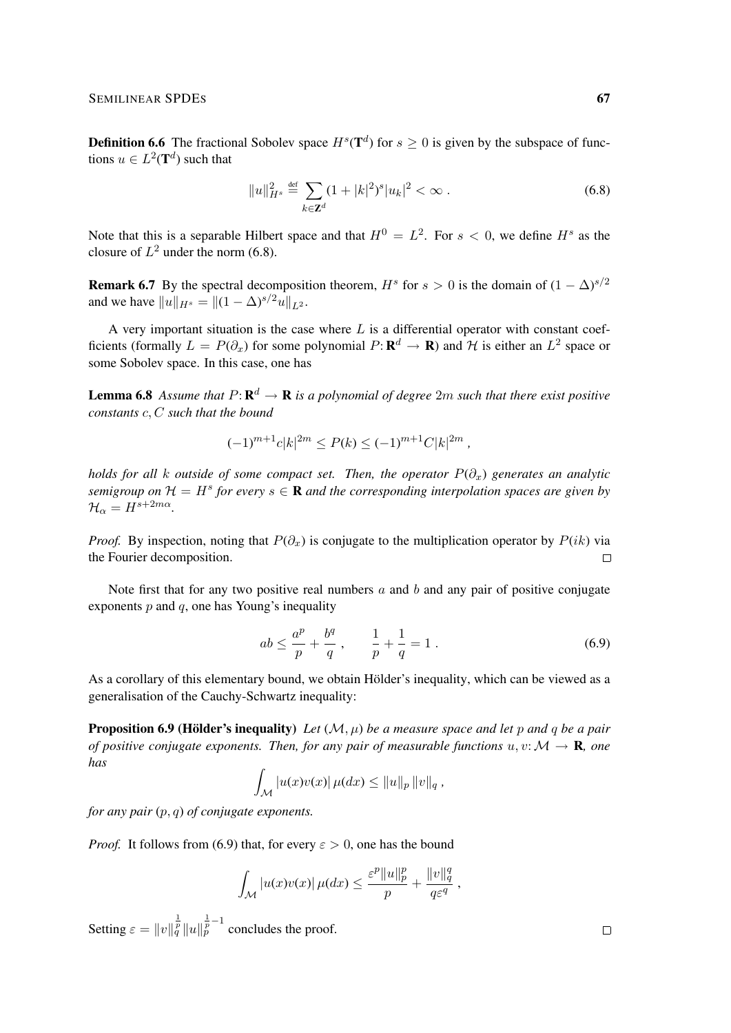**Definition 6.6** The fractional Sobolev space  $H^s(\mathbf{T}^d)$  for  $s \geq 0$  is given by the subspace of functions  $u \in L^2(\mathbf{T}^d)$  such that

$$
||u||_{H^s}^2 \stackrel{\text{def}}{=} \sum_{k \in \mathbb{Z}^d} (1+|k|^2)^s |u_k|^2 < \infty \,. \tag{6.8}
$$

Note that this is a separable Hilbert space and that  $H^0 = L^2$ . For  $s < 0$ , we define  $H^s$  as the closure of  $L^2$  under the norm (6.8).

**Remark 6.7** By the spectral decomposition theorem,  $H^s$  for  $s > 0$  is the domain of  $(1 - \Delta)^{s/2}$ and we have  $||u||_{H^s} = ||(1 - \Delta)^{s/2}u||_{L^2}$ .

A very important situation is the case where  $L$  is a differential operator with constant coefficients (formally  $L = P(\partial_x)$  for some polynomial  $P: \mathbf{R}^d \to \mathbf{R}$ ) and H is either an  $L^2$  space or some Sobolev space. In this case, one has

**Lemma 6.8** Assume that  $P: \mathbf{R}^d \to \mathbf{R}$  is a polynomial of degree  $2m$  such that there exist positive *constants* c, C *such that the bound*

$$
(-1)^{m+1}c|k|^{2m} \le P(k) \le (-1)^{m+1}C|k|^{2m},
$$

*holds for all k outside of some compact set. Then, the operator*  $P(\partial_x)$  *generates an analytic semigroup on*  $\mathcal{H} = H^s$  for every  $s \in \mathbf{R}$  and the corresponding interpolation spaces are given by  $\mathcal{H}_{\alpha} = H^{s+2m\alpha}$ .

*Proof.* By inspection, noting that  $P(\partial_x)$  is conjugate to the multiplication operator by  $P(ik)$  via the Fourier decomposition.  $\Box$ 

Note first that for any two positive real numbers  $a$  and  $b$  and any pair of positive conjugate exponents  $p$  and  $q$ , one has Young's inequality

$$
ab \le \frac{a^p}{p} + \frac{b^q}{q} \,, \qquad \frac{1}{p} + \frac{1}{q} = 1 \,.
$$
 (6.9)

As a corollary of this elementary bound, we obtain Hölder's inequality, which can be viewed as a generalisation of the Cauchy-Schwartz inequality:

**Proposition 6.9 (Hölder's inequality)** Let  $(M, \mu)$  be a measure space and let p and q be a pair *of positive conjugate exponents. Then, for any pair of measurable functions*  $u, v: \mathcal{M} \to \mathbf{R}$ *, one has*

$$
\int_{\mathcal{M}} |u(x)v(x)| \,\mu(dx) \leq ||u||_p \, ||v||_q \, ,
$$

*for any pair* (p, q) *of conjugate exponents.*

*Proof.* It follows from (6.9) that, for every  $\varepsilon > 0$ , one has the bound

$$
\int_{\mathcal{M}} |u(x)v(x)| \,\mu(dx) \leq \frac{\varepsilon^p \|u\|_p^p}{p} + \frac{\|v\|_q^q}{q\varepsilon^q} ,
$$

Setting  $\varepsilon = ||v||_q^{\frac{1}{p}} ||u||_p^{\frac{1}{p}-1}$  concludes the proof.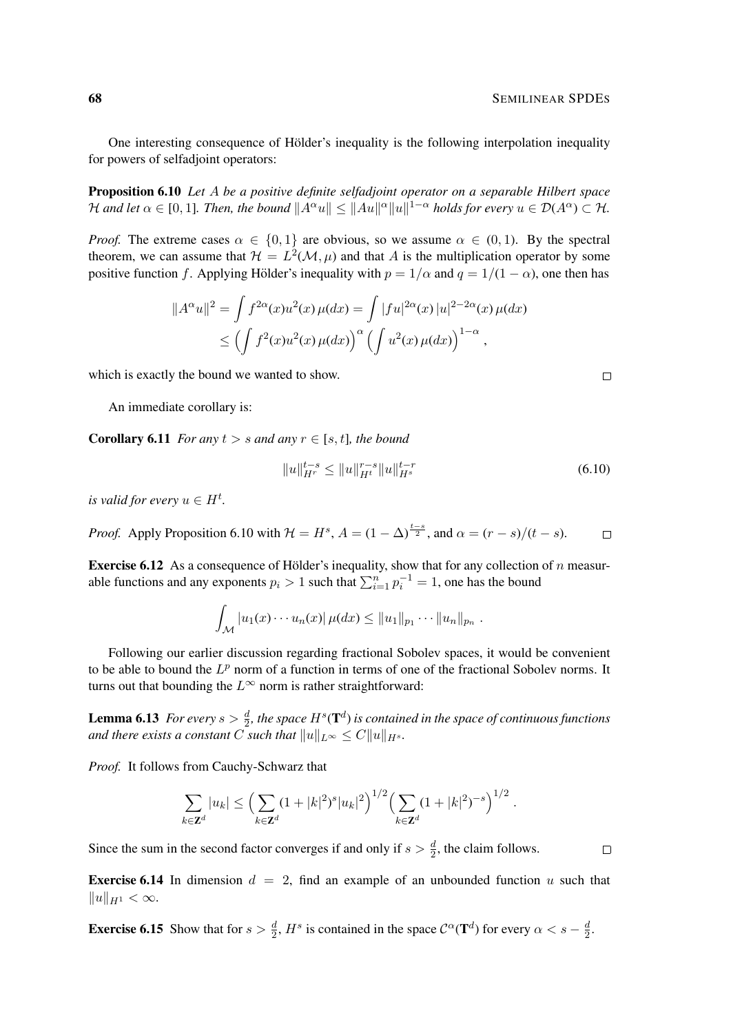One interesting consequence of Hölder's inequality is the following interpolation inequality for powers of selfadjoint operators:

Proposition 6.10 *Let* A *be a positive definite selfadjoint operator on a separable Hilbert space* H and let  $\alpha \in [0,1]$ . Then, the bound  $||A^{\alpha}u|| \leq ||Au||^{\alpha}||u||^{1-\alpha}$  holds for every  $u \in \mathcal{D}(A^{\alpha}) \subset \mathcal{H}$ .

*Proof.* The extreme cases  $\alpha \in \{0, 1\}$  are obvious, so we assume  $\alpha \in (0, 1)$ . By the spectral theorem, we can assume that  $\mathcal{H} = L^2(\mathcal{M}, \mu)$  and that A is the multiplication operator by some positive function f. Applying Hölder's inequality with  $p = 1/\alpha$  and  $q = 1/(1 - \alpha)$ , one then has

$$
||A^{\alpha}u||^2 = \int f^{2\alpha}(x)u^2(x)\,\mu(dx) = \int |fu|^{2\alpha}(x)|u|^{2-2\alpha}(x)\,\mu(dx)
$$
  

$$
\leq \left(\int f^2(x)u^2(x)\,\mu(dx)\right)^{\alpha} \left(\int u^2(x)\,\mu(dx)\right)^{1-\alpha},
$$

which is exactly the bound we wanted to show.

An immediate corollary is:

**Corollary 6.11** *For any*  $t > s$  *and any*  $r \in [s, t]$ *, the bound* 

$$
||u||_{H^r}^{t-s} \le ||u||_{H^t}^{r-s} ||u||_{H^s}^{t-r}
$$
\n(6.10)

*is valid for every*  $u \in H^t$ .

*Proof.* Apply Proposition 6.10 with  $\mathcal{H} = H^s$ ,  $A = (1 - \Delta)^{\frac{t-s}{2}}$ , and  $\alpha = (r - s)/(t - s)$ .  $\Box$ 

**Exercise 6.12** As a consequence of Hölder's inequality, show that for any collection of  $n$  measurable functions and any exponents  $p_i > 1$  such that  $\sum_{i=1}^n p_i^{-1} = 1$ , one has the bound

$$
\int_{\mathcal{M}} |u_1(x)\cdots u_n(x)| \,\mu(dx) \leq ||u_1||_{p_1}\cdots ||u_n||_{p_n}.
$$

Following our earlier discussion regarding fractional Sobolev spaces, it would be convenient to be able to bound the  $L^p$  norm of a function in terms of one of the fractional Sobolev norms. It turns out that bounding the  $L^{\infty}$  norm is rather straightforward:

**Lemma 6.13** For every  $s > \frac{d}{2}$ , the space  $H^s(\mathbf{T}^d)$  is contained in the space of continuous functions *and there exists a constant* C *such that*  $||u||_{L^{\infty}} \leq C||u||_{H^{s}}$ .

*Proof.* It follows from Cauchy-Schwarz that

$$
\sum_{k\in\mathbf{Z}^d}|u_k|\leq \left(\sum_{k\in\mathbf{Z}^d}(1+|k|^2)^s|u_k|^2\right)^{1/2}\left(\sum_{k\in\mathbf{Z}^d}(1+|k|^2)^{-s}\right)^{1/2}.
$$

Since the sum in the second factor converges if and only if  $s > \frac{d}{2}$ , the claim follows.

 $\Box$ 

**Exercise 6.14** In dimension  $d = 2$ , find an example of an unbounded function u such that  $||u||_{H^1} < \infty.$ 

**Exercise 6.15** Show that for  $s > \frac{d}{2}$ ,  $H^s$  is contained in the space  $C^{\alpha}(\mathbf{T}^d)$  for every  $\alpha < s - \frac{d}{2}$  $\frac{d}{2}$ .

 $\Box$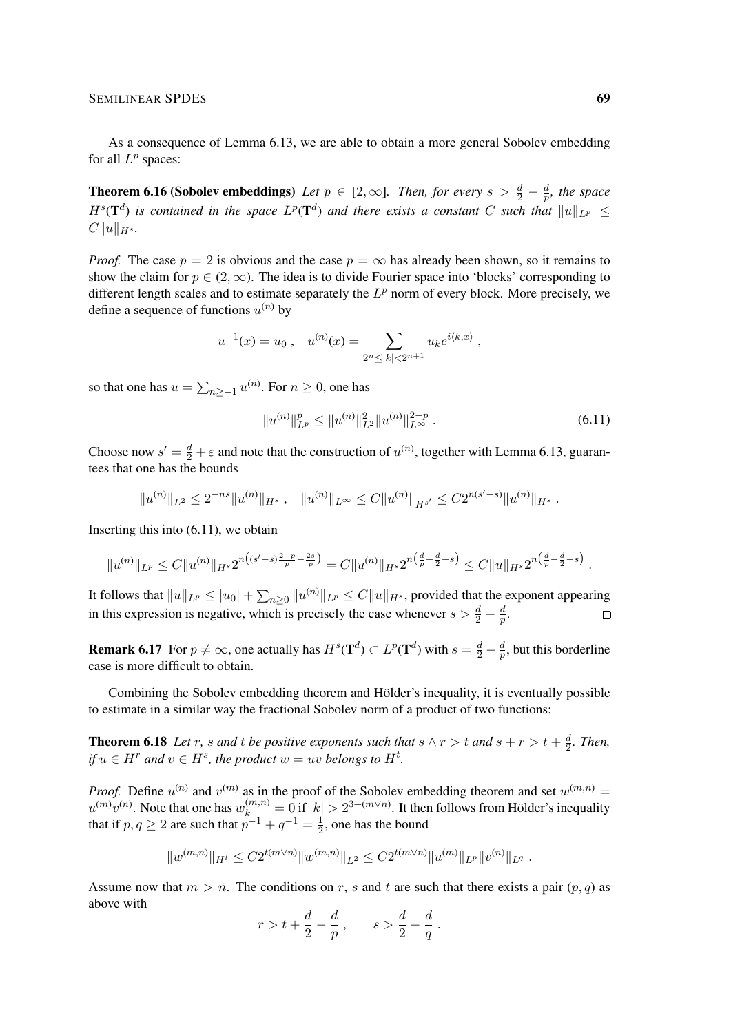As a consequence of Lemma 6.13, we are able to obtain a more general Sobolev embedding for all  $L^p$  spaces:

**Theorem 6.16 (Sobolev embeddings)** Let  $p \in [2,\infty]$ . Then, for every  $s > \frac{d}{2} - \frac{d}{p}$  $\frac{a}{p}$ , the space  $H^{s}(\mathbf{T}^{d})$  is contained in the space  $L^{p}(\mathbf{T}^{d})$  and there exists a constant C such that  $||u||_{L^{p}} \leq$  $C||u||_{H^s}$ .

*Proof.* The case  $p = 2$  is obvious and the case  $p = \infty$  has already been shown, so it remains to show the claim for  $p \in (2,\infty)$ . The idea is to divide Fourier space into 'blocks' corresponding to different length scales and to estimate separately the  $L^p$  norm of every block. More precisely, we define a sequence of functions  $u^{(n)}$  by

$$
u^{-1}(x) = u_0
$$
,  $u^{(n)}(x) = \sum_{2^n \le |k| < 2^{n+1}} u_k e^{i \langle k, x \rangle}$ ,

so that one has  $u = \sum_{n \ge -1} u^{(n)}$ . For  $n \ge 0$ , one has

$$
||u^{(n)}||_{L^p}^p \le ||u^{(n)}||_{L^2}^2 ||u^{(n)}||_{L^\infty}^{2-p} . \tag{6.11}
$$

Choose now  $s' = \frac{d}{2} + \varepsilon$  and note that the construction of  $u^{(n)}$ , together with Lemma 6.13, guarantees that one has the bounds

$$
||u^{(n)}||_{L^2} \leq 2^{-ns}||u^{(n)}||_{H^s}, \quad ||u^{(n)}||_{L^\infty} \leq C||u^{(n)}||_{H^{s'}} \leq C2^{n(s'-s)}||u^{(n)}||_{H^s}.
$$

Inserting this into (6.11), we obtain

$$
||u^{(n)}||_{L^p} \leq C||u^{(n)}||_{H^s} 2^{n((s'-s)\frac{2-p}{p}-\frac{2s}{p})} = C||u^{(n)}||_{H^s} 2^{n(\frac{d}{p}-\frac{d}{2}-s)} \leq C||u||_{H^s} 2^{n(\frac{d}{p}-\frac{d}{2}-s)}.
$$

It follows that  $||u||_{L^p} \leq |u_0| + \sum_{n\geq 0} ||u^{(n)}||_{L^p} \leq C||u||_{H^s}$ , provided that the exponent appearing in this expression is negative, which is precisely the case whenever  $s > \frac{d}{2} - \frac{d}{p}$  $\frac{d}{p}.$  $\Box$ 

**Remark 6.17** For  $p \neq \infty$ , one actually has  $H^s(\mathbf{T}^d) \subset L^p(\mathbf{T}^d)$  with  $s = \frac{d}{2} - \frac{d}{p}$  $\frac{a}{p}$ , but this borderline case is more difficult to obtain.

Combining the Sobolev embedding theorem and Hölder's inequality, it is eventually possible to estimate in a similar way the fractional Sobolev norm of a product of two functions:

**Theorem 6.18** Let r, s and t be positive exponents such that  $s \wedge r > t$  and  $s + r > t + \frac{d}{2}$  $\frac{d}{2}$ *. Then, if*  $u \in H^r$  and  $v \in H^s$ , the product  $w = uv$  belongs to  $H^t$ .

*Proof.* Define  $u^{(n)}$  and  $v^{(m)}$  as in the proof of the Sobolev embedding theorem and set  $w^{(m,n)}$  =  $u^{(m)}v^{(n)}$ . Note that one has  $w_k^{(m,n)} = 0$  if  $|k| > 2^{3 + (m \vee n)}$ . It then follows from Hölder's inequality that if  $p, q \ge 2$  are such that  $p^{-1} + q^{-1} = \frac{1}{2}$  $\frac{1}{2}$ , one has the bound

$$
||w^{(m,n)}||_{H^t} \leq C2^{t(m\vee n)}||w^{(m,n)}||_{L^2} \leq C2^{t(m\vee n)}||u^{(m)}||_{L^p}||v^{(n)}||_{L^q}.
$$

Assume now that  $m > n$ . The conditions on r, s and t are such that there exists a pair  $(p, q)$  as above with

$$
r > t + \frac{d}{2} - \frac{d}{p}
$$
,  $s > \frac{d}{2} - \frac{d}{q}$ .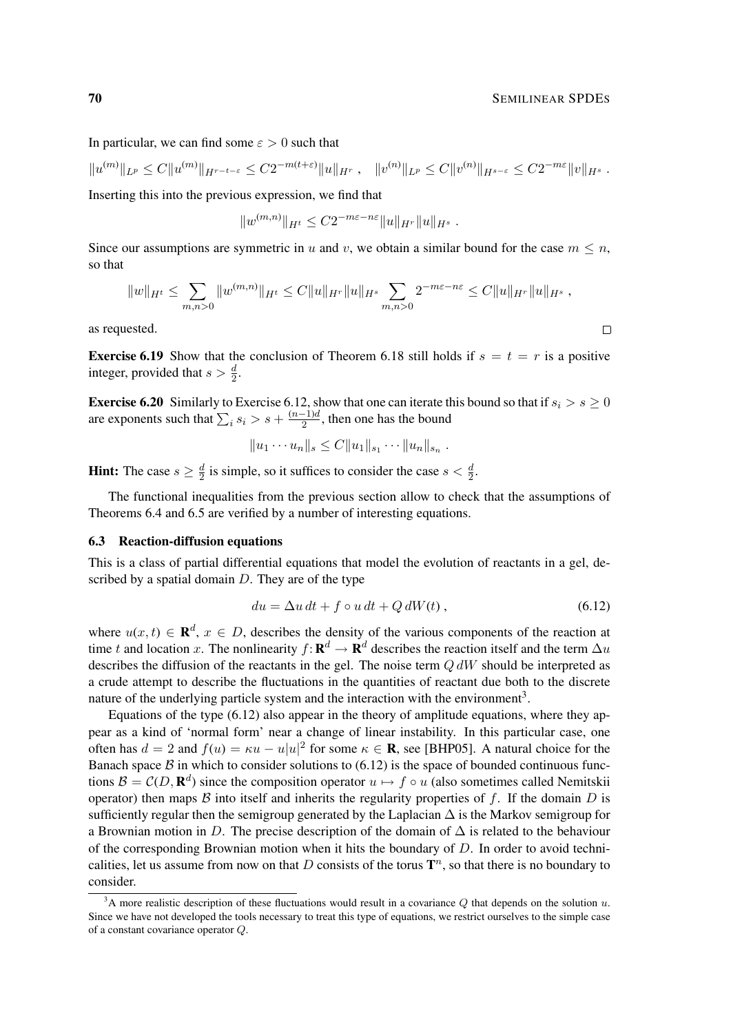In particular, we can find some  $\varepsilon > 0$  such that

$$
||u^{(m)}||_{L^p} \leq C||u^{(m)}||_{H^{r-t-\varepsilon}} \leq C2^{-m(t+\varepsilon)}||u||_{H^r}, \quad ||v^{(n)}||_{L^p} \leq C||v^{(n)}||_{H^{s-\varepsilon}} \leq C2^{-m\varepsilon}||v||_{H^s}.
$$

Inserting this into the previous expression, we find that

$$
||w^{(m,n)}||_{H^t} \leq C2^{-m\varepsilon - n\varepsilon} ||u||_{H^r} ||u||_{H^s} .
$$

Since our assumptions are symmetric in u and v, we obtain a similar bound for the case  $m \leq n$ , so that

$$
||w||_{H^t} \leq \sum_{m,n>0} ||w^{(m,n)}||_{H^t} \leq C||u||_{H^r} ||u||_{H^s} \sum_{m,n>0} 2^{-m\varepsilon - n\varepsilon} \leq C||u||_{H^r} ||u||_{H^s},
$$

as requested.

**Exercise 6.19** Show that the conclusion of Theorem 6.18 still holds if  $s = t = r$  is a positive integer, provided that  $s > \frac{d}{2}$ .

**Exercise 6.20** Similarly to Exercise 6.12, show that one can iterate this bound so that if  $s_i > s \geq 0$ are exponents such that  $\sum_i s_i > s + \frac{(n-1)d}{2}$  $\frac{-1}{2}$ , then one has the bound

$$
||u_1 \cdots u_n||_s \leq C||u_1||_{s_1} \cdots ||u_n||_{s_n}.
$$

**Hint:** The case  $s \geq \frac{d}{2}$  $\frac{d}{2}$  is simple, so it suffices to consider the case  $s < \frac{d}{2}$ .

The functional inequalities from the previous section allow to check that the assumptions of Theorems 6.4 and 6.5 are verified by a number of interesting equations.

# 6.3 Reaction-diffusion equations

This is a class of partial differential equations that model the evolution of reactants in a gel, described by a spatial domain  $D$ . They are of the type

$$
du = \Delta u \, dt + f \circ u \, dt + Q \, dW(t) \,, \tag{6.12}
$$

where  $u(x, t) \in \mathbf{R}^d$ ,  $x \in D$ , describes the density of the various components of the reaction at time t and location x. The nonlinearity  $f: \mathbf{R}^d \to \mathbf{R}^d$  describes the reaction itself and the term  $\Delta u$ describes the diffusion of the reactants in the gel. The noise term  $Q dW$  should be interpreted as a crude attempt to describe the fluctuations in the quantities of reactant due both to the discrete nature of the underlying particle system and the interaction with the environment<sup>3</sup>.

Equations of the type (6.12) also appear in the theory of amplitude equations, where they appear as a kind of 'normal form' near a change of linear instability. In this particular case, one often has  $d = 2$  and  $f(u) = \kappa u - u|u|^2$  for some  $\kappa \in \mathbb{R}$ , see [BHP05]. A natural choice for the Banach space  $\beta$  in which to consider solutions to (6.12) is the space of bounded continuous functions  $\mathcal{B} = \mathcal{C}(D, \mathbf{R}^d)$  since the composition operator  $u \mapsto f \circ u$  (also sometimes called Nemitskii operator) then maps  $\beta$  into itself and inherits the regularity properties of  $f$ . If the domain  $D$  is sufficiently regular then the semigroup generated by the Laplacian  $\Delta$  is the Markov semigroup for a Brownian motion in D. The precise description of the domain of  $\Delta$  is related to the behaviour of the corresponding Brownian motion when it hits the boundary of  $D$ . In order to avoid technicalities, let us assume from now on that D consists of the torus  $\mathbf{T}^n$ , so that there is no boundary to consider.

 $\Box$ 

<sup>&</sup>lt;sup>3</sup>A more realistic description of these fluctuations would result in a covariance Q that depends on the solution  $u$ . Since we have not developed the tools necessary to treat this type of equations, we restrict ourselves to the simple case of a constant covariance operator Q.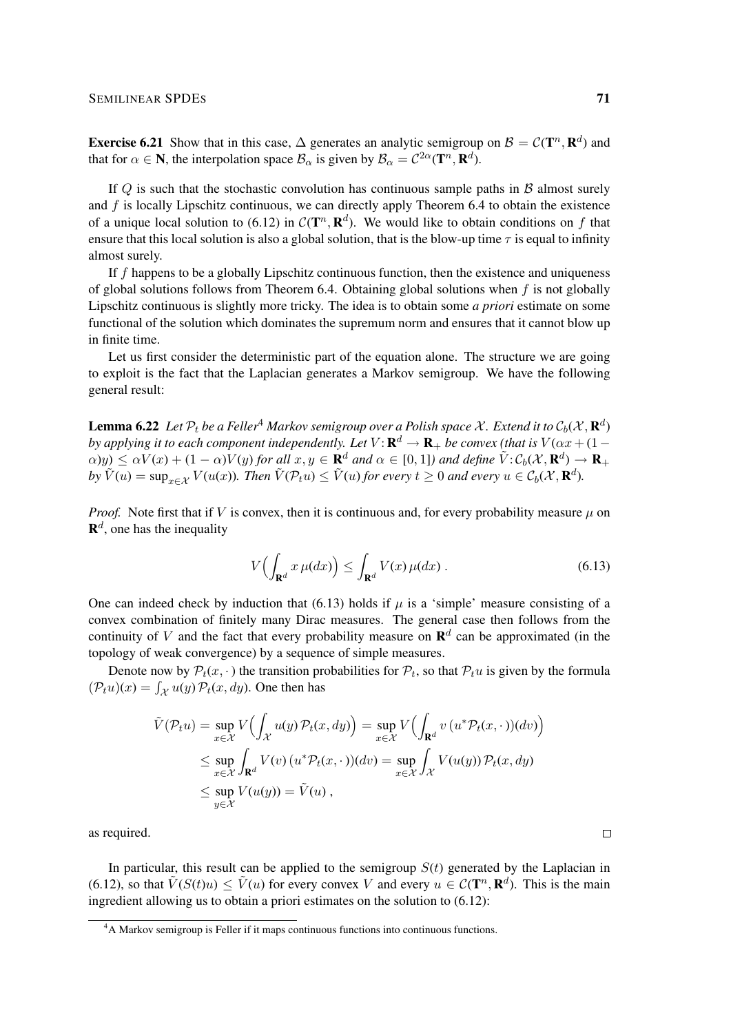**Exercise 6.21** Show that in this case,  $\Delta$  generates an analytic semigroup on  $\mathcal{B} = \mathcal{C}(\mathbf{T}^n, \mathbf{R}^d)$  and that for  $\alpha \in \mathbb{N}$ , the interpolation space  $\mathcal{B}_{\alpha}$  is given by  $\mathcal{B}_{\alpha} = C^{2\alpha}(\mathbf{T}^n, \mathbf{R}^d)$ .

If Q is such that the stochastic convolution has continuous sample paths in  $\beta$  almost surely and  $f$  is locally Lipschitz continuous, we can directly apply Theorem 6.4 to obtain the existence of a unique local solution to (6.12) in  $\mathcal{C}(\mathbf{T}^n, \mathbf{R}^d)$ . We would like to obtain conditions on f that ensure that this local solution is also a global solution, that is the blow-up time  $\tau$  is equal to infinity almost surely.

If  $f$  happens to be a globally Lipschitz continuous function, then the existence and uniqueness of global solutions follows from Theorem 6.4. Obtaining global solutions when  $f$  is not globally Lipschitz continuous is slightly more tricky. The idea is to obtain some *a priori* estimate on some functional of the solution which dominates the supremum norm and ensures that it cannot blow up in finite time.

Let us first consider the deterministic part of the equation alone. The structure we are going to exploit is the fact that the Laplacian generates a Markov semigroup. We have the following general result:

 ${\bf Lemma}$  6.22  $\,$  Let  $\mathcal{P}_t$  be a Feller $^A$  Markov semigroup over a Polish space  $\mathcal{X}.$  Extend it to  $\mathcal{C}_b(\mathcal{X},\mathbf{R}^d)$ by applying it to each component independently. Let  $V$ :  ${\bf R}^d \to {\bf R}_+$  be convex (that is  $V(\alpha x + (1-\alpha)x)$  $\alpha$ )y)  $\leq \alpha V(x) + (1 - \alpha)V(y)$  for all  $x, y \in \mathbf{R}^d$  and  $\alpha \in [0, 1]$ ) and define  $\tilde{V}: \mathcal{C}_b(\mathcal{X}, \mathbf{R}^d) \to \mathbf{R}_+$  $by \ \tilde{V}(u) = \sup_{x \in \mathcal{X}} V(u(x))$ . Then  $\tilde{V}(\mathcal{P}_t u) \leq \tilde{V}(u)$  for every  $t \geq 0$  and every  $u \in \mathcal{C}_b(\mathcal{X}, \mathbf{R}^d)$ .

*Proof.* Note first that if V is convex, then it is continuous and, for every probability measure  $\mu$  on  $\mathbf{R}^d$ , one has the inequality

$$
V\left(\int_{\mathbf{R}^d} x \,\mu(dx)\right) \le \int_{\mathbf{R}^d} V(x) \,\mu(dx) \,. \tag{6.13}
$$

One can indeed check by induction that (6.13) holds if  $\mu$  is a 'simple' measure consisting of a convex combination of finitely many Dirac measures. The general case then follows from the continuity of V and the fact that every probability measure on  $\mathbf{R}^{d}$  can be approximated (in the topology of weak convergence) by a sequence of simple measures.

Denote now by  $\mathcal{P}_t(x, \cdot)$  the transition probabilities for  $\mathcal{P}_t$ , so that  $\mathcal{P}_t u$  is given by the formula  $(\mathcal{P}_t u)(x) = \int_{\mathcal{X}} u(y) \mathcal{P}_t(x, dy)$ . One then has

$$
\tilde{V}(\mathcal{P}_t u) = \sup_{x \in \mathcal{X}} V\Big(\int_{\mathcal{X}} u(y) \mathcal{P}_t(x, dy)\Big) = \sup_{x \in \mathcal{X}} V\Big(\int_{\mathbf{R}^d} v\left(u^* \mathcal{P}_t(x, \cdot)\right)(dv)\Big)
$$
\n
$$
\leq \sup_{x \in \mathcal{X}} \int_{\mathbf{R}^d} V(v)\left(u^* \mathcal{P}_t(x, \cdot)\right)(dv) = \sup_{x \in \mathcal{X}} \int_{\mathcal{X}} V(u(y)) \mathcal{P}_t(x, dy)
$$
\n
$$
\leq \sup_{y \in \mathcal{X}} V(u(y)) = \tilde{V}(u),
$$

as required.

In particular, this result can be applied to the semigroup  $S(t)$  generated by the Laplacian in (6.12), so that  $\tilde{V}(S(t)u) \leq \tilde{V}(u)$  for every convex V and every  $u \in C(\mathbf{T}^n, \mathbf{R}^d)$ . This is the main ingredient allowing us to obtain a priori estimates on the solution to (6.12):

 $\Box$ 

<sup>&</sup>lt;sup>4</sup>A Markov semigroup is Feller if it maps continuous functions into continuous functions.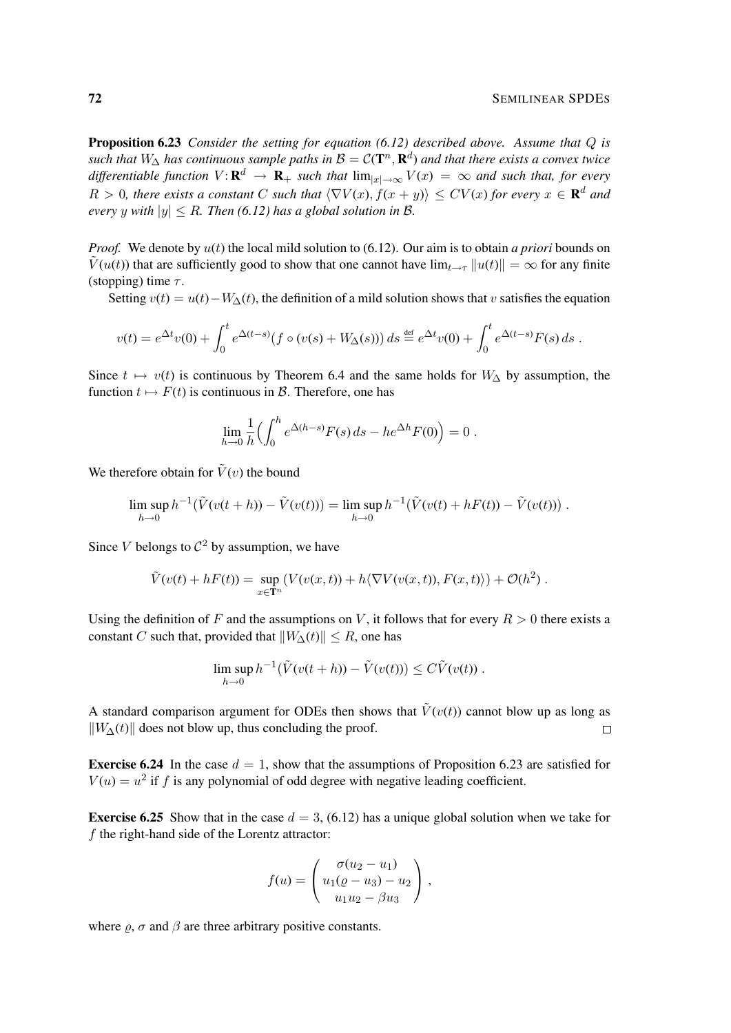**Proposition 6.23** *Consider the setting for equation (6.12) described above. Assume that Q is* such that  $W_{\Delta}$  has continuous sample paths in  $\mathcal{B}=\mathcal{C}(\mathbf{T}^n,\mathbf{R}^d)$  and that there exists a convex twice differentiable function  $V: \mathbf{R}^d \to \mathbf{R}_+$  such that  $\lim_{|x|\to\infty} V(x) = \infty$  and such that, for every  $R > 0$ , there exists a constant C such that  $\langle \nabla V(x), f(x+y) \rangle \leq CV(x)$  for every  $x \in \mathbf{R}^d$  and *every y with*  $|y| \le R$ *. Then* (6.12) has a global solution in B.

*Proof.* We denote by  $u(t)$  the local mild solution to (6.12). Our aim is to obtain *a priori* bounds on  $\tilde{V}(u(t))$  that are sufficiently good to show that one cannot have  $\lim_{t\to\tau} ||u(t)|| = \infty$  for any finite (stopping) time  $\tau$ .

Setting  $v(t) = u(t) - W_{\Delta}(t)$ , the definition of a mild solution shows that v satisfies the equation

$$
v(t) = e^{\Delta t}v(0) + \int_0^t e^{\Delta(t-s)} (f \circ (v(s) + W_{\Delta}(s))) ds \stackrel{\text{def}}{=} e^{\Delta t}v(0) + \int_0^t e^{\Delta(t-s)} F(s) ds.
$$

Since  $t \mapsto v(t)$  is continuous by Theorem 6.4 and the same holds for  $W_{\Delta}$  by assumption, the function  $t \mapsto F(t)$  is continuous in B. Therefore, one has

$$
\lim_{h \to 0} \frac{1}{h} \Big( \int_0^h e^{\Delta(h-s)} F(s) \, ds - h e^{\Delta h} F(0) \Big) = 0 \; .
$$

We therefore obtain for  $\tilde{V}(v)$  the bound

$$
\limsup_{h \to 0} h^{-1}(\tilde{V}(v(t+h)) - \tilde{V}(v(t))) = \limsup_{h \to 0} h^{-1}(\tilde{V}(v(t) + hF(t)) - \tilde{V}(v(t))) .
$$

Since V belongs to  $\mathcal{C}^2$  by assumption, we have

$$
\tilde{V}(v(t) + hF(t)) = \sup_{x \in \mathbb{T}^n} (V(v(x,t)) + h \langle \nabla V(v(x,t)), F(x,t) \rangle) + \mathcal{O}(h^2) .
$$

Using the definition of F and the assumptions on V, it follows that for every  $R > 0$  there exists a constant C such that, provided that  $||W_\Delta(t)|| \leq R$ , one has

$$
\limsup_{h\to 0} h^{-1}(\tilde{V}(v(t+h)) - \tilde{V}(v(t))) \leq C\tilde{V}(v(t)).
$$

A standard comparison argument for ODEs then shows that  $\tilde{V}(v(t))$  cannot blow up as long as  $\|W_{\Delta}(t)\|$  does not blow up, thus concluding the proof.  $\Box$ 

**Exercise 6.24** In the case  $d = 1$ , show that the assumptions of Proposition 6.23 are satisfied for  $V(u) = u^2$  if f is any polynomial of odd degree with negative leading coefficient.

**Exercise 6.25** Show that in the case  $d = 3$ , (6.12) has a unique global solution when we take for f the right-hand side of the Lorentz attractor:

$$
f(u) = \begin{pmatrix} \sigma(u_2 - u_1) \\ u_1(\rho - u_3) - u_2 \\ u_1u_2 - \beta u_3 \end{pmatrix},
$$

where  $\rho$ ,  $\sigma$  and  $\beta$  are three arbitrary positive constants.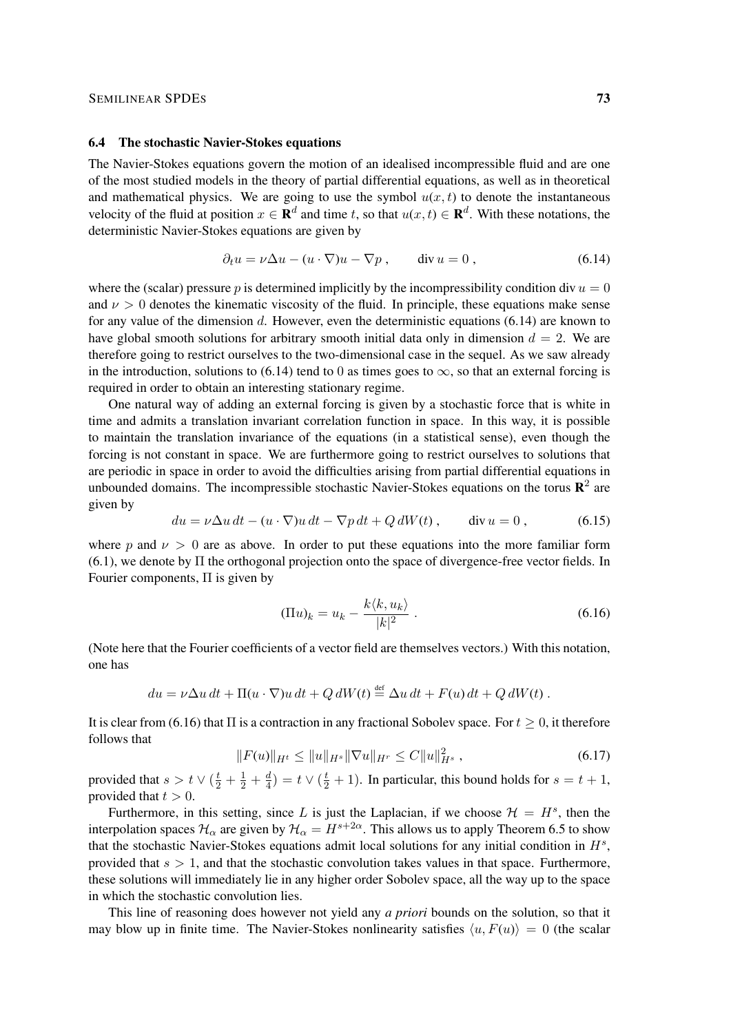#### SEMILINEAR SPDES 73

#### 6.4 The stochastic Navier-Stokes equations

The Navier-Stokes equations govern the motion of an idealised incompressible fluid and are one of the most studied models in the theory of partial differential equations, as well as in theoretical and mathematical physics. We are going to use the symbol  $u(x, t)$  to denote the instantaneous velocity of the fluid at position  $x \in \mathbf{R}^d$  and time t, so that  $u(x, t) \in \mathbf{R}^d$ . With these notations, the deterministic Navier-Stokes equations are given by

$$
\partial_t u = \nu \Delta u - (u \cdot \nabla) u - \nabla p, \qquad \text{div } u = 0, \qquad (6.14)
$$

where the (scalar) pressure p is determined implicitly by the incompressibility condition div  $u = 0$ and  $\nu > 0$  denotes the kinematic viscosity of the fluid. In principle, these equations make sense for any value of the dimension  $d$ . However, even the deterministic equations (6.14) are known to have global smooth solutions for arbitrary smooth initial data only in dimension  $d = 2$ . We are therefore going to restrict ourselves to the two-dimensional case in the sequel. As we saw already in the introduction, solutions to (6.14) tend to 0 as times goes to  $\infty$ , so that an external forcing is required in order to obtain an interesting stationary regime.

One natural way of adding an external forcing is given by a stochastic force that is white in time and admits a translation invariant correlation function in space. In this way, it is possible to maintain the translation invariance of the equations (in a statistical sense), even though the forcing is not constant in space. We are furthermore going to restrict ourselves to solutions that are periodic in space in order to avoid the difficulties arising from partial differential equations in unbounded domains. The incompressible stochastic Navier-Stokes equations on the torus  $\mathbb{R}^2$  are given by

$$
du = \nu \Delta u \, dt - (u \cdot \nabla)u \, dt - \nabla p \, dt + Q \, dW(t) , \qquad \text{div } u = 0 , \qquad (6.15)
$$

where p and  $\nu > 0$  are as above. In order to put these equations into the more familiar form (6.1), we denote by Π the orthogonal projection onto the space of divergence-free vector fields. In Fourier components, Π is given by

$$
(\Pi u)_k = u_k - \frac{k \langle k, u_k \rangle}{|k|^2} . \tag{6.16}
$$

(Note here that the Fourier coefficients of a vector field are themselves vectors.) With this notation, one has

$$
du = \nu \Delta u \, dt + \Pi(u \cdot \nabla)u \, dt + Q \, dW(t) \stackrel{\text{def}}{=} \Delta u \, dt + F(u) \, dt + Q \, dW(t) \, .
$$

It is clear from (6.16) that  $\Pi$  is a contraction in any fractional Sobolev space. For  $t > 0$ , it therefore follows that

$$
||F(u)||_{H^t} \le ||u||_{H^s} ||\nabla u||_{H^r} \le C||u||_{H^s}^2 , \qquad (6.17)
$$

provided that  $s > t \vee (\frac{t}{2} + \frac{1}{2} + \frac{d}{4})$  $\frac{d}{4}$ ) =  $t \vee (\frac{t}{2} + 1)$ . In particular, this bound holds for  $s = t + 1$ , provided that  $t > 0$ .

Furthermore, in this setting, since L is just the Laplacian, if we choose  $\mathcal{H} = H^s$ , then the interpolation spaces  $\mathcal{H}_{\alpha}$  are given by  $\mathcal{H}_{\alpha} = H^{s+2\alpha}$ . This allows us to apply Theorem 6.5 to show that the stochastic Navier-Stokes equations admit local solutions for any initial condition in  $H^s$ , provided that  $s > 1$ , and that the stochastic convolution takes values in that space. Furthermore, these solutions will immediately lie in any higher order Sobolev space, all the way up to the space in which the stochastic convolution lies.

This line of reasoning does however not yield any *a priori* bounds on the solution, so that it may blow up in finite time. The Navier-Stokes nonlinearity satisfies  $\langle u, F(u) \rangle = 0$  (the scalar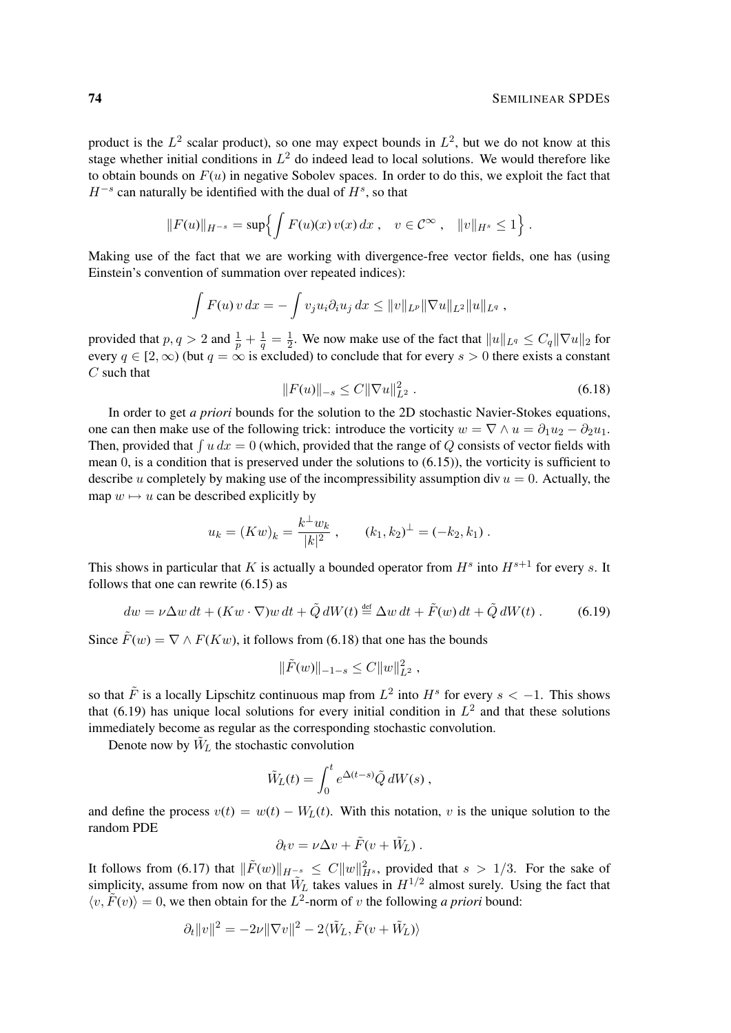product is the  $L^2$  scalar product), so one may expect bounds in  $L^2$ , but we do not know at this stage whether initial conditions in  $L^2$  do indeed lead to local solutions. We would therefore like to obtain bounds on  $F(u)$  in negative Sobolev spaces. In order to do this, we exploit the fact that  $H^{-s}$  can naturally be identified with the dual of  $H^s$ , so that

$$
||F(u)||_{H^{-s}} = \sup \{ \int F(u)(x) v(x) dx, \quad v \in C^{\infty}, \quad ||v||_{H^s} \le 1 \}.
$$

Making use of the fact that we are working with divergence-free vector fields, one has (using Einstein's convention of summation over repeated indices):

$$
\int F(u) v \, dx = - \int v_j u_i \partial_i u_j \, dx \le ||v||_{L^p} ||\nabla u||_{L^2} ||u||_{L^q} ,
$$

provided that  $p, q > 2$  and  $\frac{1}{p} + \frac{1}{q} = \frac{1}{2}$  $\frac{1}{2}$ . We now make use of the fact that  $||u||_{L^q} \leq C_q ||\nabla u||_2$  for every  $q \in [2,\infty)$  (but  $q = \infty$  is excluded) to conclude that for every  $s > 0$  there exists a constant  $C$  such that

$$
||F(u)||_{-s} \le C||\nabla u||_{L^2}^2.
$$
\n(6.18)

In order to get *a priori* bounds for the solution to the 2D stochastic Navier-Stokes equations, one can then make use of the following trick: introduce the vorticity  $w = \nabla \wedge u = \partial_1 u_2 - \partial_2 u_1$ . Then, provided that  $\int u dx = 0$  (which, provided that the range of Q consists of vector fields with mean  $0$ , is a condition that is preserved under the solutions to  $(6.15)$ ), the vorticity is sufficient to describe u completely by making use of the incompressibility assumption div  $u = 0$ . Actually, the map  $w \mapsto u$  can be described explicitly by

$$
u_k = (Kw)_k = \frac{k^{\perp}w_k}{|k|^2}
$$
,  $(k_1, k_2)^{\perp} = (-k_2, k_1)$ .

This shows in particular that K is actually a bounded operator from  $H^s$  into  $H^{s+1}$  for every s. It follows that one can rewrite (6.15) as

$$
dw = \nu \Delta w \, dt + (Kw \cdot \nabla) w \, dt + \tilde{Q} \, dW(t) \stackrel{\text{def}}{=} \Delta w \, dt + \tilde{F}(w) \, dt + \tilde{Q} \, dW(t) \,. \tag{6.19}
$$

Since  $\tilde{F}(w) = \nabla \wedge F(Kw)$ , it follows from (6.18) that one has the bounds

$$
\|\tilde{F}(w)\|_{-1-s} \leq C \|w\|_{L^2}^2,
$$

so that  $\tilde{F}$  is a locally Lipschitz continuous map from  $L^2$  into  $H^s$  for every  $s < -1$ . This shows that (6.19) has unique local solutions for every initial condition in  $L^2$  and that these solutions immediately become as regular as the corresponding stochastic convolution.

Denote now by  $\tilde{W}_L$  the stochastic convolution

$$
\tilde{W}_L(t) = \int_0^t e^{\Delta(t-s)} \tilde{Q} dW(s) ,
$$

and define the process  $v(t) = w(t) - W<sub>L</sub>(t)$ . With this notation, v is the unique solution to the random PDE

$$
\partial_t v = \nu \Delta v + \tilde{F}(v + \tilde{W}_L) .
$$

It follows from (6.17) that  $\|\tilde{F}(w)\|_{H^{-s}} \leq C \|w\|_{H^{s}}^2$ , provided that  $s > 1/3$ . For the sake of simplicity, assume from now on that  $\tilde{W}_L$  takes values in  $H^{1/2}$  almost surely. Using the fact that  $\langle v, \tilde{F}(v) \rangle = 0$ , we then obtain for the L<sup>2</sup>-norm of v the following *a priori* bound:

$$
\partial_t ||v||^2 = -2\nu ||\nabla v||^2 - 2\langle \tilde{W}_L, \tilde{F}(v + \tilde{W}_L) \rangle
$$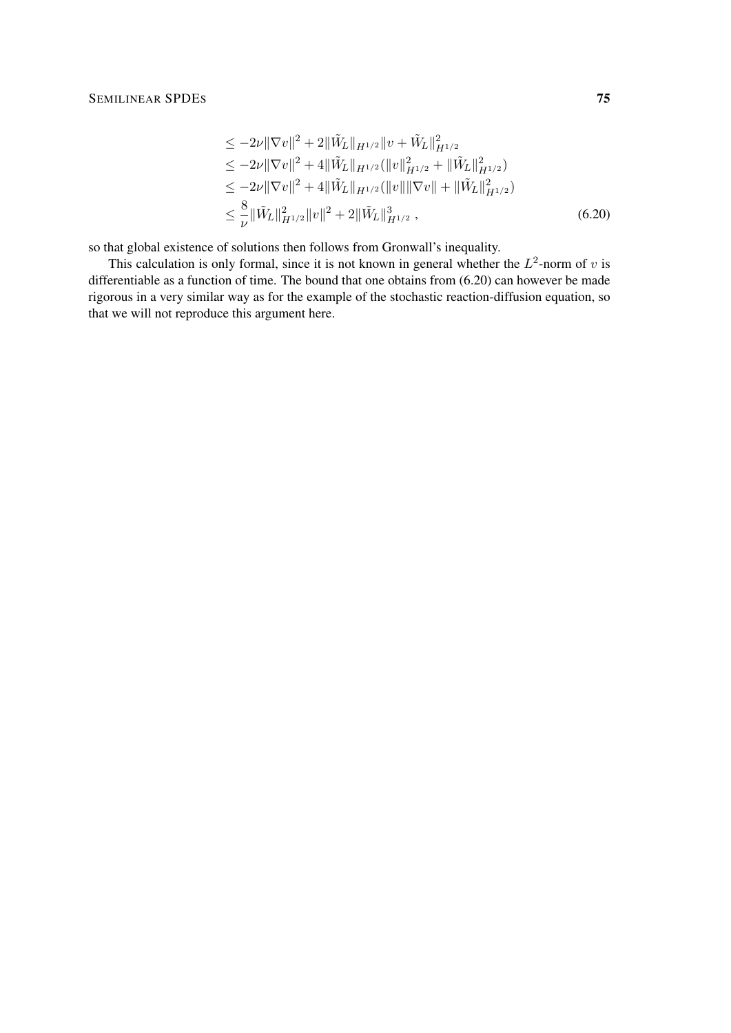$$
\leq -2\nu \|\nabla v\|^2 + 2\|\tilde{W}_L\|_{H^{1/2}} \|v + \tilde{W}_L\|_{H^{1/2}}^2
$$
\n
$$
\leq -2\nu \|\nabla v\|^2 + 4\|\tilde{W}_L\|_{H^{1/2}} (\|v\|_{H^{1/2}}^2 + \|\tilde{W}_L\|_{H^{1/2}}^2)
$$
\n
$$
\leq -2\nu \|\nabla v\|^2 + 4\|\tilde{W}_L\|_{H^{1/2}} (\|v\| \|\nabla v\| + \|\tilde{W}_L\|_{H^{1/2}}^2)
$$
\n
$$
\leq \frac{8}{\nu} \|\tilde{W}_L\|_{H^{1/2}}^2 \|v\|^2 + 2\|\tilde{W}_L\|_{H^{1/2}}^3 , \tag{6.20}
$$

so that global existence of solutions then follows from Gronwall's inequality.

This calculation is only formal, since it is not known in general whether the  $L^2$ -norm of v is differentiable as a function of time. The bound that one obtains from (6.20) can however be made rigorous in a very similar way as for the example of the stochastic reaction-diffusion equation, so that we will not reproduce this argument here.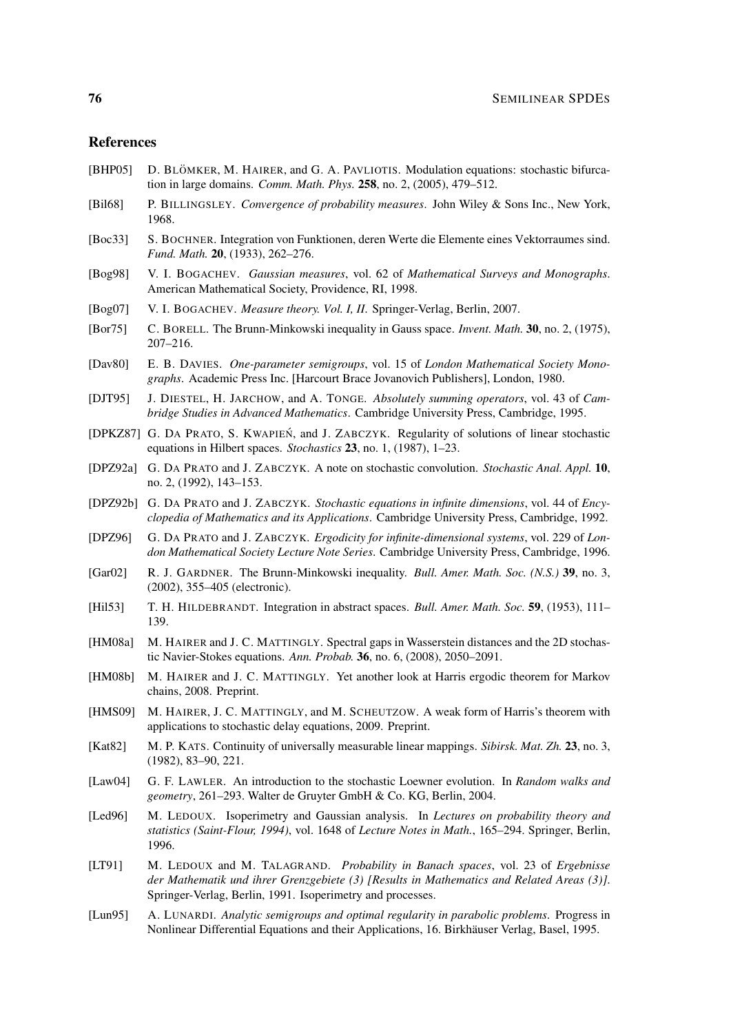## References

- [BHP05] D. BLÖMKER, M. HAIRER, and G. A. PAVLIOTIS. Modulation equations: stochastic bifurcation in large domains. *Comm. Math. Phys.* 258, no. 2, (2005), 479–512.
- [Bil68] P. BILLINGSLEY. *Convergence of probability measures*. John Wiley & Sons Inc., New York, 1968.
- [Boc33] S. BOCHNER. Integration von Funktionen, deren Werte die Elemente eines Vektorraumes sind. *Fund. Math.* 20, (1933), 262–276.
- [Bog98] V. I. BOGACHEV. *Gaussian measures*, vol. 62 of *Mathematical Surveys and Monographs*. American Mathematical Society, Providence, RI, 1998.
- [Bog07] V. I. BOGACHEV. *Measure theory. Vol. I, II*. Springer-Verlag, Berlin, 2007.
- [Bor75] C. BORELL. The Brunn-Minkowski inequality in Gauss space. *Invent. Math.* 30, no. 2, (1975), 207–216.
- [Dav80] E. B. DAVIES. *One-parameter semigroups*, vol. 15 of *London Mathematical Society Monographs*. Academic Press Inc. [Harcourt Brace Jovanovich Publishers], London, 1980.
- [DJT95] J. DIESTEL, H. JARCHOW, and A. TONGE. *Absolutely summing operators*, vol. 43 of *Cambridge Studies in Advanced Mathematics*. Cambridge University Press, Cambridge, 1995.
- [DPKZ87] G. DA PRATO, S. KWAPIEN´, and J. ZABCZYK. Regularity of solutions of linear stochastic equations in Hilbert spaces. *Stochastics* 23, no. 1, (1987), 1–23.
- [DPZ92a] G. DA PRATO and J. ZABCZYK. A note on stochastic convolution. *Stochastic Anal. Appl.* 10, no. 2, (1992), 143–153.
- [DPZ92b] G. DA PRATO and J. ZABCZYK. *Stochastic equations in infinite dimensions*, vol. 44 of *Encyclopedia of Mathematics and its Applications*. Cambridge University Press, Cambridge, 1992.
- [DPZ96] G. DA PRATO and J. ZABCZYK. *Ergodicity for infinite-dimensional systems*, vol. 229 of *London Mathematical Society Lecture Note Series*. Cambridge University Press, Cambridge, 1996.
- [Gar02] R. J. GARDNER. The Brunn-Minkowski inequality. *Bull. Amer. Math. Soc. (N.S.)* 39, no. 3, (2002), 355–405 (electronic).
- [Hil53] T. H. HILDEBRANDT. Integration in abstract spaces. *Bull. Amer. Math. Soc.* 59, (1953), 111– 139.
- [HM08a] M. HAIRER and J. C. MATTINGLY. Spectral gaps in Wasserstein distances and the 2D stochastic Navier-Stokes equations. *Ann. Probab.* 36, no. 6, (2008), 2050–2091.
- [HM08b] M. HAIRER and J. C. MATTINGLY. Yet another look at Harris ergodic theorem for Markov chains, 2008. Preprint.
- [HMS09] M. HAIRER, J. C. MATTINGLY, and M. SCHEUTZOW. A weak form of Harris's theorem with applications to stochastic delay equations, 2009. Preprint.
- [Kat82] M. P. KATS. Continuity of universally measurable linear mappings. *Sibirsk. Mat. Zh.* 23, no. 3, (1982), 83–90, 221.
- [Law04] G. F. LAWLER. An introduction to the stochastic Loewner evolution. In *Random walks and geometry*, 261–293. Walter de Gruyter GmbH & Co. KG, Berlin, 2004.
- [Led96] M. LEDOUX. Isoperimetry and Gaussian analysis. In *Lectures on probability theory and statistics (Saint-Flour, 1994)*, vol. 1648 of *Lecture Notes in Math.*, 165–294. Springer, Berlin, 1996.
- [LT91] M. LEDOUX and M. TALAGRAND. *Probability in Banach spaces*, vol. 23 of *Ergebnisse der Mathematik und ihrer Grenzgebiete (3) [Results in Mathematics and Related Areas (3)]*. Springer-Verlag, Berlin, 1991. Isoperimetry and processes.
- [Lun95] A. LUNARDI. *Analytic semigroups and optimal regularity in parabolic problems*. Progress in Nonlinear Differential Equations and their Applications, 16. Birkhauser Verlag, Basel, 1995. ¨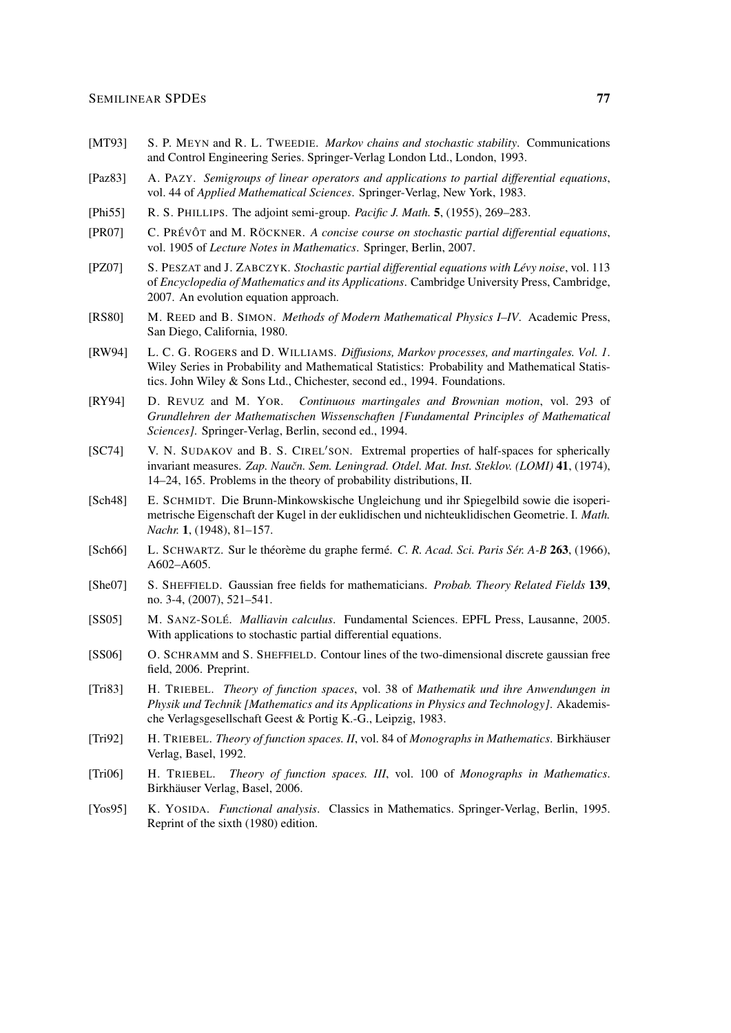- [MT93] S. P. MEYN and R. L. TWEEDIE. *Markov chains and stochastic stability*. Communications and Control Engineering Series. Springer-Verlag London Ltd., London, 1993.
- [Paz83] A. PAZY. *Semigroups of linear operators and applications to partial differential equations*, vol. 44 of *Applied Mathematical Sciences*. Springer-Verlag, New York, 1983.
- [Phi55] R. S. PHILLIPS. The adjoint semi-group. *Pacific J. Math.* 5, (1955), 269–283.
- [PR07] C. PRÉVÔT and M. RÖCKNER. A concise course on stochastic partial differential equations, vol. 1905 of *Lecture Notes in Mathematics*. Springer, Berlin, 2007.
- [PZ07] S. PESZAT and J. ZABCZYK. *Stochastic partial differential equations with Levy noise ´* , vol. 113 of *Encyclopedia of Mathematics and its Applications*. Cambridge University Press, Cambridge, 2007. An evolution equation approach.
- [RS80] M. REED and B. SIMON. *Methods of Modern Mathematical Physics I–IV*. Academic Press, San Diego, California, 1980.
- [RW94] L. C. G. ROGERS and D. WILLIAMS. *Diffusions, Markov processes, and martingales. Vol. 1*. Wiley Series in Probability and Mathematical Statistics: Probability and Mathematical Statistics. John Wiley & Sons Ltd., Chichester, second ed., 1994. Foundations.
- [RY94] D. REVUZ and M. YOR. *Continuous martingales and Brownian motion*, vol. 293 of *Grundlehren der Mathematischen Wissenschaften [Fundamental Principles of Mathematical Sciences]*. Springer-Verlag, Berlin, second ed., 1994.
- [SC74] V. N. SUDAKOV and B. S. CIREL'SON. Extremal properties of half-spaces for spherically invariant measures. *Zap. Naučn. Sem. Leningrad. Otdel. Mat. Inst. Steklov. (LOMI)* 41, (1974), 14–24, 165. Problems in the theory of probability distributions, II.
- [Sch48] E. SCHMIDT. Die Brunn-Minkowskische Ungleichung und ihr Spiegelbild sowie die isoperimetrische Eigenschaft der Kugel in der euklidischen und nichteuklidischen Geometrie. I. *Math. Nachr.* 1, (1948), 81–157.
- [Sch66] L. SCHWARTZ. Sur le théorème du graphe fermé. C. R. Acad. Sci. Paris Sér. A-B 263, (1966), A602–A605.
- [She07] S. SHEFFIELD. Gaussian free fields for mathematicians. *Probab. Theory Related Fields* 139, no. 3-4, (2007), 521–541.
- [SS05] M. SANZ-SOLE´. *Malliavin calculus*. Fundamental Sciences. EPFL Press, Lausanne, 2005. With applications to stochastic partial differential equations.
- [SS06] O. SCHRAMM and S. SHEFFIELD. Contour lines of the two-dimensional discrete gaussian free field, 2006. Preprint.
- [Tri83] H. TRIEBEL. *Theory of function spaces*, vol. 38 of *Mathematik und ihre Anwendungen in Physik und Technik [Mathematics and its Applications in Physics and Technology]*. Akademische Verlagsgesellschaft Geest & Portig K.-G., Leipzig, 1983.
- [Tri92] H. TRIEBEL. *Theory of function spaces. II*, vol. 84 of *Monographs in Mathematics*. Birkhauser ¨ Verlag, Basel, 1992.
- [Tri06] H. TRIEBEL. *Theory of function spaces. III*, vol. 100 of *Monographs in Mathematics*. Birkhäuser Verlag, Basel, 2006.
- [Yos95] K. YOSIDA. *Functional analysis*. Classics in Mathematics. Springer-Verlag, Berlin, 1995. Reprint of the sixth (1980) edition.